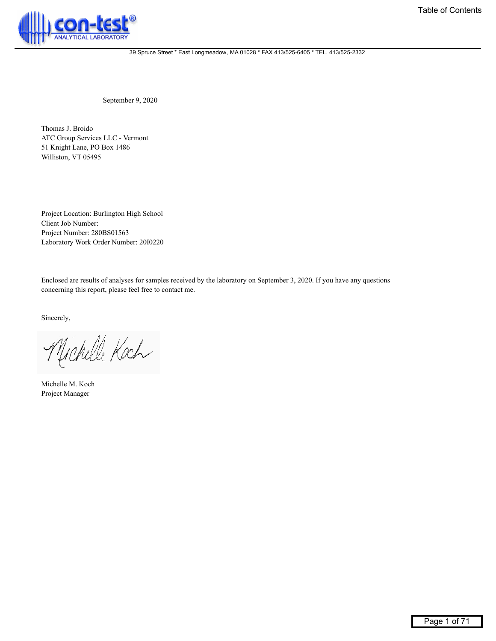

September 9, 2020

Thomas J. Broido ATC Group Services LLC - Vermont 51 Knight Lane, PO Box 1486 Williston, VT 05495

Project Location: Burlington High School Client Job Number: Project Number: 280BS01563 Laboratory Work Order Number: 20I0220

Enclosed are results of analyses for samples received by the laboratory on September 3, 2020. If you have any questions concerning this report, please feel free to contact me.

Sincerely,

Michelle Koch

Michelle M. Koch Project Manager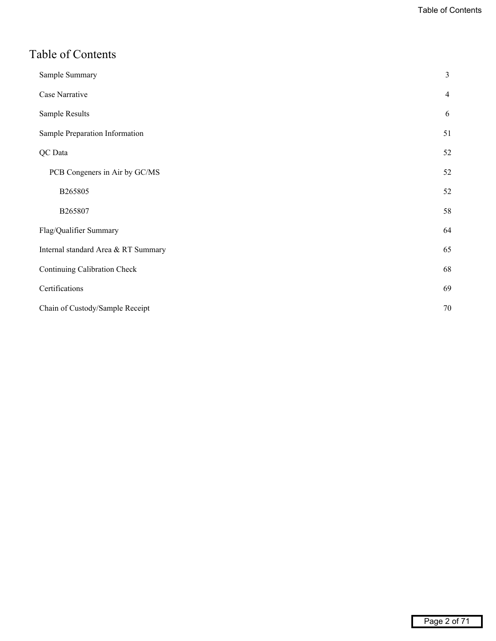# <span id="page-1-0"></span>Table of Contents

| Sample Summary                      | 3              |
|-------------------------------------|----------------|
| Case Narrative                      | $\overline{4}$ |
| Sample Results                      | 6              |
| Sample Preparation Information      | 51             |
| QC Data                             | 52             |
| PCB Congeners in Air by GC/MS       | 52             |
| B265805                             | 52             |
| B265807                             | 58             |
| Flag/Qualifier Summary              | 64             |
| Internal standard Area & RT Summary | 65             |
| Continuing Calibration Check        | 68             |
| Certifications                      | 69             |
| Chain of Custody/Sample Receipt     | 70             |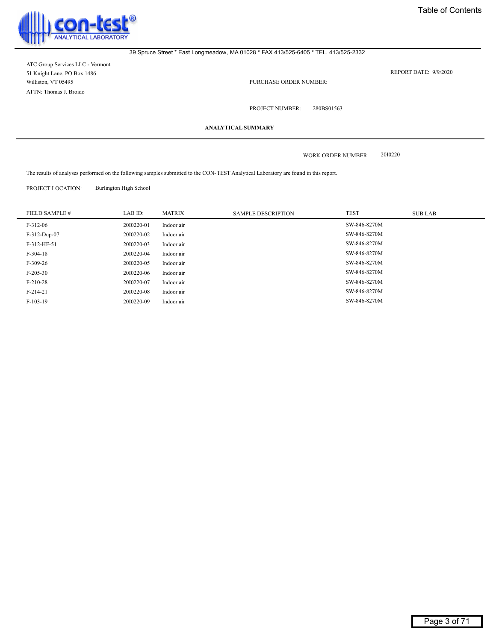<span id="page-2-0"></span>

ATC Group Services LLC - Vermont 51 Knight Lane, PO Box 1486 Williston, VT 05495 ATTN: Thomas J. Broido

REPORT DATE: 9/9/2020

PURCHASE ORDER NUMBER:

280BS01563

PROJECT NUMBER:

**ANALYTICAL SUMMARY**

20I0220 WORK ORDER NUMBER:

The results of analyses performed on the following samples submitted to the CON-TEST Analytical Laboratory are found in this report.

PROJECT LOCATION: Burlington High School

| FIELD SAMPLE # | LAB ID:    | <b>MATRIX</b> | <b>SAMPLE DESCRIPTION</b> | <b>TEST</b>  | <b>SUB LAB</b> |
|----------------|------------|---------------|---------------------------|--------------|----------------|
| $F-312-06$     | 2010220-01 | Indoor air    |                           | SW-846-8270M |                |
| F-312-Dup-07   | 2010220-02 | Indoor air    |                           | SW-846-8270M |                |
| F-312-HF-51    | 2010220-03 | Indoor air    |                           | SW-846-8270M |                |
| $F-304-18$     | 2010220-04 | Indoor air    |                           | SW-846-8270M |                |
| $F-309-26$     | 2010220-05 | Indoor air    |                           | SW-846-8270M |                |
| $F-205-30$     | 2010220-06 | Indoor air    |                           | SW-846-8270M |                |
| $F-210-28$     | 2010220-07 | Indoor air    |                           | SW-846-8270M |                |
| $F-214-21$     | 2010220-08 | Indoor air    |                           | SW-846-8270M |                |
| $F-103-19$     | 2010220-09 | Indoor air    |                           | SW-846-8270M |                |
|                |            |               |                           |              |                |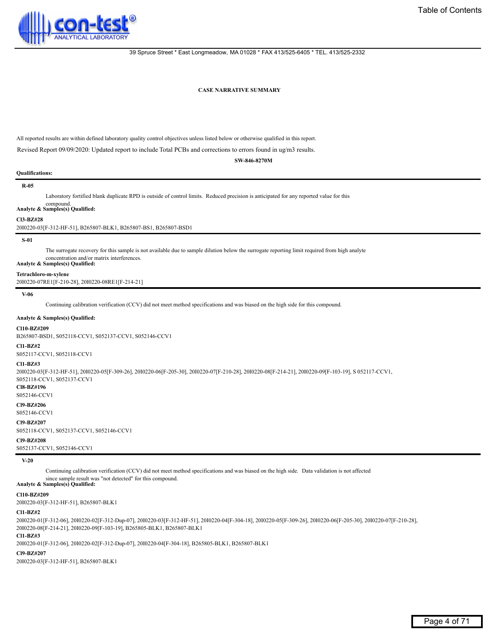<span id="page-3-0"></span>

#### **CASE NARRATIVE SUMMARY**

All reported results are within defined laboratory quality control objectives unless listed below or otherwise qualified in this report.

Revised Report 09/09/2020: Updated report to include Total PCBs and corrections to errors found in ug/m3 results.

**SW-846-8270M**

#### **Qualifications:**

#### **R-05**

#### Laboratory fortified blank duplicate RPD is outside of control limits. Reduced precision is anticipated for any reported value for this

# compound. **Analyte & Samples(s) Qualified:**

#### **Cl3-BZ#28**

20I0220-03[F-312-HF-51], B265807-BLK1, B265807-BS1, B265807-BSD1

#### **S-01**

The surrogate recovery for this sample is not available due to sample dilution below the surrogate reporting limit required from high analyte concentration and/or matrix interferences. **Analyte & Samples(s) Qualified:**

#### **Tetrachloro-m-xylene**

20I0220-07RE1[F-210-28], 20I0220-08RE1[F-214-21]

#### **V-06**

Continuing calibration verification (CCV) did not meet method specifications and was biased on the high side for this compound.

#### **Analyte & Samples(s) Qualified:**

#### **Cl10-BZ#209**

B265807-BSD1, S052118-CCV1, S052137-CCV1, S052146-CCV1

# **Cl1-BZ#2**

S052117-CCV1, S052118-CCV1

#### **Cl1-BZ#3**

20I0220-03[F-312-HF-51], 20I0220-05[F-309-26], 20I0220-06[F-205-30], 20I0220-07[F-210-28], 20I0220-08[F-214-21], 20I0220-09[F-103-19], S 052117-CCV1,

S052118-CCV1, S052137-CCV1 **Cl8-BZ#196**

S052146-CCV1

**Cl9-BZ#206**

S052146-CCV1

# **Cl9-BZ#207**

S052118-CCV1, S052137-CCV1, S052146-CCV1

# **Cl9-BZ#208**

S052137-CCV1, S052146-CCV1

#### **V-20**

Continuing calibration verification (CCV) did not meet method specifications and was biased on the high side. Data validation is not affected since sample result was "not detected" for this compound. **Analyte & Samples(s) Qualified:**

# **Cl10-BZ#209**

20I0220-03[F-312-HF-51], B265807-BLK1

# **Cl1-BZ#2**

20I0220-01[F-312-06], 20I0220-02[F-312-Dup-07], 20I0220-03[F-312-HF-51], 20I0220-04[F-304-18], 20I0220-05[F-309-26], 20I0220-06[F-205-30], 20I0220-07[F-210-28], 20I0220-08[F-214-21], 20I0220-09[F-103-19], B265805-BLK1, B265807-BLK1

#### **Cl1-BZ#3**

20I0220-01[F-312-06], 20I0220-02[F-312-Dup-07], 20I0220-04[F-304-18], B265805-BLK1, B265807-BLK1

#### **Cl9-BZ#207**

20I0220-03[F-312-HF-51], B265807-BLK1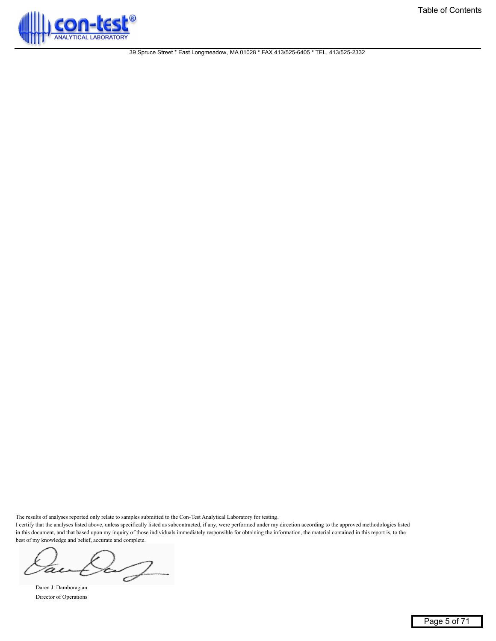

The results of analyses reported only relate to samples submitted to the Con-Test Analytical Laboratory for testing.

I certify that the analyses listed above, unless specifically listed as subcontracted, if any, were performed under my direction according to the approved methodologies listed in this document, and that based upon my inquiry of those individuals immediately responsible for obtaining the information, the material contained in this report is, to the best of my knowledge and belief, accurate and complete.

 $\mathcal{Z}$ 

Daren J. Damboragian Director of Operations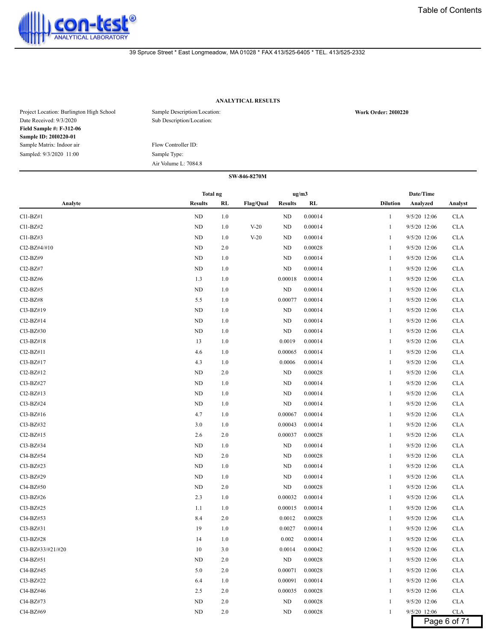<span id="page-5-0"></span>

#### **ANALYTICAL RESULTS**

| Project Location: Burlington High School | Sample Description/Location: | <b>Work Order: 2010220</b> |
|------------------------------------------|------------------------------|----------------------------|
| Date Received: 9/3/2020                  | Sub Description/Location:    |                            |
| <b>Field Sample #: F-312-06</b>          |                              |                            |
| Sample ID: 2010220-01                    |                              |                            |
| Sample Matrix: Indoor air                | Flow Controller ID:          |                            |
| Sampled: 9/3/2020 11:00                  | Sample Type:                 |                            |
|                                          | Air Volume L: 7084.8         |                            |

| SW-846-8270M      |                |     |                  |                |         |                 |              |            |
|-------------------|----------------|-----|------------------|----------------|---------|-----------------|--------------|------------|
|                   | Total ng       |     |                  | ug/m3          |         |                 | Date/Time    |            |
| Analyte           | <b>Results</b> | RL  | <b>Flag/Qual</b> | <b>Results</b> | RL      | <b>Dilution</b> | Analyzed     | Analyst    |
| Cl1-BZ#1          | ND             | 1.0 |                  | ND             | 0.00014 | -1              | 9/5/20 12:06 | <b>CLA</b> |
| Cl1-BZ#2          | <b>ND</b>      | 1.0 | $V-20$           | ND             | 0.00014 | 1               | 9/5/20 12:06 | <b>CLA</b> |
| C11-BZ#3          | <b>ND</b>      | 1.0 | $V-20$           | ND             | 0.00014 | -1              | 9/5/20 12:06 | <b>CLA</b> |
| Cl2-BZ#4/#10      | <b>ND</b>      | 2.0 |                  | ND             | 0.00028 | 1               | 9/5/20 12:06 | <b>CLA</b> |
| Cl2-BZ#9          | <b>ND</b>      | 1.0 |                  | ND             | 0.00014 | -1              | 9/5/20 12:06 | <b>CLA</b> |
| Cl2-BZ#7          | <b>ND</b>      | 1.0 |                  | ND             | 0.00014 | -1              | 9/5/20 12:06 | <b>CLA</b> |
| Cl2-BZ#6          | 1.3            | 1.0 |                  | 0.00018        | 0.00014 | -1              | 9/5/20 12:06 | <b>CLA</b> |
| Cl2-BZ#5          | <b>ND</b>      | 1.0 |                  | ND             | 0.00014 | 1               | 9/5/20 12:06 | <b>CLA</b> |
| Cl2-BZ#8          | 5.5            | 1.0 |                  | 0.00077        | 0.00014 | 1               | 9/5/20 12:06 | <b>CLA</b> |
| Cl3-BZ#19         | <b>ND</b>      | 1.0 |                  | ND             | 0.00014 | -1              | 9/5/20 12:06 | <b>CLA</b> |
| Cl2-BZ#14         | <b>ND</b>      | 1.0 |                  | ND             | 0.00014 | 1               | 9/5/20 12:06 | <b>CLA</b> |
| Cl3-BZ#30         | <b>ND</b>      | 1.0 |                  | ND             | 0.00014 | -1              | 9/5/20 12:06 | <b>CLA</b> |
| Cl3-BZ#18         | 13             | 1.0 |                  | 0.0019         | 0.00014 | -1              | 9/5/20 12:06 | <b>CLA</b> |
| Cl2-BZ#11         | 4.6            | 1.0 |                  | 0.00065        | 0.00014 | -1              | 9/5/20 12:06 | <b>CLA</b> |
| Cl3-BZ#17         | 4.3            | 1.0 |                  | 0.0006         | 0.00014 | -1              | 9/5/20 12:06 | <b>CLA</b> |
| Cl2-BZ#12         | <b>ND</b>      | 2.0 |                  | ND             | 0.00028 | -1              | 9/5/20 12:06 | <b>CLA</b> |
| Cl3-BZ#27         | <b>ND</b>      | 1.0 |                  | ND             | 0.00014 | -1              | 9/5/20 12:06 | <b>CLA</b> |
| Cl2-BZ#13         | <b>ND</b>      | 1.0 |                  | ND             | 0.00014 | 1               | 9/5/20 12:06 | <b>CLA</b> |
| Cl3-BZ#24         | <b>ND</b>      | 1.0 |                  | ND             | 0.00014 | -1              | 9/5/20 12:06 | <b>CLA</b> |
| Cl3-BZ#16         | 4.7            | 1.0 |                  | 0.00067        | 0.00014 | 1               | 9/5/20 12:06 | <b>CLA</b> |
| Cl3-BZ#32         | 3.0            | 1.0 |                  | 0.00043        | 0.00014 | -1              | 9/5/20 12:06 | <b>CLA</b> |
| Cl2-BZ#15         | 2.6            | 2.0 |                  | 0.00037        | 0.00028 | -1              | 9/5/20 12:06 | <b>CLA</b> |
| Cl3-BZ#34         | <b>ND</b>      | 1.0 |                  | ND             | 0.00014 | 1               | 9/5/20 12:06 | <b>CLA</b> |
| Cl4-BZ#54         | <b>ND</b>      | 2.0 |                  | ND             | 0.00028 | -1              | 9/5/20 12:06 | <b>CLA</b> |
| Cl3-BZ#23         | <b>ND</b>      | 1.0 |                  | ND             | 0.00014 | 1               | 9/5/20 12:06 | <b>CLA</b> |
| Cl3-BZ#29         | <b>ND</b>      | 1.0 |                  | ND             | 0.00014 | -1              | 9/5/20 12:06 | <b>CLA</b> |
| Cl4-BZ#50         | <b>ND</b>      | 2.0 |                  | ND             | 0.00028 | -1              | 9/5/20 12:06 | <b>CLA</b> |
| Cl3-BZ#26         | 2.3            | 1.0 |                  | 0.00032        | 0.00014 | -1              | 9/5/20 12:06 | <b>CLA</b> |
| Cl3-BZ#25         | 1.1            | 1.0 |                  | 0.00015        | 0.00014 | 1               | 9/5/20 12:06 | <b>CLA</b> |
| Cl4-BZ#53         | 8.4            | 2.0 |                  | 0.0012         | 0.00028 | -1              | 9/5/20 12:06 | <b>CLA</b> |
| Cl3-BZ#31         | 19             | 1.0 |                  | 0.0027         | 0.00014 | -1              | 9/5/20 12:06 | <b>CLA</b> |
| Cl3-BZ#28         | 14             | 1.0 |                  | 0.002          | 0.00014 | $\mathbf{1}$    | 9/5/20 12:06 | <b>CLA</b> |
| Cl3-BZ#33/#21/#20 | 10             | 3.0 |                  | 0.0014         | 0.00042 | -1              | 9/5/20 12:06 | <b>CLA</b> |
| Cl4-BZ#51         | <b>ND</b>      | 2.0 |                  | ND             | 0.00028 | -1              | 9/5/20 12:06 | <b>CLA</b> |
| Cl4-BZ#45         | 5.0            | 2.0 |                  | 0.00071        | 0.00028 | -1              | 9/5/20 12:06 | <b>CLA</b> |
| Cl3-BZ#22         | 6.4            | 1.0 |                  | 0.00091        | 0.00014 | -1              | 9/5/20 12:06 | <b>CLA</b> |
| Cl4-BZ#46         | 2.5            | 2.0 |                  | 0.00035        | 0.00028 | -1              | 9/5/20 12:06 | <b>CLA</b> |
| Cl4-BZ#73         | ND             | 2.0 |                  | ND             | 0.00028 | -1              | 9/5/20 12:06 | <b>CLA</b> |
| Cl4-BZ#69         | ND             | 2.0 |                  | $\rm ND$       | 0.00028 | 1               | 9/5/20 12:06 | <b>CLA</b> |

Page 6 of 71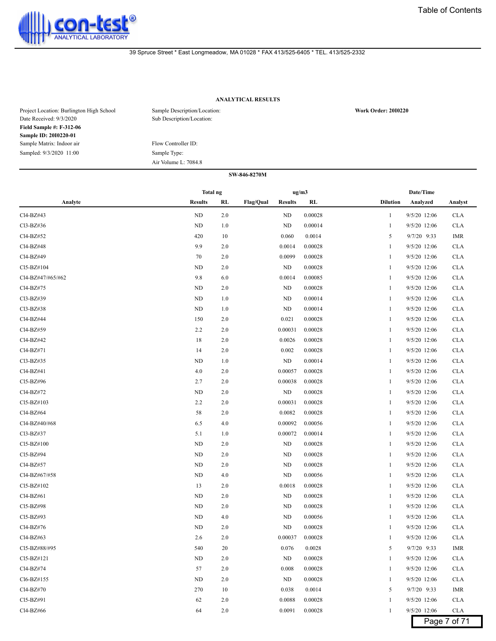

# **ANALYTICAL RESULTS**

| Project Location: Burlington High School<br>Date Received: 9/3/2020 | Sample Description/Location:<br>Sub Description/Location: | <b>Work Order: 2010220</b> |
|---------------------------------------------------------------------|-----------------------------------------------------------|----------------------------|
| <b>Field Sample #: F-312-06</b>                                     |                                                           |                            |
| Sample ID: 2010220-01                                               |                                                           |                            |
| Sample Matrix: Indoor air                                           | Flow Controller ID:                                       |                            |
| Sampled: 9/3/2020 11:00                                             | Sample Type:                                              |                            |
|                                                                     | Air Volume L: 7084.8                                      |                            |

|                   | <b>Total ng</b><br>ug/m3 |         |                                    |         |                 |              |              |
|-------------------|--------------------------|---------|------------------------------------|---------|-----------------|--------------|--------------|
| Analyte           | <b>Results</b>           | RL      | <b>Flag/Qual</b><br><b>Results</b> | RL      | <b>Dilution</b> | Analyzed     | Analyst      |
| Cl4-BZ#43         | ND                       | 2.0     | ND                                 | 0.00028 | 1               | 9/5/20 12:06 | <b>CLA</b>   |
| Cl3-BZ#36         | ND                       | 1.0     | ND                                 | 0.00014 | 1               | 9/5/20 12:06 | <b>CLA</b>   |
| Cl4-BZ#52         | 420                      | 10      | 0.060                              | 0.0014  | 5               | 9/7/20 9:33  | IMR          |
| Cl4-BZ#48         | 9.9                      | 2.0     | 0.0014                             | 0.00028 | 1               | 9/5/20 12:06 | <b>CLA</b>   |
| Cl4-BZ#49         | 70                       | 2.0     | 0.0099                             | 0.00028 | 1               | 9/5/20 12:06 | <b>CLA</b>   |
| Cl5-BZ#104        | <b>ND</b>                | 2.0     | ND                                 | 0.00028 | 1               | 9/5/20 12:06 | <b>CLA</b>   |
| Cl4-BZ#47/#65/#62 | 9.8                      | 6.0     | 0.0014                             | 0.00085 | 1               | 9/5/20 12:06 | <b>CLA</b>   |
| Cl4-BZ#75         | ND                       | 2.0     | ND                                 | 0.00028 |                 | 9/5/20 12:06 | <b>CLA</b>   |
| Cl3-BZ#39         | ND                       | 1.0     | ND                                 | 0.00014 | -1              | 9/5/20 12:06 | <b>CLA</b>   |
| Cl3-BZ#38         | ND                       | 1.0     | ND                                 | 0.00014 | 1               | 9/5/20 12:06 | <b>CLA</b>   |
| Cl4-BZ#44         | 150                      | 2.0     | 0.021                              | 0.00028 | 1               | 9/5/20 12:06 | <b>CLA</b>   |
| Cl4-BZ#59         | 2.2                      | 2.0     | 0.00031                            | 0.00028 | 1               | 9/5/20 12:06 | <b>CLA</b>   |
| Cl4-BZ#42         | 18                       | 2.0     | 0.0026                             | 0.00028 | 1               | 9/5/20 12:06 | <b>CLA</b>   |
| Cl4-BZ#71         | 14                       | 2.0     | 0.002                              | 0.00028 | 1               | 9/5/20 12:06 | <b>CLA</b>   |
| Cl3-BZ#35         | ND                       | 1.0     | ND                                 | 0.00014 | 1               | 9/5/20 12:06 | <b>CLA</b>   |
| Cl4-BZ#41         | 4.0                      | 2.0     | 0.00057                            | 0.00028 | -1              | 9/5/20 12:06 | <b>CLA</b>   |
| Cl5-BZ#96         | 2.7                      | 2.0     | 0.00038                            | 0.00028 | 1               | 9/5/20 12:06 | <b>CLA</b>   |
| Cl4-BZ#72         | ND                       | 2.0     | ND                                 | 0.00028 | 1               | 9/5/20 12:06 | <b>CLA</b>   |
| Cl5-BZ#103        | 2.2                      | 2.0     | 0.00031                            | 0.00028 | 1               | 9/5/20 12:06 | <b>CLA</b>   |
| Cl4-BZ#64         | 58                       | 2.0     | 0.0082                             | 0.00028 | 1               | 9/5/20 12:06 | <b>CLA</b>   |
| Cl4-BZ#40/#68     | 6.5                      | 4.0     | 0.00092                            | 0.00056 | 1               | 9/5/20 12:06 | <b>CLA</b>   |
| Cl3-BZ#37         | 5.1                      | 1.0     | 0.00072                            | 0.00014 | 1               | 9/5/20 12:06 | <b>CLA</b>   |
| Cl5-BZ#100        | ND                       | 2.0     | ND                                 | 0.00028 | -1              | 9/5/20 12:06 | <b>CLA</b>   |
| Cl5-BZ#94         | ND                       | 2.0     | ND                                 | 0.00028 | 1               | 9/5/20 12:06 | <b>CLA</b>   |
| Cl4-BZ#57         | ND                       | 2.0     | ND                                 | 0.00028 | 1               | 9/5/20 12:06 | <b>CLA</b>   |
| Cl4-BZ#67/#58     | ND                       | 4.0     | ND                                 | 0.00056 | 1               | 9/5/20 12:06 | <b>CLA</b>   |
| Cl5-BZ#102        | 13                       | 2.0     | 0.0018                             | 0.00028 | 1               | 9/5/20 12:06 | <b>CLA</b>   |
| Cl4-BZ#61         | ND                       | 2.0     | ND                                 | 0.00028 | 1               | 9/5/20 12:06 | <b>CLA</b>   |
| Cl5-BZ#98         | ND                       | 2.0     | ND                                 | 0.00028 | 1               | 9/5/20 12:06 | <b>CLA</b>   |
| Cl5-BZ#93         | ND                       | 4.0     | ND                                 | 0.00056 | -1              | 9/5/20 12:06 | <b>CLA</b>   |
| Cl4-BZ#76         | <b>ND</b>                | 2.0     | ND                                 | 0.00028 | 1               | 9/5/20 12:06 | <b>CLA</b>   |
| Cl4-BZ#63         | 2.6                      | 2.0     | 0.00037                            | 0.00028 | -1              | 9/5/20 12:06 | <b>CLA</b>   |
| Cl5-BZ#88/#95     | 540                      | 20      | 0.076                              | 0.0028  | 5               | 9/7/20 9:33  | <b>IMR</b>   |
| $Cl5-BZ#121$      | ND                       | 2.0     | ND                                 | 0.00028 | 1               | 9/5/20 12:06 | <b>CLA</b>   |
| Cl4-BZ#74         | 57                       | 2.0     | 0.008                              | 0.00028 | $\mathbf{1}$    | 9/5/20 12:06 | <b>CLA</b>   |
| Cl6-BZ#155        | ND                       | 2.0     | ND                                 | 0.00028 | -1              | 9/5/20 12:06 | <b>CLA</b>   |
| Cl4-BZ#70         | 270                      | 10      | 0.038                              | 0.0014  | 5               | 9/7/20 9:33  | IMR          |
| Cl5-BZ#91         | 62                       | 2.0     | 0.0088                             | 0.00028 | 1               | 9/5/20 12:06 | <b>CLA</b>   |
| Cl4-BZ#66         | 64                       | $2.0\,$ | 0.0091                             | 0.00028 | $\mathbf{1}$    | 9/5/20 12:06 | <b>CLA</b>   |
|                   |                          |         |                                    |         |                 |              | Page 7 of 71 |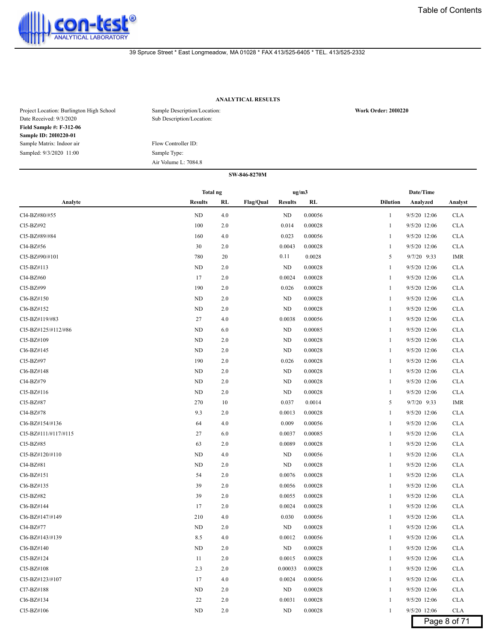

# **ANALYTICAL RESULTS**

| Project Location: Burlington High School<br>Date Received: 9/3/2020 | Sample Description/Location:<br>Sub Description/Location: | <b>Work Order: 2010220</b> |
|---------------------------------------------------------------------|-----------------------------------------------------------|----------------------------|
| <b>Field Sample #: F-312-06</b>                                     |                                                           |                            |
| Sample ID: 2010220-01                                               |                                                           |                            |
| Sample Matrix: Indoor air                                           | Flow Controller ID:                                       |                            |
| Sampled: 9/3/2020 11:00                                             | Sample Type:                                              |                            |
|                                                                     | Air Volume L: 7084.8                                      |                            |

|                      | ug/m3<br>Total ng |     |           |                |         |                 |              |              |
|----------------------|-------------------|-----|-----------|----------------|---------|-----------------|--------------|--------------|
| Analyte              | <b>Results</b>    | RL  | Flag/Qual | <b>Results</b> | RL      | <b>Dilution</b> | Analyzed     | Analyst      |
| Cl4-BZ#80/#55        | ND                | 4.0 |           | ND             | 0.00056 | 1               | 9/5/20 12:06 | <b>CLA</b>   |
| Cl5-BZ#92            | 100               | 2.0 |           | 0.014          | 0.00028 |                 | 9/5/20 12:06 | <b>CLA</b>   |
| Cl5-BZ#89/#84        | 160               | 4.0 |           | 0.023          | 0.00056 | -1              | 9/5/20 12:06 | <b>CLA</b>   |
| Cl4-BZ#56            | 30                | 2.0 |           | 0.0043         | 0.00028 | 1               | 9/5/20 12:06 | <b>CLA</b>   |
| CI5-BZ#90/#101       | 780               | 20  |           | 0.11           | 0.0028  | 5               | 9/7/20 9:33  | IMR          |
| Cl5-BZ#113           | <b>ND</b>         | 2.0 |           | ND             | 0.00028 | 1               | 9/5/20 12:06 | <b>CLA</b>   |
| Cl4-BZ#60            | 17                | 2.0 |           | 0.0024         | 0.00028 | 1               | 9/5/20 12:06 | <b>CLA</b>   |
| Cl5-BZ#99            | 190               | 2.0 |           | 0.026          | 0.00028 | 1               | 9/5/20 12:06 | <b>CLA</b>   |
| Cl6-BZ#150           | ND                | 2.0 |           | ND             | 0.00028 |                 | 9/5/20 12:06 | <b>CLA</b>   |
| Cl6-BZ#152           | ND                | 2.0 |           | ND             | 0.00028 | -1              | 9/5/20 12:06 | <b>CLA</b>   |
| Cl5-BZ#119/#83       | 27                | 4.0 |           | 0.0038         | 0.00056 | 1               | 9/5/20 12:06 | <b>CLA</b>   |
| Cl5-BZ#125/#112/#86  | ND                | 6.0 |           | ND             | 0.00085 | 1               | 9/5/20 12:06 | <b>CLA</b>   |
| Cl5-BZ#109           | <b>ND</b>         | 2.0 |           | ND             | 0.00028 | 1               | 9/5/20 12:06 | <b>CLA</b>   |
| Cl6-BZ#145           | ND                | 2.0 |           | ND             | 0.00028 | 1               | 9/5/20 12:06 | <b>CLA</b>   |
| Cl5-BZ#97            | 190               | 2.0 |           | 0.026          | 0.00028 | 1               | 9/5/20 12:06 | <b>CLA</b>   |
| Cl6-BZ#148           | ND                | 2.0 |           | ND             | 0.00028 |                 | 9/5/20 12:06 | <b>CLA</b>   |
| Cl4-BZ#79            | ND                | 2.0 |           | ND             | 0.00028 | -1              | 9/5/20 12:06 | <b>CLA</b>   |
| Cl5-BZ#116           | ND                | 2.0 |           | ND             | 0.00028 | 1               | 9/5/20 12:06 | <b>CLA</b>   |
| CI5-BZ#87            | 270               | 10  |           | 0.037          | 0.0014  | 5               | 9/7/20 9:33  | IMR          |
| Cl4-BZ#78            | 9.3               | 2.0 |           | 0.0013         | 0.00028 | 1               | 9/5/20 12:06 | <b>CLA</b>   |
| Cl6-BZ#154/#136      | 64                | 4.0 |           | 0.009          | 0.00056 | 1               | 9/5/20 12:06 | <b>CLA</b>   |
| CI5-BZ#111/#117/#115 | 27                | 6.0 |           | 0.0037         | 0.00085 | 1               | 9/5/20 12:06 | <b>CLA</b>   |
| Cl5-BZ#85            | 63                | 2.0 |           | 0.0089         | 0.00028 |                 | 9/5/20 12:06 | <b>CLA</b>   |
| Cl5-BZ#120/#110      | <b>ND</b>         | 4.0 |           | ND             | 0.00056 | -1              | 9/5/20 12:06 | <b>CLA</b>   |
| Cl4-BZ#81            | ND                | 2.0 |           | ND             | 0.00028 | 1               | 9/5/20 12:06 | <b>CLA</b>   |
| Cl6-BZ#151           | 54                | 2.0 |           | 0.0076         | 0.00028 | -1              | 9/5/20 12:06 | <b>CLA</b>   |
| Cl6-BZ#135           | 39                | 2.0 |           | 0.0056         | 0.00028 | 1               | 9/5/20 12:06 | <b>CLA</b>   |
| Cl5-BZ#82            | 39                | 2.0 |           | 0.0055         | 0.00028 | 1               | 9/5/20 12:06 | <b>CLA</b>   |
| Cl6-BZ#144           | 17                | 2.0 |           | 0.0024         | 0.00028 | 1               | 9/5/20 12:06 | <b>CLA</b>   |
| Cl6-BZ#147/#149      | 210               | 4.0 |           | 0.030          | 0.00056 | 1               | 9/5/20 12:06 | <b>CLA</b>   |
| Cl4-BZ#77            | ND                | 2.0 |           | ND             | 0.00028 | -1              | 9/5/20 12:06 | <b>CLA</b>   |
| Cl6-BZ#143/#139      | 8.5               | 4.0 |           | 0.0012         | 0.00056 | 1               | 9/5/20 12:06 | <b>CLA</b>   |
| Cl6-BZ#140           | $\rm ND$          | 2.0 |           | ND             | 0.00028 |                 | 9/5/20 12:06 | <b>CLA</b>   |
| Cl5-BZ#124           | 11                | 2.0 |           | 0.0015         | 0.00028 | 1               | 9/5/20 12:06 | <b>CLA</b>   |
| Cl5-BZ#108           | 2.3               | 2.0 |           | 0.00033        | 0.00028 | 1               | 9/5/20 12:06 | <b>CLA</b>   |
| Cl5-BZ#123/#107      | 17                | 4.0 |           | 0.0024         | 0.00056 | 1               | 9/5/20 12:06 | <b>CLA</b>   |
| Cl7-BZ#188           | ND                | 2.0 |           | ND             | 0.00028 |                 | 9/5/20 12:06 | <b>CLA</b>   |
| Cl6-BZ#134           | 22                | 2.0 |           | 0.0031         | 0.00028 | 1               | 9/5/20 12:06 | <b>CLA</b>   |
| Cl5-BZ#106           | ND                | 2.0 |           | ND             | 0.00028 | $\mathbf{1}$    | 9/5/20 12:06 | <b>CLA</b>   |
|                      |                   |     |           |                |         |                 |              | Page 8 of 71 |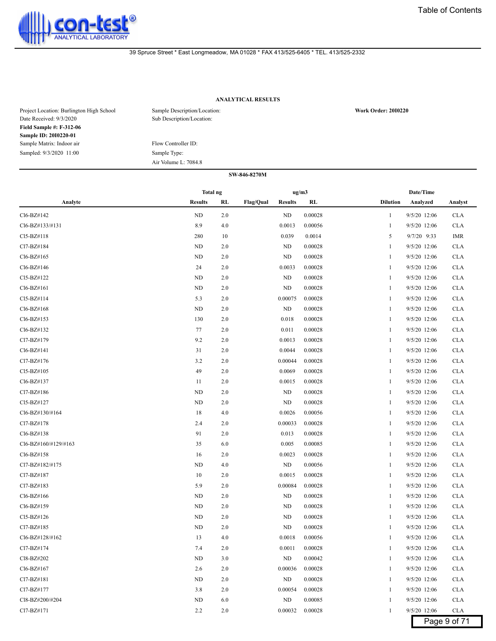

# **ANALYTICAL RESULTS**

| Project Location: Burlington High School<br>Date Received: 9/3/2020 | Sample Description/Location:<br>Sub Description/Location: | <b>Work Order: 2010220</b> |
|---------------------------------------------------------------------|-----------------------------------------------------------|----------------------------|
| <b>Field Sample #: F-312-06</b>                                     |                                                           |                            |
| Sample ID: 2010220-01                                               |                                                           |                            |
| Sample Matrix: Indoor air                                           | Flow Controller ID:                                       |                            |
| Sampled: 9/3/2020 11:00                                             | Sample Type:                                              |                            |
|                                                                     | Air Volume L: 7084.8                                      |                            |

|                      | ug/m3<br>Total ng |     |                                    | Date/Time |                                            |
|----------------------|-------------------|-----|------------------------------------|-----------|--------------------------------------------|
| Analyte              | <b>Results</b>    | RL  | <b>Flag/Qual</b><br><b>Results</b> | RL        | <b>Dilution</b><br>Analyzed<br>Analyst     |
| Cl6-BZ#142           | ND                | 2.0 | ND                                 | 0.00028   | 9/5/20 12:06<br><b>CLA</b><br>1            |
| Cl6-BZ#133/#131      | 8.9               | 4.0 | 0.0013                             | 0.00056   | 9/5/20 12:06<br><b>CLA</b><br>1            |
| $Cl5-BZ#118$         | 280               | 10  | 0.039                              | 0.0014    | 5<br>9/7/20 9:33<br>IMR                    |
| Cl7-BZ#184           | ND                | 2.0 | ND                                 | 0.00028   | 9/5/20 12:06<br><b>CLA</b><br>1            |
| Cl6-BZ#165           | ND                | 2.0 | ND                                 | 0.00028   | 9/5/20 12:06<br><b>CLA</b><br>1            |
| Cl6-BZ#146           | 24                | 2.0 | 0.0033                             | 0.00028   | 9/5/20 12:06<br>$\mathbf{1}$<br><b>CLA</b> |
| Cl5-BZ#122           | ND                | 2.0 | ND                                 | 0.00028   | 9/5/20 12:06<br><b>CLA</b><br>1            |
| Cl6-BZ#161           | ND                | 2.0 | ND                                 | 0.00028   | 9/5/20 12:06<br><b>CLA</b><br>1            |
| Cl5-BZ#114           | 5.3               | 2.0 | 0.00075                            | 0.00028   | 9/5/20 12:06<br><b>CLA</b><br>1            |
| Cl6-BZ#168           | ND                | 2.0 | ND                                 | 0.00028   | 9/5/20 12:06<br><b>CLA</b><br>1            |
| Cl6-BZ#153           | 130               | 2.0 | 0.018                              | 0.00028   | 9/5/20 12:06<br><b>CLA</b><br>1            |
| Cl6-BZ#132           | 77                | 2.0 | 0.011                              | 0.00028   | 9/5/20 12:06<br><b>CLA</b><br>$\mathbf{1}$ |
| Cl7-BZ#179           | 9.2               | 2.0 | 0.0013                             | 0.00028   | 9/5/20 12:06<br><b>CLA</b><br>$\mathbf{1}$ |
| Cl6-BZ#141           | 31                | 2.0 | 0.0044                             | 0.00028   | 9/5/20 12:06<br><b>CLA</b><br>1            |
| Cl7-BZ#176           | 3.2               | 2.0 | 0.00044                            | 0.00028   | 9/5/20 12:06<br><b>CLA</b><br>1            |
| Cl5-BZ#105           | 49                | 2.0 | 0.0069                             | 0.00028   | 9/5/20 12:06<br><b>CLA</b><br>1            |
| Cl6-BZ#137           | 11                | 2.0 | 0.0015                             | 0.00028   | 9/5/20 12:06<br><b>CLA</b><br>1            |
| Cl7-BZ#186           | ND                | 2.0 | ND                                 | 0.00028   | 9/5/20 12:06<br><b>CLA</b><br>1            |
| Cl5-BZ#127           | ND                | 2.0 | ND                                 | 0.00028   | 9/5/20 12:06<br><b>CLA</b><br>1            |
| Cl6-BZ#130/#164      | 18                | 4.0 | 0.0026                             | 0.00056   | 9/5/20 12:06<br><b>CLA</b><br>$\mathbf{1}$ |
| Cl7-BZ#178           | 2.4               | 2.0 | 0.00033                            | 0.00028   | 9/5/20 12:06<br><b>CLA</b><br>1            |
| Cl6-BZ#138           | 91                | 2.0 | 0.013                              | 0.00028   | <b>CLA</b><br>9/5/20 12:06<br>1            |
| Cl6-BZ#160/#129/#163 | 35                | 6.0 | 0.005                              | 0.00085   | 9/5/20 12:06<br><b>CLA</b><br>1            |
| Cl6-BZ#158           | 16                | 2.0 | 0.0023                             | 0.00028   | 9/5/20 12:06<br><b>CLA</b><br>1            |
| Cl7-BZ#182/#175      | <b>ND</b>         | 4.0 | ND                                 | 0.00056   | 9/5/20 12:06<br><b>CLA</b><br>1            |
| Cl7-BZ#187           | 10                | 2.0 | 0.0015                             | 0.00028   | 9/5/20 12:06<br><b>CLA</b><br>1            |
| Cl7-BZ#183           | 5.9               | 2.0 | 0.00084                            | 0.00028   | 9/5/20 12:06<br><b>CLA</b><br>$\mathbf{1}$ |
| Cl6-BZ#166           | <b>ND</b>         | 2.0 | ND                                 | 0.00028   | <b>CLA</b><br>$\mathbf{1}$<br>9/5/20 12:06 |
| Cl6-BZ#159           | ND                | 2.0 | ND                                 | 0.00028   | <b>CLA</b><br>9/5/20 12:06<br>1            |
| Cl5-BZ#126           | ND                | 2.0 | ND                                 | 0.00028   | 9/5/20 12:06<br><b>CLA</b><br>1            |
| Cl7-BZ#185           | ND                | 2.0 | ND                                 | 0.00028   | 9/5/20 12:06<br><b>CLA</b><br>1            |
| Cl6-BZ#128/#162      | 13                | 4.0 | 0.0018                             | 0.00056   | 9/5/20 12:06<br><b>CLA</b><br>1            |
| Cl7-BZ#174           | 7.4               | 2.0 | 0.0011                             | 0.00028   | 9/5/20 12:06<br><b>CLA</b>                 |
| Cl8-BZ#202           | ND                | 3.0 | ND                                 | 0.00042   | 9/5/20 12:06<br><b>CLA</b><br>$\mathbf{1}$ |
| Cl6-BZ#167           | 2.6               | 2.0 | 0.00036                            | 0.00028   | 9/5/20 12:06<br><b>CLA</b><br>1            |
| Cl7-BZ#181           | ND                | 2.0 | ND                                 | 0.00028   | 9/5/20 12:06<br><b>CLA</b><br>1            |
| Cl7-BZ#177           | 3.8               | 2.0 | 0.00054                            | 0.00028   | 9/5/20 12:06<br><b>CLA</b><br>1            |
| Cl8-BZ#200/#204      | ND                | 6.0 | ND                                 | 0.00085   | 9/5/20 12:06<br><b>CLA</b><br>1            |
| Cl7-BZ#171           | 2.2               | 2.0 | 0.00032                            | 0.00028   | 9/5/20 12:06<br><b>CLA</b><br>1            |
|                      |                   |     |                                    |           | Page 9 of 71                               |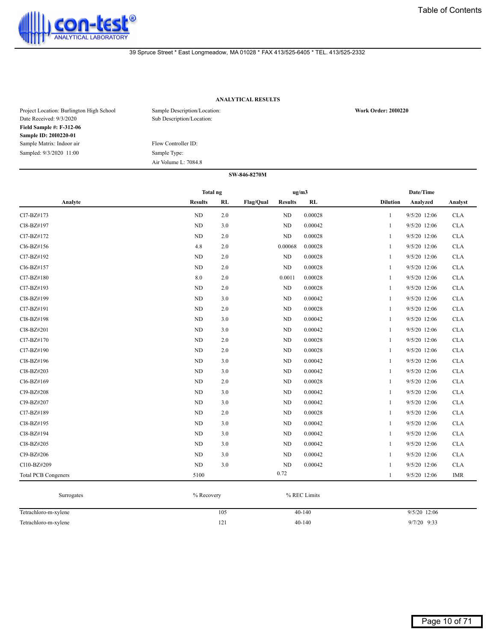

# **ANALYTICAL RESULTS**

| Project Location: Burlington High School<br>Date Received: 9/3/2020 | Sample Description/Location:<br>Sub Description/Location: | <b>Work Order: 2010220</b> |
|---------------------------------------------------------------------|-----------------------------------------------------------|----------------------------|
| <b>Field Sample #: F-312-06</b>                                     |                                                           |                            |
| Sample ID: 2010220-01                                               |                                                           |                            |
| Sample Matrix: Indoor air                                           | Flow Controller ID:                                       |                            |
| Sampled: 9/3/2020 11:00                                             | Sample Type:                                              |                            |
|                                                                     | Air Volume L: 7084.8                                      |                            |

|                            | Total ng       |     |           | ug/m3          |         |                 | Date/Time    |            |
|----------------------------|----------------|-----|-----------|----------------|---------|-----------------|--------------|------------|
| Analyte                    | <b>Results</b> | RL  | Flag/Qual | <b>Results</b> | RL      | <b>Dilution</b> | Analyzed     | Analyst    |
| Cl7-BZ#173                 | $\rm ND$       | 2.0 |           | ND             | 0.00028 | $\mathbf{1}$    | 9/5/20 12:06 | <b>CLA</b> |
| Cl8-BZ#197                 | ND             | 3.0 |           | $\rm ND$       | 0.00042 | $\mathbf{1}$    | 9/5/20 12:06 | <b>CLA</b> |
| Cl7-BZ#172                 | ND             | 2.0 |           | $\rm ND$       | 0.00028 | 1               | 9/5/20 12:06 | <b>CLA</b> |
| Cl6-BZ#156                 | 4.8            | 2.0 |           | 0.00068        | 0.00028 | 1               | 9/5/20 12:06 | <b>CLA</b> |
| Cl7-BZ#192                 | ND             | 2.0 |           | $\rm ND$       | 0.00028 | $\mathbf{1}$    | 9/5/20 12:06 | <b>CLA</b> |
| Cl6-BZ#157                 | ND             | 2.0 |           | $\rm ND$       | 0.00028 | 1               | 9/5/20 12:06 | <b>CLA</b> |
| Cl7-BZ#180                 | 8.0            | 2.0 |           | 0.0011         | 0.00028 | 1               | 9/5/20 12:06 | <b>CLA</b> |
| Cl7-BZ#193                 | ND             | 2.0 |           | $\rm ND$       | 0.00028 | 1               | 9/5/20 12:06 | <b>CLA</b> |
| Cl8-BZ#199                 | ND             | 3.0 |           | $\rm ND$       | 0.00042 | 1               | 9/5/20 12:06 | <b>CLA</b> |
| Cl7-BZ#191                 | ND             | 2.0 |           | $\rm ND$       | 0.00028 | 1               | 9/5/20 12:06 | <b>CLA</b> |
| Cl8-BZ#198                 | ND             | 3.0 |           | ND             | 0.00042 | 1               | 9/5/20 12:06 | <b>CLA</b> |
| Cl8-BZ#201                 | ND             | 3.0 |           | $\rm ND$       | 0.00042 | $\mathbf{1}$    | 9/5/20 12:06 | <b>CLA</b> |
| Cl7-BZ#170                 | ND             | 2.0 |           | $\rm ND$       | 0.00028 | $\mathbf{1}$    | 9/5/20 12:06 | <b>CLA</b> |
| Cl7-BZ#190                 | ND             | 2.0 |           | ND             | 0.00028 | 1               | 9/5/20 12:06 | <b>CLA</b> |
| Cl8-BZ#196                 | ND             | 3.0 |           | $\rm ND$       | 0.00042 | 1               | 9/5/20 12:06 | <b>CLA</b> |
| Cl8-BZ#203                 | ND             | 3.0 |           | $\rm ND$       | 0.00042 | $\mathbf{1}$    | 9/5/20 12:06 | <b>CLA</b> |
| Cl6-BZ#169                 | ND             | 2.0 |           | ND             | 0.00028 | $\mathbf{1}$    | 9/5/20 12:06 | <b>CLA</b> |
| Cl9-BZ#208                 | ND             | 3.0 |           | $\rm ND$       | 0.00042 | $\mathbf{1}$    | 9/5/20 12:06 | <b>CLA</b> |
| Cl9-BZ#207                 | ND             | 3.0 |           | ND             | 0.00042 | $\mathbf{1}$    | 9/5/20 12:06 | <b>CLA</b> |
| Cl7-BZ#189                 | ND             | 2.0 |           | $\rm ND$       | 0.00028 | $\mathbf{1}$    | 9/5/20 12:06 | <b>CLA</b> |
| Cl8-BZ#195                 | ND             | 3.0 |           | ND             | 0.00042 | 1               | 9/5/20 12:06 | <b>CLA</b> |
| Cl8-BZ#194                 | ND             | 3.0 |           | $\rm ND$       | 0.00042 | 1               | 9/5/20 12:06 | <b>CLA</b> |
| Cl8-BZ#205                 | ND             | 3.0 |           | ND             | 0.00042 | $\mathbf{1}$    | 9/5/20 12:06 | <b>CLA</b> |
| Cl9-BZ#206                 | ND             | 3.0 |           | ND             | 0.00042 | 1               | 9/5/20 12:06 | <b>CLA</b> |
| Cl10-BZ#209                | ND             | 3.0 |           | $\rm ND$       | 0.00042 | 1               | 9/5/20 12:06 | <b>CLA</b> |
| <b>Total PCB Congeners</b> | 5100           |     |           | 0.72           |         | $\mathbf{1}$    | 9/5/20 12:06 | <b>IMR</b> |

| Surrogates           | % Recovery | % REC Limits |                |
|----------------------|------------|--------------|----------------|
| Tetrachloro-m-xylene | 105        | $40-140$     | $9/5/20$ 12:06 |
| Tetrachloro-m-xylene | 121        | $40-140$     | $9/7/20$ 9:33  |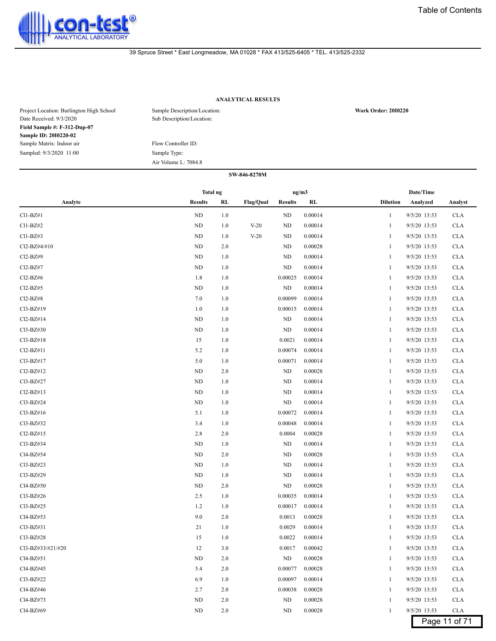

# **ANALYTICAL RESULTS**

| Project Location: Burlington High School<br>Date Received: 9/3/2020 | Sample Description/Location:<br>Sub Description/Location: | <b>Work Order: 2010220</b> |
|---------------------------------------------------------------------|-----------------------------------------------------------|----------------------------|
| Field Sample #: F-312-Dup-07                                        |                                                           |                            |
| Sample ID: 2010220-02                                               |                                                           |                            |
| Sample Matrix: Indoor air                                           | Flow Controller ID:                                       |                            |
| Sampled: 9/3/2020 11:00                                             | Sample Type:                                              |                            |
|                                                                     | Air Volume L: 7084.8                                      |                            |

|                                    | Total ng       |     |                  |                | ug/m3   |                 | Date/Time    |               |
|------------------------------------|----------------|-----|------------------|----------------|---------|-----------------|--------------|---------------|
| Analyte                            | <b>Results</b> | RL  | <b>Flag/Qual</b> | <b>Results</b> | RL      | <b>Dilution</b> | Analyzed     | Analyst       |
| $Cl1-BZ#1$                         | ND             | 1.0 |                  | ND             | 0.00014 | 1               | 9/5/20 13:53 | <b>CLA</b>    |
| Cl1-BZ#2                           | ND             | 1.0 | $V-20$           | ND             | 0.00014 | 1               | 9/5/20 13:53 | <b>CLA</b>    |
| $Cl1-BZ#3$                         | ND             | 1.0 | $V-20$           | ND             | 0.00014 | 1               | 9/5/20 13:53 | <b>CLA</b>    |
| Cl2-BZ#4/#10                       | ND             | 2.0 |                  | ND             | 0.00028 | 1               | 9/5/20 13:53 | <b>CLA</b>    |
| Cl2-BZ#9                           | ND             | 1.0 |                  | <b>ND</b>      | 0.00014 | 1               | 9/5/20 13:53 | <b>CLA</b>    |
| Cl <sub>2</sub> -B <sub>Z</sub> #7 | ND             | 1.0 |                  | ND             | 0.00014 | 1               | 9/5/20 13:53 | <b>CLA</b>    |
| Cl <sub>2</sub> -B <sub>Z</sub> #6 | 1.8            | 1.0 |                  | 0.00025        | 0.00014 | 1               | 9/5/20 13:53 | <b>CLA</b>    |
| $Cl2-BZ#5$                         | ND             | 1.0 |                  | ND             | 0.00014 | 1               | 9/5/20 13:53 | <b>CLA</b>    |
| Cl <sub>2</sub> -B <sub>Z</sub> #8 | 7.0            | 1.0 |                  | 0.00099        | 0.00014 | 1               | 9/5/20 13:53 | <b>CLA</b>    |
| Cl3-BZ#19                          | 1.0            | 1.0 |                  | 0.00015        | 0.00014 | 1               | 9/5/20 13:53 | <b>CLA</b>    |
| Cl2-BZ#14                          | ND             | 1.0 |                  | ND             | 0.00014 | 1               | 9/5/20 13:53 | <b>CLA</b>    |
| Cl3-BZ#30                          | ND             | 1.0 |                  | ND             | 0.00014 | 1               | 9/5/20 13:53 | <b>CLA</b>    |
| $Cl3-BZ#18$                        | 15             | 1.0 |                  | 0.0021         | 0.00014 | 1               | 9/5/20 13:53 | <b>CLA</b>    |
| Cl2-BZ#11                          | 5.2            | 1.0 |                  | 0.00074        | 0.00014 | 1               | 9/5/20 13:53 | <b>CLA</b>    |
| Cl3-BZ#17                          | 5.0            | 1.0 |                  | 0.00071        | 0.00014 | 1               | 9/5/20 13:53 | <b>CLA</b>    |
| $Cl2-BZ#12$                        | ND             | 2.0 |                  | ND             | 0.00028 | 1               | 9/5/20 13:53 | <b>CLA</b>    |
| Cl3-BZ#27                          | ND             | 1.0 |                  | ND             | 0.00014 | 1               | 9/5/20 13:53 | <b>CLA</b>    |
| $Cl2-BZ#13$                        | ND             | 1.0 |                  | ND             | 0.00014 | 1               | 9/5/20 13:53 | <b>CLA</b>    |
| Cl3-BZ#24                          | ND             | 1.0 |                  | ND             | 0.00014 | 1               | 9/5/20 13:53 | <b>CLA</b>    |
| $Cl3-BZ#16$                        | 5.1            | 1.0 |                  | 0.00072        | 0.00014 | 1               | 9/5/20 13:53 | <b>CLA</b>    |
| Cl3-BZ#32                          | 3.4            | 1.0 |                  | 0.00048        | 0.00014 | 1               | 9/5/20 13:53 | <b>CLA</b>    |
| Cl2-BZ#15                          | 2.8            | 2.0 |                  | 0.0004         | 0.00028 | 1               | 9/5/20 13:53 | <b>CLA</b>    |
| Cl3-BZ#34                          | ND             | 1.0 |                  | ND             | 0.00014 | 1               | 9/5/20 13:53 | <b>CLA</b>    |
| Cl4-BZ#54                          | ND             | 2.0 |                  | ND             | 0.00028 | 1               | 9/5/20 13:53 | <b>CLA</b>    |
| Cl3-BZ#23                          | ND             | 1.0 |                  | ND             | 0.00014 | 1               | 9/5/20 13:53 | <b>CLA</b>    |
| Cl3-BZ#29                          | ND             | 1.0 |                  | ND             | 0.00014 | 1               | 9/5/20 13:53 | <b>CLA</b>    |
| Cl4-BZ#50                          | ND             | 2.0 |                  | ND             | 0.00028 | 1               | 9/5/20 13:53 | <b>CLA</b>    |
| Cl3-BZ#26                          | 2.5            | 1.0 |                  | 0.00035        | 0.00014 | 1               | 9/5/20 13:53 | <b>CLA</b>    |
| Cl3-BZ#25                          | 1.2            | 1.0 |                  | 0.00017        | 0.00014 | 1               | 9/5/20 13:53 | <b>CLA</b>    |
| Cl4-BZ#53                          | 9.0            | 2.0 |                  | 0.0013         | 0.00028 | 1               | 9/5/20 13:53 | <b>CLA</b>    |
| Cl3-BZ#31                          | 21             | 1.0 |                  | 0.0029         | 0.00014 | 1               | 9/5/20 13:53 | <b>CLA</b>    |
| Cl3-BZ#28                          | 15             | 1.0 |                  | 0.0022         | 0.00014 | 1               | 9/5/20 13:53 | <b>CLA</b>    |
| Cl3-BZ#33/#21/#20                  | 12             | 3.0 |                  | 0.0017         | 0.00042 | 1               | 9/5/20 13:53 | <b>CLA</b>    |
| Cl4-BZ#51                          | ND             | 2.0 |                  | ND             | 0.00028 | 1               | 9/5/20 13:53 | <b>CLA</b>    |
| Cl4-BZ#45                          | 5.4            | 2.0 |                  | 0.00077        | 0.00028 | 1               | 9/5/20 13:53 | <b>CLA</b>    |
| Cl3-BZ#22                          | 6.9            | 1.0 |                  | 0.00097        | 0.00014 | 1               | 9/5/20 13:53 | <b>CLA</b>    |
| Cl4-BZ#46                          | 2.7            | 2.0 |                  | 0.00038        | 0.00028 |                 | 9/5/20 13:53 | <b>CLA</b>    |
| Cl4-BZ#73                          | ND             | 2.0 |                  | ND             | 0.00028 | 1               | 9/5/20 13:53 | <b>CLA</b>    |
| Cl4-BZ#69                          | ND             | 2.0 |                  | ND             | 0.00028 | $\mathbf{1}$    | 9/5/20 13:53 | <b>CLA</b>    |
|                                    |                |     |                  |                |         |                 |              | Page 11 of 71 |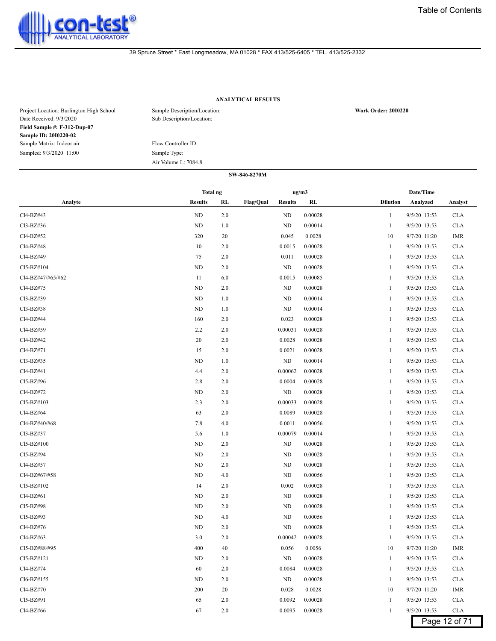

# **ANALYTICAL RESULTS**

| Project Location: Burlington High School<br>Date Received: 9/3/2020 | Sample Description/Location:<br>Sub Description/Location: | <b>Work Order: 2010220</b> |
|---------------------------------------------------------------------|-----------------------------------------------------------|----------------------------|
| Field Sample #: F-312-Dup-07                                        |                                                           |                            |
| Sample ID: 2010220-02                                               |                                                           |                            |
| Sample Matrix: Indoor air                                           | Flow Controller ID:                                       |                            |
| Sampled: 9/3/2020 11:00                                             | Sample Type:                                              |                            |
|                                                                     | Air Volume L: 7084.8                                      |                            |

|                   | <b>Total ng</b> |         |                  | ug/m3          |         |                 | Date/Time      |               |
|-------------------|-----------------|---------|------------------|----------------|---------|-----------------|----------------|---------------|
| Analyte           | <b>Results</b>  | RL      | <b>Flag/Qual</b> | <b>Results</b> | RL      | <b>Dilution</b> | Analyzed       | Analyst       |
| Cl4-BZ#43         | $\rm ND$        | 2.0     |                  | ND             | 0.00028 | 1               | 9/5/20 13:53   | <b>CLA</b>    |
| Cl3-BZ#36         | ND              | 1.0     |                  | ND             | 0.00014 | 1               | 9/5/20 13:53   | <b>CLA</b>    |
| Cl4-BZ#52         | 320             | 20      |                  | 0.045          | 0.0028  | 10              | 9/7/20 11:20   | IMR           |
| Cl4-BZ#48         | 10              | 2.0     |                  | 0.0015         | 0.00028 | 1               | 9/5/20 13:53   | <b>CLA</b>    |
| Cl4-BZ#49         | 75              | 2.0     |                  | 0.011          | 0.00028 | 1               | 9/5/20 13:53   | <b>CLA</b>    |
| Cl5-BZ#104        | ND              | 2.0     |                  | ND             | 0.00028 | 1               | 9/5/20 13:53   | <b>CLA</b>    |
| Cl4-BZ#47/#65/#62 | 11              | 6.0     |                  | 0.0015         | 0.00085 | 1               | 9/5/20 13:53   | <b>CLA</b>    |
| Cl4-BZ#75         | ND              | 2.0     |                  | ND             | 0.00028 | 1               | 9/5/20 13:53   | <b>CLA</b>    |
| Cl3-BZ#39         | ND              | 1.0     |                  | ND             | 0.00014 | 1               | 9/5/20 13:53   | <b>CLA</b>    |
| Cl3-BZ#38         | ND              | 1.0     |                  | ND             | 0.00014 | 1               | 9/5/20 13:53   | <b>CLA</b>    |
| Cl4-BZ#44         | 160             | 2.0     |                  | 0.023          | 0.00028 | 1               | 9/5/20 13:53   | <b>CLA</b>    |
| Cl4-BZ#59         | 2.2             | 2.0     |                  | 0.00031        | 0.00028 | 1               | 9/5/20 13:53   | <b>CLA</b>    |
| Cl4-BZ#42         | 20              | 2.0     |                  | 0.0028         | 0.00028 | 1               | 9/5/20 13:53   | <b>CLA</b>    |
| Cl4-BZ#71         | 15              | 2.0     |                  | 0.0021         | 0.00028 | 1               | 9/5/20 13:53   | <b>CLA</b>    |
| Cl3-BZ#35         | <b>ND</b>       | 1.0     |                  | ND             | 0.00014 | 1               | 9/5/20 13:53   | <b>CLA</b>    |
| Cl4-BZ#41         | 4.4             | 2.0     |                  | 0.00062        | 0.00028 | 1               | 9/5/20 13:53   | <b>CLA</b>    |
| Cl5-BZ#96         | 2.8             | 2.0     |                  | 0.0004         | 0.00028 | 1               | 9/5/20 13:53   | <b>CLA</b>    |
| Cl4-BZ#72         | ND              | 2.0     |                  | ND             | 0.00028 | -1              | 9/5/20 13:53   | <b>CLA</b>    |
| Cl5-BZ#103        | 2.3             | 2.0     |                  | 0.00033        | 0.00028 | 1               | 9/5/20 13:53   | <b>CLA</b>    |
| Cl4-BZ#64         | 63              | 2.0     |                  | 0.0089         | 0.00028 | 1               | 9/5/20 13:53   | <b>CLA</b>    |
| Cl4-BZ#40/#68     | 7.8             | 4.0     |                  | 0.0011         | 0.00056 | 1               | 9/5/20 13:53   | <b>CLA</b>    |
| Cl3-BZ#37         | 5.6             | 1.0     |                  | 0.00079        | 0.00014 | 1               | 9/5/20 13:53   | <b>CLA</b>    |
| Cl5-BZ#100        | ND              | 2.0     |                  | ND             | 0.00028 | 1               | 9/5/20 13:53   | <b>CLA</b>    |
| Cl5-BZ#94         | ND              | 2.0     |                  | ND             | 0.00028 | 1               | 9/5/20 13:53   | <b>CLA</b>    |
| Cl4-BZ#57         | ND              | 2.0     |                  | ND             | 0.00028 | -1              | 9/5/20 13:53   | <b>CLA</b>    |
| Cl4-BZ#67/#58     | ND              | 4.0     |                  | ND             | 0.00056 | 1               | 9/5/20 13:53   | <b>CLA</b>    |
| Cl5-BZ#102        | 14              | 2.0     |                  | 0.002          | 0.00028 | 1               | 9/5/20 13:53   | <b>CLA</b>    |
| Cl4-BZ#61         | ND              | 2.0     |                  | ND             | 0.00028 | 1               | 9/5/20 13:53   | <b>CLA</b>    |
| Cl5-BZ#98         | <b>ND</b>       | 2.0     |                  | ND             | 0.00028 | 1               | 9/5/20 13:53   | <b>CLA</b>    |
| Cl5-BZ#93         | ND              | 4.0     |                  | ND             | 0.00056 | 1               | 9/5/20 13:53   | <b>CLA</b>    |
| Cl4-BZ#76         | ND              | 2.0     |                  | ND             | 0.00028 | 1               | 9/5/20 13:53   | <b>CLA</b>    |
| Cl4-BZ#63         | 3.0             | 2.0     |                  | 0.00042        | 0.00028 | -1              | 9/5/20 13:53   | <b>CLA</b>    |
| Cl5-BZ#88/#95     | 400             | 40      |                  | 0.056          | 0.0056  | 10              | 9/7/20 11:20   | <b>IMR</b>    |
| Cl5-BZ#121        | $\rm ND$        | $2.0\,$ |                  | ND             | 0.00028 | 1               | 9/5/20 13:53   | <b>CLA</b>    |
| Cl4-BZ#74         | 60              | 2.0     |                  | 0.0084         | 0.00028 | $\mathbf{1}$    | $9/5/20$ 13:53 | <b>CLA</b>    |
| Cl6-BZ#155        | <b>ND</b>       | 2.0     |                  | <b>ND</b>      | 0.00028 | 1               | 9/5/20 13:53   | <b>CLA</b>    |
| Cl4-BZ#70         | 200             | 20      |                  | 0.028          | 0.0028  | 10              | 9/7/20 11:20   | IMR           |
| Cl5-BZ#91         | 65              | 2.0     |                  | 0.0092         | 0.00028 | 1               | 9/5/20 13:53   | <b>CLA</b>    |
| Cl4-BZ#66         | 67              | 2.0     |                  | 0.0095         | 0.00028 | 1               | 9/5/20 13:53   | <b>CLA</b>    |
|                   |                 |         |                  |                |         |                 |                | Page 12 of 71 |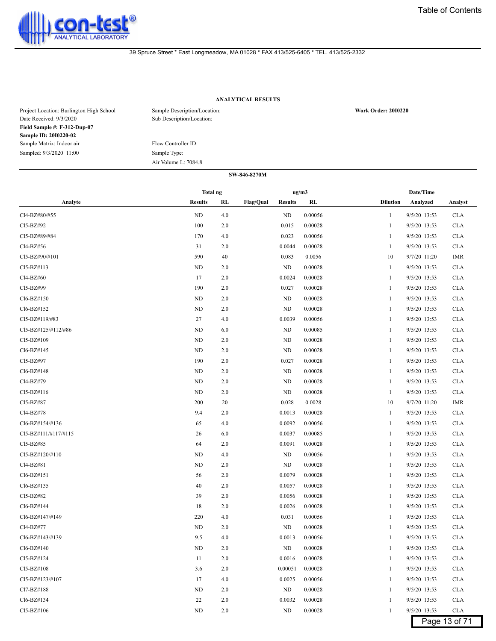

# **ANALYTICAL RESULTS**

| Project Location: Burlington High School<br>Date Received: 9/3/2020 | Sample Description/Location:<br>Sub Description/Location: | <b>Work Order: 2010220</b> |
|---------------------------------------------------------------------|-----------------------------------------------------------|----------------------------|
| Field Sample #: F-312-Dup-07                                        |                                                           |                            |
| Sample ID: 2010220-02                                               |                                                           |                            |
| Sample Matrix: Indoor air                                           | Flow Controller ID:                                       |                            |
| Sampled: 9/3/2020 11:00                                             | Sample Type:                                              |                            |
|                                                                     | Air Volume L: 7084.8                                      |                            |

|                      | <b>Total ng</b> |     |           | ug/m3          |           |                 | Date/Time    |               |
|----------------------|-----------------|-----|-----------|----------------|-----------|-----------------|--------------|---------------|
| Analyte              | <b>Results</b>  | RL  | Flag/Qual | <b>Results</b> | <b>RL</b> | <b>Dilution</b> | Analyzed     | Analyst       |
| Cl4-BZ#80/#55        | ND              | 4.0 |           | ND             | 0.00056   | 1               | 9/5/20 13:53 | <b>CLA</b>    |
| Cl5-BZ#92            | 100             | 2.0 |           | 0.015          | 0.00028   | 1               | 9/5/20 13:53 | <b>CLA</b>    |
| Cl5-BZ#89/#84        | 170             | 4.0 |           | 0.023          | 0.00056   | 1               | 9/5/20 13:53 | <b>CLA</b>    |
| Cl4-BZ#56            | 31              | 2.0 |           | 0.0044         | 0.00028   | 1               | 9/5/20 13:53 | <b>CLA</b>    |
| Cl5-BZ#90/#101       | 590             | 40  |           | 0.083          | 0.0056    | 10              | 9/7/20 11:20 | <b>IMR</b>    |
| Cl5-BZ#113           | ND              | 2.0 |           | <b>ND</b>      | 0.00028   | 1               | 9/5/20 13:53 | <b>CLA</b>    |
| Cl4-BZ#60            | 17              | 2.0 |           | 0.0024         | 0.00028   | 1               | 9/5/20 13:53 | <b>CLA</b>    |
| Cl5-BZ#99            | 190             | 2.0 |           | 0.027          | 0.00028   | 1               | 9/5/20 13:53 | <b>CLA</b>    |
| Cl6-BZ#150           | ND              | 2.0 |           | ND             | 0.00028   | 1               | 9/5/20 13:53 | <b>CLA</b>    |
| Cl6-BZ#152           | ND              | 2.0 |           | ND             | 0.00028   | 1               | 9/5/20 13:53 | <b>CLA</b>    |
| Cl5-BZ#119/#83       | 27              | 4.0 |           | 0.0039         | 0.00056   | -1              | 9/5/20 13:53 | <b>CLA</b>    |
| Cl5-BZ#125/#112/#86  | ND              | 6.0 |           | ND             | 0.00085   | 1               | 9/5/20 13:53 | <b>CLA</b>    |
| Cl5-BZ#109           | ND              | 2.0 |           | ND             | 0.00028   | 1               | 9/5/20 13:53 | <b>CLA</b>    |
| Cl6-BZ#145           | ND              | 2.0 |           | <b>ND</b>      | 0.00028   | 1               | 9/5/20 13:53 | <b>CLA</b>    |
| Cl5-BZ#97            | 190             | 2.0 |           | 0.027          | 0.00028   | 1               | 9/5/20 13:53 | <b>CLA</b>    |
| Cl6-BZ#148           | ND              | 2.0 |           | ND             | 0.00028   | 1               | 9/5/20 13:53 | <b>CLA</b>    |
| Cl4-BZ#79            | ND              | 2.0 |           | ND             | 0.00028   | 1               | 9/5/20 13:53 | <b>CLA</b>    |
| Cl5-BZ#116           | ND              | 2.0 |           | ND             | 0.00028   | 1               | 9/5/20 13:53 | <b>CLA</b>    |
| CI5-BZ#87            | 200             | 20  |           | 0.028          | 0.0028    | 10              | 9/7/20 11:20 | <b>IMR</b>    |
| Cl4-BZ#78            | 9.4             | 2.0 |           | 0.0013         | 0.00028   | 1               | 9/5/20 13:53 | <b>CLA</b>    |
| Cl6-BZ#154/#136      | 65              | 4.0 |           | 0.0092         | 0.00056   | 1               | 9/5/20 13:53 | <b>CLA</b>    |
| CI5-BZ#111/#117/#115 | 26              | 6.0 |           | 0.0037         | 0.00085   | 1               | 9/5/20 13:53 | <b>CLA</b>    |
| Cl5-BZ#85            | 64              | 2.0 |           | 0.0091         | 0.00028   | 1               | 9/5/20 13:53 | <b>CLA</b>    |
| Cl5-BZ#120/#110      | ND              | 4.0 |           | ND             | 0.00056   | -1              | 9/5/20 13:53 | <b>CLA</b>    |
| Cl4-BZ#81            | ND              | 2.0 |           | ND             | 0.00028   | -1              | 9/5/20 13:53 | <b>CLA</b>    |
| Cl6-BZ#151           | 56              | 2.0 |           | 0.0079         | 0.00028   | 1               | 9/5/20 13:53 | <b>CLA</b>    |
| Cl6-BZ#135           | 40              | 2.0 |           | 0.0057         | 0.00028   | 1               | 9/5/20 13:53 | <b>CLA</b>    |
| Cl5-BZ#82            | 39              | 2.0 |           | 0.0056         | 0.00028   | 1               | 9/5/20 13:53 | <b>CLA</b>    |
| Cl6-BZ#144           | 18              | 2.0 |           | 0.0026         | 0.00028   | 1               | 9/5/20 13:53 | <b>CLA</b>    |
| Cl6-BZ#147/#149      | 220             | 4.0 |           | 0.031          | 0.00056   | 1               | 9/5/20 13:53 | <b>CLA</b>    |
| Cl4-BZ#77            | ND              | 2.0 |           | ND             | 0.00028   | -1              | 9/5/20 13:53 | <b>CLA</b>    |
| Cl6-BZ#143/#139      | 9.5             | 4.0 |           | 0.0013         | 0.00056   |                 | 9/5/20 13:53 | <b>CLA</b>    |
| Cl6-BZ#140           | ND              | 2.0 |           | ND             | 0.00028   | -1              | 9/5/20 13:53 | <b>CLA</b>    |
| Cl5-BZ#124           | 11              | 2.0 |           | 0.0016         | 0.00028   | 1               | 9/5/20 13:53 | <b>CLA</b>    |
| Cl5-BZ#108           | 3.6             | 2.0 |           | 0.00051        | 0.00028   | 1               | 9/5/20 13:53 | <b>CLA</b>    |
| Cl5-BZ#123/#107      | 17              | 4.0 |           | 0.0025         | 0.00056   | 1               | 9/5/20 13:53 | <b>CLA</b>    |
| Cl7-BZ#188           | ND              | 2.0 |           | ND             | 0.00028   | 1               | 9/5/20 13:53 | <b>CLA</b>    |
| Cl6-BZ#134           | 22              | 2.0 |           | 0.0032         | 0.00028   | 1               | 9/5/20 13:53 | <b>CLA</b>    |
| Cl5-BZ#106           | ND              | 2.0 |           | ND             | 0.00028   | 1               | 9/5/20 13:53 | <b>CLA</b>    |
|                      |                 |     |           |                |           |                 |              | Page 13 of 71 |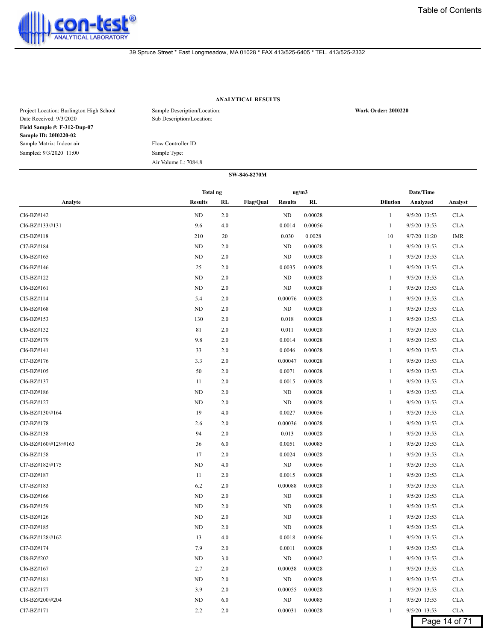

# **ANALYTICAL RESULTS**

| Project Location: Burlington High School<br>Date Received: 9/3/2020 | Sample Description/Location:<br>Sub Description/Location: | <b>Work Order: 2010220</b> |
|---------------------------------------------------------------------|-----------------------------------------------------------|----------------------------|
| Field Sample #: F-312-Dup-07                                        |                                                           |                            |
| Sample ID: 2010220-02                                               |                                                           |                            |
| Sample Matrix: Indoor air                                           | Flow Controller ID:                                       |                            |
| Sampled: 9/3/2020 11:00                                             | Sample Type:                                              |                            |
|                                                                     | Air Volume L: 7084.8                                      |                            |

|                      | Total ng       |         |           | ug/m3          |         |                 | Date/Time    |               |
|----------------------|----------------|---------|-----------|----------------|---------|-----------------|--------------|---------------|
| Analyte              | <b>Results</b> | RL      | Flag/Qual | <b>Results</b> | RL      | <b>Dilution</b> | Analyzed     | Analyst       |
| Cl6-BZ#142           | ND             | 2.0     |           | ND             | 0.00028 | 1               | 9/5/20 13:53 | <b>CLA</b>    |
| Cl6-BZ#133/#131      | 9.6            | 4.0     |           | 0.0014         | 0.00056 | 1               | 9/5/20 13:53 | <b>CLA</b>    |
| Cl5-BZ#118           | 210            | 20      |           | 0.030          | 0.0028  | 10              | 9/7/20 11:20 | IMR           |
| Cl7-BZ#184           | ND             | 2.0     |           | ND             | 0.00028 | 1               | 9/5/20 13:53 | <b>CLA</b>    |
| Cl6-BZ#165           | ND             | 2.0     |           | ND             | 0.00028 | 1               | 9/5/20 13:53 | <b>CLA</b>    |
| Cl6-BZ#146           | 25             | 2.0     |           | 0.0035         | 0.00028 | -1              | 9/5/20 13:53 | <b>CLA</b>    |
| Cl5-BZ#122           | ND             | 2.0     |           | ND             | 0.00028 | 1               | 9/5/20 13:53 | <b>CLA</b>    |
| Cl6-BZ#161           | ND             | 2.0     |           | ND             | 0.00028 | 1               | 9/5/20 13:53 | <b>CLA</b>    |
| Cl5-BZ#114           | 5.4            | 2.0     |           | 0.00076        | 0.00028 | 1               | 9/5/20 13:53 | <b>CLA</b>    |
| Cl6-BZ#168           | ND             | 2.0     |           | ND             | 0.00028 | 1               | 9/5/20 13:53 | <b>CLA</b>    |
| Cl6-BZ#153           | 130            | 2.0     |           | 0.018          | 0.00028 | 1               | 9/5/20 13:53 | <b>CLA</b>    |
| Cl6-BZ#132           | 81             | 2.0     |           | 0.011          | 0.00028 | -1              | 9/5/20 13:53 | <b>CLA</b>    |
| Cl7-BZ#179           | 9.8            | 2.0     |           | 0.0014         | 0.00028 | 1               | 9/5/20 13:53 | <b>CLA</b>    |
| Cl6-BZ#141           | 33             | 2.0     |           | 0.0046         | 0.00028 | 1               | 9/5/20 13:53 | <b>CLA</b>    |
| Cl7-BZ#176           | 3.3            | 2.0     |           | 0.00047        | 0.00028 | 1               | 9/5/20 13:53 | <b>CLA</b>    |
| Cl5-BZ#105           | 50             | 2.0     |           | 0.0071         | 0.00028 | 1               | 9/5/20 13:53 | <b>CLA</b>    |
| Cl6-BZ#137           | 11             | 2.0     |           | 0.0015         | 0.00028 | 1               | 9/5/20 13:53 | <b>CLA</b>    |
| Cl7-BZ#186           | ND             | 2.0     |           | ND             | 0.00028 | 1               | 9/5/20 13:53 | <b>CLA</b>    |
| Cl5-BZ#127           | ND             | 2.0     |           | ND             | 0.00028 | 1               | 9/5/20 13:53 | <b>CLA</b>    |
| Cl6-BZ#130/#164      | 19             | 4.0     |           | 0.0027         | 0.00056 | -1              | 9/5/20 13:53 | <b>CLA</b>    |
| Cl7-BZ#178           | 2.6            | 2.0     |           | 0.00036        | 0.00028 | 1               | 9/5/20 13:53 | <b>CLA</b>    |
| Cl6-BZ#138           | 94             | 2.0     |           | 0.013          | 0.00028 | 1               | 9/5/20 13:53 | <b>CLA</b>    |
| Cl6-BZ#160/#129/#163 | 36             | 6.0     |           | 0.0051         | 0.00085 | 1               | 9/5/20 13:53 | <b>CLA</b>    |
| Cl6-BZ#158           | 17             | 2.0     |           | 0.0024         | 0.00028 | 1               | 9/5/20 13:53 | <b>CLA</b>    |
| Cl7-BZ#182/#175      | ND             | 4.0     |           | ND             | 0.00056 | 1               | 9/5/20 13:53 | <b>CLA</b>    |
| Cl7-BZ#187           | 11             | 2.0     |           | 0.0015         | 0.00028 | 1               | 9/5/20 13:53 | <b>CLA</b>    |
| Cl7-BZ#183           | 6.2            | 2.0     |           | 0.00088        | 0.00028 | 1               | 9/5/20 13:53 | <b>CLA</b>    |
| Cl6-BZ#166           | ND             | 2.0     |           | ND             | 0.00028 | 1               | 9/5/20 13:53 | <b>CLA</b>    |
| Cl6-BZ#159           | ND             | 2.0     |           | ND             | 0.00028 | 1               | 9/5/20 13:53 | <b>CLA</b>    |
| Cl5-BZ#126           | ND             | 2.0     |           | ND             | 0.00028 | 1               | 9/5/20 13:53 | <b>CLA</b>    |
| Cl7-BZ#185           | ND             | 2.0     |           | ND             | 0.00028 | 1               | 9/5/20 13:53 | <b>CLA</b>    |
| Cl6-BZ#128/#162      | 13             | 4.0     |           | 0.0018         | 0.00056 | 1               | 9/5/20 13:53 | <b>CLA</b>    |
| Cl7-BZ#174           | 7.9            | $2.0\,$ |           | $0.0011\,$     | 0.00028 |                 | 9/5/20 13:53 | CLA           |
| Cl8-BZ#202           | ND             | 3.0     |           | <b>ND</b>      | 0.00042 | -1              | 9/5/20 13:53 | <b>CLA</b>    |
| Cl6-BZ#167           | 2.7            | 2.0     |           | 0.00038        | 0.00028 | 1               | 9/5/20 13:53 | <b>CLA</b>    |
| Cl7-BZ#181           | $\rm ND$       | 2.0     |           | ND             | 0.00028 | 1               | 9/5/20 13:53 | <b>CLA</b>    |
| Cl7-BZ#177           | 3.9            | 2.0     |           | 0.00055        | 0.00028 | 1               | 9/5/20 13:53 | <b>CLA</b>    |
| Cl8-BZ#200/#204      | ND             | 6.0     |           | ND             | 0.00085 | 1               | 9/5/20 13:53 | <b>CLA</b>    |
| Cl7-BZ#171           | 2.2            | 2.0     |           | 0.00031        | 0.00028 | 1               | 9/5/20 13:53 | $\rm CLA$     |
|                      |                |         |           |                |         |                 |              | Page 14 of 71 |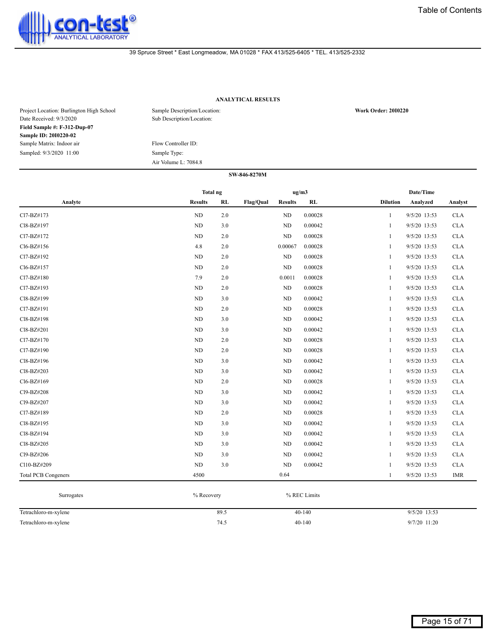

# **ANALYTICAL RESULTS**

| Project Location: Burlington High School<br>Date Received: 9/3/2020 | Sample Description/Location:<br>Sub Description/Location: | <b>Work Order: 2010220</b> |
|---------------------------------------------------------------------|-----------------------------------------------------------|----------------------------|
| Field Sample #: F-312-Dup-07                                        |                                                           |                            |
| Sample ID: 2010220-02                                               |                                                           |                            |
| Sample Matrix: Indoor air                                           | Flow Controller ID:                                       |                            |
| Sampled: 9/3/2020 11:00                                             | Sample Type:                                              |                            |
|                                                                     | Air Volume L: 7084.8                                      |                            |

|                            | <b>Total ng</b> |     |           | ug/m3          |         |                 | Date/Time    |            |
|----------------------------|-----------------|-----|-----------|----------------|---------|-----------------|--------------|------------|
| Analyte                    | <b>Results</b>  | RL  | Flag/Qual | <b>Results</b> | RL      | <b>Dilution</b> | Analyzed     | Analyst    |
| Cl7-BZ#173                 | $\rm ND$        | 2.0 |           | ND             | 0.00028 | $\mathbf{1}$    | 9/5/20 13:53 | <b>CLA</b> |
| Cl8-BZ#197                 | ND              | 3.0 |           | ND             | 0.00042 | 1               | 9/5/20 13:53 | <b>CLA</b> |
| Cl7-BZ#172                 | ND              | 2.0 |           | ND             | 0.00028 | 1               | 9/5/20 13:53 | <b>CLA</b> |
| Cl6-BZ#156                 | 4.8             | 2.0 |           | 0.00067        | 0.00028 | $\mathbf{1}$    | 9/5/20 13:53 | <b>CLA</b> |
| Cl7-BZ#192                 | ND              | 2.0 |           | ND             | 0.00028 | 1               | 9/5/20 13:53 | <b>CLA</b> |
| Cl6-BZ#157                 | ND              | 2.0 |           | ND             | 0.00028 | $\mathbf{1}$    | 9/5/20 13:53 | <b>CLA</b> |
| Cl7-BZ#180                 | 7.9             | 2.0 |           | 0.0011         | 0.00028 | 1               | 9/5/20 13:53 | <b>CLA</b> |
| Cl7-BZ#193                 | ND              | 2.0 |           | ND             | 0.00028 | 1               | 9/5/20 13:53 | <b>CLA</b> |
| Cl8-BZ#199                 | <b>ND</b>       | 3.0 |           | ND             | 0.00042 | 1               | 9/5/20 13:53 | <b>CLA</b> |
| Cl7-BZ#191                 | ND              | 2.0 |           | ND             | 0.00028 | 1               | 9/5/20 13:53 | <b>CLA</b> |
| Cl8-BZ#198                 | ND              | 3.0 |           | ND             | 0.00042 | $\mathbf{1}$    | 9/5/20 13:53 | <b>CLA</b> |
| Cl8-BZ#201                 | <b>ND</b>       | 3.0 |           | ND             | 0.00042 | 1               | 9/5/20 13:53 | <b>CLA</b> |
| Cl7-BZ#170                 | <b>ND</b>       | 2.0 |           | ND             | 0.00028 | 1               | 9/5/20 13:53 | <b>CLA</b> |
| Cl7-BZ#190                 | ND              | 2.0 |           | ND             | 0.00028 | 1               | 9/5/20 13:53 | <b>CLA</b> |
| Cl8-BZ#196                 | ND              | 3.0 |           | ND             | 0.00042 | 1               | 9/5/20 13:53 | <b>CLA</b> |
| Cl8-BZ#203                 | <b>ND</b>       | 3.0 |           | ND             | 0.00042 | 1               | 9/5/20 13:53 | <b>CLA</b> |
| Cl6-BZ#169                 | ND              | 2.0 |           | ND             | 0.00028 | 1               | 9/5/20 13:53 | <b>CLA</b> |
| Cl9-BZ#208                 | ND              | 3.0 |           | ND             | 0.00042 | $\mathbf{1}$    | 9/5/20 13:53 | <b>CLA</b> |
| Cl9-BZ#207                 | ND              | 3.0 |           | ND             | 0.00042 | 1               | 9/5/20 13:53 | <b>CLA</b> |
| Cl7-BZ#189                 | ND              | 2.0 |           | ND             | 0.00028 | 1               | 9/5/20 13:53 | <b>CLA</b> |
| Cl8-BZ#195                 | ND              | 3.0 |           | ND             | 0.00042 | 1               | 9/5/20 13:53 | <b>CLA</b> |
| Cl8-BZ#194                 | ND              | 3.0 |           | ND             | 0.00042 | 1               | 9/5/20 13:53 | <b>CLA</b> |
| Cl8-BZ#205                 | <b>ND</b>       | 3.0 |           | ND             | 0.00042 | $\mathbf{1}$    | 9/5/20 13:53 | <b>CLA</b> |
| Cl9-BZ#206                 | ND              | 3.0 |           | ND             | 0.00042 | 1               | 9/5/20 13:53 | <b>CLA</b> |
| Cl10-BZ#209                | ND              | 3.0 |           | ND             | 0.00042 | 1               | 9/5/20 13:53 | <b>CLA</b> |
| <b>Total PCB Congeners</b> | 4500            |     |           | 0.64           |         | 1               | 9/5/20 13:53 | <b>IMR</b> |

| Surrogates           | % Recovery | % REC Limits |              |
|----------------------|------------|--------------|--------------|
|                      |            |              |              |
| Tetrachloro-m-xylene | 89.5       | $40-140$     | 9/5/20 13:53 |
| Tetrachloro-m-xylene | 74.5       | $40-140$     | 9/7/20 11:20 |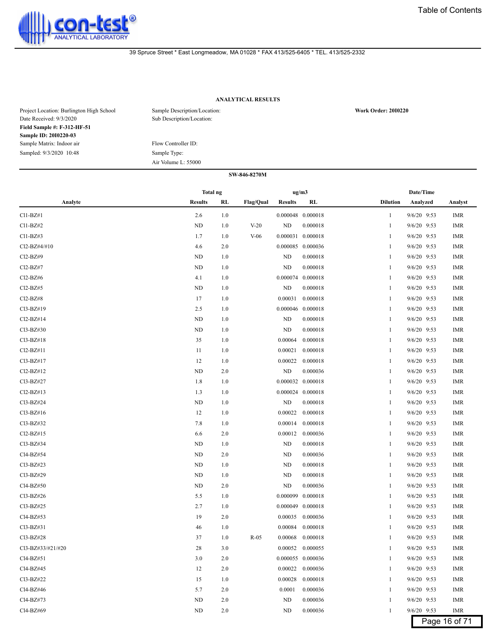

# **ANALYTICAL RESULTS**

| Project Location: Burlington High School<br>Date Received: 9/3/2020 | Sample Description/Location:<br>Sub Description/Location: | <b>Work Order: 2010220</b> |
|---------------------------------------------------------------------|-----------------------------------------------------------|----------------------------|
| Field Sample #: F-312-HF-51                                         |                                                           |                            |
| Sample ID: 2010220-03                                               |                                                           |                            |
| Sample Matrix: Indoor air                                           | Flow Controller ID:                                       |                            |
| Sampled: 9/3/2020 10:48                                             | Sample Type:                                              |                            |
|                                                                     | Air Volume L: 55000                                       |                            |

# **SW-846-8270M Analyte Results RL Flag/Qual Results RL Dilution Analyzed Analyst Total ng ug/m3 Date/Time**

| $Cl1-BZ#1$        | 2.6       | 1.0 |        |           | 0.000048 0.000018     | 1            | 9/6/20 9:53   | <b>IMR</b>    |
|-------------------|-----------|-----|--------|-----------|-----------------------|--------------|---------------|---------------|
| Cl1-BZ#2          | <b>ND</b> | 1.0 | $V-20$ | <b>ND</b> | 0.000018              | 1            | 9/6/20 9:53   | <b>IMR</b>    |
| $Cl1-BZ#3$        | 1.7       | 1.0 | $V-06$ |           | 0.000031 0.000018     | 1            | 9/6/20 9:53   | <b>IMR</b>    |
| Cl2-BZ#4/#10      | 4.6       | 2.0 |        |           | 0.000085 0.000036     | 1            | 9/6/20 9:53   | <b>IMR</b>    |
| Cl2-BZ#9          | ND        | 1.0 |        | ND        | 0.000018              | 1            | 9/6/20 9:53   | <b>IMR</b>    |
| Cl2-BZ#7          | <b>ND</b> | 1.0 |        | ND        | 0.000018              | 1            | 9/6/20 9:53   | <b>IMR</b>    |
| Cl2-BZ#6          | 4.1       | 1.0 |        | 0.000074  | 0.000018              | 1            | 9/6/20 9:53   | <b>IMR</b>    |
| $Cl2-BZ#5$        | ND        | 1.0 |        | ND        | 0.000018              | 1            | 9/6/20 9:53   | <b>IMR</b>    |
| $Cl2-BZ#8$        | 17        | 1.0 |        | 0.00031   | 0.000018              | 1            | 9/6/20 9:53   | <b>IMR</b>    |
| Cl3-BZ#19         | 2.5       | 1.0 |        | 0.000046  | 0.000018              | 1            | $9/6/20$ 9:53 | <b>IMR</b>    |
| Cl2-BZ#14         | <b>ND</b> | 1.0 |        | <b>ND</b> | 0.000018              | 1            | 9/6/20 9:53   | <b>IMR</b>    |
| Cl3-BZ#30         | ND        | 1.0 |        | <b>ND</b> | 0.000018              | 1            | 9/6/20 9:53   | <b>IMR</b>    |
| Cl3-BZ#18         | 35        | 1.0 |        | 0.00064   | 0.000018              | 1            | 9/6/20 9:53   | <b>IMR</b>    |
| Cl2-BZ#11         | 11        | 1.0 |        | 0.00021   | 0.000018              | 1            | 9/6/20 9:53   | <b>IMR</b>    |
| Cl3-BZ#17         | 12        | 1.0 |        | 0.00022   | 0.000018              | $\mathbf{1}$ | 9/6/20 9:53   | <b>IMR</b>    |
| $Cl2-BZ#12$       | ND        | 2.0 |        | ND        | 0.000036              | 1            | 9/6/20 9:53   | <b>IMR</b>    |
| Cl3-BZ#27         | 1.8       | 1.0 |        |           | 0.000032 0.000018     | 1            | $9/6/20$ 9:53 | <b>IMR</b>    |
| $Cl2-BZ#13$       | 1.3       | 1.0 |        |           | $0.000024$ $0.000018$ | 1            | 9/6/20 9:53   | <b>IMR</b>    |
| Cl3-BZ#24         | ND        | 1.0 |        | <b>ND</b> | 0.000018              | $\mathbf{1}$ | 9/6/20 9:53   | <b>IMR</b>    |
| Cl3-BZ#16         | 12        | 1.0 |        | 0.00022   | 0.000018              | $\mathbf{1}$ | 9/6/20 9:53   | <b>IMR</b>    |
| Cl3-BZ#32         | 7.8       | 1.0 |        | 0.00014   | 0.000018              | 1            | $9/6/20$ 9:53 | <b>IMR</b>    |
| Cl2-BZ#15         | 6.6       | 2.0 |        | 0.00012   | 0.000036              | $\mathbf{1}$ | 9/6/20 9:53   | <b>IMR</b>    |
| Cl3-BZ#34         | <b>ND</b> | 1.0 |        | <b>ND</b> | 0.000018              | 1            | 9/6/20 9:53   | <b>IMR</b>    |
| Cl4-BZ#54         | ND        | 2.0 |        | ND        | 0.000036              | $\mathbf{1}$ | $9/6/20$ 9:53 | <b>IMR</b>    |
| Cl3-BZ#23         | <b>ND</b> | 1.0 |        | <b>ND</b> | 0.000018              | 1            | 9/6/20 9:53   | <b>IMR</b>    |
| Cl3-BZ#29         | ND        | 1.0 |        | <b>ND</b> | 0.000018              | $\mathbf{1}$ | 9/6/20 9:53   | <b>IMR</b>    |
| Cl4-BZ#50         | <b>ND</b> | 2.0 |        | ND        | 0.000036              | $\mathbf{1}$ | $9/6/20$ 9:53 | <b>IMR</b>    |
| Cl3-BZ#26         | 5.5       | 1.0 |        | 0.000099  | 0.000018              | 1            | $9/6/20$ 9:53 | <b>IMR</b>    |
| Cl3-BZ#25         | 2.7       | 1.0 |        |           | 0.000049 0.000018     | $\mathbf{1}$ | 9/6/20 9:53   | <b>IMR</b>    |
| Cl4-BZ#53         | 19        | 2.0 |        | 0.00035   | 0.000036              | 1            | 9/6/20 9:53   | <b>IMR</b>    |
| Cl3-BZ#31         | 46        | 1.0 |        | 0.00084   | 0.000018              | 1            | $9/6/20$ 9:53 | <b>IMR</b>    |
| Cl3-BZ#28         | 37        | 1.0 | $R-05$ | 0.00068   | 0.000018              | 1            | 9/6/20 9:53   | <b>IMR</b>    |
| Cl3-BZ#33/#21/#20 | 28        | 3.0 |        | 0.00052   | 0.000055              | $\mathbf{1}$ | 9/6/20 9:53   | <b>IMR</b>    |
| Cl4-BZ#51         | 3.0       | 2.0 |        |           | 0.000055 0.000036     | $\mathbf{1}$ | $9/6/20$ 9:53 | <b>IMR</b>    |
| Cl4-BZ#45         | 12        | 2.0 |        | 0.00022   | 0.000036              | 1            | $9/6/20$ 9:53 | <b>IMR</b>    |
| Cl3-BZ#22         | 15        | 1.0 |        | 0.00028   | 0.000018              | $\mathbf{1}$ | $9/6/20$ 9:53 | <b>IMR</b>    |
| Cl4-BZ#46         | 5.7       | 2.0 |        | 0.0001    | 0.000036              | 1            | 9/6/20 9:53   | <b>IMR</b>    |
| Cl4-BZ#73         | ND        | 2.0 |        | <b>ND</b> | 0.000036              | 1            | 9/6/20 9:53   | <b>IMR</b>    |
| Cl4-BZ#69         | <b>ND</b> | 2.0 |        | <b>ND</b> | 0.000036              | 1            | 9/6/20 9:53   | <b>IMR</b>    |
|                   |           |     |        |           |                       |              |               | Page 16 of 71 |
|                   |           |     |        |           |                       |              |               |               |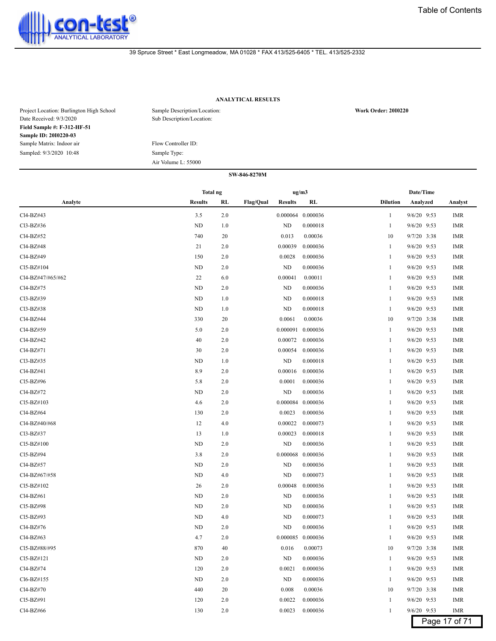

# **ANALYTICAL RESULTS**

| Project Location: Burlington High School<br>Date Received: 9/3/2020 | Sample Description/Location:<br>Sub Description/Location: | <b>Work Order: 2010220</b> |
|---------------------------------------------------------------------|-----------------------------------------------------------|----------------------------|
| Field Sample #: F-312-HF-51                                         |                                                           |                            |
| Sample ID: 2010220-03                                               |                                                           |                            |
| Sample Matrix: Indoor air                                           | Flow Controller ID:                                       |                            |
| Sampled: 9/3/2020 10:48                                             | Sample Type:                                              |                            |
|                                                                     | Air Volume L: 55000                                       |                            |
|                                                                     | SW-846-8270M                                              |                            |

|                                     |                | <b>Total ng</b> |                  |                | ug/m3             |                 |               | Date/Time  |  |  |
|-------------------------------------|----------------|-----------------|------------------|----------------|-------------------|-----------------|---------------|------------|--|--|
| Analyte                             | <b>Results</b> | RL              | <b>Flag/Qual</b> | <b>Results</b> | RL                | <b>Dilution</b> | Analyzed      | Analyst    |  |  |
| Cl4-BZ#43                           | 3.5            | 2.0             |                  |                | 0.000064 0.000036 | 1               | 9/6/20 9:53   | <b>IMR</b> |  |  |
| Cl3-BZ#36                           | ND             | 1.0             |                  | ND             | 0.000018          | 1               | 9/6/20 9:53   | <b>IMR</b> |  |  |
| Cl4-BZ#52                           | 740            | 20              |                  | 0.013          | 0.00036           | 10              | 9/7/20 3:38   | <b>IMR</b> |  |  |
| Cl4-BZ#48                           | 21             | 2.0             |                  | 0.00039        | 0.000036          | 1               | 9/6/20 9:53   | <b>IMR</b> |  |  |
| Cl4-BZ#49                           | 150            | 2.0             |                  | 0.0028         | 0.000036          | 1               | $9/6/20$ 9:53 | IMR        |  |  |
| Cl5-BZ#104                          | <b>ND</b>      | 2.0             |                  | <b>ND</b>      | 0.000036          | $\mathbf{1}$    | 9/6/20 9:53   | <b>IMR</b> |  |  |
| Cl4-BZ#47/#65/#62                   | 22             | 6.0             |                  | 0.00041        | 0.00011           | 1               | $9/6/20$ 9:53 | <b>IMR</b> |  |  |
| Cl4-BZ#75                           | <b>ND</b>      | 2.0             |                  | <b>ND</b>      | 0.000036          | 1               | 9/6/20 9:53   | <b>IMR</b> |  |  |
| Cl3-BZ#39                           | <b>ND</b>      | 1.0             |                  | ND             | 0.000018          | 1               | 9/6/20 9:53   | <b>IMR</b> |  |  |
| Cl3-BZ#38                           | <b>ND</b>      | 1.0             |                  | ND             | 0.000018          | -1              | 9/6/20 9:53   | <b>IMR</b> |  |  |
| Cl4-BZ#44                           | 330            | 20              |                  | 0.0061         | 0.00036           | 10              | $9/7/20$ 3:38 | <b>IMR</b> |  |  |
| Cl4-BZ#59                           | 5.0            | 2.0             |                  | 0.000091       | 0.000036          | 1               | $9/6/20$ 9:53 | <b>IMR</b> |  |  |
| Cl4-BZ#42                           | 40             | 2.0             |                  | 0.00072        | 0.000036          | -1              | 9/6/20 9:53   | <b>IMR</b> |  |  |
| Cl <sub>4</sub> -B <sub>Z</sub> #71 | 30             | 2.0             |                  | 0.00054        | 0.000036          | 1               | $9/6/20$ 9:53 | <b>IMR</b> |  |  |
| Cl3-BZ#35                           | <b>ND</b>      | 1.0             |                  | ND             | 0.000018          | 1               | 9/6/20 9:53   | <b>IMR</b> |  |  |
| Cl4-BZ#41                           | 8.9            | 2.0             |                  | 0.00016        | 0.000036          | 1               | $9/6/20$ 9:53 | <b>IMR</b> |  |  |
| Cl5-BZ#96                           | 5.8            | 2.0             |                  | 0.0001         | 0.000036          | -1              | 9/6/20 9:53   | <b>IMR</b> |  |  |
| Cl4-BZ#72                           | ND             | 2.0             |                  | <b>ND</b>      | 0.000036          | 1               | 9/6/20 9:53   | <b>IMR</b> |  |  |
| $Cl5-BZ#103$                        | 4.6            | 2.0             |                  | 0.000084       | 0.000036          | 1               | $9/6/20$ 9:53 | IMR        |  |  |
| Cl4-BZ#64                           | 130            | 2.0             |                  | 0.0023         | 0.000036          | -1              | $9/6/20$ 9:53 | <b>IMR</b> |  |  |
| Cl4-BZ#40/#68                       | 12             | 4.0             |                  | 0.00022        | 0.000073          | 1               | $9/6/20$ 9:53 | <b>IMR</b> |  |  |
| Cl3-BZ#37                           | 13             | 1.0             |                  | 0.00023        | 0.000018          | 1               | 9/6/20 9:53   | <b>IMR</b> |  |  |
| Cl5-BZ#100                          | ND             | 2.0             |                  | ND             | 0.000036          | -1              | 9/6/20 9:53   | <b>IMR</b> |  |  |
| Cl5-BZ#94                           | 3.8            | 2.0             |                  | 0.000068       | 0.000036          | -1              | 9/6/20 9:53   | <b>IMR</b> |  |  |
| Cl4-BZ#57                           | <b>ND</b>      | 2.0             |                  | ND             | 0.000036          | 1               | 9/6/20 9:53   | <b>IMR</b> |  |  |
| Cl4-BZ#67/#58                       | ND             | 4.0             |                  | <b>ND</b>      | 0.000073          | -1              | 9/6/20 9:53   | <b>IMR</b> |  |  |
| Cl5-BZ#102                          | 26             | 2.0             |                  | 0.00048        | 0.000036          | -1              | 9/6/20 9:53   | <b>IMR</b> |  |  |
| Cl4-BZ#61                           | ND             | 2.0             |                  | ND             | 0.000036          | 1               | $9/6/20$ 9:53 | <b>IMR</b> |  |  |
| Cl5-BZ#98                           | <b>ND</b>      | 2.0             |                  | <b>ND</b>      | 0.000036          | $\mathbf{1}$    | $9/6/20$ 9:53 | <b>IMR</b> |  |  |
| Cl5-BZ#93                           | ND             | 4.0             |                  | ND             | 0.000073          | 1               | 9/6/20 9:53   | <b>IMR</b> |  |  |
| Cl4-BZ#76                           | ND             | 2.0             |                  | <b>ND</b>      | 0.000036          | -1              | 9/6/20 9:53   | <b>IMR</b> |  |  |
| Cl4-BZ#63                           | 4.7            | 2.0             |                  |                | 0.000085 0.000036 | 1               | 9/6/20 9:53   | <b>IMR</b> |  |  |
| Cl5-BZ#88/#95                       | 870            | 40              |                  | 0.016          | 0.00073           | 10              | $9/7/20$ 3:38 | <b>IMR</b> |  |  |
| Cl5-BZ#121                          | ND             | 2.0             |                  | <b>ND</b>      | 0.000036          | 1               | $9/6/20$ 9:53 | IMR        |  |  |
| Cl4-BZ#74                           | 120            | 2.0             |                  | 0.0021         | 0.000036          | 1               | 9/6/20 9:53   | IMR        |  |  |
| Cl6-BZ#155                          | ND             | 2.0             |                  | <b>ND</b>      | 0.000036          | 1               | 9/6/20 9:53   | <b>IMR</b> |  |  |
| Cl4-BZ#70                           | 440            | 20              |                  | 0.008          | 0.00036           | 10              | 9/7/20 3:38   | <b>IMR</b> |  |  |
| C15-BZ#91                           | 120            | 2.0             |                  | 0.0022         | 0.000036          | $\mathbf{1}$    | 9/6/20 9:53   | <b>IMR</b> |  |  |
| Cl4-BZ#66                           | 130            | 2.0             |                  | 0.0023         | 0.000036          | $\mathbf{1}$    | 9/6/20 9:53   | IMR        |  |  |

Page 17 of 71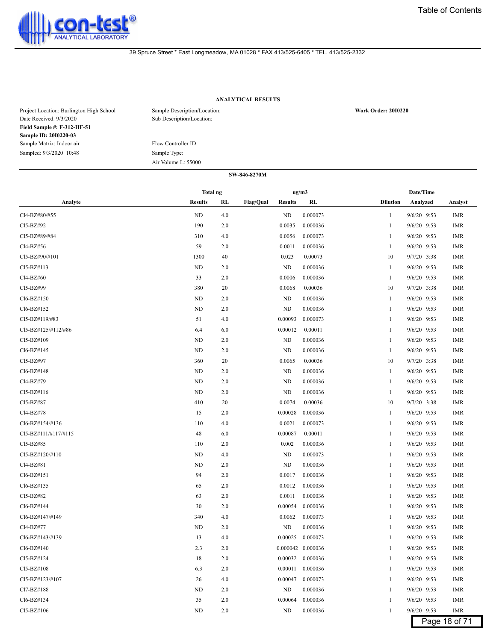

# **ANALYTICAL RESULTS**

| Project Location: Burlington High School<br>Date Received: 9/3/2020 | Sample Description/Location:<br>Sub Description/Location: | <b>Work Order: 2010220</b> |
|---------------------------------------------------------------------|-----------------------------------------------------------|----------------------------|
| Field Sample #: F-312-HF-51                                         |                                                           |                            |
| Sample ID: 2010220-03                                               |                                                           |                            |
| Sample Matrix: Indoor air                                           | Flow Controller ID:                                       |                            |
| Sampled: 9/3/2020 10:48                                             | Sample Type:                                              |                            |
|                                                                     | Air Volume L: 55000                                       |                            |

|                      | Total ng       |     |                                    | ug/m3 |                   |                 | Date/Time     |               |
|----------------------|----------------|-----|------------------------------------|-------|-------------------|-----------------|---------------|---------------|
| Analyte              | <b>Results</b> | RL  | <b>Flag/Qual</b><br><b>Results</b> |       | <b>RL</b>         | <b>Dilution</b> | Analyzed      | Analyst       |
| Cl4-BZ#80/#55        | ND             | 4.0 | <b>ND</b>                          |       | 0.000073          | 1               | 9/6/20 9:53   | <b>IMR</b>    |
| Cl5-BZ#92            | 190            | 2.0 | 0.0035                             |       | 0.000036          | 1               | 9/6/20 9:53   | IMR           |
| Cl5-BZ#89/#84        | 310            | 4.0 | 0.0056                             |       | 0.000073          | -1              | 9/6/20 9:53   | IMR           |
| Cl4-BZ#56            | 59             | 2.0 | 0.0011                             |       | 0.000036          | 1               | 9/6/20 9:53   | IMR           |
| Cl5-BZ#90/#101       | 1300           | 40  | 0.023                              |       | 0.00073           | 10              | 9/7/20 3:38   | <b>IMR</b>    |
| Cl5-BZ#113           | ND             | 2.0 | ND                                 |       | 0.000036          | 1               | 9/6/20 9:53   | <b>IMR</b>    |
| Cl4-BZ#60            | 33             | 2.0 | 0.0006                             |       | 0.000036          | 1               | 9/6/20 9:53   | <b>IMR</b>    |
| Cl5-BZ#99            | 380            | 20  | 0.0068                             |       | 0.00036           | 10              | 9/7/20 3:38   | <b>IMR</b>    |
| Cl6-BZ#150           | ND             | 2.0 | ND                                 |       | 0.000036          | 1               | 9/6/20 9:53   | <b>IMR</b>    |
| Cl6-BZ#152           | ND             | 2.0 | ND                                 |       | 0.000036          | -1              | 9/6/20 9:53   | <b>IMR</b>    |
| Cl5-BZ#119/#83       | 51             | 4.0 | 0.00093                            |       | 0.000073          | -1              | 9/6/20 9:53   | <b>IMR</b>    |
| Cl5-BZ#125/#112/#86  | 6.4            | 6.0 | 0.00012                            |       | 0.00011           | -1              | 9/6/20 9:53   | <b>IMR</b>    |
| Cl5-BZ#109           | ND             | 2.0 | ND                                 |       | 0.000036          | 1               | 9/6/20 9:53   | <b>IMR</b>    |
| Cl6-BZ#145           | ND             | 2.0 | <b>ND</b>                          |       | 0.000036          | 1               | 9/6/20 9:53   | <b>IMR</b>    |
| Cl5-BZ#97            | 360            | 20  | 0.0065                             |       | 0.00036           | 10              | 9/7/20 3:38   | <b>IMR</b>    |
| Cl6-BZ#148           | ND             | 2.0 | ND                                 |       | 0.000036          | 1               | 9/6/20 9:53   | IMR           |
| Cl4-BZ#79            | ND             | 2.0 | ND                                 |       | 0.000036          | J.              | 9/6/20 9:53   | IMR           |
| Cl5-BZ#116           | ND             | 2.0 | ND                                 |       | 0.000036          | 1               | 9/6/20 9:53   | <b>IMR</b>    |
| Cl5-BZ#87            | 410            | 20  | 0.0074                             |       | 0.00036           | 10              | $9/7/20$ 3:38 | <b>IMR</b>    |
| Cl4-BZ#78            | 15             | 2.0 | 0.00028                            |       | 0.000036          | 1               | 9/6/20 9:53   | <b>IMR</b>    |
| Cl6-BZ#154/#136      | 110            | 4.0 | 0.0021                             |       | 0.000073          | 1               | 9/6/20 9:53   | <b>IMR</b>    |
| CI5-BZ#111/#117/#115 | 48             | 6.0 | 0.00087                            |       | 0.00011           | 1               | 9/6/20 9:53   | <b>IMR</b>    |
| Cl5-BZ#85            | 110            | 2.0 | 0.002                              |       | 0.000036          | -1              | 9/6/20 9:53   | <b>IMR</b>    |
| Cl5-BZ#120/#110      | ND             | 4.0 | ND                                 |       | 0.000073          | -1              | 9/6/20 9:53   | <b>IMR</b>    |
| Cl4-BZ#81            | ND             | 2.0 | <b>ND</b>                          |       | 0.000036          | -1              | 9/6/20 9:53   | <b>IMR</b>    |
| Cl6-BZ#151           | 94             | 2.0 | 0.0017                             |       | 0.000036          | 1               | 9/6/20 9:53   | <b>IMR</b>    |
| Cl6-BZ#135           | 65             | 2.0 | 0.0012                             |       | 0.000036          | 1               | 9/6/20 9:53   | <b>IMR</b>    |
| Cl5-BZ#82            | 63             | 2.0 | 0.0011                             |       | 0.000036          | 1               | 9/6/20 9:53   | <b>IMR</b>    |
| Cl6-BZ#144           | 30             | 2.0 | 0.00054                            |       | 0.000036          | 1               | 9/6/20 9:53   | <b>IMR</b>    |
| Cl6-BZ#147/#149      | 340            | 4.0 | 0.0062                             |       | 0.000073          | 1               | 9/6/20 9:53   | <b>IMR</b>    |
| Cl4-BZ#77            | ND             | 2.0 | ND                                 |       | 0.000036          |                 | $9/6/20$ 9:53 | IMR           |
| Cl6-BZ#143/#139      | 13             | 4.0 | 0.00025                            |       | 0.000073          | -1              | 9/6/20 9:53   | <b>IMR</b>    |
| Cl6-BZ#140           | 2.3            | 2.0 |                                    |       | 0.000042 0.000036 | -1              | 9/6/20 9:53   | <b>IMR</b>    |
| Cl5-BZ#124           | 18             | 2.0 |                                    |       | 0.00032 0.000036  | 1               | 9/6/20 9:53   | <b>IMR</b>    |
| Cl5-BZ#108           | 6.3            | 2.0 | 0.00011                            |       | 0.000036          | 1               | 9/6/20 9:53   | <b>IMR</b>    |
| Cl5-BZ#123/#107      | 26             | 4.0 | 0.00047                            |       | 0.000073          | 1               | 9/6/20 9:53   | <b>IMR</b>    |
| Cl7-BZ#188           | ND             | 2.0 | ND                                 |       | 0.000036          | 1               | 9/6/20 9:53   | <b>IMR</b>    |
| Cl6-BZ#134           | 35             | 2.0 | 0.00064                            |       | 0.000036          | 1               | 9/6/20 9:53   | <b>IMR</b>    |
| Cl5-BZ#106           | ND             | 2.0 | ND                                 |       | 0.000036          | 1               | 9/6/20 9:53   | <b>IMR</b>    |
|                      |                |     |                                    |       |                   |                 |               | Page 18 of 71 |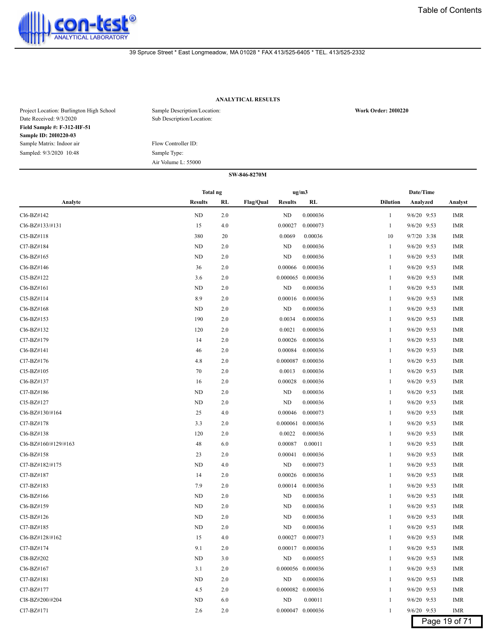

# **ANALYTICAL RESULTS**

| Project Location: Burlington High School<br>Date Received: 9/3/2020 | Sample Description/Location:<br>Sub Description/Location: | <b>Work Order: 2010220</b> |
|---------------------------------------------------------------------|-----------------------------------------------------------|----------------------------|
| Field Sample #: F-312-HF-51                                         |                                                           |                            |
| Sample ID: 2010220-03                                               |                                                           |                            |
| Sample Matrix: Indoor air                                           | Flow Controller ID:                                       |                            |
| Sampled: 9/3/2020 10:48                                             | Sample Type:                                              |                            |
|                                                                     | Air Volume L: 55000                                       |                            |
|                                                                     | SW-846-8270M                                              |                            |

|                      | <b>Total ng</b> |           |                                    | ug/m3             |                 | Date/Time     |            |
|----------------------|-----------------|-----------|------------------------------------|-------------------|-----------------|---------------|------------|
| Analyte              | <b>Results</b>  | <b>RL</b> | <b>Flag/Qual</b><br><b>Results</b> | <b>RL</b>         | <b>Dilution</b> | Analyzed      | Analyst    |
| Cl6-BZ#142           | ND              | 2.0       | <b>ND</b>                          | 0.000036          | 1               | 9/6/20 9:53   | <b>IMR</b> |
| Cl6-BZ#133/#131      | 15              | 4.0       | 0.00027                            | 0.000073          | $\mathbf{1}$    | 9/6/20 9:53   | <b>IMR</b> |
| Cl5-BZ#118           | 380             | 20        | 0.0069                             | 0.00036           | 10              | 9/7/20 3:38   | <b>IMR</b> |
| Cl7-BZ#184           | ND              | 2.0       | <b>ND</b>                          | 0.000036          | $\mathbf{1}$    | 9/6/20 9:53   | <b>IMR</b> |
| Cl6-BZ#165           | <b>ND</b>       | 2.0       | ND                                 | 0.000036          | 1               | 9/6/20 9:53   | <b>IMR</b> |
| Cl6-BZ#146           | 36              | 2.0       | 0.00066                            | 0.000036          | 1               | $9/6/20$ 9:53 | <b>IMR</b> |
| Cl5-BZ#122           | 3.6             | 2.0       | 0.000065                           | 0.000036          | 1               | 9/6/20 9:53   | <b>IMR</b> |
| Cl6-BZ#161           | <b>ND</b>       | 2.0       | <b>ND</b>                          | 0.000036          | 1               | 9/6/20 9:53   | <b>IMR</b> |
| Cl5-BZ#114           | 8.9             | 2.0       | 0.00016                            | 0.000036          | 1               | 9/6/20 9:53   | <b>IMR</b> |
| Cl6-BZ#168           | <b>ND</b>       | 2.0       | ND                                 | 0.000036          | 1               | 9/6/20 9:53   | <b>IMR</b> |
| Cl6-BZ#153           | 190             | 2.0       | 0.0034                             | 0.000036          | 1               | 9/6/20 9:53   | <b>IMR</b> |
| Cl6-BZ#132           | 120             | 2.0       | 0.0021                             | 0.000036          | 1               | 9/6/20 9:53   | <b>IMR</b> |
| Cl7-BZ#179           | 14              | 2.0       | 0.00026                            | 0.000036          | 1               | $9/6/20$ 9:53 | <b>IMR</b> |
| Cl6-BZ#141           | 46              | 2.0       | 0.00084                            | 0.000036          | $\mathbf{1}$    | 9/6/20 9:53   | <b>IMR</b> |
| Cl7-BZ#176           | 4.8             | 2.0       | 0.000087                           | 0.000036          | $\mathbf{1}$    | 9/6/20 9:53   | <b>IMR</b> |
| Cl5-BZ#105           | 70              | 2.0       | 0.0013                             | 0.000036          | 1               | 9/6/20 9:53   | <b>IMR</b> |
| Cl6-BZ#137           | 16              | 2.0       | 0.00028                            | 0.000036          | 1               | 9/6/20 9:53   | <b>IMR</b> |
| Cl7-BZ#186           | <b>ND</b>       | 2.0       | ND                                 | 0.000036          | 1               | 9/6/20 9:53   | <b>IMR</b> |
| Cl5-BZ#127           | <b>ND</b>       | 2.0       | <b>ND</b>                          | 0.000036          | 1               | 9/6/20 9:53   | <b>IMR</b> |
| Cl6-BZ#130/#164      | 25              | 4.0       | 0.00046                            | 0.000073          | 1               | 9/6/20 9:53   | <b>IMR</b> |
| Cl7-BZ#178           | 3.3             | 2.0       | 0.000061                           | 0.000036          | 1               | 9/6/20 9:53   | <b>IMR</b> |
| Cl6-BZ#138           | 120             | 2.0       | 0.0022                             | 0.000036          | 1               | 9/6/20 9:53   | <b>IMR</b> |
| Cl6-BZ#160/#129/#163 | 48              | 6.0       | 0.00087                            | 0.00011           | 1               | 9/6/20 9:53   | <b>IMR</b> |
| Cl6-BZ#158           | 23              | 2.0       | 0.00041                            | 0.000036          | 1               | 9/6/20 9:53   | <b>IMR</b> |
| Cl7-BZ#182/#175      | <b>ND</b>       | 4.0       | ND                                 | 0.000073          | 1               | 9/6/20 9:53   | <b>IMR</b> |
| Cl7-BZ#187           | 14              | 2.0       | 0.00026                            | 0.000036          | 1               | 9/6/20 9:53   | <b>IMR</b> |
| Cl7-BZ#183           | 7.9             | 2.0       | 0.00014                            | 0.000036          | 1               | 9/6/20 9:53   | <b>IMR</b> |
| Cl6-BZ#166           | <b>ND</b>       | 2.0       | ND                                 | 0.000036          | 1               | $9/6/20$ 9:53 | <b>IMR</b> |
| Cl6-BZ#159           | <b>ND</b>       | 2.0       | <b>ND</b>                          | 0.000036          | 1               | 9/6/20 9:53   | <b>IMR</b> |
| Cl5-BZ#126           | <b>ND</b>       | 2.0       | <b>ND</b>                          | 0.000036          | 1               | 9/6/20 9:53   | <b>IMR</b> |
| Cl7-BZ#185           | <b>ND</b>       | 2.0       | <b>ND</b>                          | 0.000036          | 1               | 9/6/20 9:53   | <b>IMR</b> |
| Cl6-BZ#128/#162      | 15              | 4.0       | 0.00027                            | 0.000073          | 1               | 9/6/20 9:53   | <b>IMR</b> |
| Cl7-BZ#174           | 9.1             | 2.0       | 0.00017                            | 0.000036          | 1               | 9/6/20 9:53   | <b>IMR</b> |
| Cl8-BZ#202           | <b>ND</b>       | 3.0       | <b>ND</b>                          | 0.000055          | 1               | 9/6/20 9:53   | <b>IMR</b> |
| Cl6-BZ#167           | 3.1             | 2.0       |                                    | 0.000056 0.000036 | 1               | 9/6/20 9:53   | <b>IMR</b> |
| Cl7-BZ#181           | ND              | 2.0       | ND                                 | 0.000036          | $\mathbf{1}$    | 9/6/20 9:53   | <b>IMR</b> |

Cl7-BZ#177 4.5 2.0 0.000082 0.000036 1 9/6/20 9:53 IMR Cl8-BZ#200/#204 ND 6.0 ND 0.00011 1 9/6/20 9:53 IMR Cl7-BZ#171 2.6 2.0 0.000047 0.000036 1 9/6/20 9:53 IMR

Page 19 of 71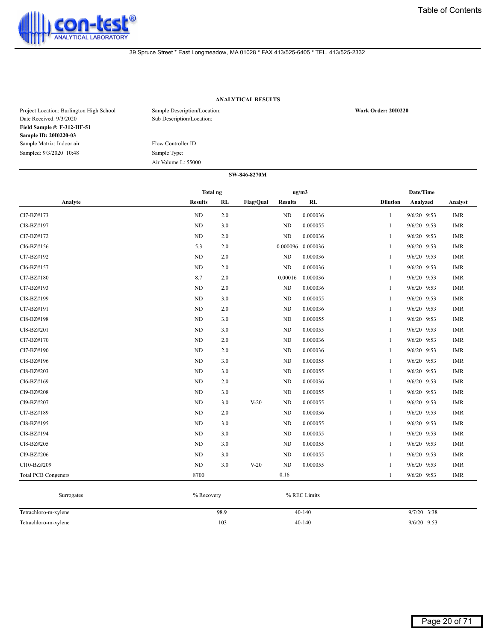

# **ANALYTICAL RESULTS**

| Project Location: Burlington High School<br>Date Received: 9/3/2020 | Sample Description/Location:<br>Sub Description/Location: | <b>Work Order: 2010220</b> |
|---------------------------------------------------------------------|-----------------------------------------------------------|----------------------------|
| Field Sample #: F-312-HF-51                                         |                                                           |                            |
| Sample ID: 2010220-03                                               |                                                           |                            |
| Sample Matrix: Indoor air                                           | Flow Controller ID:                                       |                            |
| Sampled: 9/3/2020 10:48                                             | Sample Type:                                              |                            |
|                                                                     | Air Volume L: 55000                                       |                            |
|                                                                     | SW-846-8270M                                              |                            |

|                            | <b>Total ng</b> |           |           | ug/m3          |          |                 | Date/Time     |            |
|----------------------------|-----------------|-----------|-----------|----------------|----------|-----------------|---------------|------------|
| Analyte                    | <b>Results</b>  | <b>RL</b> | Flag/Qual | <b>Results</b> | RL       | <b>Dilution</b> | Analyzed      | Analyst    |
| Cl7-BZ#173                 | ND              | 2.0       |           | <b>ND</b>      | 0.000036 | 1               | $9/6/20$ 9:53 | <b>IMR</b> |
| C18-BZ#197                 | <b>ND</b>       | 3.0       |           | ND             | 0.000055 | 1               | $9/6/20$ 9:53 | <b>IMR</b> |
| Cl7-BZ#172                 | <b>ND</b>       | 2.0       |           | <b>ND</b>      | 0.000036 | 1               | 9/6/20 9:53   | <b>IMR</b> |
| Cl6-BZ#156                 | 5.3             | 2.0       |           | 0.000096       | 0.000036 | 1               | $9/6/20$ 9:53 | <b>IMR</b> |
| Cl7-BZ#192                 | <b>ND</b>       | 2.0       |           | <b>ND</b>      | 0.000036 | 1               | 9/6/20 9:53   | <b>IMR</b> |
| Cl6-BZ#157                 | ND              | 2.0       |           | <b>ND</b>      | 0.000036 | 1               | $9/6/20$ 9:53 | <b>IMR</b> |
| Cl7-BZ#180                 | 8.7             | 2.0       |           | 0.00016        | 0.000036 | 1               | 9/6/20 9:53   | <b>IMR</b> |
| Cl7-BZ#193                 | <b>ND</b>       | 2.0       |           | <b>ND</b>      | 0.000036 | 1               | $9/6/20$ 9:53 | <b>IMR</b> |
| Cl8-BZ#199                 | <b>ND</b>       | 3.0       |           | ND             | 0.000055 | 1               | 9/6/20 9:53   | <b>IMR</b> |
| Cl7-BZ#191                 | ND              | 2.0       |           | <b>ND</b>      | 0.000036 | 1               | $9/6/20$ 9:53 | <b>IMR</b> |
| Cl8-BZ#198                 | <b>ND</b>       | 3.0       |           | <b>ND</b>      | 0.000055 | 1               | 9/6/20 9:53   | <b>IMR</b> |
| Cl8-BZ#201                 | ND              | 3.0       |           | <b>ND</b>      | 0.000055 | 1               | $9/6/20$ 9:53 | <b>IMR</b> |
| Cl7-BZ#170                 | <b>ND</b>       | 2.0       |           | <b>ND</b>      | 0.000036 | 1               | $9/6/20$ 9:53 | <b>IMR</b> |
| Cl7-BZ#190                 | <b>ND</b>       | 2.0       |           | <b>ND</b>      | 0.000036 | 1               | $9/6/20$ 9:53 | <b>IMR</b> |
| Cl8-BZ#196                 | <b>ND</b>       | 3.0       |           | <b>ND</b>      | 0.000055 | 1               | $9/6/20$ 9:53 | <b>IMR</b> |
| Cl8-BZ#203                 | <b>ND</b>       | 3.0       |           | <b>ND</b>      | 0.000055 | 1               | 9/6/20 9:53   | <b>IMR</b> |
| Cl6-BZ#169                 | ND              | 2.0       |           | ND.            | 0.000036 | 1               | $9/6/20$ 9:53 | <b>IMR</b> |
| Cl9-BZ#208                 | ND              | 3.0       |           | <b>ND</b>      | 0.000055 | 1               | $9/6/20$ 9:53 | <b>IMR</b> |
| Cl9-BZ#207                 | ND.             | 3.0       | $V-20$    | ND.            | 0.000055 | 1               | $9/6/20$ 9:53 | <b>IMR</b> |
| Cl7-BZ#189                 | ND              | 2.0       |           | <b>ND</b>      | 0.000036 | 1               | 9/6/20 9:53   | <b>IMR</b> |
| Cl8-BZ#195                 | ND              | 3.0       |           | ND             | 0.000055 | 1               | $9/6/20$ 9:53 | <b>IMR</b> |
| Cl8-BZ#194                 | <b>ND</b>       | 3.0       |           | ND             | 0.000055 | 1               | 9/6/20 9:53   | <b>IMR</b> |
| Cl8-BZ#205                 | <b>ND</b>       | 3.0       |           | <b>ND</b>      | 0.000055 | 1               | $9/6/20$ 9:53 | <b>IMR</b> |
| Cl9-BZ#206                 | ND              | 3.0       |           | ND             | 0.000055 | 1               | $9/6/20$ 9:53 | <b>IMR</b> |
| Cl10-BZ#209                | <b>ND</b>       | 3.0       | $V-20$    | <b>ND</b>      | 0.000055 | 1               | $9/6/20$ 9:53 | <b>IMR</b> |
| <b>Total PCB Congeners</b> | 8700            |           |           | 0.16           |          | 1               | 9/6/20 9:53   | <b>IMR</b> |

| Surrogates           | % Recovery | % REC Limits |               |
|----------------------|------------|--------------|---------------|
| Tetrachloro-m-xylene | 98.9       | $40 - 140$   | $9/7/20$ 3:38 |
| Tetrachloro-m-xylene | 103        | $40 - 140$   | $9/6/20$ 9:53 |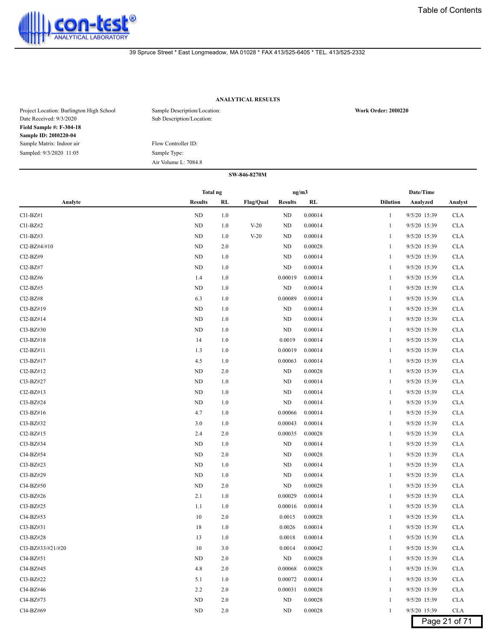

# **ANALYTICAL RESULTS**

| Project Location: Burlington High School<br>Date Received: 9/3/2020 | Sample Description/Location:<br>Sub Description/Location: | <b>Work Order: 2010220</b> |
|---------------------------------------------------------------------|-----------------------------------------------------------|----------------------------|
| <b>Field Sample #: F-304-18</b>                                     |                                                           |                            |
| Sample ID: 2010220-04                                               |                                                           |                            |
| Sample Matrix: Indoor air                                           | Flow Controller ID:                                       |                            |
| Sampled: 9/3/2020 11:05                                             | Sample Type:                                              |                            |
|                                                                     | Air Volume L: 7084.8                                      |                            |

| <b>Results</b><br><b>Flag/Qual</b><br><b>Dilution</b><br>Analyte<br>RL<br><b>Results</b><br>RL<br>Analyzed<br>Analyst<br>$Cl1-BZ#1$<br>ND<br>ND<br>0.00014<br>9/5/20 15:39<br>1.0<br><b>CLA</b><br>$\mathbf{1}$<br>$Cl1-BZ#2$<br>ND<br>1.0<br>$V-20$<br>ND<br>0.00014<br>9/5/20 15:39<br><b>CLA</b><br>1<br>$Cl1-BZ#3$<br>ND<br>1.0<br>0.00014<br>9/5/20 15:39<br><b>CLA</b><br>$V-20$<br>ND<br>1<br>Cl2-BZ#4/#10<br>ND<br>2.0<br>ND<br>0.00028<br>9/5/20 15:39<br><b>CLA</b><br>1<br>Cl <sub>2</sub> -B <sub>Z</sub> #9<br>ND<br>1.0<br>ND<br>0.00014<br>9/5/20 15:39<br><b>CLA</b><br>1<br>Cl2-BZ#7<br>ND<br>1.0<br>ND<br>0.00014<br>9/5/20 15:39<br><b>CLA</b><br>1<br>$Cl2-BZ#6$<br>1.4<br>1.0<br>0.00019<br>0.00014<br>9/5/20 15:39<br><b>CLA</b><br>1<br>$Cl2-BZ#5$<br>ND<br>1.0<br>ND<br>0.00014<br>9/5/20 15:39<br><b>CLA</b><br>$\mathbf{1}$<br>$Cl2-BZ#8$<br>6.3<br>1.0<br>0.00089<br>0.00014<br>9/5/20 15:39<br><b>CLA</b><br>1<br>Cl3-BZ#19<br>ND<br>1.0<br>ND<br>0.00014<br>9/5/20 15:39<br><b>CLA</b><br>1<br>Cl2-BZ#14<br>ND<br>1.0<br>ND<br>0.00014<br>9/5/20 15:39<br><b>CLA</b><br>1<br>$Cl3-BZ#30$<br>ND<br>1.0<br>ND<br>0.00014<br>9/5/20 15:39<br><b>CLA</b><br>1<br>$Cl3-BZ#18$<br>14<br>1.0<br>0.0019<br>0.00014<br>9/5/20 15:39<br><b>CLA</b><br>1<br>Cl2-BZ#11<br>1.3<br>1.0<br>0.00019<br>0.00014<br>9/5/20 15:39<br><b>CLA</b><br>1<br>Cl3-BZ#17<br>4.5<br>0.00014<br>1.0<br>0.00063<br>9/5/20 15:39<br><b>CLA</b><br>$\mathbf{1}$ |             | <b>Total ng</b> |     | ug/m3 |         | Date/Time    |            |
|---------------------------------------------------------------------------------------------------------------------------------------------------------------------------------------------------------------------------------------------------------------------------------------------------------------------------------------------------------------------------------------------------------------------------------------------------------------------------------------------------------------------------------------------------------------------------------------------------------------------------------------------------------------------------------------------------------------------------------------------------------------------------------------------------------------------------------------------------------------------------------------------------------------------------------------------------------------------------------------------------------------------------------------------------------------------------------------------------------------------------------------------------------------------------------------------------------------------------------------------------------------------------------------------------------------------------------------------------------------------------------------------------------------------------------------------------------------|-------------|-----------------|-----|-------|---------|--------------|------------|
|                                                                                                                                                                                                                                                                                                                                                                                                                                                                                                                                                                                                                                                                                                                                                                                                                                                                                                                                                                                                                                                                                                                                                                                                                                                                                                                                                                                                                                                               |             |                 |     |       |         |              |            |
|                                                                                                                                                                                                                                                                                                                                                                                                                                                                                                                                                                                                                                                                                                                                                                                                                                                                                                                                                                                                                                                                                                                                                                                                                                                                                                                                                                                                                                                               |             |                 |     |       |         |              |            |
|                                                                                                                                                                                                                                                                                                                                                                                                                                                                                                                                                                                                                                                                                                                                                                                                                                                                                                                                                                                                                                                                                                                                                                                                                                                                                                                                                                                                                                                               |             |                 |     |       |         |              |            |
|                                                                                                                                                                                                                                                                                                                                                                                                                                                                                                                                                                                                                                                                                                                                                                                                                                                                                                                                                                                                                                                                                                                                                                                                                                                                                                                                                                                                                                                               |             |                 |     |       |         |              |            |
|                                                                                                                                                                                                                                                                                                                                                                                                                                                                                                                                                                                                                                                                                                                                                                                                                                                                                                                                                                                                                                                                                                                                                                                                                                                                                                                                                                                                                                                               |             |                 |     |       |         |              |            |
|                                                                                                                                                                                                                                                                                                                                                                                                                                                                                                                                                                                                                                                                                                                                                                                                                                                                                                                                                                                                                                                                                                                                                                                                                                                                                                                                                                                                                                                               |             |                 |     |       |         |              |            |
|                                                                                                                                                                                                                                                                                                                                                                                                                                                                                                                                                                                                                                                                                                                                                                                                                                                                                                                                                                                                                                                                                                                                                                                                                                                                                                                                                                                                                                                               |             |                 |     |       |         |              |            |
|                                                                                                                                                                                                                                                                                                                                                                                                                                                                                                                                                                                                                                                                                                                                                                                                                                                                                                                                                                                                                                                                                                                                                                                                                                                                                                                                                                                                                                                               |             |                 |     |       |         |              |            |
|                                                                                                                                                                                                                                                                                                                                                                                                                                                                                                                                                                                                                                                                                                                                                                                                                                                                                                                                                                                                                                                                                                                                                                                                                                                                                                                                                                                                                                                               |             |                 |     |       |         |              |            |
|                                                                                                                                                                                                                                                                                                                                                                                                                                                                                                                                                                                                                                                                                                                                                                                                                                                                                                                                                                                                                                                                                                                                                                                                                                                                                                                                                                                                                                                               |             |                 |     |       |         |              |            |
|                                                                                                                                                                                                                                                                                                                                                                                                                                                                                                                                                                                                                                                                                                                                                                                                                                                                                                                                                                                                                                                                                                                                                                                                                                                                                                                                                                                                                                                               |             |                 |     |       |         |              |            |
|                                                                                                                                                                                                                                                                                                                                                                                                                                                                                                                                                                                                                                                                                                                                                                                                                                                                                                                                                                                                                                                                                                                                                                                                                                                                                                                                                                                                                                                               |             |                 |     |       |         |              |            |
|                                                                                                                                                                                                                                                                                                                                                                                                                                                                                                                                                                                                                                                                                                                                                                                                                                                                                                                                                                                                                                                                                                                                                                                                                                                                                                                                                                                                                                                               |             |                 |     |       |         |              |            |
|                                                                                                                                                                                                                                                                                                                                                                                                                                                                                                                                                                                                                                                                                                                                                                                                                                                                                                                                                                                                                                                                                                                                                                                                                                                                                                                                                                                                                                                               |             |                 |     |       |         |              |            |
|                                                                                                                                                                                                                                                                                                                                                                                                                                                                                                                                                                                                                                                                                                                                                                                                                                                                                                                                                                                                                                                                                                                                                                                                                                                                                                                                                                                                                                                               |             |                 |     |       |         |              |            |
|                                                                                                                                                                                                                                                                                                                                                                                                                                                                                                                                                                                                                                                                                                                                                                                                                                                                                                                                                                                                                                                                                                                                                                                                                                                                                                                                                                                                                                                               |             |                 |     |       |         |              |            |
| 1                                                                                                                                                                                                                                                                                                                                                                                                                                                                                                                                                                                                                                                                                                                                                                                                                                                                                                                                                                                                                                                                                                                                                                                                                                                                                                                                                                                                                                                             | $Cl2-BZ#12$ | ND              | 2.0 | ND    | 0.00028 | 9/5/20 15:39 | <b>CLA</b> |
| Cl3-BZ#27<br>ND<br>1.0<br>ND<br>0.00014<br><b>CLA</b><br>1<br>9/5/20 15:39                                                                                                                                                                                                                                                                                                                                                                                                                                                                                                                                                                                                                                                                                                                                                                                                                                                                                                                                                                                                                                                                                                                                                                                                                                                                                                                                                                                    |             |                 |     |       |         |              |            |
| $Cl2-BZ#13$<br>ND<br>1.0<br>ND<br>0.00014<br>9/5/20 15:39<br><b>CLA</b><br>1                                                                                                                                                                                                                                                                                                                                                                                                                                                                                                                                                                                                                                                                                                                                                                                                                                                                                                                                                                                                                                                                                                                                                                                                                                                                                                                                                                                  |             |                 |     |       |         |              |            |
| Cl3-BZ#24<br>ND<br>1.0<br>ND<br>0.00014<br>9/5/20 15:39<br><b>CLA</b><br>1                                                                                                                                                                                                                                                                                                                                                                                                                                                                                                                                                                                                                                                                                                                                                                                                                                                                                                                                                                                                                                                                                                                                                                                                                                                                                                                                                                                    |             |                 |     |       |         |              |            |
| Cl3-BZ#16<br>4.7<br>1.0<br>0.00066<br>0.00014<br>9/5/20 15:39<br><b>CLA</b><br>1                                                                                                                                                                                                                                                                                                                                                                                                                                                                                                                                                                                                                                                                                                                                                                                                                                                                                                                                                                                                                                                                                                                                                                                                                                                                                                                                                                              |             |                 |     |       |         |              |            |
| Cl3-BZ#32<br>3.0<br>1.0<br>0.00043<br>0.00014<br>9/5/20 15:39<br><b>CLA</b><br>1                                                                                                                                                                                                                                                                                                                                                                                                                                                                                                                                                                                                                                                                                                                                                                                                                                                                                                                                                                                                                                                                                                                                                                                                                                                                                                                                                                              |             |                 |     |       |         |              |            |
| $Cl2-BZ#15$<br>2.4<br>0.00035<br>0.00028<br>9/5/20 15:39<br><b>CLA</b><br>2.0<br>$\mathbf{1}$                                                                                                                                                                                                                                                                                                                                                                                                                                                                                                                                                                                                                                                                                                                                                                                                                                                                                                                                                                                                                                                                                                                                                                                                                                                                                                                                                                 |             |                 |     |       |         |              |            |
| Cl3-BZ#34<br>$\rm ND$<br>ND<br>1.0<br>0.00014<br>9/5/20 15:39<br><b>CLA</b><br>1                                                                                                                                                                                                                                                                                                                                                                                                                                                                                                                                                                                                                                                                                                                                                                                                                                                                                                                                                                                                                                                                                                                                                                                                                                                                                                                                                                              |             |                 |     |       |         |              |            |
| Cl4-BZ#54<br>ND<br>2.0<br>ND<br>0.00028<br>9/5/20 15:39<br><b>CLA</b><br>1                                                                                                                                                                                                                                                                                                                                                                                                                                                                                                                                                                                                                                                                                                                                                                                                                                                                                                                                                                                                                                                                                                                                                                                                                                                                                                                                                                                    |             |                 |     |       |         |              |            |
| Cl3-BZ#23<br>ND<br>1.0<br>ND<br>0.00014<br>9/5/20 15:39<br><b>CLA</b><br>1                                                                                                                                                                                                                                                                                                                                                                                                                                                                                                                                                                                                                                                                                                                                                                                                                                                                                                                                                                                                                                                                                                                                                                                                                                                                                                                                                                                    |             |                 |     |       |         |              |            |
| Cl3-BZ#29<br>ND<br>1.0<br>ND<br>0.00014<br>9/5/20 15:39<br><b>CLA</b><br>1                                                                                                                                                                                                                                                                                                                                                                                                                                                                                                                                                                                                                                                                                                                                                                                                                                                                                                                                                                                                                                                                                                                                                                                                                                                                                                                                                                                    |             |                 |     |       |         |              |            |
| Cl4-BZ#50<br>0.00028<br>ND<br>2.0<br>ND<br>9/5/20 15:39<br><b>CLA</b><br>1                                                                                                                                                                                                                                                                                                                                                                                                                                                                                                                                                                                                                                                                                                                                                                                                                                                                                                                                                                                                                                                                                                                                                                                                                                                                                                                                                                                    |             |                 |     |       |         |              |            |
| $Cl3-BZ#26$<br>2.1<br>1.0<br>0.00029<br>0.00014<br>9/5/20 15:39<br><b>CLA</b><br>1                                                                                                                                                                                                                                                                                                                                                                                                                                                                                                                                                                                                                                                                                                                                                                                                                                                                                                                                                                                                                                                                                                                                                                                                                                                                                                                                                                            |             |                 |     |       |         |              |            |
| Cl3-BZ#25<br>1.1<br>0.00016<br>0.00014<br>9/5/20 15:39<br><b>CLA</b><br>1.0<br>$\mathbf{1}$                                                                                                                                                                                                                                                                                                                                                                                                                                                                                                                                                                                                                                                                                                                                                                                                                                                                                                                                                                                                                                                                                                                                                                                                                                                                                                                                                                   |             |                 |     |       |         |              |            |
| Cl4-BZ#53<br>10<br>2.0<br>0.0015<br>0.00028<br>9/5/20 15:39<br><b>CLA</b><br>$\mathbf{1}$                                                                                                                                                                                                                                                                                                                                                                                                                                                                                                                                                                                                                                                                                                                                                                                                                                                                                                                                                                                                                                                                                                                                                                                                                                                                                                                                                                     |             |                 |     |       |         |              |            |
| Cl3-BZ#31<br>18<br>0.00014<br><b>CLA</b><br>1.0<br>0.0026<br>9/5/20 15:39<br>1                                                                                                                                                                                                                                                                                                                                                                                                                                                                                                                                                                                                                                                                                                                                                                                                                                                                                                                                                                                                                                                                                                                                                                                                                                                                                                                                                                                |             |                 |     |       |         |              |            |
| Cl3-BZ#28<br>13<br>1.0<br>0.0018<br>0.00014<br>9/5/20 15:39<br><b>CLA</b><br>1                                                                                                                                                                                                                                                                                                                                                                                                                                                                                                                                                                                                                                                                                                                                                                                                                                                                                                                                                                                                                                                                                                                                                                                                                                                                                                                                                                                |             |                 |     |       |         |              |            |
| Cl3-BZ#33/#21/#20<br>10<br>3.0<br>0.0014<br>0.00042<br>9/5/20 15:39<br><b>CLA</b><br>1                                                                                                                                                                                                                                                                                                                                                                                                                                                                                                                                                                                                                                                                                                                                                                                                                                                                                                                                                                                                                                                                                                                                                                                                                                                                                                                                                                        |             |                 |     |       |         |              |            |
| Cl4-BZ#51<br>ND<br>$2.0\,$<br>${\rm ND}$<br>0.00028<br><b>CLA</b><br>9/5/20 15:39<br>$\mathbf{1}$                                                                                                                                                                                                                                                                                                                                                                                                                                                                                                                                                                                                                                                                                                                                                                                                                                                                                                                                                                                                                                                                                                                                                                                                                                                                                                                                                             |             |                 |     |       |         |              |            |
| Cl4-BZ#45<br>4.8<br>0.00028<br><b>CLA</b><br>2.0<br>0.00068<br>9/5/20 15:39<br>1                                                                                                                                                                                                                                                                                                                                                                                                                                                                                                                                                                                                                                                                                                                                                                                                                                                                                                                                                                                                                                                                                                                                                                                                                                                                                                                                                                              |             |                 |     |       |         |              |            |
| Cl3-BZ#22<br>5.1<br>0.00072<br>0.00014<br><b>CLA</b><br>1.0<br>9/5/20 15:39<br>1                                                                                                                                                                                                                                                                                                                                                                                                                                                                                                                                                                                                                                                                                                                                                                                                                                                                                                                                                                                                                                                                                                                                                                                                                                                                                                                                                                              |             |                 |     |       |         |              |            |
| Cl4-BZ#46<br>2.2<br>2.0<br>0.00031<br>0.00028<br>9/5/20 15:39<br><b>CLA</b><br>1                                                                                                                                                                                                                                                                                                                                                                                                                                                                                                                                                                                                                                                                                                                                                                                                                                                                                                                                                                                                                                                                                                                                                                                                                                                                                                                                                                              |             |                 |     |       |         |              |            |
| Cl4-BZ#73<br>ND<br>2.0<br>ND<br>0.00028<br>9/5/20 15:39<br><b>CLA</b><br>1                                                                                                                                                                                                                                                                                                                                                                                                                                                                                                                                                                                                                                                                                                                                                                                                                                                                                                                                                                                                                                                                                                                                                                                                                                                                                                                                                                                    |             |                 |     |       |         |              |            |
| Cl4-BZ#69<br>ND<br>9/5/20 15:39<br>2.0<br>ND<br>0.00028<br><b>CLA</b><br>$\mathbf{1}$                                                                                                                                                                                                                                                                                                                                                                                                                                                                                                                                                                                                                                                                                                                                                                                                                                                                                                                                                                                                                                                                                                                                                                                                                                                                                                                                                                         |             |                 |     |       |         |              |            |
| Page 21 of 71                                                                                                                                                                                                                                                                                                                                                                                                                                                                                                                                                                                                                                                                                                                                                                                                                                                                                                                                                                                                                                                                                                                                                                                                                                                                                                                                                                                                                                                 |             |                 |     |       |         |              |            |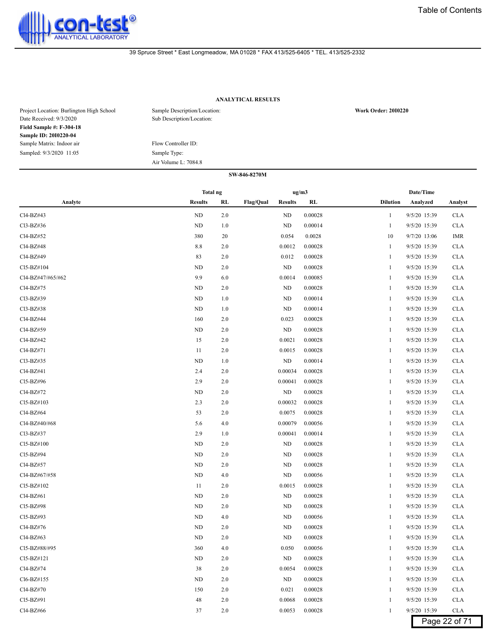

# **ANALYTICAL RESULTS**

| Project Location: Burlington High School<br>Date Received: 9/3/2020 | Sample Description/Location:<br>Sub Description/Location: | <b>Work Order: 2010220</b> |
|---------------------------------------------------------------------|-----------------------------------------------------------|----------------------------|
| <b>Field Sample #: F-304-18</b>                                     |                                                           |                            |
| Sample ID: 2010220-04                                               |                                                           |                            |
| Sample Matrix: Indoor air                                           | Flow Controller ID:                                       |                            |
| Sampled: 9/3/2020 11:05                                             | Sample Type:                                              |                            |
|                                                                     | Air Volume L: 7084.8                                      |                            |

|                   | <b>Total ng</b> |         |                             | ug/m3 |                         | Date/Time    |               |
|-------------------|-----------------|---------|-----------------------------|-------|-------------------------|--------------|---------------|
| Analyte           | <b>Results</b>  | RL      | Flag/Qual<br><b>Results</b> |       | RL<br><b>Dilution</b>   | Analyzed     | Analyst       |
| Cl4-BZ#43         | ND              | 2.0     | ND                          |       | 0.00028<br>$\mathbf{1}$ | 9/5/20 15:39 | <b>CLA</b>    |
| Cl3-BZ#36         | ND              | 1.0     | ND                          |       | 0.00014<br>1            | 9/5/20 15:39 | <b>CLA</b>    |
| Cl4-BZ#52         | 380             | 20      | 0.054                       |       | 0.0028<br>10            | 9/7/20 13:06 | IMR           |
| Cl4-BZ#48         | 8.8             | 2.0     | 0.0012                      |       | 0.00028<br>1            | 9/5/20 15:39 | <b>CLA</b>    |
| Cl4-BZ#49         | 83              | 2.0     | 0.012                       |       | 0.00028<br>1            | 9/5/20 15:39 | <b>CLA</b>    |
| Cl5-BZ#104        | ND              | 2.0     | <b>ND</b>                   |       | 0.00028<br>1            | 9/5/20 15:39 | <b>CLA</b>    |
| Cl4-BZ#47/#65/#62 | 9.9             | 6.0     | 0.0014                      |       | 0.00085<br>1            | 9/5/20 15:39 | <b>CLA</b>    |
| Cl4-BZ#75         | ND              | 2.0     | ND                          |       | 0.00028<br>1            | 9/5/20 15:39 | <b>CLA</b>    |
| Cl3-BZ#39         | ND              | 1.0     | ND                          |       | 0.00014<br>-1           | 9/5/20 15:39 | <b>CLA</b>    |
| Cl3-BZ#38         | ND              | 1.0     | ND                          |       | 0.00014<br>1            | 9/5/20 15:39 | <b>CLA</b>    |
| Cl4-BZ#44         | 160             | 2.0     | 0.023                       |       | 0.00028<br>1            | 9/5/20 15:39 | <b>CLA</b>    |
| Cl4-BZ#59         | ND              | 2.0     | ND                          |       | 0.00028<br>1            | 9/5/20 15:39 | <b>CLA</b>    |
| Cl4-BZ#42         | 15              | 2.0     | 0.0021                      |       | 0.00028<br>1            | 9/5/20 15:39 | <b>CLA</b>    |
| Cl4-BZ#71         | 11              | 2.0     | 0.0015                      |       | 0.00028<br>1            | 9/5/20 15:39 | <b>CLA</b>    |
| Cl3-BZ#35         | ND              | 1.0     | ND                          |       | 0.00014<br>1            | 9/5/20 15:39 | <b>CLA</b>    |
| Cl4-BZ#41         | 2.4             | 2.0     | 0.00034                     |       | 0.00028<br>-1           | 9/5/20 15:39 | <b>CLA</b>    |
| Cl5-BZ#96         | 2.9             | 2.0     | 0.00041                     |       | 0.00028<br>1            | 9/5/20 15:39 | <b>CLA</b>    |
| Cl4-BZ#72         | ND              | 2.0     | ND                          |       | 0.00028<br>1            | 9/5/20 15:39 | <b>CLA</b>    |
| Cl5-BZ#103        | 2.3             | 2.0     | 0.00032                     |       | 0.00028<br>1            | 9/5/20 15:39 | <b>CLA</b>    |
| Cl4-BZ#64         | 53              | 2.0     | 0.0075                      |       | 0.00028<br>1            | 9/5/20 15:39 | <b>CLA</b>    |
| Cl4-BZ#40/#68     | 5.6             | 4.0     | 0.00079                     |       | 0.00056<br>1            | 9/5/20 15:39 | <b>CLA</b>    |
| Cl3-BZ#37         | 2.9             | 1.0     | 0.00041                     |       | 0.00014<br>1            | 9/5/20 15:39 | <b>CLA</b>    |
| Cl5-BZ#100        | ND              | 2.0     | ND                          |       | 0.00028<br>-1           | 9/5/20 15:39 | <b>CLA</b>    |
| Cl5-BZ#94         | ND              | 2.0     | ND                          |       | 0.00028<br>1            | 9/5/20 15:39 | <b>CLA</b>    |
| Cl4-BZ#57         | ND              | 2.0     | ND                          |       | 0.00028<br>1            | 9/5/20 15:39 | <b>CLA</b>    |
| Cl4-BZ#67/#58     | ND              | 4.0     | ND                          |       | 0.00056<br>1            | 9/5/20 15:39 | <b>CLA</b>    |
| Cl5-BZ#102        | 11              | 2.0     | 0.0015                      |       | 0.00028<br>1            | 9/5/20 15:39 | <b>CLA</b>    |
| Cl4-BZ#61         | ND              | 2.0     | ND                          |       | 0.00028<br>1            | 9/5/20 15:39 | <b>CLA</b>    |
| Cl5-BZ#98         | <b>ND</b>       | 2.0     | ND                          |       | 0.00028<br>1            | 9/5/20 15:39 | <b>CLA</b>    |
| Cl5-BZ#93         | ND              | 4.0     | ND                          |       | 0.00056                 | 9/5/20 15:39 | <b>CLA</b>    |
| Cl4-BZ#76         | ND              | 2.0     | ND                          |       | 0.00028<br>1            | 9/5/20 15:39 | <b>CLA</b>    |
| Cl4-BZ#63         | ND              | 2.0     | ND                          |       | 0.00028<br>1            | 9/5/20 15:39 | <b>CLA</b>    |
| Cl5-BZ#88/#95     | 360             | 4.0     | 0.050                       |       | 0.00056                 | 9/5/20 15:39 | <b>CLA</b>    |
| Cl5-BZ#121        | ND              | 2.0     | ND                          |       | 0.00028<br>$\mathbf{1}$ | 9/5/20 15:39 | <b>CLA</b>    |
| Cl4-BZ#74         | 38              | 2.0     | 0.0054                      |       | 0.00028<br>1            | 9/5/20 15:39 | <b>CLA</b>    |
| Cl6-BZ#155        | ND              | 2.0     | ND                          |       | 0.00028                 | 9/5/20 15:39 | <b>CLA</b>    |
| Cl4-BZ#70         | 150             | 2.0     | 0.021                       |       | 0.00028                 | 9/5/20 15:39 | <b>CLA</b>    |
| Cl5-BZ#91         | 48              | 2.0     | 0.0068                      |       | 0.00028<br>1            | 9/5/20 15:39 | <b>CLA</b>    |
| Cl4-BZ#66         | 37              | $2.0\,$ | 0.0053                      |       | 0.00028<br>$\mathbf{1}$ | 9/5/20 15:39 | $\rm CLA$     |
|                   |                 |         |                             |       |                         |              | Page 22 of 71 |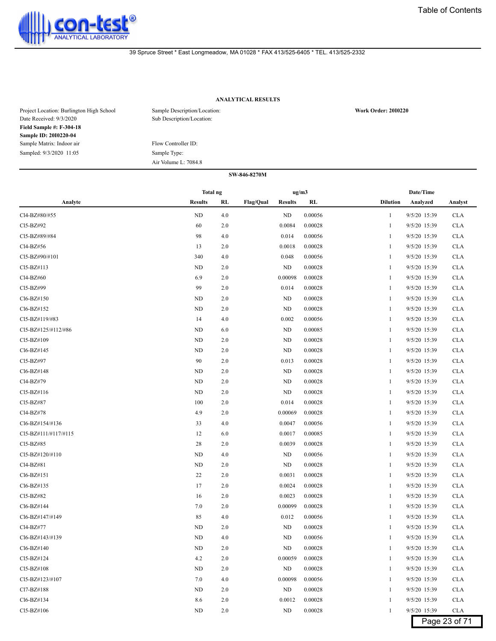

# **ANALYTICAL RESULTS**

| Project Location: Burlington High School<br>Date Received: 9/3/2020 | Sample Description/Location:<br>Sub Description/Location: | <b>Work Order: 2010220</b> |
|---------------------------------------------------------------------|-----------------------------------------------------------|----------------------------|
| <b>Field Sample #: F-304-18</b>                                     |                                                           |                            |
| Sample ID: 2010220-04                                               |                                                           |                            |
| Sample Matrix: Indoor air                                           | Flow Controller ID:                                       |                            |
| Sampled: 9/3/2020 11:05                                             | Sample Type:                                              |                            |
|                                                                     | Air Volume L: 7084.8                                      |                            |

|                      | Total ng       |     |                                    | ug/m3   |                 | Date/Time    |               |  |
|----------------------|----------------|-----|------------------------------------|---------|-----------------|--------------|---------------|--|
| Analyte              | <b>Results</b> | RL  | <b>Flag/Qual</b><br><b>Results</b> | RL      | <b>Dilution</b> | Analyzed     | Analyst       |  |
| Cl4-BZ#80/#55        | ND             | 4.0 | <b>ND</b>                          | 0.00056 | $\mathbf{1}$    | 9/5/20 15:39 | <b>CLA</b>    |  |
| Cl5-BZ#92            | 60             | 2.0 | 0.0084                             | 0.00028 | 1               | 9/5/20 15:39 | <b>CLA</b>    |  |
| Cl5-BZ#89/#84        | 98             | 4.0 | 0.014                              | 0.00056 | 1               | 9/5/20 15:39 | <b>CLA</b>    |  |
| Cl4-BZ#56            | 13             | 2.0 | 0.0018                             | 0.00028 | 1               | 9/5/20 15:39 | <b>CLA</b>    |  |
| CI5-BZ#90/#101       | 340            | 4.0 | 0.048                              | 0.00056 | 1               | 9/5/20 15:39 | <b>CLA</b>    |  |
| Cl5-BZ#113           | <b>ND</b>      | 2.0 | <b>ND</b>                          | 0.00028 | 1               | 9/5/20 15:39 | <b>CLA</b>    |  |
| Cl4-BZ#60            | 6.9            | 2.0 | 0.00098                            | 0.00028 | 1               | 9/5/20 15:39 | <b>CLA</b>    |  |
| Cl5-BZ#99            | 99             | 2.0 | 0.014                              | 0.00028 | 1               | 9/5/20 15:39 | <b>CLA</b>    |  |
| Cl6-BZ#150           | ND             | 2.0 | ND                                 | 0.00028 | 1               | 9/5/20 15:39 | <b>CLA</b>    |  |
| Cl6-BZ#152           | <b>ND</b>      | 2.0 | ND                                 | 0.00028 | 1               | 9/5/20 15:39 | <b>CLA</b>    |  |
| Cl5-BZ#119/#83       | 14             | 4.0 | 0.002                              | 0.00056 | 1               | 9/5/20 15:39 | <b>CLA</b>    |  |
| Cl5-BZ#125/#112/#86  | ND             | 6.0 | ND                                 | 0.00085 | 1               | 9/5/20 15:39 | <b>CLA</b>    |  |
| Cl5-BZ#109           | <b>ND</b>      | 2.0 | ND                                 | 0.00028 | 1               | 9/5/20 15:39 | <b>CLA</b>    |  |
| Cl6-BZ#145           | <b>ND</b>      | 2.0 | ND                                 | 0.00028 | 1               | 9/5/20 15:39 | <b>CLA</b>    |  |
| Cl5-BZ#97            | 90             | 2.0 | 0.013                              | 0.00028 | 1               | 9/5/20 15:39 | <b>CLA</b>    |  |
| Cl6-BZ#148           | <b>ND</b>      | 2.0 | ND                                 | 0.00028 | 1               | 9/5/20 15:39 | <b>CLA</b>    |  |
| Cl4-BZ#79            | <b>ND</b>      | 2.0 | <b>ND</b>                          | 0.00028 | 1               | 9/5/20 15:39 | <b>CLA</b>    |  |
| Cl5-BZ#116           | ND             | 2.0 | ND                                 | 0.00028 | 1               | 9/5/20 15:39 | <b>CLA</b>    |  |
| Cl5-BZ#87            | 100            | 2.0 | 0.014                              | 0.00028 | 1               | 9/5/20 15:39 | <b>CLA</b>    |  |
| Cl4-BZ#78            | 4.9            | 2.0 | 0.00069                            | 0.00028 | 1               | 9/5/20 15:39 | <b>CLA</b>    |  |
| Cl6-BZ#154/#136      | 33             | 4.0 | 0.0047                             | 0.00056 | 1               | 9/5/20 15:39 | <b>CLA</b>    |  |
| Cl5-BZ#111/#117/#115 | 12             | 6.0 | 0.0017                             | 0.00085 | 1               | 9/5/20 15:39 | <b>CLA</b>    |  |
| Cl5-BZ#85            | 28             | 2.0 | 0.0039                             | 0.00028 | 1               | 9/5/20 15:39 | <b>CLA</b>    |  |
| Cl5-BZ#120/#110      | <b>ND</b>      | 4.0 | <b>ND</b>                          | 0.00056 | 1               | 9/5/20 15:39 | <b>CLA</b>    |  |
| Cl4-BZ#81            | ND             | 2.0 | ND                                 | 0.00028 | 1               | 9/5/20 15:39 | <b>CLA</b>    |  |
| Cl6-BZ#151           | 22             | 2.0 | 0.0031                             | 0.00028 | $\mathbf{1}$    | 9/5/20 15:39 | <b>CLA</b>    |  |
| Cl6-BZ#135           | 17             | 2.0 | 0.0024                             | 0.00028 | 1               | 9/5/20 15:39 | <b>CLA</b>    |  |
| Cl5-BZ#82            | 16             | 2.0 | 0.0023                             | 0.00028 | 1               | 9/5/20 15:39 | <b>CLA</b>    |  |
| Cl6-BZ#144           | 7.0            | 2.0 | 0.00099                            | 0.00028 | 1               | 9/5/20 15:39 | <b>CLA</b>    |  |
| Cl6-BZ#147/#149      | 85             | 4.0 | 0.012                              | 0.00056 | 1               | 9/5/20 15:39 | <b>CLA</b>    |  |
| Cl4-BZ#77            | <b>ND</b>      | 2.0 | ND                                 | 0.00028 | 1               | 9/5/20 15:39 | <b>CLA</b>    |  |
| Cl6-BZ#143/#139      | ND             | 4.0 | ND                                 | 0.00056 | 1               | 9/5/20 15:39 | <b>CLA</b>    |  |
| Cl6-BZ#140           | ND             | 2.0 | ND                                 | 0.00028 |                 | 9/5/20 15:39 | <b>CLA</b>    |  |
| Cl5-BZ#124           | $4.2\,$        | 2.0 | 0.00059                            | 0.00028 | 1               | 9/5/20 15:39 | <b>CLA</b>    |  |
| Cl5-BZ#108           | ND             | 2.0 | ND                                 | 0.00028 | 1               | 9/5/20 15:39 | <b>CLA</b>    |  |
| Cl5-BZ#123/#107      | 7.0            | 4.0 | 0.00098                            | 0.00056 | 1               | 9/5/20 15:39 | <b>CLA</b>    |  |
| Cl7-BZ#188           | ND             | 2.0 | ND                                 | 0.00028 | 1               | 9/5/20 15:39 | <b>CLA</b>    |  |
| Cl6-BZ#134           | 8.6            | 2.0 | 0.0012                             | 0.00028 | 1               | 9/5/20 15:39 | <b>CLA</b>    |  |
| Cl5-BZ#106           | ND             | 2.0 | ND                                 | 0.00028 | $\mathbf{1}$    | 9/5/20 15:39 | <b>CLA</b>    |  |
|                      |                |     |                                    |         |                 |              | Page 23 of 71 |  |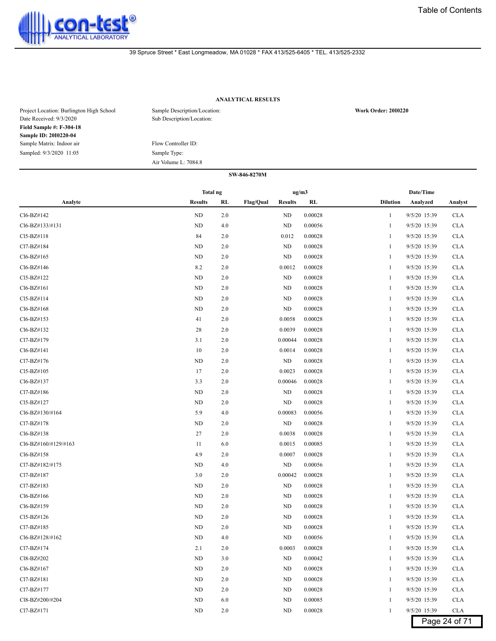

# **ANALYTICAL RESULTS**

| Project Location: Burlington High School<br>Date Received: 9/3/2020 | Sample Description/Location:<br>Sub Description/Location: | <b>Work Order: 2010220</b> |
|---------------------------------------------------------------------|-----------------------------------------------------------|----------------------------|
| <b>Field Sample #: F-304-18</b>                                     |                                                           |                            |
| Sample ID: 2010220-04                                               |                                                           |                            |
| Sample Matrix: Indoor air                                           | Flow Controller ID:                                       |                            |
| Sampled: 9/3/2020 11:05                                             | Sample Type:                                              |                            |
|                                                                     | Air Volume L: 7084.8                                      |                            |

|                      | Total ng       |     |                  | ug/m3          |         |                 | Date/Time    |               |
|----------------------|----------------|-----|------------------|----------------|---------|-----------------|--------------|---------------|
| Analyte              | <b>Results</b> | RL  | <b>Flag/Qual</b> | <b>Results</b> | RL      | <b>Dilution</b> | Analyzed     | Analyst       |
| Cl6-BZ#142           | ND             | 2.0 |                  | ND             | 0.00028 | 1               | 9/5/20 15:39 | <b>CLA</b>    |
| Cl6-BZ#133/#131      | ND             | 4.0 |                  | ND             | 0.00056 | 1               | 9/5/20 15:39 | <b>CLA</b>    |
| Cl5-BZ#118           | 84             | 2.0 |                  | 0.012          | 0.00028 | 1               | 9/5/20 15:39 | <b>CLA</b>    |
| Cl7-BZ#184           | ND             | 2.0 |                  | ND             | 0.00028 | 1               | 9/5/20 15:39 | <b>CLA</b>    |
| Cl6-BZ#165           | ND             | 2.0 |                  | ND             | 0.00028 | 1               | 9/5/20 15:39 | <b>CLA</b>    |
| Cl6-BZ#146           | 8.2            | 2.0 |                  | 0.0012         | 0.00028 | 1               | 9/5/20 15:39 | <b>CLA</b>    |
| Cl5-BZ#122           | ND             | 2.0 |                  | ND             | 0.00028 | 1               | 9/5/20 15:39 | <b>CLA</b>    |
| Cl6-BZ#161           | ND             | 2.0 |                  | ND             | 0.00028 | 1               | 9/5/20 15:39 | <b>CLA</b>    |
| Cl5-BZ#114           | ND             | 2.0 |                  | ND             | 0.00028 | 1               | 9/5/20 15:39 | <b>CLA</b>    |
| Cl6-BZ#168           | ND             | 2.0 |                  | ND             | 0.00028 | 1               | 9/5/20 15:39 | <b>CLA</b>    |
| Cl6-BZ#153           | 41             | 2.0 |                  | 0.0058         | 0.00028 | 1               | 9/5/20 15:39 | <b>CLA</b>    |
| Cl6-BZ#132           | 28             | 2.0 |                  | 0.0039         | 0.00028 | 1               | 9/5/20 15:39 | <b>CLA</b>    |
| Cl7-BZ#179           | 3.1            | 2.0 |                  | 0.00044        | 0.00028 | 1               | 9/5/20 15:39 | <b>CLA</b>    |
| Cl6-BZ#141           | 10             | 2.0 |                  | 0.0014         | 0.00028 | 1               | 9/5/20 15:39 | <b>CLA</b>    |
| Cl7-BZ#176           | ND             | 2.0 |                  | ND             | 0.00028 | 1               | 9/5/20 15:39 | <b>CLA</b>    |
| Cl5-BZ#105           | 17             | 2.0 |                  | 0.0023         | 0.00028 | 1               | 9/5/20 15:39 | <b>CLA</b>    |
| Cl6-BZ#137           | 3.3            | 2.0 |                  | 0.00046        | 0.00028 | 1               | 9/5/20 15:39 | <b>CLA</b>    |
| Cl7-BZ#186           | ND             | 2.0 |                  | ND             | 0.00028 | 1               | 9/5/20 15:39 | <b>CLA</b>    |
| Cl5-BZ#127           | ND             | 2.0 |                  | ND             | 0.00028 | 1               | 9/5/20 15:39 | <b>CLA</b>    |
| Cl6-BZ#130/#164      | 5.9            | 4.0 |                  | 0.00083        | 0.00056 | 1               | 9/5/20 15:39 | <b>CLA</b>    |
| Cl7-BZ#178           | ND             | 2.0 |                  | ND             | 0.00028 | 1               | 9/5/20 15:39 | <b>CLA</b>    |
| Cl6-BZ#138           | 27             | 2.0 |                  | 0.0038         | 0.00028 | 1               | 9/5/20 15:39 | <b>CLA</b>    |
| Cl6-BZ#160/#129/#163 | 11             | 6.0 |                  | 0.0015         | 0.00085 | 1               | 9/5/20 15:39 | <b>CLA</b>    |
| Cl6-BZ#158           | 4.9            | 2.0 |                  | 0.0007         | 0.00028 | 1               | 9/5/20 15:39 | <b>CLA</b>    |
| Cl7-BZ#182/#175      | ND             | 4.0 |                  | ND             | 0.00056 | 1               | 9/5/20 15:39 | <b>CLA</b>    |
| Cl7-BZ#187           | 3.0            | 2.0 |                  | 0.00042        | 0.00028 | 1               | 9/5/20 15:39 | <b>CLA</b>    |
| Cl7-BZ#183           | ND             | 2.0 |                  | ND             | 0.00028 | 1               | 9/5/20 15:39 | <b>CLA</b>    |
| Cl6-BZ#166           | ND             | 2.0 |                  | ND             | 0.00028 | 1               | 9/5/20 15:39 | <b>CLA</b>    |
| Cl6-BZ#159           | ND             | 2.0 |                  | <b>ND</b>      | 0.00028 | 1               | 9/5/20 15:39 | <b>CLA</b>    |
| Cl5-BZ#126           | ND             | 2.0 |                  | ND             | 0.00028 | 1               | 9/5/20 15:39 | <b>CLA</b>    |
| Cl7-BZ#185           | ND             | 2.0 |                  | ND             | 0.00028 | 1               | 9/5/20 15:39 | <b>CLA</b>    |
| Cl6-BZ#128/#162      | ND             | 4.0 |                  | ND             | 0.00056 | 1               | 9/5/20 15:39 | <b>CLA</b>    |
| Cl7-BZ#174           | 2.1            | 2.0 |                  | 0.0003         | 0.00028 | 1               | 9/5/20 15:39 | <b>CLA</b>    |
| Cl8-BZ#202           | ND             | 3.0 |                  | ND             | 0.00042 | 1               | 9/5/20 15:39 | <b>CLA</b>    |
| Cl6-BZ#167           | ND             | 2.0 |                  | ND             | 0.00028 | 1               | 9/5/20 15:39 | <b>CLA</b>    |
| Cl7-BZ#181           | ND             | 2.0 |                  | ND             | 0.00028 | 1               | 9/5/20 15:39 | <b>CLA</b>    |
| Cl7-BZ#177           | ND             | 2.0 |                  | ND             | 0.00028 |                 | 9/5/20 15:39 | <b>CLA</b>    |
| Cl8-BZ#200/#204      | ND             | 6.0 |                  | ND             | 0.00085 | 1               | 9/5/20 15:39 | <b>CLA</b>    |
| Cl7-BZ#171           | ND             | 2.0 |                  | ND             | 0.00028 | $\mathbf{1}$    | 9/5/20 15:39 | <b>CLA</b>    |
|                      |                |     |                  |                |         |                 |              | Page 24 of 71 |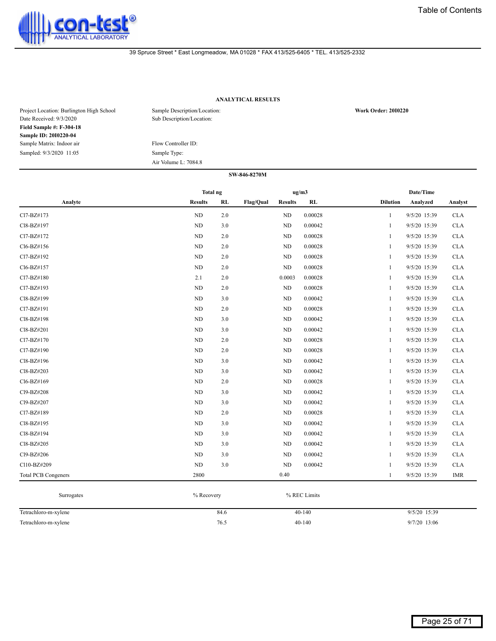

# **ANALYTICAL RESULTS**

| Project Location: Burlington High School<br>Date Received: 9/3/2020 | Sample Description/Location:<br>Sub Description/Location: | <b>Work Order: 2010220</b> |
|---------------------------------------------------------------------|-----------------------------------------------------------|----------------------------|
| <b>Field Sample #: F-304-18</b>                                     |                                                           |                            |
| Sample ID: 2010220-04                                               |                                                           |                            |
| Sample Matrix: Indoor air                                           | Flow Controller ID:                                       |                            |
| Sampled: 9/3/2020 11:05                                             | Sample Type:                                              |                            |
|                                                                     | Air Volume L: 7084.8                                      |                            |

|                            | Total ng       |       |           | ug/m3          |         |                 | Date/Time    |            |
|----------------------------|----------------|-------|-----------|----------------|---------|-----------------|--------------|------------|
| Analyte                    | <b>Results</b> | RL    | Flag/Qual | <b>Results</b> | RL      | <b>Dilution</b> | Analyzed     | Analyst    |
| Cl7-BZ#173                 | ND             | 2.0   |           | $\rm ND$       | 0.00028 | $\mathbf{1}$    | 9/5/20 15:39 | <b>CLA</b> |
| Cl8-BZ#197                 | ND             | 3.0   |           | $\rm ND$       | 0.00042 | $\mathbf{1}$    | 9/5/20 15:39 | <b>CLA</b> |
| Cl7-BZ#172                 | ND             | 2.0   |           | $\rm ND$       | 0.00028 | 1               | 9/5/20 15:39 | <b>CLA</b> |
| Cl6-BZ#156                 | ND             | 2.0   |           | $\rm ND$       | 0.00028 | 1               | 9/5/20 15:39 | <b>CLA</b> |
| Cl7-BZ#192                 | ND             | 2.0   |           | $\rm ND$       | 0.00028 | 1               | 9/5/20 15:39 | <b>CLA</b> |
| Cl6-BZ#157                 | ND             | 2.0   |           | ND             | 0.00028 | $\mathbf{1}$    | 9/5/20 15:39 | <b>CLA</b> |
| Cl7-BZ#180                 | 2.1            | 2.0   |           | 0.0003         | 0.00028 | $\mathbf{1}$    | 9/5/20 15:39 | <b>CLA</b> |
| Cl7-BZ#193                 | ND             | 2.0   |           | ND             | 0.00028 | 1               | 9/5/20 15:39 | <b>CLA</b> |
| Cl8-BZ#199                 | ND             | 3.0   |           | $\rm ND$       | 0.00042 | 1               | 9/5/20 15:39 | <b>CLA</b> |
| Cl7-BZ#191                 | ND             | 2.0   |           | $\rm ND$       | 0.00028 | 1               | 9/5/20 15:39 | <b>CLA</b> |
| Cl8-BZ#198                 | ND             | 3.0   |           | $\rm ND$       | 0.00042 | $\mathbf{1}$    | 9/5/20 15:39 | <b>CLA</b> |
| Cl8-BZ#201                 | ND             | 3.0   |           | $\rm ND$       | 0.00042 | 1               | 9/5/20 15:39 | <b>CLA</b> |
| Cl7-BZ#170                 | <b>ND</b>      | 2.0   |           | ND             | 0.00028 | $\mathbf{1}$    | 9/5/20 15:39 | <b>CLA</b> |
| Cl7-BZ#190                 | ND             | 2.0   |           | ND             | 0.00028 | $\mathbf{1}$    | 9/5/20 15:39 | <b>CLA</b> |
| Cl8-BZ#196                 | ND             | 3.0   |           | $\rm ND$       | 0.00042 | 1               | 9/5/20 15:39 | <b>CLA</b> |
| Cl8-BZ#203                 | ND             | 3.0   |           | $\rm ND$       | 0.00042 | 1               | 9/5/20 15:39 | <b>CLA</b> |
| Cl6-BZ#169                 | ND             | 2.0   |           | $\rm ND$       | 0.00028 | $\mathbf{1}$    | 9/5/20 15:39 | <b>CLA</b> |
| Cl9-BZ#208                 | ND             | 3.0   |           | $\rm ND$       | 0.00042 | $\mathbf{1}$    | 9/5/20 15:39 | <b>CLA</b> |
| Cl9-BZ#207                 | ND             | 3.0   |           | $\rm ND$       | 0.00042 | 1               | 9/5/20 15:39 | <b>CLA</b> |
| Cl7-BZ#189                 | <b>ND</b>      | 2.0   |           | ND             | 0.00028 | $\mathbf{1}$    | 9/5/20 15:39 | <b>CLA</b> |
| Cl8-BZ#195                 | ND             | 3.0   |           | ND             | 0.00042 | $\mathbf{1}$    | 9/5/20 15:39 | <b>CLA</b> |
| Cl8-BZ#194                 | ND             | 3.0   |           | $\rm ND$       | 0.00042 | 1               | 9/5/20 15:39 | <b>CLA</b> |
| Cl8-BZ#205                 | ND             | 3.0   |           | ND             | 0.00042 | 1               | 9/5/20 15:39 | <b>CLA</b> |
| Cl9-BZ#206                 | ND             | 3.0   |           | $\rm ND$       | 0.00042 | $\mathbf{1}$    | 9/5/20 15:39 | <b>CLA</b> |
| Cl10-BZ#209                | ND             | $3.0$ |           | ND             | 0.00042 | $\mathbf{1}$    | 9/5/20 15:39 | <b>CLA</b> |
| <b>Total PCB Congeners</b> | 2800           |       |           | 0.40           |         | $\mathbf{1}$    | 9/5/20 15:39 | <b>IMR</b> |

| Surrogates           | % Recovery | % REC Limits |                |
|----------------------|------------|--------------|----------------|
| Tetrachloro-m-xylene | 84.6       | $40-140$     | $9/5/20$ 15:39 |
| Tetrachloro-m-xylene | 76.5       | $40 - 140$   | 9/7/20 13:06   |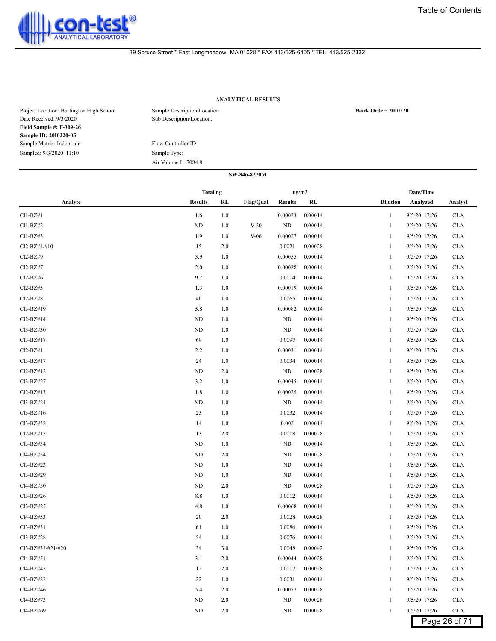

# **ANALYTICAL RESULTS**

| Project Location: Burlington High School<br>Date Received: 9/3/2020 | Sample Description/Location:<br>Sub Description/Location: | <b>Work Order: 2010220</b> |
|---------------------------------------------------------------------|-----------------------------------------------------------|----------------------------|
| <b>Field Sample #: F-309-26</b>                                     |                                                           |                            |
| Sample ID: 2010220-05                                               |                                                           |                            |
| Sample Matrix: Indoor air                                           | Flow Controller ID:                                       |                            |
| Sampled: 9/3/2020 11:10                                             | Sample Type:                                              |                            |
|                                                                     | Air Volume L: 7084.8                                      |                            |

|                   |                 |     | SW-846-8270M     |                |         |                 |              |            |
|-------------------|-----------------|-----|------------------|----------------|---------|-----------------|--------------|------------|
|                   | <b>Total ng</b> |     |                  | ug/m3          |         |                 | Date/Time    |            |
| Analyte           | <b>Results</b>  | RL  | <b>Flag/Qual</b> | <b>Results</b> | RL      | <b>Dilution</b> | Analyzed     | Analyst    |
| Cl1-BZ#1          | 1.6             | 1.0 |                  | 0.00023        | 0.00014 | 1               | 9/5/20 17:26 | <b>CLA</b> |
| Cl1-BZ#2          | <b>ND</b>       | 1.0 | $V-20$           | ND             | 0.00014 | 1               | 9/5/20 17:26 | <b>CLA</b> |
| C11-BZ#3          | 1.9             | 1.0 | $V-06$           | 0.00027        | 0.00014 | 1               | 9/5/20 17:26 | <b>CLA</b> |
| Cl2-BZ#4/#10      | 15              | 2.0 |                  | 0.0021         | 0.00028 | 1               | 9/5/20 17:26 | <b>CLA</b> |
| Cl2-BZ#9          | 3.9             | 1.0 |                  | 0.00055        | 0.00014 | 1               | 9/5/20 17:26 | <b>CLA</b> |
| Cl2-BZ#7          | 2.0             | 1.0 |                  | 0.00028        | 0.00014 | 1               | 9/5/20 17:26 | <b>CLA</b> |
| Cl2-BZ#6          | 9.7             | 1.0 |                  | 0.0014         | 0.00014 | 1               | 9/5/20 17:26 | <b>CLA</b> |
| Cl2-BZ#5          | 1.3             | 1.0 |                  | 0.00019        | 0.00014 | 1               | 9/5/20 17:26 | <b>CLA</b> |
| Cl2-BZ#8          | 46              | 1.0 |                  | 0.0065         | 0.00014 | 1               | 9/5/20 17:26 | <b>CLA</b> |
| Cl3-BZ#19         | 5.8             | 1.0 |                  | 0.00082        | 0.00014 | 1               | 9/5/20 17:26 | <b>CLA</b> |
| Cl2-BZ#14         | <b>ND</b>       | 1.0 |                  | ND             | 0.00014 | 1               | 9/5/20 17:26 | <b>CLA</b> |
| Cl3-BZ#30         | <b>ND</b>       | 1.0 |                  | ND             | 0.00014 | 1               | 9/5/20 17:26 | <b>CLA</b> |
| Cl3-BZ#18         | 69              | 1.0 |                  | 0.0097         | 0.00014 | 1               | 9/5/20 17:26 | <b>CLA</b> |
| Cl2-BZ#11         | 2.2             | 1.0 |                  | 0.00031        | 0.00014 | 1               | 9/5/20 17:26 | <b>CLA</b> |
| Cl3-BZ#17         | 24              | 1.0 |                  | 0.0034         | 0.00014 | 1               | 9/5/20 17:26 | <b>CLA</b> |
| Cl2-BZ#12         | <b>ND</b>       | 2.0 |                  | ND             | 0.00028 | 1               | 9/5/20 17:26 | <b>CLA</b> |
| Cl3-BZ#27         | 3.2             | 1.0 |                  | 0.00045        | 0.00014 | 1               | 9/5/20 17:26 | <b>CLA</b> |
| Cl2-BZ#13         | 1.8             | 1.0 |                  | 0.00025        | 0.00014 | 1               | 9/5/20 17:26 | <b>CLA</b> |
| Cl3-BZ#24         | <b>ND</b>       | 1.0 |                  | ND             | 0.00014 | 1               | 9/5/20 17:26 | <b>CLA</b> |
| Cl3-BZ#16         | 23              | 1.0 |                  | 0.0032         | 0.00014 | 1               | 9/5/20 17:26 | <b>CLA</b> |
| Cl3-BZ#32         | 14              | 1.0 |                  | 0.002          | 0.00014 | 1               | 9/5/20 17:26 | <b>CLA</b> |
| Cl2-BZ#15         | 13              | 2.0 |                  | 0.0018         | 0.00028 | 1               | 9/5/20 17:26 | <b>CLA</b> |
| Cl3-BZ#34         | <b>ND</b>       | 1.0 |                  | ND             | 0.00014 | 1               | 9/5/20 17:26 | <b>CLA</b> |
| Cl4-BZ#54         | <b>ND</b>       | 2.0 |                  | ND             | 0.00028 | 1               | 9/5/20 17:26 | <b>CLA</b> |
| Cl3-BZ#23         | <b>ND</b>       | 1.0 |                  | ND             | 0.00014 | 1               | 9/5/20 17:26 | <b>CLA</b> |
| Cl3-BZ#29         | <b>ND</b>       | 1.0 |                  | ND             | 0.00014 | 1               | 9/5/20 17:26 | <b>CLA</b> |
| Cl4-BZ#50         | <b>ND</b>       | 2.0 |                  | ND             | 0.00028 | 1               | 9/5/20 17:26 | <b>CLA</b> |
| Cl3-BZ#26         | 8.8             | 1.0 |                  | 0.0012         | 0.00014 | 1               | 9/5/20 17:26 | <b>CLA</b> |
| Cl3-BZ#25         | 4.8             | 1.0 |                  | 0.00068        | 0.00014 | 1               | 9/5/20 17:26 | <b>CLA</b> |
| Cl4-BZ#53         | 20              | 2.0 |                  | 0.0028         | 0.00028 | 1               | 9/5/20 17:26 | <b>CLA</b> |
| $Cl3-BZ#31$       | 61              | 1.0 |                  | 0.0086         | 0.00014 | 1               | 9/5/20 17:26 | <b>CLA</b> |
| Cl3-BZ#28         | 54              | 1.0 |                  | 0.0076         | 0.00014 | $\mathbf{1}$    | 9/5/20 17:26 | <b>CLA</b> |
| Cl3-BZ#33/#21/#20 | 34              | 3.0 |                  | 0.0048         | 0.00042 | 1               | 9/5/20 17:26 | <b>CLA</b> |
| Cl4-BZ#51         | 3.1             | 2.0 |                  | 0.00044        | 0.00028 | 1               | 9/5/20 17:26 | <b>CLA</b> |
| Cl4-BZ#45         | 12              | 2.0 |                  | 0.0017         | 0.00028 | 1               | 9/5/20 17:26 | <b>CLA</b> |
| Cl3-BZ#22         | 22              | 1.0 |                  | 0.0031         | 0.00014 | 1               | 9/5/20 17:26 | <b>CLA</b> |
| Cl4-BZ#46         | 5.4             | 2.0 |                  | 0.00077        | 0.00028 | 1               | 9/5/20 17:26 | <b>CLA</b> |
| Cl4-BZ#73         | <b>ND</b>       | 2.0 |                  | ND             | 0.00028 | 1               | 9/5/20 17:26 | <b>CLA</b> |
| Cl4-BZ#69         | <b>ND</b>       | 2.0 |                  | ND             | 0.00028 | 1               | 9/5/20 17:26 | <b>CLA</b> |

Page 26 of 71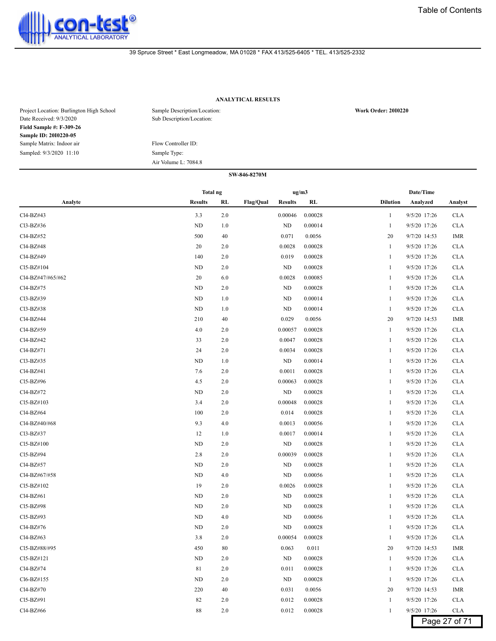

# **ANALYTICAL RESULTS**

| Project Location: Burlington High School<br>Date Received: 9/3/2020 | Sample Description/Location:<br>Sub Description/Location: | <b>Work Order: 2010220</b> |
|---------------------------------------------------------------------|-----------------------------------------------------------|----------------------------|
| <b>Field Sample #: F-309-26</b>                                     |                                                           |                            |
| Sample ID: 2010220-05                                               |                                                           |                            |
| Sample Matrix: Indoor air                                           | Flow Controller ID:                                       |                            |
| Sampled: 9/3/2020 11:10                                             | Sample Type:                                              |                            |
|                                                                     | Air Volume L: 7084.8                                      |                            |

|                   | Total ng       |     |                                    | ug/m3   |                 | Date/Time    |               |
|-------------------|----------------|-----|------------------------------------|---------|-----------------|--------------|---------------|
| Analyte           | <b>Results</b> | RL  | <b>Flag/Qual</b><br><b>Results</b> | RL      | <b>Dilution</b> | Analyzed     | Analyst       |
| Cl4-BZ#43         | 3.3            | 2.0 | 0.00046                            | 0.00028 | $\mathbf{1}$    | 9/5/20 17:26 | <b>CLA</b>    |
| Cl3-BZ#36         | ND             | 1.0 | ND                                 | 0.00014 | 1               | 9/5/20 17:26 | <b>CLA</b>    |
| Cl4-BZ#52         | 500            | 40  | 0.071                              | 0.0056  | 20              | 9/7/20 14:53 | <b>IMR</b>    |
| Cl4-BZ#48         | 20             | 2.0 | 0.0028                             | 0.00028 | $\mathbf{1}$    | 9/5/20 17:26 | <b>CLA</b>    |
| Cl4-BZ#49         | 140            | 2.0 | 0.019                              | 0.00028 | 1               | 9/5/20 17:26 | <b>CLA</b>    |
| Cl5-BZ#104        | <b>ND</b>      | 2.0 | <b>ND</b>                          | 0.00028 | 1               | 9/5/20 17:26 | <b>CLA</b>    |
| Cl4-BZ#47/#65/#62 | 20             | 6.0 | 0.0028                             | 0.00085 | 1               | 9/5/20 17:26 | <b>CLA</b>    |
| Cl4-BZ#75         | ND             | 2.0 | ND                                 | 0.00028 | 1               | 9/5/20 17:26 | <b>CLA</b>    |
| Cl3-BZ#39         | ND             | 1.0 | ND                                 | 0.00014 | 1               | 9/5/20 17:26 | <b>CLA</b>    |
| Cl3-BZ#38         | ND             | 1.0 | ND                                 | 0.00014 | $\mathbf{1}$    | 9/5/20 17:26 | <b>CLA</b>    |
| Cl4-BZ#44         | 210            | 40  | 0.029                              | 0.0056  | 20              | 9/7/20 14:53 | <b>IMR</b>    |
| Cl4-BZ#59         | 4.0            | 2.0 | 0.00057                            | 0.00028 | 1               | 9/5/20 17:26 | <b>CLA</b>    |
| Cl4-BZ#42         | 33             | 2.0 | 0.0047                             | 0.00028 | 1               | 9/5/20 17:26 | <b>CLA</b>    |
| Cl4-BZ#71         | 24             | 2.0 | 0.0034                             | 0.00028 | 1               | 9/5/20 17:26 | <b>CLA</b>    |
| Cl3-BZ#35         | <b>ND</b>      | 1.0 | ND                                 | 0.00014 | 1               | 9/5/20 17:26 | <b>CLA</b>    |
| Cl4-BZ#41         | 7.6            | 2.0 | 0.0011                             | 0.00028 | 1               | 9/5/20 17:26 | <b>CLA</b>    |
| Cl5-BZ#96         | 4.5            | 2.0 | 0.00063                            | 0.00028 | 1               | 9/5/20 17:26 | <b>CLA</b>    |
| Cl4-BZ#72         | ND             | 2.0 | ND                                 | 0.00028 | 1               | 9/5/20 17:26 | <b>CLA</b>    |
| Cl5-BZ#103        | 3.4            | 2.0 | 0.00048                            | 0.00028 | 1               | 9/5/20 17:26 | <b>CLA</b>    |
| Cl4-BZ#64         | 100            | 2.0 | 0.014                              | 0.00028 | 1               | 9/5/20 17:26 | <b>CLA</b>    |
| Cl4-BZ#40/#68     | 9.3            | 4.0 | 0.0013                             | 0.00056 | 1               | 9/5/20 17:26 | <b>CLA</b>    |
| Cl3-BZ#37         | 12             | 1.0 | 0.0017                             | 0.00014 | 1               | 9/5/20 17:26 | <b>CLA</b>    |
| Cl5-BZ#100        | ND             | 2.0 | ND                                 | 0.00028 | 1               | 9/5/20 17:26 | <b>CLA</b>    |
| Cl5-BZ#94         | 2.8            | 2.0 | 0.00039                            | 0.00028 | 1               | 9/5/20 17:26 | <b>CLA</b>    |
| Cl4-BZ#57         | ND             | 2.0 | ND                                 | 0.00028 | 1               | 9/5/20 17:26 | <b>CLA</b>    |
| Cl4-BZ#67/#58     | ND             | 4.0 | ND                                 | 0.00056 | $\mathbf{1}$    | 9/5/20 17:26 | <b>CLA</b>    |
| Cl5-BZ#102        | 19             | 2.0 | 0.0026                             | 0.00028 | 1               | 9/5/20 17:26 | <b>CLA</b>    |
| Cl4-BZ#61         | <b>ND</b>      | 2.0 | ND                                 | 0.00028 | 1               | 9/5/20 17:26 | <b>CLA</b>    |
| Cl5-BZ#98         | ND             | 2.0 | ND                                 | 0.00028 | 1               | 9/5/20 17:26 | <b>CLA</b>    |
| Cl5-BZ#93         | ND             | 4.0 | ND                                 | 0.00056 | 1               | 9/5/20 17:26 | <b>CLA</b>    |
| Cl4-BZ#76         | <b>ND</b>      | 2.0 | <b>ND</b>                          | 0.00028 | 1               | 9/5/20 17:26 | <b>CLA</b>    |
| Cl4-BZ#63         | 3.8            | 2.0 | 0.00054                            | 0.00028 | 1               | 9/5/20 17:26 | <b>CLA</b>    |
| Cl5-BZ#88/#95     | 450            | 80  | 0.063                              | 0.011   | 20              | 9/7/20 14:53 | IMR           |
| Cl5-BZ#121        | ND             | 2.0 | ND                                 | 0.00028 | 1               | 9/5/20 17:26 | <b>CLA</b>    |
| Cl4-BZ#74         | 81             | 2.0 | 0.011                              | 0.00028 | $\mathbf{1}$    | 9/5/20 17:26 | <b>CLA</b>    |
| Cl6-BZ#155        | ND             | 2.0 | ND                                 | 0.00028 | 1               | 9/5/20 17:26 | <b>CLA</b>    |
| Cl4-BZ#70         | 220            | 40  | 0.031                              | 0.0056  | 20              | 9/7/20 14:53 | IMR           |
| Cl5-BZ#91         | 82             | 2.0 | 0.012                              | 0.00028 | 1               | 9/5/20 17:26 | <b>CLA</b>    |
| Cl4-BZ#66         | 88             | 2.0 | 0.012                              | 0.00028 | 1               | 9/5/20 17:26 | <b>CLA</b>    |
|                   |                |     |                                    |         |                 |              | Page 27 of 71 |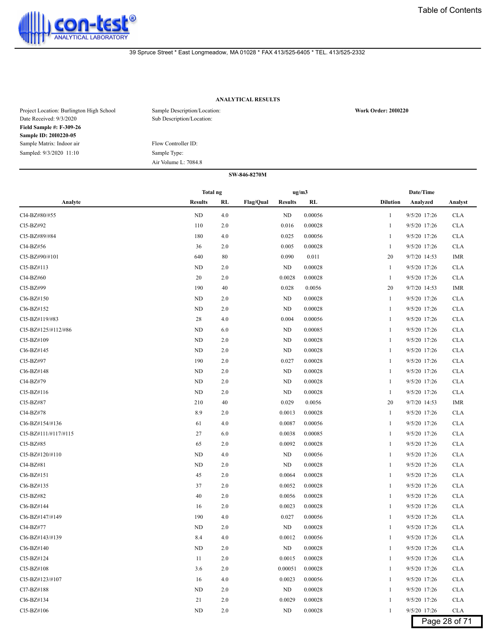

# **ANALYTICAL RESULTS**

| Project Location: Burlington High School<br>Date Received: 9/3/2020 | Sample Description/Location:<br>Sub Description/Location: | <b>Work Order: 2010220</b> |
|---------------------------------------------------------------------|-----------------------------------------------------------|----------------------------|
| <b>Field Sample #: F-309-26</b>                                     |                                                           |                            |
| Sample ID: 2010220-05                                               |                                                           |                            |
| Sample Matrix: Indoor air                                           | Flow Controller ID:                                       |                            |
| Sampled: 9/3/2020 11:10                                             | Sample Type:                                              |                            |
|                                                                     | Air Volume L: 7084.8                                      |                            |

|                                          | Total ng       |         |                  |                | ug/m3   |                 | Date/Time    |               |
|------------------------------------------|----------------|---------|------------------|----------------|---------|-----------------|--------------|---------------|
| Analyte                                  | <b>Results</b> | RL      | <b>Flag/Qual</b> | <b>Results</b> | RL      | <b>Dilution</b> | Analyzed     | Analyst       |
| Cl4-BZ#80/#55                            | ND             | 4.0     |                  | ND             | 0.00056 | 1               | 9/5/20 17:26 | <b>CLA</b>    |
| Cl5-BZ#92                                | 110            | 2.0     |                  | 0.016          | 0.00028 | 1               | 9/5/20 17:26 | <b>CLA</b>    |
| Cl5-BZ#89/#84                            | 180            | 4.0     |                  | 0.025          | 0.00056 | 1               | 9/5/20 17:26 | <b>CLA</b>    |
| Cl4-BZ#56                                | 36             | 2.0     |                  | 0.005          | 0.00028 | 1               | 9/5/20 17:26 | <b>CLA</b>    |
| Cl5-BZ#90/#101                           | 640            | 80      |                  | 0.090          | 0.011   | 20              | 9/7/20 14:53 | <b>IMR</b>    |
| Cl5-BZ#113                               | ND             | 2.0     |                  | <b>ND</b>      | 0.00028 | 1               | 9/5/20 17:26 | <b>CLA</b>    |
| Cl4-BZ#60                                | 20             | 2.0     |                  | 0.0028         | 0.00028 | 1               | 9/5/20 17:26 | <b>CLA</b>    |
| Cl5-BZ#99                                | 190            | 40      |                  | 0.028          | 0.0056  | 20              | 9/7/20 14:53 | IMR           |
| Cl6-BZ#150                               | ND             | 2.0     |                  | ND             | 0.00028 | 1               | 9/5/20 17:26 | <b>CLA</b>    |
| Cl6-BZ#152                               | ND             | 2.0     |                  | ND             | 0.00028 | -1              | 9/5/20 17:26 | <b>CLA</b>    |
| Cl <sub>5</sub> -B <sub>Z</sub> #119/#83 | 28             | 4.0     |                  | 0.004          | 0.00056 | 1               | 9/5/20 17:26 | <b>CLA</b>    |
| Cl5-BZ#125/#112/#86                      | ND             | 6.0     |                  | ND             | 0.00085 | 1               | 9/5/20 17:26 | <b>CLA</b>    |
| Cl5-BZ#109                               | ND             | 2.0     |                  | ND             | 0.00028 | 1               | 9/5/20 17:26 | <b>CLA</b>    |
| Cl6-BZ#145                               | <b>ND</b>      | 2.0     |                  | ND             | 0.00028 | 1               | 9/5/20 17:26 | <b>CLA</b>    |
| Cl5-BZ#97                                | 190            | 2.0     |                  | 0.027          | 0.00028 | 1               | 9/5/20 17:26 | <b>CLA</b>    |
| Cl6-BZ#148                               | ND             | 2.0     |                  | ND             | 0.00028 | 1               | 9/5/20 17:26 | <b>CLA</b>    |
| Cl4-BZ#79                                | ND             | 2.0     |                  | ND             | 0.00028 | -1              | 9/5/20 17:26 | <b>CLA</b>    |
| Cl5-BZ#116                               | ND             | 2.0     |                  | ND             | 0.00028 | 1               | 9/5/20 17:26 | <b>CLA</b>    |
| Cl5-BZ#87                                | 210            | 40      |                  | 0.029          | 0.0056  | 20              | 9/7/20 14:53 | <b>IMR</b>    |
| Cl4-BZ#78                                | 8.9            | 2.0     |                  | 0.0013         | 0.00028 | 1               | 9/5/20 17:26 | <b>CLA</b>    |
| Cl6-BZ#154/#136                          | 61             | 4.0     |                  | 0.0087         | 0.00056 | 1               | 9/5/20 17:26 | <b>CLA</b>    |
| Cl5-BZ#111/#117/#115                     | 27             | 6.0     |                  | 0.0038         | 0.00085 | 1               | 9/5/20 17:26 | <b>CLA</b>    |
| Cl5-BZ#85                                | 65             | 2.0     |                  | 0.0092         | 0.00028 | 1               | 9/5/20 17:26 | <b>CLA</b>    |
| Cl5-BZ#120/#110                          | <b>ND</b>      | 4.0     |                  | ND             | 0.00056 | -1              | 9/5/20 17:26 | <b>CLA</b>    |
| Cl4-BZ#81                                | ND             | 2.0     |                  | ND             | 0.00028 | 1               | 9/5/20 17:26 | <b>CLA</b>    |
| Cl6-BZ#151                               | 45             | 2.0     |                  | 0.0064         | 0.00028 | 1               | 9/5/20 17:26 | <b>CLA</b>    |
| Cl6-BZ#135                               | 37             | 2.0     |                  | 0.0052         | 0.00028 | 1               | 9/5/20 17:26 | <b>CLA</b>    |
| Cl5-BZ#82                                | 40             | 2.0     |                  | 0.0056         | 0.00028 | 1               | 9/5/20 17:26 | <b>CLA</b>    |
| Cl6-BZ#144                               | 16             | 2.0     |                  | 0.0023         | 0.00028 | 1               | 9/5/20 17:26 | <b>CLA</b>    |
| Cl6-BZ#147/#149                          | 190            | 4.0     |                  | 0.027          | 0.00056 | 1               | 9/5/20 17:26 | <b>CLA</b>    |
| Cl4-BZ#77                                | ND             | 2.0     |                  | ND             | 0.00028 | -1              | 9/5/20 17:26 | <b>CLA</b>    |
| Cl6-BZ#143/#139                          | 8.4            | 4.0     |                  | 0.0012         | 0.00056 | 1               | 9/5/20 17:26 | <b>CLA</b>    |
| Cl6-BZ#140                               | ND             | $2.0$   |                  | ND             | 0.00028 | 1               | 9/5/20 17:26 | <b>CLA</b>    |
| Cl5-BZ#124                               | 11             | 2.0     |                  | 0.0015         | 0.00028 | 1               | 9/5/20 17:26 | <b>CLA</b>    |
| Cl5-BZ#108                               | 3.6            | $2.0\,$ |                  | 0.00051        | 0.00028 | 1               | 9/5/20 17:26 | <b>CLA</b>    |
| Cl5-BZ#123/#107                          | 16             | 4.0     |                  | 0.0023         | 0.00056 | 1               | 9/5/20 17:26 | <b>CLA</b>    |
| Cl7-BZ#188                               | ND             | 2.0     |                  | ND             | 0.00028 | 1               | 9/5/20 17:26 | <b>CLA</b>    |
| Cl6-BZ#134                               | 21             | 2.0     |                  | 0.0029         | 0.00028 | 1               | 9/5/20 17:26 | <b>CLA</b>    |
| Cl5-BZ#106                               | $\rm ND$       | 2.0     |                  | ND             | 0.00028 | 1               | 9/5/20 17:26 | <b>CLA</b>    |
|                                          |                |         |                  |                |         |                 |              | Page 28 of 71 |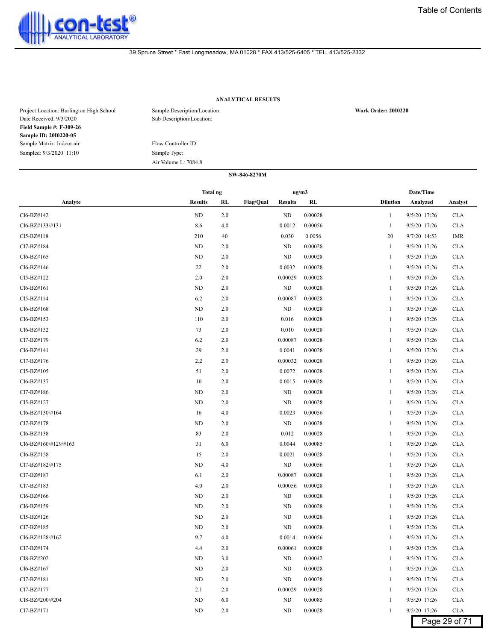

# **ANALYTICAL RESULTS**

| Project Location: Burlington High School<br>Date Received: 9/3/2020 | Sample Description/Location:<br>Sub Description/Location: | <b>Work Order: 2010220</b> |
|---------------------------------------------------------------------|-----------------------------------------------------------|----------------------------|
| <b>Field Sample #: F-309-26</b>                                     |                                                           |                            |
| Sample ID: 2010220-05                                               |                                                           |                            |
| Sample Matrix: Indoor air                                           | Flow Controller ID:                                       |                            |
| Sampled: 9/3/2020 11:10                                             | Sample Type:                                              |                            |
|                                                                     | Air Volume L: 7084.8                                      |                            |

|                      | Total ng       |     |           | ug/m3          |         |                 | Date/Time    |               |
|----------------------|----------------|-----|-----------|----------------|---------|-----------------|--------------|---------------|
| Analyte              | <b>Results</b> | RL  | Flag/Qual | <b>Results</b> | RL      | <b>Dilution</b> | Analyzed     | Analyst       |
| Cl6-BZ#142           | ND             | 2.0 |           | ND             | 0.00028 | 1               | 9/5/20 17:26 | <b>CLA</b>    |
| Cl6-BZ#133/#131      | 8.6            | 4.0 |           | 0.0012         | 0.00056 | 1               | 9/5/20 17:26 | <b>CLA</b>    |
| Cl5-BZ#118           | 210            | 40  |           | 0.030          | 0.0056  | 20              | 9/7/20 14:53 | <b>IMR</b>    |
| Cl7-BZ#184           | ND             | 2.0 |           | ND             | 0.00028 | 1               | 9/5/20 17:26 | <b>CLA</b>    |
| Cl6-BZ#165           | ND             | 2.0 |           | ND             | 0.00028 | 1               | 9/5/20 17:26 | <b>CLA</b>    |
| Cl6-BZ#146           | 22             | 2.0 |           | 0.0032         | 0.00028 | 1               | 9/5/20 17:26 | <b>CLA</b>    |
| Cl5-BZ#122           | 2.0            | 2.0 |           | 0.00029        | 0.00028 | 1               | 9/5/20 17:26 | <b>CLA</b>    |
| Cl6-BZ#161           | ND             | 2.0 |           | ND             | 0.00028 | 1               | 9/5/20 17:26 | <b>CLA</b>    |
| Cl5-BZ#114           | 6.2            | 2.0 |           | 0.00087        | 0.00028 | 1               | 9/5/20 17:26 | <b>CLA</b>    |
| Cl6-BZ#168           | ND             | 2.0 |           | ND             | 0.00028 | -1              | 9/5/20 17:26 | <b>CLA</b>    |
| Cl6-BZ#153           | 110            | 2.0 |           | 0.016          | 0.00028 | 1               | 9/5/20 17:26 | <b>CLA</b>    |
| Cl6-BZ#132           | 73             | 2.0 |           | 0.010          | 0.00028 | 1               | 9/5/20 17:26 | <b>CLA</b>    |
| Cl7-BZ#179           | 6.2            | 2.0 |           | 0.00087        | 0.00028 | 1               | 9/5/20 17:26 | <b>CLA</b>    |
| Cl6-BZ#141           | 29             | 2.0 |           | 0.0041         | 0.00028 | 1               | 9/5/20 17:26 | <b>CLA</b>    |
| Cl7-BZ#176           | 2.2            | 2.0 |           | 0.00032        | 0.00028 | 1               | 9/5/20 17:26 | <b>CLA</b>    |
| Cl5-BZ#105           | 51             | 2.0 |           | 0.0072         | 0.00028 | 1               | 9/5/20 17:26 | <b>CLA</b>    |
| Cl6-BZ#137           | 10             | 2.0 |           | 0.0015         | 0.00028 | -1              | 9/5/20 17:26 | <b>CLA</b>    |
| Cl7-BZ#186           | ND             | 2.0 |           | ND             | 0.00028 | 1               | 9/5/20 17:26 | <b>CLA</b>    |
| Cl5-BZ#127           | ND             | 2.0 |           | ND             | 0.00028 | 1               | 9/5/20 17:26 | <b>CLA</b>    |
| Cl6-BZ#130/#164      | 16             | 4.0 |           | 0.0023         | 0.00056 | 1               | 9/5/20 17:26 | <b>CLA</b>    |
| Cl7-BZ#178           | ND             | 2.0 |           | <b>ND</b>      | 0.00028 | 1               | 9/5/20 17:26 | <b>CLA</b>    |
| Cl6-BZ#138           | 83             | 2.0 |           | 0.012          | 0.00028 | 1               | 9/5/20 17:26 | <b>CLA</b>    |
| Cl6-BZ#160/#129/#163 | 31             | 6.0 |           | 0.0044         | 0.00085 | 1               | 9/5/20 17:26 | <b>CLA</b>    |
| Cl6-BZ#158           | 15             | 2.0 |           | 0.0021         | 0.00028 | -1              | 9/5/20 17:26 | <b>CLA</b>    |
| Cl7-BZ#182/#175      | ND             | 4.0 |           | ND             | 0.00056 | 1               | 9/5/20 17:26 | <b>CLA</b>    |
| Cl7-BZ#187           | 6.1            | 2.0 |           | 0.00087        | 0.00028 | 1               | 9/5/20 17:26 | <b>CLA</b>    |
| Cl7-BZ#183           | 4.0            | 2.0 |           | 0.00056        | 0.00028 | 1               | 9/5/20 17:26 | <b>CLA</b>    |
| Cl6-BZ#166           | ND             | 2.0 |           | ND             | 0.00028 | 1               | 9/5/20 17:26 | <b>CLA</b>    |
| Cl6-BZ#159           | ND             | 2.0 |           | ND             | 0.00028 | 1               | 9/5/20 17:26 | <b>CLA</b>    |
| Cl5-BZ#126           | ND             | 2.0 |           | ND             | 0.00028 | 1               | 9/5/20 17:26 | <b>CLA</b>    |
| Cl7-BZ#185           | ND             | 2.0 |           | ND             | 0.00028 | -1              | 9/5/20 17:26 | <b>CLA</b>    |
| Cl6-BZ#128/#162      | 9.7            | 4.0 |           | 0.0014         | 0.00056 | 1               | 9/5/20 17:26 | <b>CLA</b>    |
| Cl7-BZ#174           | 4.4            | 2.0 |           | 0.00061        | 0.00028 |                 | 9/5/20 17:26 | <b>CLA</b>    |
| Cl8-BZ#202           | ND             | 3.0 |           | ND             | 0.00042 | $\mathbf{1}$    | 9/5/20 17:26 | <b>CLA</b>    |
| Cl6-BZ#167           | $\rm ND$       | 2.0 |           | ND             | 0.00028 | 1               | 9/5/20 17:26 | <b>CLA</b>    |
| Cl7-BZ#181           | ND             | 2.0 |           | ND             | 0.00028 | 1               | 9/5/20 17:26 | <b>CLA</b>    |
| Cl7-BZ#177           | 2.1            | 2.0 |           | 0.00029        | 0.00028 | 1               | 9/5/20 17:26 | <b>CLA</b>    |
| Cl8-BZ#200/#204      | ND             | 6.0 |           | ND             | 0.00085 | 1               | 9/5/20 17:26 | <b>CLA</b>    |
| Cl7-BZ#171           | ND             | 2.0 |           | ND             | 0.00028 | 1               | 9/5/20 17:26 | <b>CLA</b>    |
|                      |                |     |           |                |         |                 |              | Page 29 of 71 |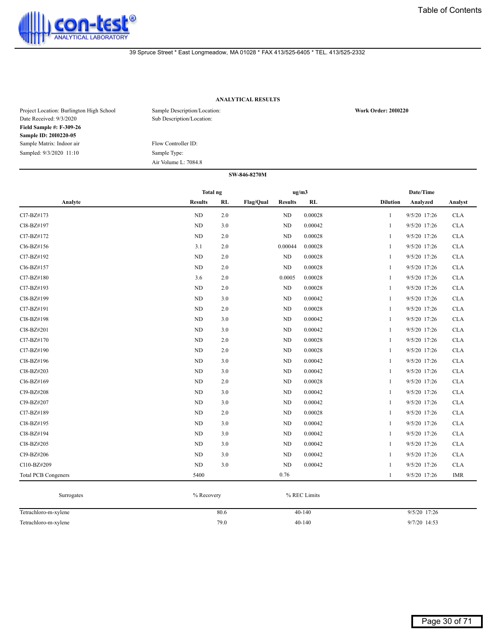

# **ANALYTICAL RESULTS**

| Project Location: Burlington High School<br>Date Received: 9/3/2020 | Sample Description/Location:<br>Sub Description/Location: | <b>Work Order: 2010220</b> |
|---------------------------------------------------------------------|-----------------------------------------------------------|----------------------------|
| <b>Field Sample #: F-309-26</b>                                     |                                                           |                            |
| Sample ID: 2010220-05                                               |                                                           |                            |
| Sample Matrix: Indoor air                                           | Flow Controller ID:                                       |                            |
| Sampled: 9/3/2020 11:10                                             | Sample Type:                                              |                            |
|                                                                     | Air Volume L: 7084.8                                      |                            |

|                            | <b>Total ng</b> |     |                  | ug/m3          |         |                 | Date/Time    |            |
|----------------------------|-----------------|-----|------------------|----------------|---------|-----------------|--------------|------------|
| Analyte                    | <b>Results</b>  | RL  | <b>Flag/Qual</b> | <b>Results</b> | RL      | <b>Dilution</b> | Analyzed     | Analyst    |
| Cl7-BZ#173                 | $\rm ND$        | 2.0 |                  | ND             | 0.00028 | 1               | 9/5/20 17:26 | <b>CLA</b> |
| Cl8-BZ#197                 | ND              | 3.0 |                  | ND             | 0.00042 | 1               | 9/5/20 17:26 | <b>CLA</b> |
| Cl7-BZ#172                 | ND              | 2.0 |                  | ND             | 0.00028 | 1               | 9/5/20 17:26 | <b>CLA</b> |
| Cl6-BZ#156                 | 3.1             | 2.0 |                  | 0.00044        | 0.00028 | 1               | 9/5/20 17:26 | <b>CLA</b> |
| Cl7-BZ#192                 | $\rm ND$        | 2.0 |                  | ND             | 0.00028 | $\mathbf{1}$    | 9/5/20 17:26 | <b>CLA</b> |
| Cl6-BZ#157                 | ND              | 2.0 |                  | ND             | 0.00028 | 1               | 9/5/20 17:26 | <b>CLA</b> |
| Cl7-BZ#180                 | 3.6             | 2.0 |                  | 0.0005         | 0.00028 | 1               | 9/5/20 17:26 | <b>CLA</b> |
| Cl7-BZ#193                 | $\rm ND$        | 2.0 |                  | $\rm ND$       | 0.00028 | 1               | 9/5/20 17:26 | CLA        |
| Cl8-BZ#199                 | ND              | 3.0 |                  | ND             | 0.00042 | 1               | 9/5/20 17:26 | <b>CLA</b> |
| Cl7-BZ#191                 | ND              | 2.0 |                  | ND             | 0.00028 | $\mathbf{1}$    | 9/5/20 17:26 | <b>CLA</b> |
| Cl8-BZ#198                 | ND              | 3.0 |                  | ND             | 0.00042 | 1               | 9/5/20 17:26 | <b>CLA</b> |
| Cl8-BZ#201                 | ND              | 3.0 |                  | ND             | 0.00042 | 1               | 9/5/20 17:26 | <b>CLA</b> |
| Cl7-BZ#170                 | ND              | 2.0 |                  | $\rm ND$       | 0.00028 | 1               | 9/5/20 17:26 | CLA        |
| Cl7-BZ#190                 | ND              | 2.0 |                  | ND             | 0.00028 | $\mathbf{1}$    | 9/5/20 17:26 | <b>CLA</b> |
| Cl8-BZ#196                 | ND              | 3.0 |                  | ND             | 0.00042 | $\mathbf{1}$    | 9/5/20 17:26 | <b>CLA</b> |
| Cl8-BZ#203                 | $\rm ND$        | 3.0 |                  | ND             | 0.00042 | $\mathbf{1}$    | 9/5/20 17:26 | <b>CLA</b> |
| Cl6-BZ#169                 | $\rm ND$        | 2.0 |                  | $\rm ND$       | 0.00028 | 1               | 9/5/20 17:26 | <b>CLA</b> |
| Cl9-BZ#208                 | $\rm ND$        | 3.0 |                  | $\rm ND$       | 0.00042 | 1               | 9/5/20 17:26 | <b>CLA</b> |
| Cl9-BZ#207                 | ND              | 3.0 |                  | ND             | 0.00042 | 1               | 9/5/20 17:26 | <b>CLA</b> |
| Cl7-BZ#189                 | ND              | 2.0 |                  | ND             | 0.00028 | 1               | 9/5/20 17:26 | <b>CLA</b> |
| Cl8-BZ#195                 | ND              | 3.0 |                  | ND             | 0.00042 | $\mathbf{1}$    | 9/5/20 17:26 | <b>CLA</b> |
| Cl8-BZ#194                 | $\rm ND$        | 3.0 |                  | $\rm ND$       | 0.00042 | 1               | 9/5/20 17:26 | <b>CLA</b> |
| Cl8-BZ#205                 | $\rm ND$        | 3.0 |                  | $\rm ND$       | 0.00042 | 1               | 9/5/20 17:26 | <b>CLA</b> |
| Cl9-BZ#206                 | ND              | 3.0 |                  | ND             | 0.00042 | 1               | 9/5/20 17:26 | <b>CLA</b> |
| Cl10-BZ#209                | ND              | 3.0 |                  | ND             | 0.00042 | 1               | 9/5/20 17:26 | <b>CLA</b> |
| <b>Total PCB Congeners</b> | 5400            |     |                  | 0.76           |         | $\mathbf{1}$    | 9/5/20 17:26 | <b>IMR</b> |

| Surrogates           | % Recovery | % REC Limits |              |
|----------------------|------------|--------------|--------------|
| Tetrachloro-m-xylene | 80.6       | $40-140$     | 9/5/20 17:26 |
| Tetrachloro-m-xylene | 79.0       | $40-140$     | 9/7/20 14:53 |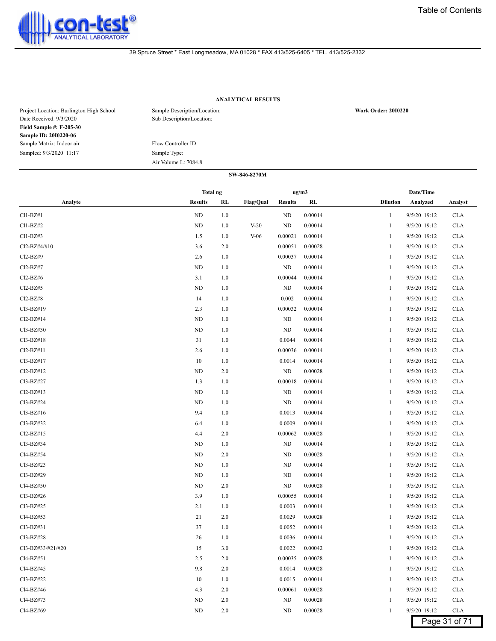

# **ANALYTICAL RESULTS**

| Project Location: Burlington High School<br>Date Received: 9/3/2020 | Sample Description/Location:<br>Sub Description/Location: | <b>Work Order: 2010220</b> |
|---------------------------------------------------------------------|-----------------------------------------------------------|----------------------------|
| <b>Field Sample #: F-205-30</b>                                     |                                                           |                            |
| <b>Sample ID: 2010220-06</b>                                        |                                                           |                            |
| Sample Matrix: Indoor air                                           | Flow Controller ID:                                       |                            |
| Sampled: 9/3/2020 11:17                                             | Sample Type:                                              |                            |
|                                                                     | Air Volume L: 7084.8                                      |                            |

|                                    | Total ng       |     |                  |                | ug/m3   |                 | Date/Time    |               |
|------------------------------------|----------------|-----|------------------|----------------|---------|-----------------|--------------|---------------|
| Analyte                            | <b>Results</b> | RL  | <b>Flag/Qual</b> | <b>Results</b> | RL      | <b>Dilution</b> | Analyzed     | Analyst       |
| $Cl1-BZ#1$                         | ND             | 1.0 |                  | ND             | 0.00014 | $\mathbf{1}$    | 9/5/20 19:12 | <b>CLA</b>    |
| Cl1-BZ#2                           | ND             | 1.0 | $V-20$           | ND             | 0.00014 | 1               | 9/5/20 19:12 | <b>CLA</b>    |
| $Cl1-BZ#3$                         | 1.5            | 1.0 | $V-06$           | 0.00021        | 0.00014 | 1               | 9/5/20 19:12 | <b>CLA</b>    |
| Cl2-BZ#4/#10                       | 3.6            | 2.0 |                  | 0.00051        | 0.00028 | 1               | 9/5/20 19:12 | <b>CLA</b>    |
| Cl2-BZ#9                           | 2.6            | 1.0 |                  | 0.00037        | 0.00014 | 1               | 9/5/20 19:12 | <b>CLA</b>    |
| Cl <sub>2</sub> -B <sub>Z</sub> #7 | ND             | 1.0 |                  | ND             | 0.00014 | 1               | 9/5/20 19:12 | <b>CLA</b>    |
| Cl <sub>2</sub> -B <sub>Z</sub> #6 | 3.1            | 1.0 |                  | 0.00044        | 0.00014 | 1               | 9/5/20 19:12 | <b>CLA</b>    |
| $Cl2-BZ#5$                         | ND             | 1.0 |                  | <b>ND</b>      | 0.00014 | 1               | 9/5/20 19:12 | <b>CLA</b>    |
| Cl2-BZ#8                           | 14             | 1.0 |                  | 0.002          | 0.00014 | 1               | 9/5/20 19:12 | <b>CLA</b>    |
| Cl3-BZ#19                          | 2.3            | 1.0 |                  | 0.00032        | 0.00014 | 1               | 9/5/20 19:12 | <b>CLA</b>    |
| Cl2-BZ#14                          | ND             | 1.0 |                  | ND             | 0.00014 | 1               | 9/5/20 19:12 | <b>CLA</b>    |
| $Cl3-BZ#30$                        | ND             | 1.0 |                  | ND             | 0.00014 | 1               | 9/5/20 19:12 | <b>CLA</b>    |
| $Cl3-BZ#18$                        | 31             | 1.0 |                  | 0.0044         | 0.00014 | 1               | 9/5/20 19:12 | <b>CLA</b>    |
| Cl2-BZ#11                          | 2.6            | 1.0 |                  | 0.00036        | 0.00014 | 1               | 9/5/20 19:12 | <b>CLA</b>    |
| Cl3-BZ#17                          | 10             | 1.0 |                  | 0.0014         | 0.00014 | 1               | 9/5/20 19:12 | <b>CLA</b>    |
| Cl2-BZ#12                          | ND             | 2.0 |                  | ND             | 0.00028 | 1               | 9/5/20 19:12 | <b>CLA</b>    |
| Cl3-BZ#27                          | 1.3            | 1.0 |                  | 0.00018        | 0.00014 | 1               | 9/5/20 19:12 | <b>CLA</b>    |
| Cl2-BZ#13                          | ND             | 1.0 |                  | ND             | 0.00014 | 1               | 9/5/20 19:12 | <b>CLA</b>    |
| Cl3-BZ#24                          | ND             | 1.0 |                  | ND             | 0.00014 | 1               | 9/5/20 19:12 | <b>CLA</b>    |
| Cl3-BZ#16                          | 9.4            | 1.0 |                  | 0.0013         | 0.00014 | 1               | 9/5/20 19:12 | <b>CLA</b>    |
| Cl3-BZ#32                          | 6.4            | 1.0 |                  | 0.0009         | 0.00014 | 1               | 9/5/20 19:12 | <b>CLA</b>    |
| $Cl2-BZ#15$                        | 4.4            | 2.0 |                  | 0.00062        | 0.00028 | 1               | 9/5/20 19:12 | <b>CLA</b>    |
| Cl3-BZ#34                          | ND             | 1.0 |                  | ND             | 0.00014 | 1               | 9/5/20 19:12 | <b>CLA</b>    |
| Cl4-BZ#54                          | ND             | 2.0 |                  | ND             | 0.00028 | 1               | 9/5/20 19:12 | <b>CLA</b>    |
| Cl3-BZ#23                          | ND             | 1.0 |                  | ND             | 0.00014 | 1               | 9/5/20 19:12 | <b>CLA</b>    |
| Cl3-BZ#29                          | ND             | 1.0 |                  | ND             | 0.00014 | 1               | 9/5/20 19:12 | <b>CLA</b>    |
| Cl4-BZ#50                          | ND             | 2.0 |                  | ND             | 0.00028 | 1               | 9/5/20 19:12 | <b>CLA</b>    |
| $Cl3-BZ#26$                        | 3.9            | 1.0 |                  | 0.00055        | 0.00014 | 1               | 9/5/20 19:12 | <b>CLA</b>    |
| Cl3-BZ#25                          | 2.1            | 1.0 |                  | 0.0003         | 0.00014 | 1               | 9/5/20 19:12 | <b>CLA</b>    |
| Cl4-BZ#53                          | 21             | 2.0 |                  | 0.0029         | 0.00028 | 1               | 9/5/20 19:12 | <b>CLA</b>    |
| Cl3-BZ#31                          | 37             | 1.0 |                  | 0.0052         | 0.00014 | 1               | 9/5/20 19:12 | <b>CLA</b>    |
| Cl3-BZ#28                          | 26             | 1.0 |                  | 0.0036         | 0.00014 | 1               | 9/5/20 19:12 | <b>CLA</b>    |
| Cl3-BZ#33/#21/#20                  | 15             | 3.0 |                  | 0.0022         | 0.00042 | 1               | 9/5/20 19:12 | <b>CLA</b>    |
| Cl4-BZ#51                          | 2.5            | 2.0 |                  | 0.00035        | 0.00028 | 1               | 9/5/20 19:12 | <b>CLA</b>    |
| Cl4-BZ#45                          | 9.8            | 2.0 |                  | 0.0014         | 0.00028 | 1               | 9/5/20 19:12 | <b>CLA</b>    |
| Cl3-BZ#22                          | 10             | 1.0 |                  | 0.0015         | 0.00014 | 1               | 9/5/20 19:12 | <b>CLA</b>    |
| Cl4-BZ#46                          | 4.3            | 2.0 |                  | 0.00061        | 0.00028 | 1               | 9/5/20 19:12 | <b>CLA</b>    |
| Cl4-BZ#73                          | ND             | 2.0 |                  | ND             | 0.00028 | 1               | 9/5/20 19:12 | <b>CLA</b>    |
| Cl4-BZ#69                          | ND             | 2.0 |                  | <b>ND</b>      | 0.00028 | 1               | 9/5/20 19:12 | <b>CLA</b>    |
|                                    |                |     |                  |                |         |                 |              | Page 31 of 71 |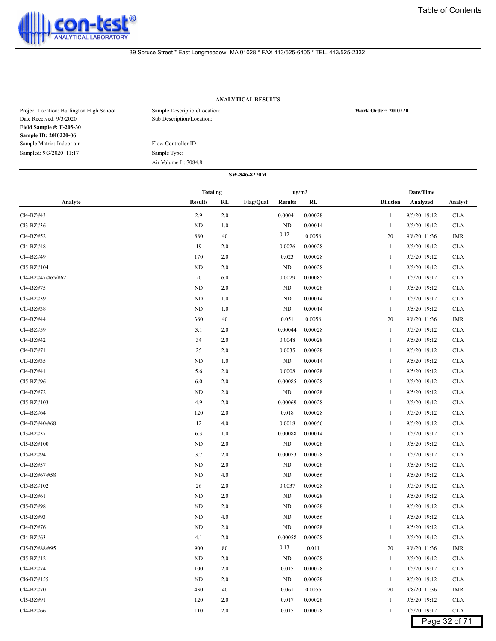

# **ANALYTICAL RESULTS**

| Project Location: Burlington High School<br>Date Received: 9/3/2020 | Sample Description/Location:<br>Sub Description/Location: | <b>Work Order: 2010220</b> |
|---------------------------------------------------------------------|-----------------------------------------------------------|----------------------------|
| <b>Field Sample #: F-205-30</b>                                     |                                                           |                            |
| <b>Sample ID: 2010220-06</b>                                        |                                                           |                            |
| Sample Matrix: Indoor air                                           | Flow Controller ID:                                       |                            |
| Sampled: 9/3/2020 11:17                                             | Sample Type:                                              |                            |
|                                                                     | Air Volume L: 7084.8                                      |                            |

|                   | Total ng       |         |                  | ug/m3          |         |                 | Date/Time    |               |
|-------------------|----------------|---------|------------------|----------------|---------|-----------------|--------------|---------------|
| Analyte           | <b>Results</b> | RL      | <b>Flag/Qual</b> | <b>Results</b> | RL      | <b>Dilution</b> | Analyzed     | Analyst       |
| Cl4-BZ#43         | 2.9            | 2.0     |                  | 0.00041        | 0.00028 | 1               | 9/5/20 19:12 | <b>CLA</b>    |
| Cl3-BZ#36         | ND             | 1.0     |                  | ND             | 0.00014 | 1               | 9/5/20 19:12 | <b>CLA</b>    |
| Cl4-BZ#52         | 880            | 40      |                  | 0.12           | 0.0056  | 20              | 9/8/20 11:36 | IMR           |
| Cl4-BZ#48         | 19             | 2.0     |                  | 0.0026         | 0.00028 | 1               | 9/5/20 19:12 | <b>CLA</b>    |
| Cl4-BZ#49         | 170            | 2.0     |                  | 0.023          | 0.00028 | 1               | 9/5/20 19:12 | <b>CLA</b>    |
| Cl5-BZ#104        | ND             | 2.0     |                  | ND             | 0.00028 | 1               | 9/5/20 19:12 | <b>CLA</b>    |
| Cl4-BZ#47/#65/#62 | 20             | 6.0     |                  | 0.0029         | 0.00085 | 1               | 9/5/20 19:12 | <b>CLA</b>    |
| Cl4-BZ#75         | <b>ND</b>      | 2.0     |                  | ND             | 0.00028 | 1               | 9/5/20 19:12 | <b>CLA</b>    |
| Cl3-BZ#39         | ND             | 1.0     |                  | ND             | 0.00014 |                 | 9/5/20 19:12 | <b>CLA</b>    |
| Cl3-BZ#38         | ND             | 1.0     |                  | ND             | 0.00014 | 1               | 9/5/20 19:12 | <b>CLA</b>    |
| Cl4-BZ#44         | 360            | 40      |                  | 0.051          | 0.0056  | 20              | 9/8/20 11:36 | IMR           |
| Cl4-BZ#59         | 3.1            | 2.0     |                  | 0.00044        | 0.00028 | 1               | 9/5/20 19:12 | <b>CLA</b>    |
| Cl4-BZ#42         | 34             | 2.0     |                  | 0.0048         | 0.00028 | 1               | 9/5/20 19:12 | <b>CLA</b>    |
| Cl4-BZ#71         | 25             | 2.0     |                  | 0.0035         | 0.00028 | 1               | 9/5/20 19:12 | <b>CLA</b>    |
| Cl3-BZ#35         | ND             | 1.0     |                  | ND             | 0.00014 | 1               | 9/5/20 19:12 | <b>CLA</b>    |
| Cl4-BZ#41         | 5.6            | 2.0     |                  | 0.0008         | 0.00028 |                 | 9/5/20 19:12 | <b>CLA</b>    |
| Cl5-BZ#96         | 6.0            | 2.0     |                  | 0.00085        | 0.00028 | -1              | 9/5/20 19:12 | <b>CLA</b>    |
| Cl4-BZ#72         | ND             | 2.0     |                  | ND             | 0.00028 | 1               | 9/5/20 19:12 | <b>CLA</b>    |
| Cl5-BZ#103        | 4.9            | 2.0     |                  | 0.00069        | 0.00028 | 1               | 9/5/20 19:12 | <b>CLA</b>    |
| Cl4-BZ#64         | 120            | 2.0     |                  | 0.018          | 0.00028 | 1               | 9/5/20 19:12 | <b>CLA</b>    |
| Cl4-BZ#40/#68     | 12             | 4.0     |                  | 0.0018         | 0.00056 | 1               | 9/5/20 19:12 | <b>CLA</b>    |
| Cl3-BZ#37         | 6.3            | 1.0     |                  | 0.00088        | 0.00014 | 1               | 9/5/20 19:12 | <b>CLA</b>    |
| Cl5-BZ#100        | ND             | 2.0     |                  | ND             | 0.00028 |                 | 9/5/20 19:12 | <b>CLA</b>    |
| Cl5-BZ#94         | 3.7            | 2.0     |                  | 0.00053        | 0.00028 | -1              | 9/5/20 19:12 | <b>CLA</b>    |
| Cl4-BZ#57         | ND             | 2.0     |                  | ND             | 0.00028 | 1               | 9/5/20 19:12 | <b>CLA</b>    |
| Cl4-BZ#67/#58     | ND             | 4.0     |                  | ND             | 0.00056 | 1               | 9/5/20 19:12 | <b>CLA</b>    |
| Cl5-BZ#102        | 26             | 2.0     |                  | 0.0037         | 0.00028 | 1               | 9/5/20 19:12 | <b>CLA</b>    |
| Cl4-BZ#61         | ND             | 2.0     |                  | ND             | 0.00028 | 1               | 9/5/20 19:12 | <b>CLA</b>    |
| Cl5-BZ#98         | ND             | 2.0     |                  | ND             | 0.00028 | 1               | 9/5/20 19:12 | <b>CLA</b>    |
| Cl5-BZ#93         | ND             | 4.0     |                  | ND             | 0.00056 | 1               | 9/5/20 19:12 | <b>CLA</b>    |
| Cl4-BZ#76         | ND             | 2.0     |                  | ND             | 0.00028 | -1              | 9/5/20 19:12 | <b>CLA</b>    |
| $Cl4-BZ#63$       | 4.1            | 2.0     |                  | 0.00058        | 0.00028 | 1               | 9/5/20 19:12 | <b>CLA</b>    |
| Cl5-BZ#88/#95     | 900            | 80      |                  | 0.13           | 0.011   | 20              | 9/8/20 11:36 | IMR           |
| Cl5-BZ#121        | ND             | 2.0     |                  | ND             | 0.00028 | $\mathbf{1}$    | 9/5/20 19:12 | <b>CLA</b>    |
| Cl4-BZ#74         | 100            | $2.0\,$ |                  | 0.015          | 0.00028 | 1               | 9/5/20 19:12 | <b>CLA</b>    |
| Cl6-BZ#155        | ND             | 2.0     |                  | ND             | 0.00028 | 1               | 9/5/20 19:12 | <b>CLA</b>    |
| Cl4-BZ#70         | 430            | 40      |                  | 0.061          | 0.0056  | 20              | 9/8/20 11:36 | IMR           |
| Cl5-BZ#91         | 120            | 2.0     |                  | 0.017          | 0.00028 | $\mathbf{1}$    | 9/5/20 19:12 | <b>CLA</b>    |
| Cl4-BZ#66         | 110            | $2.0\,$ |                  | 0.015          | 0.00028 | $\mathbf{1}$    | 9/5/20 19:12 | <b>CLA</b>    |
|                   |                |         |                  |                |         |                 |              | Page 32 of 71 |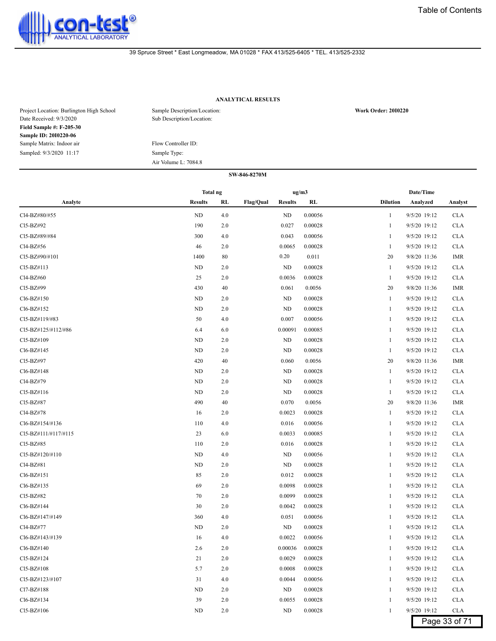

# **ANALYTICAL RESULTS**

| Project Location: Burlington High School<br>Date Received: 9/3/2020 | Sample Description/Location:<br>Sub Description/Location: | <b>Work Order: 2010220</b> |
|---------------------------------------------------------------------|-----------------------------------------------------------|----------------------------|
| <b>Field Sample #: F-205-30</b>                                     |                                                           |                            |
| <b>Sample ID: 2010220-06</b>                                        |                                                           |                            |
| Sample Matrix: Indoor air                                           | Flow Controller ID:                                       |                            |
| Sampled: 9/3/2020 11:17                                             | Sample Type:                                              |                            |
|                                                                     | Air Volume L: 7084.8                                      |                            |

|                      | Total ng       |     |                                    | ug/m3   | Date/Time                                  |
|----------------------|----------------|-----|------------------------------------|---------|--------------------------------------------|
| Analyte              | <b>Results</b> | RL  | <b>Flag/Qual</b><br><b>Results</b> | RL      | <b>Dilution</b><br>Analyzed<br>Analyst     |
| Cl4-BZ#80/#55        | ND             | 4.0 | ND                                 | 0.00056 | 9/5/20 19:12<br><b>CLA</b><br>1            |
| Cl5-BZ#92            | 190            | 2.0 | 0.027                              | 0.00028 | 9/5/20 19:12<br><b>CLA</b><br>1            |
| Cl5-BZ#89/#84        | 300            | 4.0 | 0.043                              | 0.00056 | 9/5/20 19:12<br><b>CLA</b><br>1            |
| Cl4-BZ#56            | 46             | 2.0 | 0.0065                             | 0.00028 | 9/5/20 19:12<br><b>CLA</b><br>1            |
| Cl5-BZ#90/#101       | 1400           | 80  | 0.20                               | 0.011   | 9/8/20 11:36<br><b>IMR</b><br>20           |
| Cl5-BZ#113           | ND             | 2.0 | ND                                 | 0.00028 | 9/5/20 19:12<br><b>CLA</b><br>1            |
| Cl4-BZ#60            | 25             | 2.0 | 0.0036                             | 0.00028 | <b>CLA</b><br>$\mathbf{1}$<br>9/5/20 19:12 |
| Cl5-BZ#99            | 430            | 40  | 0.061                              | 0.0056  | 20<br>9/8/20 11:36<br>IMR                  |
| Cl6-BZ#150           | ND             | 2.0 | ND                                 | 0.00028 | 9/5/20 19:12<br><b>CLA</b><br>1            |
| Cl6-BZ#152           | <b>ND</b>      | 2.0 | ND                                 | 0.00028 | 9/5/20 19:12<br><b>CLA</b><br>1            |
| Cl5-BZ#119/#83       | 50             | 4.0 | 0.007                              | 0.00056 | 9/5/20 19:12<br><b>CLA</b><br>1            |
| Cl5-BZ#125/#112/#86  | 6.4            | 6.0 | 0.00091                            | 0.00085 | 9/5/20 19:12<br><b>CLA</b><br>1            |
| Cl5-BZ#109           | ND             | 2.0 | <b>ND</b>                          | 0.00028 | 9/5/20 19:12<br><b>CLA</b><br>1            |
| Cl6-BZ#145           | ND             | 2.0 | ND                                 | 0.00028 | 9/5/20 19:12<br><b>CLA</b><br>1            |
| Cl5-BZ#97            | 420            | 40  | 0.060                              | 0.0056  | 20<br><b>IMR</b><br>9/8/20 11:36           |
| Cl6-BZ#148           | ND             | 2.0 | ND                                 | 0.00028 | 9/5/20 19:12<br><b>CLA</b><br>1            |
| Cl4-BZ#79            | ND             | 2.0 | ND                                 | 0.00028 | 9/5/20 19:12<br><b>CLA</b><br>1            |
| Cl5-BZ#116           | ND             | 2.0 | ND                                 | 0.00028 | 9/5/20 19:12<br><b>CLA</b><br>1            |
| Cl5-BZ#87            | 490            | 40  | 0.070                              | 0.0056  | 9/8/20 11:36<br><b>IMR</b><br>20           |
| Cl4-BZ#78            | 16             | 2.0 | 0.0023                             | 0.00028 | 9/5/20 19:12<br><b>CLA</b><br>1            |
| Cl6-BZ#154/#136      | 110            | 4.0 | 0.016                              | 0.00056 | <b>CLA</b><br>9/5/20 19:12<br>1            |
| CI5-BZ#111/#117/#115 | 23             | 6.0 | 0.0033                             | 0.00085 | 9/5/20 19:12<br><b>CLA</b><br>1            |
| Cl5-BZ#85            | 110            | 2.0 | 0.016                              | 0.00028 | 9/5/20 19:12<br><b>CLA</b><br>1            |
| Cl5-BZ#120/#110      | $\rm ND$       | 4.0 | ND                                 | 0.00056 | 9/5/20 19:12<br><b>CLA</b><br>1            |
| Cl4-BZ#81            | ND             | 2.0 | ND                                 | 0.00028 | 9/5/20 19:12<br><b>CLA</b><br>1            |
| Cl6-BZ#151           | 85             | 2.0 | 0.012                              | 0.00028 | 9/5/20 19:12<br><b>CLA</b><br>1            |
| Cl6-BZ#135           | 69             | 2.0 | 0.0098                             | 0.00028 | 9/5/20 19:12<br><b>CLA</b><br>1            |
| Cl5-BZ#82            | 70             | 2.0 | 0.0099                             | 0.00028 | 9/5/20 19:12<br><b>CLA</b><br>1            |
| Cl6-BZ#144           | 30             | 2.0 | 0.0042                             | 0.00028 | <b>CLA</b><br>1<br>9/5/20 19:12            |
| Cl6-BZ#147/#149      | 360            | 4.0 | 0.051                              | 0.00056 | <b>CLA</b><br>9/5/20 19:12<br>1            |
| Cl4-BZ#77            | ND             | 2.0 | ND                                 | 0.00028 | 9/5/20 19:12<br><b>CLA</b><br>1            |
| Cl6-BZ#143/#139      | 16             | 4.0 | 0.0022                             | 0.00056 | 9/5/20 19:12<br><b>CLA</b><br>1            |
| Cl6-BZ#140           | 2.6            | 2.0 | 0.00036                            | 0.00028 | 9/5/20 19:12<br><b>CLA</b><br>1            |
| Cl5-BZ#124           | 21             | 2.0 | 0.0029                             | 0.00028 | 9/5/20 19:12<br><b>CLA</b><br>1            |
| Cl5-BZ#108           | 5.7            | 2.0 | 0.0008                             | 0.00028 | 9/5/20 19:12<br><b>CLA</b><br>1            |
| Cl5-BZ#123/#107      | 31             | 4.0 | 0.0044                             | 0.00056 | 9/5/20 19:12<br><b>CLA</b><br>1            |
| Cl7-BZ#188           | ND             | 2.0 | ND                                 | 0.00028 | 9/5/20 19:12<br><b>CLA</b><br>1            |
| Cl6-BZ#134           | 39             | 2.0 | 0.0055                             | 0.00028 | 9/5/20 19:12<br><b>CLA</b><br>1            |
| Cl5-BZ#106           | ND             | 2.0 | ND                                 | 0.00028 | 9/5/20 19:12<br><b>CLA</b><br>1            |
|                      |                |     |                                    |         | Page 33 of 71                              |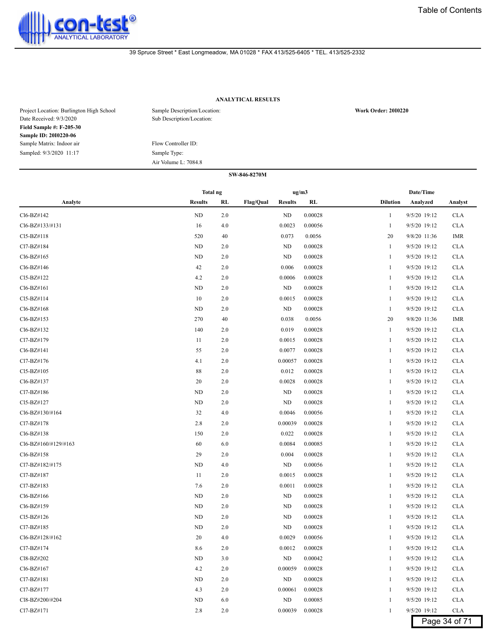

# **ANALYTICAL RESULTS**

| Project Location: Burlington High School | Sample Description/Location: | <b>Work Order: 2010220</b> |
|------------------------------------------|------------------------------|----------------------------|
| Date Received: 9/3/2020                  | Sub Description/Location:    |                            |
| <b>Field Sample #: F-205-30</b>          |                              |                            |
| <b>Sample ID: 2010220-06</b>             |                              |                            |
| Sample Matrix: Indoor air                | Flow Controller ID:          |                            |
| Sampled: 9/3/2020 11:17                  | Sample Type:                 |                            |
|                                          | Air Volume L: 7084.8         |                            |

|                      | Total ng       |     |                  | ug/m3          |         |                 | Date/Time    |               |
|----------------------|----------------|-----|------------------|----------------|---------|-----------------|--------------|---------------|
| Analyte              | <b>Results</b> | RL  | <b>Flag/Qual</b> | <b>Results</b> | RL      | <b>Dilution</b> | Analyzed     | Analyst       |
| Cl6-BZ#142           | ND             | 2.0 |                  | ND             | 0.00028 | $\mathbf{1}$    | 9/5/20 19:12 | <b>CLA</b>    |
| Cl6-BZ#133/#131      | 16             | 4.0 |                  | 0.0023         | 0.00056 | 1               | 9/5/20 19:12 | <b>CLA</b>    |
| Cl5-BZ#118           | 520            | 40  |                  | 0.073          | 0.0056  | 20              | 9/8/20 11:36 | IMR           |
| Cl7-BZ#184           | ND             | 2.0 |                  | ND             | 0.00028 | 1               | 9/5/20 19:12 | <b>CLA</b>    |
| Cl6-BZ#165           | ND             | 2.0 |                  | ND             | 0.00028 | 1               | 9/5/20 19:12 | <b>CLA</b>    |
| Cl6-BZ#146           | 42             | 2.0 |                  | 0.006          | 0.00028 | 1               | 9/5/20 19:12 | <b>CLA</b>    |
| Cl5-BZ#122           | 4.2            | 2.0 |                  | 0.0006         | 0.00028 | $\mathbf{1}$    | 9/5/20 19:12 | <b>CLA</b>    |
| Cl6-BZ#161           | <b>ND</b>      | 2.0 |                  | ND             | 0.00028 | 1               | 9/5/20 19:12 | <b>CLA</b>    |
| Cl5-BZ#114           | 10             | 2.0 |                  | 0.0015         | 0.00028 | 1               | 9/5/20 19:12 | <b>CLA</b>    |
| Cl6-BZ#168           | ND             | 2.0 |                  | ND             | 0.00028 | 1               | 9/5/20 19:12 | <b>CLA</b>    |
| Cl6-BZ#153           | 270            | 40  |                  | 0.038          | 0.0056  | 20              | 9/8/20 11:36 | IMR           |
| Cl6-BZ#132           | 140            | 2.0 |                  | 0.019          | 0.00028 | $\mathbf{1}$    | 9/5/20 19:12 | <b>CLA</b>    |
| Cl7-BZ#179           | 11             | 2.0 |                  | 0.0015         | 0.00028 | $\mathbf{1}$    | 9/5/20 19:12 | <b>CLA</b>    |
| Cl6-BZ#141           | 55             | 2.0 |                  | 0.0077         | 0.00028 | $\mathbf{1}$    | 9/5/20 19:12 | <b>CLA</b>    |
| Cl7-BZ#176           | 4.1            | 2.0 |                  | 0.00057        | 0.00028 | 1               | 9/5/20 19:12 | <b>CLA</b>    |
| Cl5-BZ#105           | 88             | 2.0 |                  | 0.012          | 0.00028 | 1               | 9/5/20 19:12 | <b>CLA</b>    |
| Cl6-BZ#137           | 20             | 2.0 |                  | 0.0028         | 0.00028 | 1               | 9/5/20 19:12 | <b>CLA</b>    |
| Cl7-BZ#186           | ND             | 2.0 |                  | ND             | 0.00028 | 1               | 9/5/20 19:12 | <b>CLA</b>    |
| Cl5-BZ#127           | ND             | 2.0 |                  | ND             | 0.00028 | 1               | 9/5/20 19:12 | <b>CLA</b>    |
| Cl6-BZ#130/#164      | 32             | 4.0 |                  | 0.0046         | 0.00056 | 1               | 9/5/20 19:12 | <b>CLA</b>    |
| Cl7-BZ#178           | 2.8            | 2.0 |                  | 0.00039        | 0.00028 | $\mathbf{1}$    | 9/5/20 19:12 | <b>CLA</b>    |
| Cl6-BZ#138           | 150            | 2.0 |                  | 0.022          | 0.00028 | 1               | 9/5/20 19:12 | <b>CLA</b>    |
| Cl6-BZ#160/#129/#163 | 60             | 6.0 |                  | 0.0084         | 0.00085 | 1               | 9/5/20 19:12 | <b>CLA</b>    |
| Cl6-BZ#158           | 29             | 2.0 |                  | 0.004          | 0.00028 | 1               | 9/5/20 19:12 | <b>CLA</b>    |
| Cl7-BZ#182/#175      | ND             | 4.0 |                  | ND             | 0.00056 | 1               | 9/5/20 19:12 | <b>CLA</b>    |
| Cl7-BZ#187           | 11             | 2.0 |                  | 0.0015         | 0.00028 | 1               | 9/5/20 19:12 | <b>CLA</b>    |
| Cl7-BZ#183           | 7.6            | 2.0 |                  | 0.0011         | 0.00028 | $\mathbf{1}$    | 9/5/20 19:12 | <b>CLA</b>    |
| Cl6-BZ#166           | ND             | 2.0 |                  | ND             | 0.00028 | $\mathbf{1}$    | 9/5/20 19:12 | <b>CLA</b>    |
| Cl6-BZ#159           | <b>ND</b>      | 2.0 |                  | ND             | 0.00028 | 1               | 9/5/20 19:12 | <b>CLA</b>    |
| Cl5-BZ#126           | ND             | 2.0 |                  | ND             | 0.00028 | 1               | 9/5/20 19:12 | <b>CLA</b>    |
| Cl7-BZ#185           | ND             | 2.0 |                  | ND             | 0.00028 | 1               | 9/5/20 19:12 | <b>CLA</b>    |
| Cl6-BZ#128/#162      | 20             | 4.0 |                  | 0.0029         | 0.00056 | 1               | 9/5/20 19:12 | <b>CLA</b>    |
| Cl7-BZ#174           | 8.6            | 2.0 |                  | 0.0012         | 0.00028 | 1               | 9/5/20 19:12 | <b>CLA</b>    |
| Cl8-BZ#202           | <b>ND</b>      | 3.0 |                  | ND             | 0.00042 | $\mathbf{1}$    | 9/5/20 19:12 | <b>CLA</b>    |
| Cl6-BZ#167           | 4.2            | 2.0 |                  | 0.00059        | 0.00028 | 1               | 9/5/20 19:12 | <b>CLA</b>    |
| Cl7-BZ#181           | ND             | 2.0 |                  | ND             | 0.00028 | 1               | 9/5/20 19:12 | <b>CLA</b>    |
| Cl7-BZ#177           | 4.3            | 2.0 |                  | 0.00061        | 0.00028 | 1               | 9/5/20 19:12 | <b>CLA</b>    |
| Cl8-BZ#200/#204      | ND             | 6.0 |                  | ND             | 0.00085 | 1               | 9/5/20 19:12 | <b>CLA</b>    |
| Cl7-BZ#171           | 2.8            | 2.0 |                  | 0.00039        | 0.00028 | 1               | 9/5/20 19:12 | <b>CLA</b>    |
|                      |                |     |                  |                |         |                 |              | Page 34 of 71 |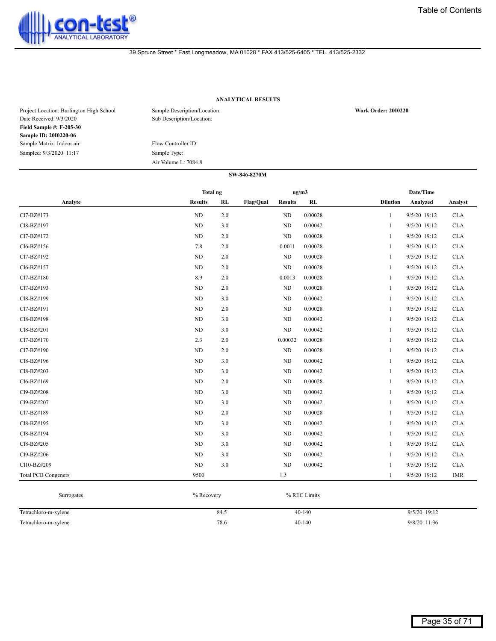

# **ANALYTICAL RESULTS**

| Project Location: Burlington High School<br>Date Received: 9/3/2020 | Sample Description/Location:<br>Sub Description/Location: | <b>Work Order: 2010220</b> |
|---------------------------------------------------------------------|-----------------------------------------------------------|----------------------------|
| <b>Field Sample #: F-205-30</b>                                     |                                                           |                            |
| <b>Sample ID: 2010220-06</b>                                        |                                                           |                            |
| Sample Matrix: Indoor air                                           | Flow Controller ID:                                       |                            |
| Sampled: 9/3/2020 11:17                                             | Sample Type:                                              |                            |
|                                                                     | Air Volume L: 7084.8                                      |                            |

|                            | Total ng       |     |                  | ug/m3          |         |                 | Date/Time    |            |
|----------------------------|----------------|-----|------------------|----------------|---------|-----------------|--------------|------------|
| Analyte                    | <b>Results</b> | RL  | <b>Flag/Qual</b> | <b>Results</b> | RL      | <b>Dilution</b> | Analyzed     | Analyst    |
| Cl7-BZ#173                 | $\rm ND$       | 2.0 |                  | ND             | 0.00028 | 1               | 9/5/20 19:12 | CLA        |
| Cl8-BZ#197                 | ND             | 3.0 |                  | ND             | 0.00042 | $\mathbf{1}$    | 9/5/20 19:12 | <b>CLA</b> |
| Cl7-BZ#172                 | ND             | 2.0 |                  | ND             | 0.00028 | $\mathbf{1}$    | 9/5/20 19:12 | <b>CLA</b> |
| Cl6-BZ#156                 | 7.8            | 2.0 |                  | 0.0011         | 0.00028 | 1               | 9/5/20 19:12 | CLA        |
| Cl7-BZ#192                 | ND             | 2.0 |                  | $\rm ND$       | 0.00028 | 1               | 9/5/20 19:12 | <b>CLA</b> |
| Cl6-BZ#157                 | ND             | 2.0 |                  | ND             | 0.00028 | $\mathbf{1}$    | 9/5/20 19:12 | <b>CLA</b> |
| Cl7-BZ#180                 | 8.9            | 2.0 |                  | 0.0013         | 0.00028 | 1               | 9/5/20 19:12 | <b>CLA</b> |
| Cl7-BZ#193                 | $\rm ND$       | 2.0 |                  | $\rm ND$       | 0.00028 | 1               | 9/5/20 19:12 | CLA        |
| Cl8-BZ#199                 | ND             | 3.0 |                  | $\rm ND$       | 0.00042 | 1               | 9/5/20 19:12 | <b>CLA</b> |
| Cl7-BZ#191                 | ND             | 2.0 |                  | $\rm ND$       | 0.00028 | $\mathbf{1}$    | 9/5/20 19:12 | <b>CLA</b> |
| Cl8-BZ#198                 | ND             | 3.0 |                  | ND             | 0.00042 | 1               | 9/5/20 19:12 | <b>CLA</b> |
| Cl8-BZ#201                 | ND             | 3.0 |                  | ND             | 0.00042 | 1               | 9/5/20 19:12 | <b>CLA</b> |
| Cl7-BZ#170                 | 2.3            | 2.0 |                  | 0.00032        | 0.00028 | 1               | 9/5/20 19:12 | <b>CLA</b> |
| Cl7-BZ#190                 | $\rm ND$       | 2.0 |                  | $\rm ND$       | 0.00028 | $\mathbf{1}$    | 9/5/20 19:12 | <b>CLA</b> |
| Cl8-BZ#196                 | $\rm ND$       | 3.0 |                  | $\rm ND$       | 0.00042 | 1               | 9/5/20 19:12 | CLA        |
| Cl8-BZ#203                 | <b>ND</b>      | 3.0 |                  | ND             | 0.00042 | $\mathbf{1}$    | 9/5/20 19:12 | <b>CLA</b> |
| Cl6-BZ#169                 | ND             | 2.0 |                  | ND             | 0.00028 | 1               | 9/5/20 19:12 | <b>CLA</b> |
| Cl9-BZ#208                 | ND             | 3.0 |                  | ND             | 0.00042 | 1               | 9/5/20 19:12 | <b>CLA</b> |
| Cl9-BZ#207                 | $\rm ND$       | 3.0 |                  | ND             | 0.00042 | 1               | 9/5/20 19:12 | <b>CLA</b> |
| Cl7-BZ#189                 | $\rm ND$       | 2.0 |                  | ND             | 0.00028 | 1               | 9/5/20 19:12 | CLA        |
| Cl8-BZ#195                 | ND             | 3.0 |                  | ND             | 0.00042 | -1              | 9/5/20 19:12 | <b>CLA</b> |
| Cl8-BZ#194                 | ND             | 3.0 |                  | ND             | 0.00042 | 1               | 9/5/20 19:12 | <b>CLA</b> |
| Cl8-BZ#205                 | ND             | 3.0 |                  | ND             | 0.00042 | $\mathbf{1}$    | 9/5/20 19:12 | <b>CLA</b> |
| Cl9-BZ#206                 | $\rm ND$       | 3.0 |                  | ND             | 0.00042 | 1               | 9/5/20 19:12 | <b>CLA</b> |
| Cl10-BZ#209                | ND             | 3.0 |                  | ND             | 0.00042 | 1               | 9/5/20 19:12 | <b>CLA</b> |
| <b>Total PCB Congeners</b> | 9500           |     |                  | 1.3            |         | 1               | 9/5/20 19:12 | <b>IMR</b> |

| Surrogates           | % Recovery | % REC Limits |                |
|----------------------|------------|--------------|----------------|
| Tetrachloro-m-xylene | 84.5       | $40 - 140$   | $9/5/20$ 19:12 |
| Tetrachloro-m-xylene | 78.6       | 40-140       | 9/8/20 11:36   |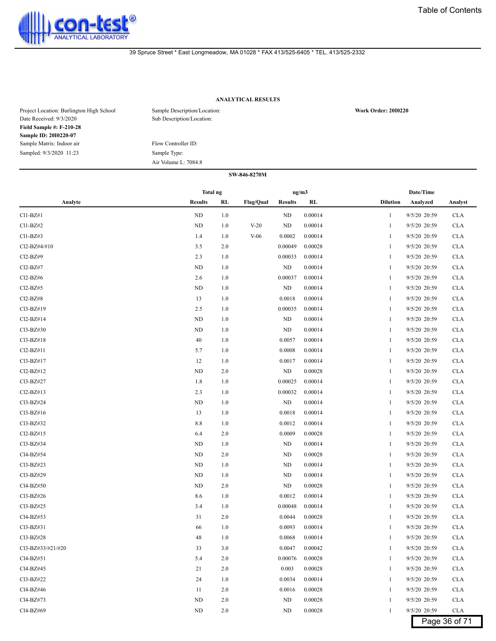

# **ANALYTICAL RESULTS**

| Project Location: Burlington High School<br>Date Received: 9/3/2020 | Sample Description/Location:<br>Sub Description/Location: | <b>Work Order: 2010220</b> |
|---------------------------------------------------------------------|-----------------------------------------------------------|----------------------------|
| <b>Field Sample #: F-210-28</b>                                     |                                                           |                            |
| Sample ID: 2010220-07                                               |                                                           |                            |
| Sample Matrix: Indoor air                                           | Flow Controller ID:                                       |                            |
| Sampled: 9/3/2020 11:23                                             | Sample Type:                                              |                            |
|                                                                     | Air Volume L: 7084.8                                      |                            |

|                                    | <b>Total ng</b> |         |                  | ug/m3          |         |                 | Date/Time    |               |
|------------------------------------|-----------------|---------|------------------|----------------|---------|-----------------|--------------|---------------|
| Analyte                            | <b>Results</b>  | RL      | <b>Flag/Qual</b> | <b>Results</b> | RL      | <b>Dilution</b> | Analyzed     | Analyst       |
| $Cl1-BZ#1$                         | ND              | 1.0     |                  | ND             | 0.00014 | $\mathbf{1}$    | 9/5/20 20:59 | <b>CLA</b>    |
| $Cl1-BZ#2$                         | ND              | 1.0     | $V-20$           | ND             | 0.00014 | $\mathbf{1}$    | 9/5/20 20:59 | <b>CLA</b>    |
| $Cl1-BZ#3$                         | 1.4             | 1.0     | $V-06$           | 0.0002         | 0.00014 | $\mathbf{1}$    | 9/5/20 20:59 | <b>CLA</b>    |
| Cl2-BZ#4/#10                       | 3.5             | 2.0     |                  | 0.00049        | 0.00028 | $\mathbf{1}$    | 9/5/20 20:59 | <b>CLA</b>    |
| Cl2-BZ#9                           | 2.3             | 1.0     |                  | 0.00033        | 0.00014 | $\mathbf{1}$    | 9/5/20 20:59 | <b>CLA</b>    |
| Cl <sub>2</sub> -B <sub>Z</sub> #7 | ND              | 1.0     |                  | $\rm ND$       | 0.00014 | $\mathbf{1}$    | 9/5/20 20:59 | <b>CLA</b>    |
| Cl <sub>2</sub> -B <sub>Z</sub> #6 | 2.6             | 1.0     |                  | 0.00037        | 0.00014 | $\mathbf{1}$    | 9/5/20 20:59 | <b>CLA</b>    |
| $Cl2-BZ#5$                         | ND              | 1.0     |                  | ND             | 0.00014 | $\mathbf{1}$    | 9/5/20 20:59 | <b>CLA</b>    |
| Cl2-BZ#8                           | 13              | 1.0     |                  | 0.0018         | 0.00014 | $\mathbf{1}$    | 9/5/20 20:59 | <b>CLA</b>    |
| Cl3-BZ#19                          | 2.5             | 1.0     |                  | 0.00035        | 0.00014 | $\mathbf{1}$    | 9/5/20 20:59 | <b>CLA</b>    |
| Cl2-BZ#14                          | ND              | 1.0     |                  | ND             | 0.00014 | $\mathbf{1}$    | 9/5/20 20:59 | <b>CLA</b>    |
| Cl3-BZ#30                          | ND              | 1.0     |                  | ND             | 0.00014 | $\mathbf{1}$    | 9/5/20 20:59 | <b>CLA</b>    |
| Cl3-BZ#18                          | 40              | 1.0     |                  | 0.0057         | 0.00014 | 1               | 9/5/20 20:59 | <b>CLA</b>    |
| $Cl2-BZ#11$                        | 5.7             | 1.0     |                  | 0.0008         | 0.00014 | $\mathbf{1}$    | 9/5/20 20:59 | <b>CLA</b>    |
| Cl3-BZ#17                          | 12              | 1.0     |                  | 0.0017         | 0.00014 | $\mathbf{1}$    | 9/5/20 20:59 | <b>CLA</b>    |
| Cl2-BZ#12                          | <b>ND</b>       | 2.0     |                  | ND             | 0.00028 | $\mathbf{1}$    | 9/5/20 20:59 | <b>CLA</b>    |
| Cl3-BZ#27                          | 1.8             | 1.0     |                  | 0.00025        | 0.00014 | $\mathbf{1}$    | 9/5/20 20:59 | <b>CLA</b>    |
| $Cl2-BZ#13$                        | 2.3             | 1.0     |                  | 0.00032        | 0.00014 | $\mathbf{1}$    | 9/5/20 20:59 | <b>CLA</b>    |
| Cl3-BZ#24                          | ND              | 1.0     |                  | ND             | 0.00014 | $\mathbf{1}$    | 9/5/20 20:59 | <b>CLA</b>    |
| Cl3-BZ#16                          | 13              | 1.0     |                  | 0.0018         | 0.00014 | $\mathbf{1}$    | 9/5/20 20:59 | <b>CLA</b>    |
| Cl3-BZ#32                          | 8.8             | 1.0     |                  | 0.0012         | 0.00014 | $\mathbf{1}$    | 9/5/20 20:59 | <b>CLA</b>    |
| Cl2-BZ#15                          | 6.4             | 2.0     |                  | 0.0009         | 0.00028 | $\mathbf{1}$    | 9/5/20 20:59 | <b>CLA</b>    |
| Cl3-BZ#34                          | ND              | 1.0     |                  | ND             | 0.00014 | $\mathbf{1}$    | 9/5/20 20:59 | <b>CLA</b>    |
| Cl4-BZ#54                          | <b>ND</b>       | 2.0     |                  | ND             | 0.00028 | $\mathbf{1}$    | 9/5/20 20:59 | <b>CLA</b>    |
| Cl3-BZ#23                          | ND              | 1.0     |                  | ND             | 0.00014 | $\mathbf{1}$    | 9/5/20 20:59 | <b>CLA</b>    |
| Cl3-BZ#29                          | ND              | 1.0     |                  | ND             | 0.00014 | 1               | 9/5/20 20:59 | <b>CLA</b>    |
| Cl4-BZ#50                          | ND              | 2.0     |                  | ND             | 0.00028 | $\mathbf{1}$    | 9/5/20 20:59 | <b>CLA</b>    |
| Cl3-BZ#26                          | 8.6             | 1.0     |                  | 0.0012         | 0.00014 | $\mathbf{1}$    | 9/5/20 20:59 | <b>CLA</b>    |
| Cl3-BZ#25                          | 3.4             | 1.0     |                  | 0.00048        | 0.00014 | $\mathbf{1}$    | 9/5/20 20:59 | <b>CLA</b>    |
| Cl4-BZ#53                          | 31              | 2.0     |                  | 0.0044         | 0.00028 | $\mathbf{1}$    | 9/5/20 20:59 | <b>CLA</b>    |
| Cl3-BZ#31                          | 66              | 1.0     |                  | 0.0093         | 0.00014 | $\mathbf{1}$    | 9/5/20 20:59 | <b>CLA</b>    |
| Cl3-BZ#28                          | 48              | 1.0     |                  | 0.0068         | 0.00014 | 1               | 9/5/20 20:59 | <b>CLA</b>    |
| Cl3-BZ#33/#21/#20                  | 33              | 3.0     |                  | 0.0047         | 0.00042 | 1               | 9/5/20 20:59 | <b>CLA</b>    |
| Cl4-BZ#51                          | 5.4             | 2.0     |                  | 0.00076        | 0.00028 | 1               | 9/5/20 20:59 | <b>CLA</b>    |
| Cl4-BZ#45                          | 21              | $2.0\,$ |                  | 0.003          | 0.00028 | 1               | 9/5/20 20:59 | <b>CLA</b>    |
| Cl3-BZ#22                          | 24              | 1.0     |                  | 0.0034         | 0.00014 | $\mathbf{1}$    | 9/5/20 20:59 | <b>CLA</b>    |
| Cl4-BZ#46                          | 11              | 2.0     |                  | 0.0016         | 0.00028 | $\mathbf{1}$    | 9/5/20 20:59 | <b>CLA</b>    |
| Cl4-BZ#73                          | ND              | 2.0     |                  | ND             | 0.00028 | $\mathbf{1}$    | 9/5/20 20:59 | <b>CLA</b>    |
| Cl4-BZ#69                          | ${\rm ND}$      | 2.0     |                  | ND             | 0.00028 | $\mathbf{1}$    | 9/5/20 20:59 | <b>CLA</b>    |
|                                    |                 |         |                  |                |         |                 |              | Page 36 of 71 |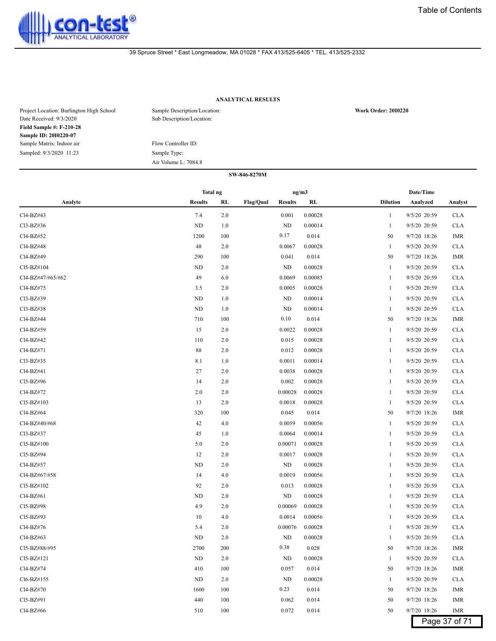

# **ANALYTICAL RESULTS**

| Project Location: Burlington High School<br>Date Received: 9/3/2020 | Sample Description/Location:<br>Sub Description/Location: | <b>Work Order: 2010220</b> |
|---------------------------------------------------------------------|-----------------------------------------------------------|----------------------------|
| <b>Field Sample #: F-210-28</b>                                     |                                                           |                            |
| Sample ID: 2010220-07                                               |                                                           |                            |
| Sample Matrix: Indoor air                                           | Flow Controller ID:                                       |                            |
| Sampled: 9/3/2020 11:23                                             | Sample Type:                                              |                            |
|                                                                     | Air Volume L: 7084.8                                      |                            |

|                   | <b>Total ng</b> |         |                                    | ug/m3   | Date/Time                    |            |
|-------------------|-----------------|---------|------------------------------------|---------|------------------------------|------------|
| Analyte           | <b>Results</b>  | RL      | <b>Flag/Qual</b><br><b>Results</b> | RL      | <b>Dilution</b><br>Analyzed  | Analyst    |
| Cl4-BZ#43         | 7.4             | 2.0     | 0.001                              | 0.00028 | 9/5/20 20:59<br>1            | <b>CLA</b> |
| Cl3-BZ#36         | ND              | 1.0     | ND                                 | 0.00014 | 9/5/20 20:59<br>1            | <b>CLA</b> |
| Cl4-BZ#52         | 1200            | 100     | 0.17                               | 0.014   | 9/7/20 18:26<br>50           | IMR        |
| Cl4-BZ#48         | 48              | $2.0\,$ | 0.0067                             | 0.00028 | 9/5/20 20:59<br>$\mathbf{1}$ | <b>CLA</b> |
| Cl4-BZ#49         | 290             | 100     | 0.041                              | 0.014   | 9/7/20 18:26<br>50           | IMR        |
| Cl5-BZ#104        | ND              | 2.0     | ND                                 | 0.00028 | 9/5/20 20:59<br>$\mathbf{1}$ | <b>CLA</b> |
| Cl4-BZ#47/#65/#62 | 49              | 6.0     | 0.0069                             | 0.00085 | 9/5/20 20:59<br>1            | <b>CLA</b> |
| Cl4-BZ#75         | 3.5             | 2.0     | 0.0005                             | 0.00028 | 9/5/20 20:59<br>1            | <b>CLA</b> |
| Cl3-BZ#39         | ND              | 1.0     | ND                                 | 0.00014 | 9/5/20 20:59<br>-1           | <b>CLA</b> |
| Cl3-BZ#38         | ND              | 1.0     | ND                                 | 0.00014 | 9/5/20 20:59<br>$\mathbf{1}$ | <b>CLA</b> |
| Cl4-BZ#44         | 710             | 100     | 0.10                               | 0.014   | 9/7/20 18:26<br>50           | IMR        |
| Cl4-BZ#59         | 15              | 2.0     | 0.0022                             | 0.00028 | 9/5/20 20:59<br>1            | <b>CLA</b> |
| Cl4-BZ#42         | 110             | 2.0     | 0.015                              | 0.00028 | 9/5/20 20:59<br>1            | <b>CLA</b> |
| Cl4-BZ#71         | 88              | 2.0     | 0.012                              | 0.00028 | 9/5/20 20:59<br>1            | <b>CLA</b> |
| Cl3-BZ#35         | 8.1             | 1.0     | 0.0011                             | 0.00014 | 9/5/20 20:59<br>1            | <b>CLA</b> |
| Cl4-BZ#41         | 27              | 2.0     | 0.0038                             | 0.00028 | 9/5/20 20:59<br>-1           | <b>CLA</b> |
| Cl5-BZ#96         | 14              | 2.0     | 0.002                              | 0.00028 | 9/5/20 20:59<br>1            | <b>CLA</b> |
| Cl4-BZ#72         | 2.0             | 2.0     | 0.00028                            | 0.00028 | 9/5/20 20:59<br>1            | <b>CLA</b> |
| Cl5-BZ#103        | 13              | 2.0     | 0.0018                             | 0.00028 | 9/5/20 20:59<br>1            | <b>CLA</b> |
| Cl4-BZ#64         | 320             | 100     | 0.045                              | 0.014   | 9/7/20 18:26<br>50           | <b>IMR</b> |
| Cl4-BZ#40/#68     | 42              | 4.0     | 0.0059                             | 0.00056 | 9/5/20 20:59<br>$\mathbf{1}$ | <b>CLA</b> |
| Cl3-BZ#37         | 45              | 1.0     | 0.0064                             | 0.00014 | 9/5/20 20:59<br>1            | <b>CLA</b> |
| Cl5-BZ#100        | 5.0             | 2.0     | 0.00071                            | 0.00028 | 9/5/20 20:59<br>-1           | <b>CLA</b> |
| Cl5-BZ#94         | 12              | 2.0     | 0.0017                             | 0.00028 | 9/5/20 20:59<br>1            | <b>CLA</b> |
| Cl4-BZ#57         | ND              | 2.0     | ND                                 | 0.00028 | 9/5/20 20:59<br>1            | <b>CLA</b> |
| Cl4-BZ#67/#58     | 14              | 4.0     | 0.0019                             | 0.00056 | 9/5/20 20:59<br>1            | <b>CLA</b> |
| Cl5-BZ#102        | 92              | 2.0     | 0.013                              | 0.00028 | 9/5/20 20:59<br>1            | <b>CLA</b> |
| Cl4-BZ#61         | ND              | 2.0     | ND                                 | 0.00028 | 9/5/20 20:59<br>1            | <b>CLA</b> |
| Cl5-BZ#98         | 4.9             | 2.0     | 0.00069                            | 0.00028 | 9/5/20 20:59<br>1            | <b>CLA</b> |
| Cl5-BZ#93         | 10              | 4.0     | 0.0014                             | 0.00056 | 9/5/20 20:59<br>1            | <b>CLA</b> |
| Cl4-BZ#76         | 5.4             | 2.0     | 0.00076                            | 0.00028 | 9/5/20 20:59<br>1            | <b>CLA</b> |
| Cl4-BZ#63         | ND              | 2.0     | ND                                 | 0.00028 | 9/5/20 20:59<br>1            | <b>CLA</b> |
| Cl5-BZ#88/#95     | 2700            | 200     | 0.38                               | 0.028   | 9/7/20 18:26<br>50           | IMR        |
| Cl5-BZ#121        | ND              | $2.0\,$ | $\rm ND$                           | 0.00028 | 9/5/20 20:59<br>$\mathbf{1}$ | <b>CLA</b> |
| Cl4-BZ#74         | 410             | 100     | 0.057                              | 0.014   | 50<br>9/7/20 18:26           | IMR        |
| Cl6-BZ#155        | ND              | 2.0     | ND                                 | 0.00028 | 9/5/20 20:59<br>1            | <b>CLA</b> |
| Cl4-BZ#70         | 1600            | 100     | 0.23                               | 0.014   | 9/7/20 18:26<br>50           | IMR        |
| Cl5-BZ#91         | 440             | 100     | 0.062                              | 0.014   | 9/7/20 18:26<br>50           | IMR        |
| Cl4-BZ#66         | 510             | 100     | 0.072                              | 0.014   | 50<br>9/7/20 18:26           | IMR        |
|                   |                 |         |                                    |         | Page 37 of 71                |            |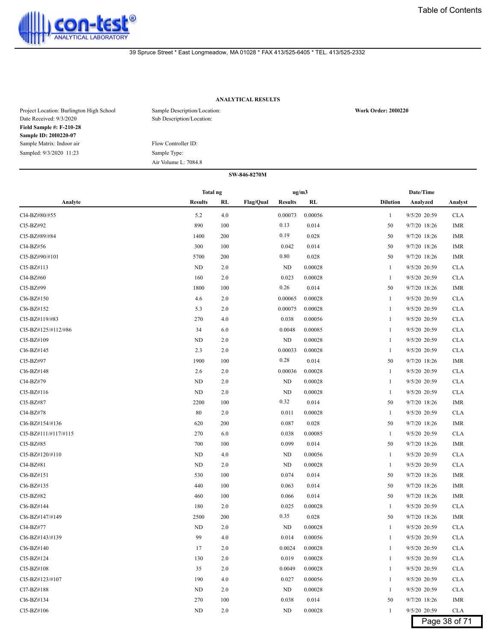

# **ANALYTICAL RESULTS**

| Project Location: Burlington High School<br>Date Received: 9/3/2020 | Sample Description/Location:<br>Sub Description/Location: | <b>Work Order: 2010220</b> |
|---------------------------------------------------------------------|-----------------------------------------------------------|----------------------------|
| <b>Field Sample #: F-210-28</b>                                     |                                                           |                            |
| Sample ID: 2010220-07                                               |                                                           |                            |
| Sample Matrix: Indoor air                                           | Flow Controller ID:                                       |                            |
| Sampled: 9/3/2020 11:23                                             | Sample Type:                                              |                            |
|                                                                     | Air Volume L: 7084.8                                      |                            |

#### **SW-846-8270M**

|                      | Total ng       |       |                  | ug/m3          |         |                 | Date/Time    |               |
|----------------------|----------------|-------|------------------|----------------|---------|-----------------|--------------|---------------|
| Analyte              | <b>Results</b> | RL    | <b>Flag/Qual</b> | <b>Results</b> | RL      | <b>Dilution</b> | Analyzed     | Analyst       |
| Cl4-BZ#80/#55        | 5.2            | 4.0   |                  | 0.00073        | 0.00056 | $\mathbf{1}$    | 9/5/20 20:59 | <b>CLA</b>    |
| Cl5-BZ#92            | 890            | 100   |                  | 0.13           | 0.014   | 50              | 9/7/20 18:26 | IMR           |
| Cl5-BZ#89/#84        | 1400           | 200   |                  | 0.19           | 0.028   | 50              | 9/7/20 18:26 | <b>IMR</b>    |
| Cl4-BZ#56            | 300            | 100   |                  | 0.042          | 0.014   | 50              | 9/7/20 18:26 | <b>IMR</b>    |
| Cl5-BZ#90/#101       | 5700           | 200   |                  | 0.80           | 0.028   | 50              | 9/7/20 18:26 | <b>IMR</b>    |
| CI5-BZ#113           | ND             | 2.0   |                  | ND             | 0.00028 | 1               | 9/5/20 20:59 | <b>CLA</b>    |
| Cl4-BZ#60            | 160            | 2.0   |                  | 0.023          | 0.00028 | $\mathbf{1}$    | 9/5/20 20:59 | <b>CLA</b>    |
| Cl5-BZ#99            | 1800           | 100   |                  | 0.26           | 0.014   | 50              | 9/7/20 18:26 | IMR           |
| Cl6-BZ#150           | 4.6            | 2.0   |                  | 0.00065        | 0.00028 | 1               | 9/5/20 20:59 | <b>CLA</b>    |
| Cl6-BZ#152           | 5.3            | 2.0   |                  | 0.00075        | 0.00028 | 1               | 9/5/20 20:59 | <b>CLA</b>    |
| Cl5-BZ#119/#83       | 270            | 4.0   |                  | 0.038          | 0.00056 | 1               | 9/5/20 20:59 | <b>CLA</b>    |
| Cl5-BZ#125/#112/#86  | 34             | 6.0   |                  | 0.0048         | 0.00085 | 1               | 9/5/20 20:59 | <b>CLA</b>    |
| Cl5-BZ#109           | ND             | 2.0   |                  | ND             | 0.00028 | 1               | 9/5/20 20:59 | <b>CLA</b>    |
| Cl6-BZ#145           | 2.3            | 2.0   |                  | 0.00033        | 0.00028 | 1               | 9/5/20 20:59 | <b>CLA</b>    |
| Cl5-BZ#97            | 1900           | 100   |                  | 0.28           | 0.014   | 50              | 9/7/20 18:26 | <b>IMR</b>    |
| Cl6-BZ#148           | 2.6            | 2.0   |                  | 0.00036        | 0.00028 | 1               | 9/5/20 20:59 | <b>CLA</b>    |
| Cl4-BZ#79            | ND             | 2.0   |                  | ND             | 0.00028 | 1               | 9/5/20 20:59 | <b>CLA</b>    |
| CI5-BZ#116           | <b>ND</b>      | 2.0   |                  | <b>ND</b>      | 0.00028 | 1               | 9/5/20 20:59 | <b>CLA</b>    |
| Cl5-BZ#87            | 2200           | 100   |                  | 0.32           | 0.014   | 50              | 9/7/20 18:26 | <b>IMR</b>    |
| Cl4-BZ#78            | 80             | 2.0   |                  | 0.011          | 0.00028 | $\mathbf{1}$    | 9/5/20 20:59 | <b>CLA</b>    |
| Cl6-BZ#154/#136      | 620            | 200   |                  | 0.087          | 0.028   | 50              | 9/7/20 18:26 | <b>IMR</b>    |
| Cl5-BZ#111/#117/#115 | 270            | 6.0   |                  | 0.038          | 0.00085 | 1               | 9/5/20 20:59 | <b>CLA</b>    |
| Cl5-BZ#85            | 700            | 100   |                  | 0.099          | 0.014   | 50              | 9/7/20 18:26 | <b>IMR</b>    |
| Cl5-BZ#120/#110      | ND             | 4.0   |                  | ND             | 0.00056 | 1               | 9/5/20 20:59 | <b>CLA</b>    |
| Cl4-BZ#81            | ND             | 2.0   |                  | <b>ND</b>      | 0.00028 | 1               | 9/5/20 20:59 | <b>CLA</b>    |
| Cl6-BZ#151           | 530            | 100   |                  | 0.074          | 0.014   | 50              | 9/7/20 18:26 | <b>IMR</b>    |
| Cl6-BZ#135           | 440            | 100   |                  | 0.063          | 0.014   | 50              | 9/7/20 18:26 | <b>IMR</b>    |
| Cl5-BZ#82            | 460            | 100   |                  | 0.066          | 0.014   | 50              | 9/7/20 18:26 | <b>IMR</b>    |
| Cl6-BZ#144           | 180            | 2.0   |                  | 0.025          | 0.00028 | 1               | 9/5/20 20:59 | <b>CLA</b>    |
| Cl6-BZ#147/#149      | 2500           | 200   |                  | 0.35           | 0.028   | 50              | 9/7/20 18:26 | IMR           |
| Cl4-BZ#77            | ND             | 2.0   |                  | ND             | 0.00028 | 1               | 9/5/20 20:59 | <b>CLA</b>    |
| Cl6-BZ#143/#139      | 99             | 4.0   |                  | 0.014          | 0.00056 | 1               | 9/5/20 20:59 | <b>CLA</b>    |
| Cl6-BZ#140           | 17             | $2.0$ |                  | 0.0024         | 0.00028 | 1               | 9/5/20 20:59 | <b>CLA</b>    |
| Cl5-BZ#124           | 130            | 2.0   |                  | 0.019          | 0.00028 | 1               | 9/5/20 20:59 | <b>CLA</b>    |
| Cl5-BZ#108           | 35             | 2.0   |                  | 0.0049         | 0.00028 | 1               | 9/5/20 20:59 | <b>CLA</b>    |
| Cl5-BZ#123/#107      | 190            | 4.0   |                  | 0.027          | 0.00056 | 1               | 9/5/20 20:59 | <b>CLA</b>    |
| Cl7-BZ#188           | ND             | 2.0   |                  | ND             | 0.00028 | 1               | 9/5/20 20:59 | <b>CLA</b>    |
| Cl6-BZ#134           | 270            | 100   |                  | 0.038          | 0.014   | 50              | 9/7/20 18:26 | <b>IMR</b>    |
| Cl5-BZ#106           | ND             | 2.0   |                  | ND             | 0.00028 | 1               | 9/5/20 20:59 | <b>CLA</b>    |
|                      |                |       |                  |                |         |                 |              | Page 38 of 71 |

Page 38 of 71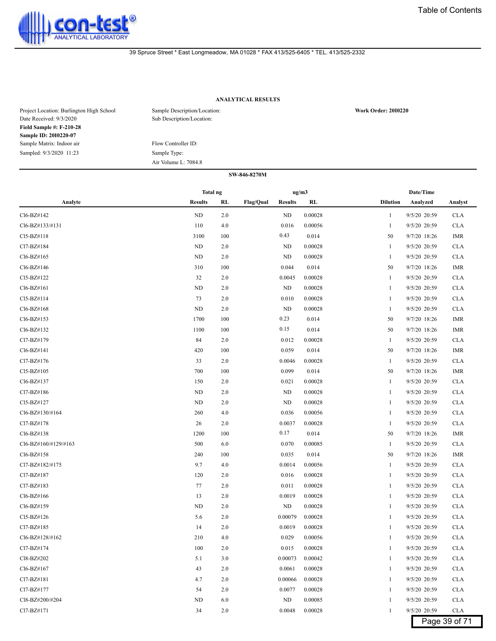

# **ANALYTICAL RESULTS**

| Project Location: Burlington High School<br>Date Received: 9/3/2020 | Sample Description/Location:<br>Sub Description/Location: | <b>Work Order: 2010220</b> |
|---------------------------------------------------------------------|-----------------------------------------------------------|----------------------------|
| <b>Field Sample #: F-210-28</b>                                     |                                                           |                            |
| Sample ID: 2010220-07                                               |                                                           |                            |
| Sample Matrix: Indoor air                                           | Flow Controller ID:                                       |                            |
| Sampled: 9/3/2020 11:23                                             | Sample Type:                                              |                            |
|                                                                     | Air Volume L: 7084.8                                      |                            |

|                      | <b>Total ng</b> |     |                             | ug/m3 |         |                 | Date/Time    |               |
|----------------------|-----------------|-----|-----------------------------|-------|---------|-----------------|--------------|---------------|
| Analyte              | <b>Results</b>  | RL  | Flag/Qual<br><b>Results</b> |       | RL      | <b>Dilution</b> | Analyzed     | Analyst       |
| Cl6-BZ#142           | ND              | 2.0 | <b>ND</b>                   |       | 0.00028 | 1               | 9/5/20 20:59 | <b>CLA</b>    |
| Cl6-BZ#133/#131      | 110             | 4.0 | 0.016                       |       | 0.00056 | 1               | 9/5/20 20:59 | <b>CLA</b>    |
| Cl5-BZ#118           | 3100            | 100 | 0.43                        |       | 0.014   | 50              | 9/7/20 18:26 | IMR           |
| Cl7-BZ#184           | ND              | 2.0 | ND                          |       | 0.00028 | 1               | 9/5/20 20:59 | <b>CLA</b>    |
| Cl6-BZ#165           | ND              | 2.0 | <b>ND</b>                   |       | 0.00028 | 1               | 9/5/20 20:59 | <b>CLA</b>    |
| Cl6-BZ#146           | 310             | 100 | 0.044                       |       | 0.014   | 50              | 9/7/20 18:26 | IMR           |
| Cl5-BZ#122           | 32              | 2.0 | 0.0045                      |       | 0.00028 | 1               | 9/5/20 20:59 | <b>CLA</b>    |
| Cl6-BZ#161           | ND              | 2.0 | <b>ND</b>                   |       | 0.00028 | 1               | 9/5/20 20:59 | <b>CLA</b>    |
| Cl5-BZ#114           | 73              | 2.0 | 0.010                       |       | 0.00028 | 1               | 9/5/20 20:59 | <b>CLA</b>    |
| Cl6-BZ#168           | ND              | 2.0 | <b>ND</b>                   |       | 0.00028 | 1               | 9/5/20 20:59 | <b>CLA</b>    |
| Cl6-BZ#153           | 1700            | 100 | 0.23                        |       | 0.014   | 50              | 9/7/20 18:26 | <b>IMR</b>    |
| Cl6-BZ#132           | 1100            | 100 | 0.15                        |       | 0.014   | 50              | 9/7/20 18:26 | IMR           |
| Cl7-BZ#179           | 84              | 2.0 | 0.012                       |       | 0.00028 | 1               | 9/5/20 20:59 | <b>CLA</b>    |
| Cl6-BZ#141           | 420             | 100 | 0.059                       |       | 0.014   | 50              | 9/7/20 18:26 | IMR           |
| Cl7-BZ#176           | 33              | 2.0 | 0.0046                      |       | 0.00028 | 1               | 9/5/20 20:59 | <b>CLA</b>    |
| Cl5-BZ#105           | 700             | 100 | 0.099                       |       | 0.014   | 50              | 9/7/20 18:26 | <b>IMR</b>    |
| Cl6-BZ#137           | 150             | 2.0 | 0.021                       |       | 0.00028 | 1               | 9/5/20 20:59 | <b>CLA</b>    |
| Cl7-BZ#186           | ND              | 2.0 | ND                          |       | 0.00028 | 1               | 9/5/20 20:59 | <b>CLA</b>    |
| Cl5-BZ#127           | ND              | 2.0 | ND                          |       | 0.00028 | 1               | 9/5/20 20:59 | <b>CLA</b>    |
| Cl6-BZ#130/#164      | 260             | 4.0 | 0.036                       |       | 0.00056 | 1               | 9/5/20 20:59 | <b>CLA</b>    |
| Cl7-BZ#178           | 26              | 2.0 | 0.0037                      |       | 0.00028 | 1               | 9/5/20 20:59 | <b>CLA</b>    |
| Cl6-BZ#138           | 1200            | 100 | 0.17                        |       | 0.014   | 50              | 9/7/20 18:26 | <b>IMR</b>    |
| Cl6-BZ#160/#129/#163 | 500             | 6.0 | 0.070                       |       | 0.00085 | $\mathbf{1}$    | 9/5/20 20:59 | <b>CLA</b>    |
| Cl6-BZ#158           | 240             | 100 | 0.035                       |       | 0.014   | 50              | 9/7/20 18:26 | IMR           |
| Cl7-BZ#182/#175      | 9.7             | 4.0 | 0.0014                      |       | 0.00056 | 1               | 9/5/20 20:59 | <b>CLA</b>    |
| Cl7-BZ#187           | 120             | 2.0 | 0.016                       |       | 0.00028 | 1               | 9/5/20 20:59 | <b>CLA</b>    |
| Cl7-BZ#183           | 77              | 2.0 | 0.011                       |       | 0.00028 | 1               | 9/5/20 20:59 | <b>CLA</b>    |
| Cl6-BZ#166           | 13              | 2.0 | 0.0019                      |       | 0.00028 | 1               | 9/5/20 20:59 | <b>CLA</b>    |
| Cl6-BZ#159           | ND              | 2.0 | ND                          |       | 0.00028 | -1              | 9/5/20 20:59 | <b>CLA</b>    |
| Cl5-BZ#126           | 5.6             | 2.0 | 0.00079                     |       | 0.00028 | 1               | 9/5/20 20:59 | <b>CLA</b>    |
| Cl7-BZ#185           | 14              | 2.0 | 0.0019                      |       | 0.00028 | 1               | 9/5/20 20:59 | <b>CLA</b>    |
| Cl6-BZ#128/#162      | 210             | 4.0 | 0.029                       |       | 0.00056 | 1               | 9/5/20 20:59 | <b>CLA</b>    |
| Cl7-BZ#174           | 100             | 2.0 | 0.015                       |       | 0.00028 |                 | 9/5/20 20:59 | <b>CLA</b>    |
| Cl8-BZ#202           | 5.1             | 3.0 | 0.00073                     |       | 0.00042 | 1               | 9/5/20 20:59 | <b>CLA</b>    |
| Cl6-BZ#167           | 43              | 2.0 | 0.0061                      |       | 0.00028 | -1              | 9/5/20 20:59 | <b>CLA</b>    |
| Cl7-BZ#181           | 4.7             | 2.0 | 0.00066                     |       | 0.00028 |                 | 9/5/20 20:59 | <b>CLA</b>    |
| Cl7-BZ#177           | 54              | 2.0 | 0.0077                      |       | 0.00028 | 1               | 9/5/20 20:59 | <b>CLA</b>    |
| Cl8-BZ#200/#204      | ND              | 6.0 | ND                          |       | 0.00085 | 1               | 9/5/20 20:59 | <b>CLA</b>    |
| Cl7-BZ#171           | 34              | 2.0 | 0.0048                      |       | 0.00028 | $\mathbf{1}$    | 9/5/20 20:59 | <b>CLA</b>    |
|                      |                 |     |                             |       |         |                 |              | Page 39 of 71 |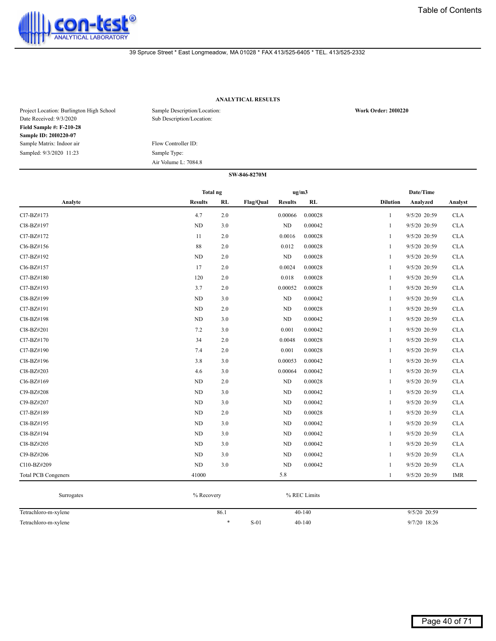

# **ANALYTICAL RESULTS**

| Project Location: Burlington High School<br>Date Received: 9/3/2020 | Sample Description/Location:<br>Sub Description/Location: | <b>Work Order: 2010220</b> |
|---------------------------------------------------------------------|-----------------------------------------------------------|----------------------------|
| <b>Field Sample #: F-210-28</b>                                     |                                                           |                            |
| Sample ID: 2010220-07                                               |                                                           |                            |
| Sample Matrix: Indoor air                                           | Flow Controller ID:                                       |                            |
| Sampled: 9/3/2020 11:23                                             | Sample Type:                                              |                            |
|                                                                     | Air Volume L: 7084.8                                      |                            |

|                            | <b>Total ng</b> |     |           | ug/m3          |         |                 | Date/Time    |            |
|----------------------------|-----------------|-----|-----------|----------------|---------|-----------------|--------------|------------|
| Analyte                    | <b>Results</b>  | RL  | Flag/Qual | <b>Results</b> | RL      | <b>Dilution</b> | Analyzed     | Analyst    |
| Cl7-BZ#173                 | 4.7             | 2.0 |           | 0.00066        | 0.00028 | $\mathbf{1}$    | 9/5/20 20:59 | CLA        |
| Cl8-BZ#197                 | <b>ND</b>       | 3.0 |           | ND             | 0.00042 | $\mathbf{1}$    | 9/5/20 20:59 | <b>CLA</b> |
| Cl7-BZ#172                 | 11              | 2.0 |           | 0.0016         | 0.00028 | 1               | 9/5/20 20:59 | CLA        |
| Cl6-BZ#156                 | 88              | 2.0 |           | 0.012          | 0.00028 | -1              | 9/5/20 20:59 | <b>CLA</b> |
| Cl7-BZ#192                 | ND              | 2.0 |           | ND             | 0.00028 | $\mathbf{1}$    | 9/5/20 20:59 | <b>CLA</b> |
| Cl6-BZ#157                 | 17              | 2.0 |           | 0.0024         | 0.00028 | 1               | 9/5/20 20:59 | <b>CLA</b> |
| Cl7-BZ#180                 | 120             | 2.0 |           | 0.018          | 0.00028 | $\mathbf{1}$    | 9/5/20 20:59 | <b>CLA</b> |
| Cl7-BZ#193                 | 3.7             | 2.0 |           | 0.00052        | 0.00028 | 1               | 9/5/20 20:59 | <b>CLA</b> |
| Cl8-BZ#199                 | <b>ND</b>       | 3.0 |           | ND             | 0.00042 | 1               | 9/5/20 20:59 | <b>CLA</b> |
| Cl7-BZ#191                 | ND              | 2.0 |           | $\rm ND$       | 0.00028 | -1              | 9/5/20 20:59 | <b>CLA</b> |
| Cl8-BZ#198                 | ND              | 3.0 |           | ND             | 0.00042 | 1               | 9/5/20 20:59 | <b>CLA</b> |
| Cl8-BZ#201                 | 7.2             | 3.0 |           | 0.001          | 0.00042 | $\mathbf{1}$    | 9/5/20 20:59 | <b>CLA</b> |
| Cl7-BZ#170                 | 34              | 2.0 |           | 0.0048         | 0.00028 | 1               | 9/5/20 20:59 | <b>CLA</b> |
| Cl7-BZ#190                 | 7.4             | 2.0 |           | 0.001          | 0.00028 | 1               | 9/5/20 20:59 | <b>CLA</b> |
| Cl8-BZ#196                 | 3.8             | 3.0 |           | 0.00053        | 0.00042 | 1               | 9/5/20 20:59 | <b>CLA</b> |
| Cl8-BZ#203                 | 4.6             | 3.0 |           | 0.00064        | 0.00042 | 1               | 9/5/20 20:59 | <b>CLA</b> |
| Cl6-BZ#169                 | ND              | 2.0 |           | $\rm ND$       | 0.00028 | -1              | 9/5/20 20:59 | <b>CLA</b> |
| Cl9-BZ#208                 | <b>ND</b>       | 3.0 |           | ND             | 0.00042 | -1              | 9/5/20 20:59 | <b>CLA</b> |
| Cl9-BZ#207                 | ND              | 3.0 |           | $\rm ND$       | 0.00042 | $\mathbf{1}$    | 9/5/20 20:59 | <b>CLA</b> |
| Cl7-BZ#189                 | ND              | 2.0 |           | ND             | 0.00028 | $\mathbf{1}$    | 9/5/20 20:59 | <b>CLA</b> |
| Cl8-BZ#195                 | ND              | 3.0 |           | ND             | 0.00042 | $\mathbf{1}$    | 9/5/20 20:59 | <b>CLA</b> |
| Cl8-BZ#194                 | ND              | 3.0 |           | ND             | 0.00042 | 1               | 9/5/20 20:59 | <b>CLA</b> |
| Cl8-BZ#205                 | <b>ND</b>       | 3.0 |           | ND             | 0.00042 | 1               | 9/5/20 20:59 | <b>CLA</b> |
| Cl9-BZ#206                 | ND              | 3.0 |           | $\rm ND$       | 0.00042 | 1               | 9/5/20 20:59 | <b>CLA</b> |
| Cl10-BZ#209                | ND              | 3.0 |           | ND             | 0.00042 | 1               | 9/5/20 20:59 | <b>CLA</b> |
| <b>Total PCB Congeners</b> | 41000           |     |           | 5.8            |         | 1               | 9/5/20 20:59 | IMR        |

| Surrogates           | % Recovery |        |            |                |
|----------------------|------------|--------|------------|----------------|
| Tetrachloro-m-xylene | 86.1       |        | $40 - 140$ | $9/5/20$ 20:59 |
| Tetrachloro-m-xylene |            | $S-01$ | $40 - 140$ | 9/7/20 18:26   |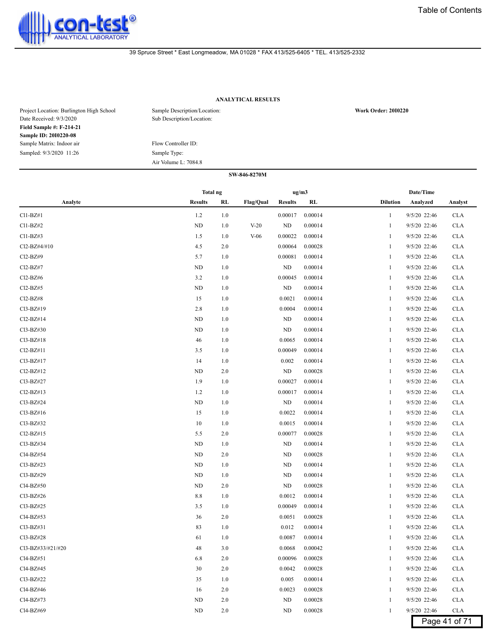

# **ANALYTICAL RESULTS**

| Project Location: Burlington High School<br>Date Received: 9/3/2020 | Sample Description/Location:<br>Sub Description/Location: | <b>Work Order: 2010220</b> |
|---------------------------------------------------------------------|-----------------------------------------------------------|----------------------------|
| <b>Field Sample #: F-214-21</b>                                     |                                                           |                            |
| <b>Sample ID: 2010220-08</b>                                        |                                                           |                            |
| Sample Matrix: Indoor air                                           | Flow Controller ID:                                       |                            |
| Sampled: 9/3/2020 11:26                                             | Sample Type:                                              |                            |
|                                                                     | Air Volume L: 7084.8                                      |                            |

|                   | Total ng       |         |           | ug/m3          |         |                 | Date/Time    |               |
|-------------------|----------------|---------|-----------|----------------|---------|-----------------|--------------|---------------|
| Analyte           | <b>Results</b> | RL      | Flag/Qual | <b>Results</b> | RL      | <b>Dilution</b> | Analyzed     | Analyst       |
| $Cl1-BZ#1$        | 1.2            | 1.0     |           | 0.00017        | 0.00014 | 1               | 9/5/20 22:46 | <b>CLA</b>    |
| $Cl1-BZ#2$        | ND             | 1.0     | $V-20$    | ND             | 0.00014 | 1               | 9/5/20 22:46 | <b>CLA</b>    |
| $Cl1-BZ#3$        | 1.5            | 1.0     | $V-06$    | 0.00022        | 0.00014 | 1               | 9/5/20 22:46 | <b>CLA</b>    |
| Cl2-BZ#4/#10      | 4.5            | 2.0     |           | 0.00064        | 0.00028 | 1               | 9/5/20 22:46 | <b>CLA</b>    |
| Cl2-BZ#9          | 5.7            | 1.0     |           | 0.00081        | 0.00014 | 1               | 9/5/20 22:46 | <b>CLA</b>    |
| Cl2-BZ#7          | ND             | 1.0     |           | ND             | 0.00014 | 1               | 9/5/20 22:46 | <b>CLA</b>    |
| $Cl2-BZ#6$        | 3.2            | 1.0     |           | 0.00045        | 0.00014 | 1               | 9/5/20 22:46 | <b>CLA</b>    |
| $Cl2-BZ#5$        | ND             | 1.0     |           | ND             | 0.00014 | 1               | 9/5/20 22:46 | <b>CLA</b>    |
| $Cl2-BZ#8$        | 15             | 1.0     |           | 0.0021         | 0.00014 |                 | 9/5/20 22:46 | <b>CLA</b>    |
| Cl3-BZ#19         | 2.8            | 1.0     |           | 0.0004         | 0.00014 | -1              | 9/5/20 22:46 | <b>CLA</b>    |
| Cl2-BZ#14         | ND             | 1.0     |           | ND             | 0.00014 | 1               | 9/5/20 22:46 | <b>CLA</b>    |
| $Cl3-BZ#30$       | ND             | 1.0     |           | ND             | 0.00014 | 1               | 9/5/20 22:46 | <b>CLA</b>    |
| $Cl3-BZ#18$       | 46             | 1.0     |           | 0.0065         | 0.00014 | 1               | 9/5/20 22:46 | <b>CLA</b>    |
| $Cl2-BZ#11$       | 3.5            | 1.0     |           | 0.00049        | 0.00014 | 1               | 9/5/20 22:46 | <b>CLA</b>    |
| Cl3-BZ#17         | 14             | 1.0     |           | 0.002          | 0.00014 | 1               | 9/5/20 22:46 | <b>CLA</b>    |
| $Cl2-BZ#12$       | ND             | 2.0     |           | ND             | 0.00028 | 1               | 9/5/20 22:46 | <b>CLA</b>    |
| Cl3-BZ#27         | 1.9            | 1.0     |           | 0.00027        | 0.00014 | 1               | 9/5/20 22:46 | <b>CLA</b>    |
| $Cl2-BZ#13$       | 1.2            | 1.0     |           | 0.00017        | 0.00014 | 1               | 9/5/20 22:46 | <b>CLA</b>    |
| Cl3-BZ#24         | ND             | 1.0     |           | ND             | 0.00014 | 1               | 9/5/20 22:46 | <b>CLA</b>    |
| Cl3-BZ#16         | 15             | 1.0     |           | 0.0022         | 0.00014 | 1               | 9/5/20 22:46 | <b>CLA</b>    |
| Cl3-BZ#32         | 10             | 1.0     |           | 0.0015         | 0.00014 | 1               | 9/5/20 22:46 | <b>CLA</b>    |
| $Cl2-BZ#15$       | 5.5            | 2.0     |           | 0.00077        | 0.00028 | 1               | 9/5/20 22:46 | <b>CLA</b>    |
| Cl3-BZ#34         | ND             | 1.0     |           | ND             | 0.00014 |                 | 9/5/20 22:46 | <b>CLA</b>    |
| Cl4-BZ#54         | ND             | 2.0     |           | ND             | 0.00028 | -1              | 9/5/20 22:46 | <b>CLA</b>    |
| Cl3-BZ#23         | ND             | 1.0     |           | ND             | 0.00014 | 1               | 9/5/20 22:46 | <b>CLA</b>    |
| Cl3-BZ#29         | ND             | 1.0     |           | ND             | 0.00014 | 1               | 9/5/20 22:46 | <b>CLA</b>    |
| Cl4-BZ#50         | ND             | 2.0     |           | ND             | 0.00028 | 1               | 9/5/20 22:46 | <b>CLA</b>    |
| Cl3-BZ#26         | 8.8            | 1.0     |           | 0.0012         | 0.00014 | 1               | 9/5/20 22:46 | <b>CLA</b>    |
| Cl3-BZ#25         | 3.5            | 1.0     |           | 0.00049        | 0.00014 | 1               | 9/5/20 22:46 | <b>CLA</b>    |
| Cl4-BZ#53         | 36             | 2.0     |           | 0.0051         | 0.00028 | 1               | 9/5/20 22:46 | <b>CLA</b>    |
| Cl3-BZ#31         | 83             | 1.0     |           | 0.012          | 0.00014 | -1              | 9/5/20 22:46 | <b>CLA</b>    |
| Cl3-BZ#28         | 61             | 1.0     |           | 0.0087         | 0.00014 | 1               | 9/5/20 22:46 | <b>CLA</b>    |
| Cl3-BZ#33/#21/#20 | 48             | 3.0     |           | 0.0068         | 0.00042 |                 | 9/5/20 22:46 | <b>CLA</b>    |
| Cl4-BZ#51         | 6.8            | 2.0     |           | 0.00096        | 0.00028 | 1               | 9/5/20 22:46 | <b>CLA</b>    |
| Cl4-BZ#45         | 30             | $2.0\,$ |           | 0.0042         | 0.00028 | 1               | 9/5/20 22:46 | <b>CLA</b>    |
| Cl3-BZ#22         | 35             | 1.0     |           | 0.005          | 0.00014 | 1               | 9/5/20 22:46 | <b>CLA</b>    |
| Cl4-BZ#46         | 16             | 2.0     |           | 0.0023         | 0.00028 |                 | 9/5/20 22:46 | <b>CLA</b>    |
| Cl4-BZ#73         | ND             | 2.0     |           | ND             | 0.00028 | 1               | 9/5/20 22:46 | <b>CLA</b>    |
| Cl4-BZ#69         | ND             | 2.0     |           | ND             | 0.00028 | $\mathbf{1}$    | 9/5/20 22:46 | <b>CLA</b>    |
|                   |                |         |           |                |         |                 |              | Page 41 of 71 |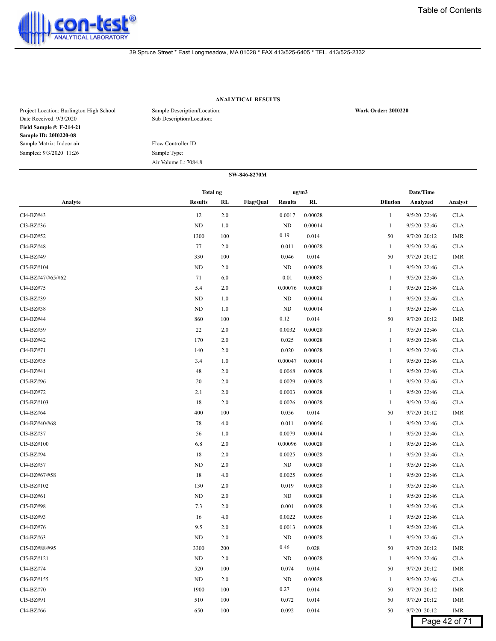

# **ANALYTICAL RESULTS**

| Project Location: Burlington High School<br>Date Received: 9/3/2020 | Sample Description/Location:<br>Sub Description/Location: | <b>Work Order: 2010220</b> |
|---------------------------------------------------------------------|-----------------------------------------------------------|----------------------------|
| <b>Field Sample #: F-214-21</b>                                     |                                                           |                            |
| <b>Sample ID: 2010220-08</b>                                        |                                                           |                            |
| Sample Matrix: Indoor air                                           | Flow Controller ID:                                       |                            |
| Sampled: 9/3/2020 11:26                                             | Sample Type:                                              |                            |
|                                                                     | Air Volume L: 7084.8                                      |                            |

|                   | Total ng       |     |                                    | ug/m3   |                 | Date/Time      |               |
|-------------------|----------------|-----|------------------------------------|---------|-----------------|----------------|---------------|
| Analyte           | <b>Results</b> | RL  | <b>Flag/Qual</b><br><b>Results</b> | RL      | <b>Dilution</b> | Analyzed       | Analyst       |
| Cl4-BZ#43         | 12             | 2.0 | 0.0017                             | 0.00028 | 1               | 9/5/20 22:46   | <b>CLA</b>    |
| Cl3-BZ#36         | <b>ND</b>      | 1.0 | ND                                 | 0.00014 | $\mathbf{1}$    | 9/5/20 22:46   | <b>CLA</b>    |
| Cl4-BZ#52         | 1300           | 100 | 0.19                               | 0.014   | 50              | 9/7/20 20:12   | IMR           |
| Cl4-BZ#48         | 77             | 2.0 | 0.011                              | 0.00028 | 1               | 9/5/20 22:46   | <b>CLA</b>    |
| Cl4-BZ#49         | 330            | 100 | 0.046                              | 0.014   | 50              | 9/7/20 20:12   | <b>IMR</b>    |
| Cl5-BZ#104        | ND             | 2.0 | ND                                 | 0.00028 | $\mathbf{1}$    | 9/5/20 22:46   | <b>CLA</b>    |
| Cl4-BZ#47/#65/#62 | 71             | 6.0 | 0.01                               | 0.00085 | 1               | 9/5/20 22:46   | <b>CLA</b>    |
| Cl4-BZ#75         | 5.4            | 2.0 | 0.00076                            | 0.00028 | -1              | 9/5/20 22:46   | <b>CLA</b>    |
| Cl3-BZ#39         | ND             | 1.0 | ND                                 | 0.00014 | 1               | 9/5/20 22:46   | <b>CLA</b>    |
| Cl3-BZ#38         | ND             | 1.0 | ND                                 | 0.00014 | 1               | 9/5/20 22:46   | <b>CLA</b>    |
| Cl4-BZ#44         | 860            | 100 | 0.12                               | 0.014   | 50              | 9/7/20 20:12   | IMR           |
| Cl4-BZ#59         | 22             | 2.0 | 0.0032                             | 0.00028 | $\mathbf{1}$    | 9/5/20 22:46   | <b>CLA</b>    |
| Cl4-BZ#42         | 170            | 2.0 | 0.025                              | 0.00028 | 1               | 9/5/20 22:46   | <b>CLA</b>    |
| Cl4-BZ#71         | 140            | 2.0 | 0.020                              | 0.00028 | 1               | 9/5/20 22:46   | <b>CLA</b>    |
| Cl3-BZ#35         | 3.4            | 1.0 | 0.00047                            | 0.00014 | -1              | 9/5/20 22:46   | <b>CLA</b>    |
| Cl4-BZ#41         | 48             | 2.0 | 0.0068                             | 0.00028 | 1               | 9/5/20 22:46   | <b>CLA</b>    |
| Cl5-BZ#96         | 20             | 2.0 | 0.0029                             | 0.00028 | 1               | 9/5/20 22:46   | <b>CLA</b>    |
| Cl4-BZ#72         | 2.1            | 2.0 | 0.0003                             | 0.00028 | 1               | 9/5/20 22:46   | <b>CLA</b>    |
| Cl5-BZ#103        | 18             | 2.0 | 0.0026                             | 0.00028 | $\mathbf{1}$    | 9/5/20 22:46   | <b>CLA</b>    |
| Cl4-BZ#64         | 400            | 100 | 0.056                              | 0.014   | 50              | 9/7/20 20:12   | IMR           |
| Cl4-BZ#40/#68     | 78             | 4.0 | 0.011                              | 0.00056 | 1               | 9/5/20 22:46   | <b>CLA</b>    |
| Cl3-BZ#37         | 56             | 1.0 | 0.0079                             | 0.00014 | -1              | 9/5/20 22:46   | <b>CLA</b>    |
| Cl5-BZ#100        | 6.8            | 2.0 | 0.00096                            | 0.00028 | 1               | 9/5/20 22:46   | <b>CLA</b>    |
| Cl5-BZ#94         | 18             | 2.0 | 0.0025                             | 0.00028 | 1               | 9/5/20 22:46   | <b>CLA</b>    |
| Cl4-BZ#57         | ND             | 2.0 | ND                                 | 0.00028 | 1               | 9/5/20 22:46   | <b>CLA</b>    |
| Cl4-BZ#67/#58     | 18             | 4.0 | 0.0025                             | 0.00056 | 1               | 9/5/20 22:46   | <b>CLA</b>    |
| Cl5-BZ#102        | 130            | 2.0 | 0.019                              | 0.00028 | 1               | 9/5/20 22:46   | <b>CLA</b>    |
| Cl4-BZ#61         | ND             | 2.0 | <b>ND</b>                          | 0.00028 | 1               | 9/5/20 22:46   | <b>CLA</b>    |
| Cl5-BZ#98         | 7.3            | 2.0 | 0.001                              | 0.00028 | -1              | 9/5/20 22:46   | <b>CLA</b>    |
| Cl5-BZ#93         | 16             | 4.0 | 0.0022                             | 0.00056 | 1               | 9/5/20 22:46   | <b>CLA</b>    |
| Cl4-BZ#76         | 9.5            | 2.0 | 0.0013                             | 0.00028 | 1               | 9/5/20 22:46   | <b>CLA</b>    |
| Cl4-BZ#63         | <b>ND</b>      | 2.0 | ND                                 | 0.00028 | 1               | 9/5/20 22:46   | <b>CLA</b>    |
| Cl5-BZ#88/#95     | 3300           | 200 | 0.46                               | 0.028   | 50              | 9/7/20 20:12   | IMR           |
| $Cl5-BZ#121$      | ND             | 2.0 | ND                                 | 0.00028 | 1               | 9/5/20 22:46   | <b>CLA</b>    |
| Cl4-BZ#74         | 520            | 100 | 0.074                              | 0.014   | 50              | 9/7/20 20:12   | IMR           |
| Cl6-BZ#155        | ND             | 2.0 | ND                                 | 0.00028 | 1               | 9/5/20 22:46   | <b>CLA</b>    |
| Cl4-BZ#70         | 1900           | 100 | 0.27                               | 0.014   | 50              | 9/7/20 20:12   | IMR           |
| CI5-BZ#91         | 510            | 100 | 0.072                              | 0.014   | 50              | 9/7/20 20:12   | IMR           |
| Cl4-BZ#66         | 650            | 100 | 0.092                              | 0.014   | 50              | $9/7/20$ 20:12 | IMR           |
|                   |                |     |                                    |         |                 |                | Page 42 of 71 |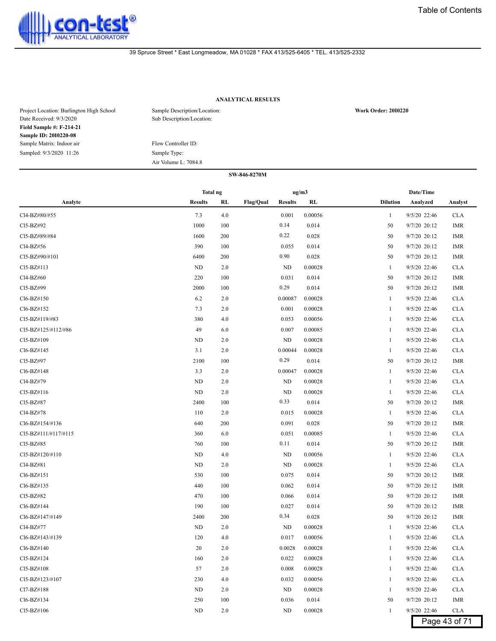

# **ANALYTICAL RESULTS**

| Project Location: Burlington High School<br>Date Received: 9/3/2020 | Sample Description/Location:<br>Sub Description/Location: | <b>Work Order: 2010220</b> |
|---------------------------------------------------------------------|-----------------------------------------------------------|----------------------------|
| <b>Field Sample #: F-214-21</b>                                     |                                                           |                            |
| <b>Sample ID: 2010220-08</b>                                        |                                                           |                            |
| Sample Matrix: Indoor air                                           | Flow Controller ID:                                       |                            |
| Sampled: 9/3/2020 11:26                                             | Sample Type:                                              |                            |
|                                                                     | Air Volume L: 7084.8                                      |                            |

|                      | <b>Total ng</b> |     |                  | ug/m3          |         |                 | Date/Time    |               |
|----------------------|-----------------|-----|------------------|----------------|---------|-----------------|--------------|---------------|
| Analyte              | <b>Results</b>  | RL  | <b>Flag/Qual</b> | <b>Results</b> | RL      | <b>Dilution</b> | Analyzed     | Analyst       |
| Cl4-BZ#80/#55        | 7.3             | 4.0 |                  | 0.001          | 0.00056 | $\mathbf{1}$    | 9/5/20 22:46 | <b>CLA</b>    |
| Cl5-BZ#92            | 1000            | 100 |                  | 0.14           | 0.014   | 50              | 9/7/20 20:12 | <b>IMR</b>    |
| Cl5-BZ#89/#84        | 1600            | 200 |                  | 0.22           | 0.028   | 50              | 9/7/20 20:12 | <b>IMR</b>    |
| Cl4-BZ#56            | 390             | 100 |                  | 0.055          | 0.014   | 50              | 9/7/20 20:12 | <b>IMR</b>    |
| CI5-BZ#90/#101       | 6400            | 200 |                  | 0.90           | 0.028   | 50              | 9/7/20 20:12 | <b>IMR</b>    |
| CI5-BZ#113           | ND              | 2.0 |                  | ND             | 0.00028 | 1               | 9/5/20 22:46 | <b>CLA</b>    |
| Cl4-BZ#60            | 220             | 100 |                  | 0.031          | 0.014   | 50              | 9/7/20 20:12 | <b>IMR</b>    |
| Cl5-BZ#99            | 2000            | 100 |                  | 0.29           | 0.014   | 50              | 9/7/20 20:12 | IMR           |
| Cl6-BZ#150           | 6.2             | 2.0 |                  | 0.00087        | 0.00028 | 1               | 9/5/20 22:46 | <b>CLA</b>    |
| Cl6-BZ#152           | 7.3             | 2.0 |                  | 0.001          | 0.00028 | 1               | 9/5/20 22:46 | <b>CLA</b>    |
| Cl5-BZ#119/#83       | 380             | 4.0 |                  | 0.053          | 0.00056 | $\mathbf{1}$    | 9/5/20 22:46 | <b>CLA</b>    |
| Cl5-BZ#125/#112/#86  | 49              | 6.0 |                  | 0.007          | 0.00085 | 1               | 9/5/20 22:46 | <b>CLA</b>    |
| Cl5-BZ#109           | ND              | 2.0 |                  | <b>ND</b>      | 0.00028 | 1               | 9/5/20 22:46 | <b>CLA</b>    |
| Cl6-BZ#145           | 3.1             | 2.0 |                  | 0.00044        | 0.00028 | 1               | 9/5/20 22:46 | <b>CLA</b>    |
| Cl5-BZ#97            | 2100            | 100 |                  | 0.29           | 0.014   | 50              | 9/7/20 20:12 | IMR           |
| Cl6-BZ#148           | 3.3             | 2.0 |                  | 0.00047        | 0.00028 | 1               | 9/5/20 22:46 | <b>CLA</b>    |
| Cl4-BZ#79            | ND              | 2.0 |                  | <b>ND</b>      | 0.00028 | 1               | 9/5/20 22:46 | <b>CLA</b>    |
| Cl5-BZ#116           | ND              | 2.0 |                  | <b>ND</b>      | 0.00028 | 1               | 9/5/20 22:46 | <b>CLA</b>    |
| CI5-BZ#87            | 2400            | 100 |                  | 0.33           | 0.014   | 50              | 9/7/20 20:12 | <b>IMR</b>    |
| Cl4-BZ#78            | 110             | 2.0 |                  | 0.015          | 0.00028 | 1               | 9/5/20 22:46 | <b>CLA</b>    |
| Cl6-BZ#154/#136      | 640             | 200 |                  | 0.091          | 0.028   | 50              | 9/7/20 20:12 | IMR           |
| Cl5-BZ#111/#117/#115 | 360             | 6.0 |                  | 0.051          | 0.00085 | 1               | 9/5/20 22:46 | <b>CLA</b>    |
| CI5-BZ#85            | 760             | 100 |                  | 0.11           | 0.014   | 50              | 9/7/20 20:12 | <b>IMR</b>    |
| Cl5-BZ#120/#110      | ND              | 4.0 |                  | <b>ND</b>      | 0.00056 | 1               | 9/5/20 22:46 | <b>CLA</b>    |
| Cl4-BZ#81            | ND              | 2.0 |                  | ND             | 0.00028 | $\mathbf{1}$    | 9/5/20 22:46 | <b>CLA</b>    |
| Cl6-BZ#151           | 530             | 100 |                  | 0.075          | 0.014   | 50              | 9/7/20 20:12 | <b>IMR</b>    |
| Cl6-BZ#135           | 440             | 100 |                  | 0.062          | 0.014   | 50              | 9/7/20 20:12 | <b>IMR</b>    |
| Cl5-BZ#82            | 470             | 100 |                  | 0.066          | 0.014   | 50              | 9/7/20 20:12 | <b>IMR</b>    |
| Cl6-BZ#144           | 190             | 100 |                  | 0.027          | 0.014   | 50              | 9/7/20 20:12 | IMR           |
| Cl6-BZ#147/#149      | 2400            | 200 |                  | 0.34           | 0.028   | 50              | 9/7/20 20:12 | IMR           |
| Cl4-BZ#77            | ND              | 2.0 |                  | ND             | 0.00028 | 1               | 9/5/20 22:46 | <b>CLA</b>    |
| Cl6-BZ#143/#139      | 120             | 4.0 |                  | 0.017          | 0.00056 | 1               | 9/5/20 22:46 | <b>CLA</b>    |
| Cl6-BZ#140           | 20              | 2.0 |                  | 0.0028         | 0.00028 |                 | 9/5/20 22:46 | <b>CLA</b>    |
| Cl5-BZ#124           | 160             | 2.0 |                  | 0.022          | 0.00028 | 1               | 9/5/20 22:46 | <b>CLA</b>    |
| Cl5-BZ#108           | 57              | 2.0 |                  | 0.008          | 0.00028 | 1               | 9/5/20 22:46 | <b>CLA</b>    |
| Cl5-BZ#123/#107      | 230             | 4.0 |                  | 0.032          | 0.00056 | 1               | 9/5/20 22:46 | <b>CLA</b>    |
| Cl7-BZ#188           | ND              | 2.0 |                  | ND             | 0.00028 | 1               | 9/5/20 22:46 | <b>CLA</b>    |
| Cl6-BZ#134           | 250             | 100 |                  | 0.036          | 0.014   | 50              | 9/7/20 20:12 | IMR           |
| Cl5-BZ#106           | ND              | 2.0 |                  | ND             | 0.00028 | $\mathbf{1}$    | 9/5/20 22:46 | <b>CLA</b>    |
|                      |                 |     |                  |                |         |                 |              | Page 43 of 71 |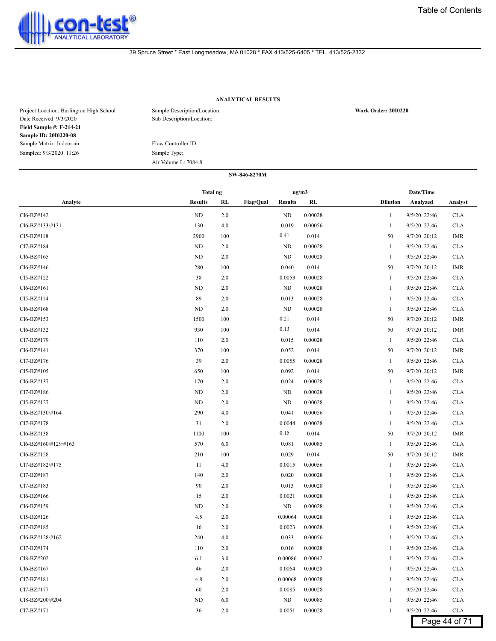

# **ANALYTICAL RESULTS**

| Project Location: Burlington High School<br>Date Received: 9/3/2020 | Sample Description/Location:<br>Sub Description/Location: | <b>Work Order: 2010220</b> |
|---------------------------------------------------------------------|-----------------------------------------------------------|----------------------------|
| <b>Field Sample #: F-214-21</b>                                     |                                                           |                            |
| <b>Sample ID: 2010220-08</b>                                        |                                                           |                            |
| Sample Matrix: Indoor air                                           | Flow Controller ID:                                       |                            |
| Sampled: 9/3/2020 11:26                                             | Sample Type:                                              |                            |
|                                                                     | Air Volume L: 7084.8                                      |                            |

#### **SW-846-8270M**

|                      |                | <b>Total ng</b> |                                    |  | ug/m3   | Date/Time       |              |               |  |
|----------------------|----------------|-----------------|------------------------------------|--|---------|-----------------|--------------|---------------|--|
| Analyte              | <b>Results</b> | RL              | <b>Flag/Qual</b><br><b>Results</b> |  | RL      | <b>Dilution</b> | Analyzed     | Analyst       |  |
| Cl6-BZ#142           | $\rm ND$       | 2.0             | ND                                 |  | 0.00028 | 1               | 9/5/20 22:46 | <b>CLA</b>    |  |
| Cl6-BZ#133/#131      | 130            | 4.0             | 0.019                              |  | 0.00056 | 1               | 9/5/20 22:46 | <b>CLA</b>    |  |
| Cl5-BZ#118           | 2900           | 100             | 0.41                               |  | 0.014   | 50              | 9/7/20 20:12 | <b>IMR</b>    |  |
| Cl7-BZ#184           | ND             | 2.0             | ND                                 |  | 0.00028 | $\mathbf{1}$    | 9/5/20 22:46 | <b>CLA</b>    |  |
| Cl6-BZ#165           | ND             | 2.0             | ND                                 |  | 0.00028 | $\mathbf{1}$    | 9/5/20 22:46 | <b>CLA</b>    |  |
| Cl6-BZ#146           | 280            | 100             | 0.040                              |  | 0.014   | 50              | 9/7/20 20:12 | <b>IMR</b>    |  |
| Cl5-BZ#122           | 38             | 2.0             | 0.0053                             |  | 0.00028 | 1               | 9/5/20 22:46 | <b>CLA</b>    |  |
| Cl6-BZ#161           | ND             | 2.0             | <b>ND</b>                          |  | 0.00028 | 1               | 9/5/20 22:46 | <b>CLA</b>    |  |
| Cl5-BZ#114           | 89             | 2.0             | 0.013                              |  | 0.00028 | 1               | 9/5/20 22:46 | <b>CLA</b>    |  |
| Cl6-BZ#168           | $\rm ND$       | 2.0             | <b>ND</b>                          |  | 0.00028 | 1               | 9/5/20 22:46 | <b>CLA</b>    |  |
| Cl6-BZ#153           | 1500           | 100             | 0.21                               |  | 0.014   | 50              | 9/7/20 20:12 | <b>IMR</b>    |  |
| Cl6-BZ#132           | 930            | 100             | 0.13                               |  | 0.014   | 50              | 9/7/20 20:12 | <b>IMR</b>    |  |
| Cl7-BZ#179           | 110            | 2.0             | 0.015                              |  | 0.00028 | $\mathbf{1}$    | 9/5/20 22:46 | <b>CLA</b>    |  |
| Cl6-BZ#141           | 370            | 100             | 0.052                              |  | 0.014   | 50              | 9/7/20 20:12 | IMR           |  |
| Cl7-BZ#176           | 39             | 2.0             | 0.0055                             |  | 0.00028 | 1               | 9/5/20 22:46 | <b>CLA</b>    |  |
| Cl5-BZ#105           | 650            | 100             | 0.092                              |  | 0.014   | 50              | 9/7/20 20:12 | IMR           |  |
| Cl6-BZ#137           | 170            | 2.0             | 0.024                              |  | 0.00028 | 1               | 9/5/20 22:46 | <b>CLA</b>    |  |
| Cl7-BZ#186           | ND             | 2.0             | ND                                 |  | 0.00028 | 1               | 9/5/20 22:46 | <b>CLA</b>    |  |
| Cl5-BZ#127           | ND             | 2.0             | ND                                 |  | 0.00028 | 1               | 9/5/20 22:46 | <b>CLA</b>    |  |
| Cl6-BZ#130/#164      | 290            | 4.0             | 0.041                              |  | 0.00056 | 1               | 9/5/20 22:46 | <b>CLA</b>    |  |
| Cl7-BZ#178           | 31             | 2.0             | 0.0044                             |  | 0.00028 | $\mathbf{1}$    | 9/5/20 22:46 | <b>CLA</b>    |  |
| Cl6-BZ#138           | 1100           | 100             | 0.15                               |  | 0.014   | 50              | 9/7/20 20:12 | IMR           |  |
| Cl6-BZ#160/#129/#163 | 570            | 6.0             | 0.081                              |  | 0.00085 | 1               | 9/5/20 22:46 | <b>CLA</b>    |  |
| Cl6-BZ#158           | 210            | 100             | 0.029                              |  | 0.014   | 50              | 9/7/20 20:12 | <b>IMR</b>    |  |
| Cl7-BZ#182/#175      | 11             | 4.0             | 0.0015                             |  | 0.00056 | $\mathbf{1}$    | 9/5/20 22:46 | <b>CLA</b>    |  |
| Cl7-BZ#187           | 140            | 2.0             | 0.020                              |  | 0.00028 | 1               | 9/5/20 22:46 | <b>CLA</b>    |  |
| Cl7-BZ#183           | 90             | 2.0             | 0.013                              |  | 0.00028 | 1               | 9/5/20 22:46 | <b>CLA</b>    |  |
| Cl6-BZ#166           | 15             | 2.0             | 0.0021                             |  | 0.00028 | 1               | 9/5/20 22:46 | <b>CLA</b>    |  |
| Cl6-BZ#159           | <b>ND</b>      | 2.0             | ND                                 |  | 0.00028 | 1               | 9/5/20 22:46 | <b>CLA</b>    |  |
| Cl5-BZ#126           | 4.5            | 2.0             | 0.00064                            |  | 0.00028 | 1               | 9/5/20 22:46 | <b>CLA</b>    |  |
| Cl7-BZ#185           | 16             | 2.0             | 0.0023                             |  | 0.00028 | 1               | 9/5/20 22:46 | <b>CLA</b>    |  |
| Cl6-BZ#128/#162      | 240            | 4.0             | 0.033                              |  | 0.00056 | 1               | 9/5/20 22:46 | <b>CLA</b>    |  |
| Cl7-BZ#174           | 110            | 2.0             | 0.016                              |  | 0.00028 | 1               | 9/5/20 22:46 | <b>CLA</b>    |  |
| Cl8-BZ#202           | 6.1            | 3.0             | 0.00086                            |  | 0.00042 | 1               | 9/5/20 22:46 | <b>CLA</b>    |  |
| Cl6-BZ#167           | 46             | 2.0             | 0.0064                             |  | 0.00028 | 1               | 9/5/20 22:46 | <b>CLA</b>    |  |
| Cl7-BZ#181           | 4.8            | 2.0             | 0.00068                            |  | 0.00028 | 1               | 9/5/20 22:46 | <b>CLA</b>    |  |
| Cl7-BZ#177           | 60             | 2.0             | 0.0085                             |  | 0.00028 | 1               | 9/5/20 22:46 | <b>CLA</b>    |  |
| Cl8-BZ#200/#204      | ND             | 6.0             | ND                                 |  | 0.00085 | 1               | 9/5/20 22:46 | <b>CLA</b>    |  |
| Cl7-BZ#171           | 36             | 2.0             | 0.0051                             |  | 0.00028 | 1               | 9/5/20 22:46 | <b>CLA</b>    |  |
|                      |                |                 |                                    |  |         |                 |              | Page 44 of 71 |  |

Page 44 of 71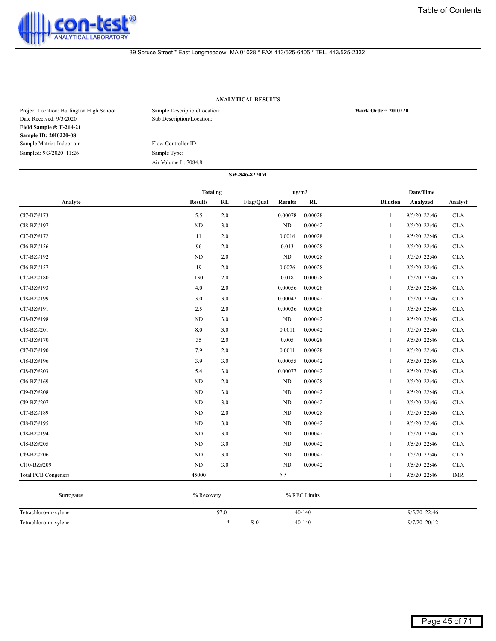

# **ANALYTICAL RESULTS**

| Project Location: Burlington High School<br>Date Received: 9/3/2020 | Sample Description/Location:<br>Sub Description/Location: | <b>Work Order: 2010220</b> |
|---------------------------------------------------------------------|-----------------------------------------------------------|----------------------------|
| <b>Field Sample #: F-214-21</b>                                     |                                                           |                            |
| <b>Sample ID: 2010220-08</b>                                        |                                                           |                            |
| Sample Matrix: Indoor air                                           | Flow Controller ID:                                       |                            |
| Sampled: 9/3/2020 11:26                                             | Sample Type:                                              |                            |
|                                                                     | Air Volume L: 7084.8                                      |                            |

|                            | Total ng       |     |           | ug/m3          |         |                 | Date/Time    |            |
|----------------------------|----------------|-----|-----------|----------------|---------|-----------------|--------------|------------|
| Analyte                    | <b>Results</b> | RL  | Flag/Qual | <b>Results</b> | RL      | <b>Dilution</b> | Analyzed     | Analyst    |
| Cl7-BZ#173                 | 5.5            | 2.0 |           | 0.00078        | 0.00028 | 1               | 9/5/20 22:46 | CLA        |
| Cl8-BZ#197                 | ND             | 3.0 |           | ND             | 0.00042 | $\mathbf{1}$    | 9/5/20 22:46 | <b>CLA</b> |
| Cl7-BZ#172                 | 11             | 2.0 |           | 0.0016         | 0.00028 | 1               | 9/5/20 22:46 | CLA        |
| Cl6-BZ#156                 | 96             | 2.0 |           | 0.013          | 0.00028 | -1              | 9/5/20 22:46 | <b>CLA</b> |
| Cl7-BZ#192                 | <b>ND</b>      | 2.0 |           | ND             | 0.00028 | 1               | 9/5/20 22:46 | <b>CLA</b> |
| Cl6-BZ#157                 | 19             | 2.0 |           | 0.0026         | 0.00028 | 1               | 9/5/20 22:46 | <b>CLA</b> |
| Cl7-BZ#180                 | 130            | 2.0 |           | 0.018          | 0.00028 | -1              | 9/5/20 22:46 | <b>CLA</b> |
| Cl7-BZ#193                 | 4.0            | 2.0 |           | 0.00056        | 0.00028 | -1              | 9/5/20 22:46 | <b>CLA</b> |
| Cl8-BZ#199                 | 3.0            | 3.0 |           | 0.00042        | 0.00042 | -1              | 9/5/20 22:46 | <b>CLA</b> |
| Cl7-BZ#191                 | 2.5            | 2.0 |           | 0.00036        | 0.00028 | -1              | 9/5/20 22:46 | <b>CLA</b> |
| Cl8-BZ#198                 | <b>ND</b>      | 3.0 |           | ND             | 0.00042 | $\mathbf{1}$    | 9/5/20 22:46 | <b>CLA</b> |
| Cl8-BZ#201                 | 8.0            | 3.0 |           | 0.0011         | 0.00042 | $\mathbf{1}$    | 9/5/20 22:46 | <b>CLA</b> |
| Cl7-BZ#170                 | 35             | 2.0 |           | 0.005          | 0.00028 | 1               | 9/5/20 22:46 | <b>CLA</b> |
| Cl7-BZ#190                 | 7.9            | 2.0 |           | 0.0011         | 0.00028 | -1              | 9/5/20 22:46 | <b>CLA</b> |
| Cl8-BZ#196                 | 3.9            | 3.0 |           | 0.00055        | 0.00042 | -1              | 9/5/20 22:46 | <b>CLA</b> |
| Cl8-BZ#203                 | 5.4            | 3.0 |           | 0.00077        | 0.00042 | 1               | 9/5/20 22:46 | <b>CLA</b> |
| Cl6-BZ#169                 | <b>ND</b>      | 2.0 |           | ND             | 0.00028 | 1               | 9/5/20 22:46 | <b>CLA</b> |
| Cl9-BZ#208                 | ND             | 3.0 |           | ND             | 0.00042 | -1              | 9/5/20 22:46 | <b>CLA</b> |
| Cl9-BZ#207                 | <b>ND</b>      | 3.0 |           | $\rm ND$       | 0.00042 | -1              | 9/5/20 22:46 | CLA        |
| Cl7-BZ#189                 | ND             | 2.0 |           | ND             | 0.00028 | $\mathbf{1}$    | 9/5/20 22:46 | <b>CLA</b> |
| Cl8-BZ#195                 | <b>ND</b>      | 3.0 |           | ND             | 0.00042 | $\mathbf{1}$    | 9/5/20 22:46 | CLA        |
| Cl8-BZ#194                 | ND             | 3.0 |           | ND             | 0.00042 | 1               | 9/5/20 22:46 | <b>CLA</b> |
| Cl8-BZ#205                 | <b>ND</b>      | 3.0 |           | ND             | 0.00042 | 1               | 9/5/20 22:46 | <b>CLA</b> |
| Cl9-BZ#206                 | ND             | 3.0 |           | $\rm ND$       | 0.00042 | -1              | 9/5/20 22:46 | <b>CLA</b> |
| Cl10-BZ#209                | ND             | 3.0 |           | ND             | 0.00042 | -1              | 9/5/20 22:46 | CLA        |
| <b>Total PCB Congeners</b> | 45000          |     |           | 6.3            |         | 1               | 9/5/20 22:46 | <b>IMR</b> |

| Surrogates           | % Recovery |        | % REC Limits |                |
|----------------------|------------|--------|--------------|----------------|
| Tetrachloro-m-xylene | 97.0       |        | $40 - 140$   | $9/5/20$ 22:46 |
| Tetrachloro-m-xylene |            | $S-01$ | $40 - 140$   | 9/7/20 20:12   |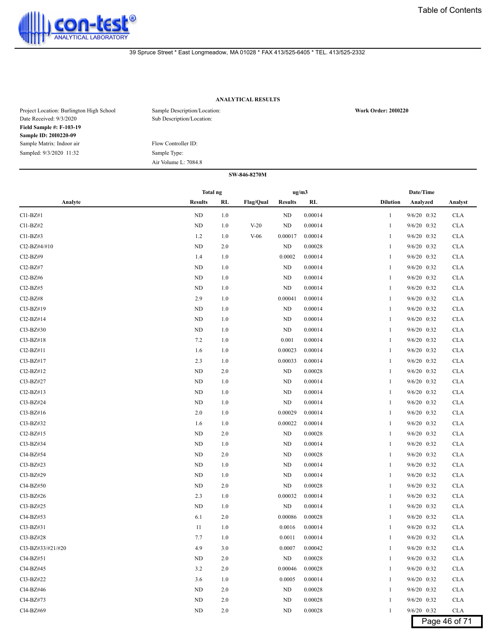

# **ANALYTICAL RESULTS**

| Project Location: Burlington High School<br>Date Received: 9/3/2020 | Sample Description/Location:<br>Sub Description/Location: | <b>Work Order: 2010220</b> |
|---------------------------------------------------------------------|-----------------------------------------------------------|----------------------------|
| <b>Field Sample #: F-103-19</b>                                     |                                                           |                            |
| <b>Sample ID: 2010220-09</b>                                        |                                                           |                            |
| Sample Matrix: Indoor air                                           | Flow Controller ID:                                       |                            |
| Sampled: 9/3/2020 11:32                                             | Sample Type:                                              |                            |
|                                                                     | Air Volume L: 7084.8                                      |                            |

|                   | Total ng       |         |                  |                | ug/m3   |                 | Date/Time     |               |
|-------------------|----------------|---------|------------------|----------------|---------|-----------------|---------------|---------------|
| Analyte           | <b>Results</b> | RL      | <b>Flag/Qual</b> | <b>Results</b> | RL      | <b>Dilution</b> | Analyzed      | Analyst       |
| $Cl1-BZ#1$        | ND             | 1.0     |                  | ND             | 0.00014 | $\mathbf{1}$    | 9/6/20 0:32   | <b>CLA</b>    |
| $Cl1-BZ#2$        | ND             | 1.0     | $V-20$           | ND             | 0.00014 | 1               | 9/6/20 0:32   | <b>CLA</b>    |
| $Cl1-BZ#3$        | 1.2            | 1.0     | $V-06$           | 0.00017        | 0.00014 | $\mathbf{1}$    | $9/6/20$ 0:32 | <b>CLA</b>    |
| Cl2-BZ#4/#10      | ND             | 2.0     |                  | ND             | 0.00028 | $\mathbf{1}$    | $9/6/20$ 0:32 | <b>CLA</b>    |
| Cl2-BZ#9          | 1.4            | 1.0     |                  | 0.0002         | 0.00014 | $\mathbf{1}$    | $9/6/20$ 0:32 | <b>CLA</b>    |
| Cl2-BZ#7          | ND             | 1.0     |                  | ND             | 0.00014 | $\mathbf{1}$    | 9/6/20 0:32   | <b>CLA</b>    |
| $Cl2-BZ#6$        | ND             | 1.0     |                  | ND             | 0.00014 | $\mathbf{1}$    | $9/6/20$ 0:32 | <b>CLA</b>    |
| $Cl2-BZ#5$        | ND             | 1.0     |                  | ND             | 0.00014 | $\mathbf{1}$    | $9/6/20$ 0:32 | <b>CLA</b>    |
| Cl2-BZ#8          | 2.9            | 1.0     |                  | 0.00041        | 0.00014 | $\mathbf{1}$    | 9/6/20 0:32   | <b>CLA</b>    |
| Cl3-BZ#19         | ND             | 1.0     |                  | <b>ND</b>      | 0.00014 | 1               | $9/6/20$ 0:32 | <b>CLA</b>    |
| $Cl2-BZ#14$       | ND             | 1.0     |                  | ND             | 0.00014 | 1               | $9/6/20$ 0:32 | <b>CLA</b>    |
| $Cl3-BZ#30$       | ND             | 1.0     |                  | ND             | 0.00014 | 1               | $9/6/20$ 0:32 | <b>CLA</b>    |
| Cl3-BZ#18         | 7.2            | 1.0     |                  | 0.001          | 0.00014 | $\mathbf{1}$    | $9/6/20$ 0:32 | <b>CLA</b>    |
| Cl2-BZ#11         | 1.6            | 1.0     |                  | 0.00023        | 0.00014 | $\mathbf{1}$    | $9/6/20$ 0:32 | <b>CLA</b>    |
| Cl3-BZ#17         | 2.3            | 1.0     |                  | 0.00033        | 0.00014 | $\mathbf{1}$    | $9/6/20$ 0:32 | <b>CLA</b>    |
| $Cl2-BZ#12$       | ND             | 2.0     |                  | <b>ND</b>      | 0.00028 | $\mathbf{1}$    | 9/6/20 0:32   | <b>CLA</b>    |
| Cl3-BZ#27         | ND             | 1.0     |                  | ND             | 0.00014 | $\mathbf{1}$    | $9/6/20$ 0:32 | <b>CLA</b>    |
| $Cl2-BZ#13$       | ND             | 1.0     |                  | ND             | 0.00014 | $\mathbf{1}$    | 9/6/20 0:32   | <b>CLA</b>    |
| Cl3-BZ#24         | ND             | 1.0     |                  | ND             | 0.00014 | $\mathbf{1}$    | $9/6/20$ 0:32 | <b>CLA</b>    |
| Cl3-BZ#16         | 2.0            | 1.0     |                  | 0.00029        | 0.00014 | $\mathbf{1}$    | $9/6/20$ 0:32 | <b>CLA</b>    |
| Cl3-BZ#32         | 1.6            | 1.0     |                  | 0.00022        | 0.00014 | $\mathbf{1}$    | $9/6/20$ 0:32 | <b>CLA</b>    |
| $Cl2-BZ#15$       | ND             | 2.0     |                  | ND             | 0.00028 | $\mathbf{1}$    | $9/6/20$ 0:32 | <b>CLA</b>    |
| Cl3-BZ#34         | ND             | 1.0     |                  | ND             | 0.00014 | 1               | 9/6/20 0:32   | <b>CLA</b>    |
| Cl4-BZ#54         | ND             | 2.0     |                  | ND             | 0.00028 | 1               | $9/6/20$ 0:32 | <b>CLA</b>    |
| $Cl3-BZ#23$       | ND             | 1.0     |                  | ND             | 0.00014 | 1               | 9/6/20 0:32   | <b>CLA</b>    |
| Cl3-BZ#29         | ND             | 1.0     |                  | ND             | 0.00014 | 1               | $9/6/20$ 0:32 | <b>CLA</b>    |
| Cl4-BZ#50         | <b>ND</b>      | 2.0     |                  | ND             | 0.00028 | $\mathbf{1}$    | $9/6/20$ 0:32 | <b>CLA</b>    |
| Cl3-BZ#26         | 2.3            | 1.0     |                  | 0.00032        | 0.00014 | $\mathbf{1}$    | $9/6/20$ 0:32 | <b>CLA</b>    |
| Cl3-BZ#25         | <b>ND</b>      | 1.0     |                  | ND             | 0.00014 | $\mathbf{1}$    | $9/6/20$ 0:32 | <b>CLA</b>    |
| Cl4-BZ#53         | 6.1            | 2.0     |                  | 0.00086        | 0.00028 | $\mathbf{1}$    | 9/6/20 0:32   | <b>CLA</b>    |
| Cl3-BZ#31         | 11             | 1.0     |                  | 0.0016         | 0.00014 | 1               | $9/6/20$ 0:32 | <b>CLA</b>    |
| Cl3-BZ#28         | 7.7            | 1.0     |                  | 0.0011         | 0.00014 | 1               | $9/6/20$ 0:32 | <b>CLA</b>    |
| Cl3-BZ#33/#21/#20 | 4.9            | 3.0     |                  | 0.0007         | 0.00042 | 1               | 9/6/20 0:32   | <b>CLA</b>    |
| Cl4-BZ#51         | ND             | $2.0\,$ |                  | ${\rm ND}$     | 0.00028 | $\mathbf{1}$    | 9/6/20 0:32   | <b>CLA</b>    |
| Cl4-BZ#45         | $3.2$          | $2.0\,$ |                  | 0.00046        | 0.00028 | $\mathbf{1}$    | 9/6/20 0:32   | <b>CLA</b>    |
| Cl3-BZ#22         | 3.6            | $1.0\,$ |                  | 0.0005         | 0.00014 | 1               | 9/6/20 0:32   | <b>CLA</b>    |
| Cl4-BZ#46         | ND             | 2.0     |                  | ND             | 0.00028 | 1               | 9/6/20 0:32   | <b>CLA</b>    |
| Cl4-BZ#73         | ND             | 2.0     |                  | ND             | 0.00028 | $\mathbf{1}$    | 9/6/20 0:32   | <b>CLA</b>    |
| Cl4-BZ#69         | ND             | 2.0     |                  | ND             | 0.00028 | $\mathbf{1}$    | 9/6/20 0:32   | <b>CLA</b>    |
|                   |                |         |                  |                |         |                 |               | Page 46 of 71 |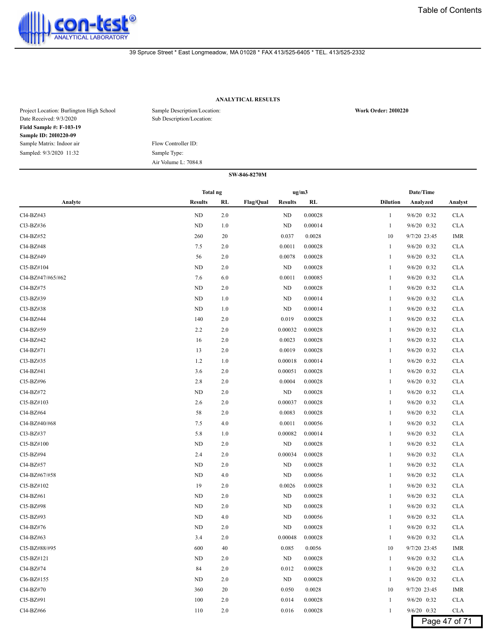

# **ANALYTICAL RESULTS**

| Project Location: Burlington High School<br>Date Received: 9/3/2020 | Sample Description/Location:<br>Sub Description/Location: | <b>Work Order: 2010220</b> |
|---------------------------------------------------------------------|-----------------------------------------------------------|----------------------------|
| <b>Field Sample #: F-103-19</b>                                     |                                                           |                            |
| <b>Sample ID: 2010220-09</b>                                        |                                                           |                            |
| Sample Matrix: Indoor air                                           | Flow Controller ID:                                       |                            |
| Sampled: 9/3/2020 11:32                                             | Sample Type:                                              |                            |
|                                                                     | Air Volume L: 7084.8                                      |                            |

|                   | <b>Total ng</b> |     |                                    | ug/m3   |                 | Date/Time     |               |
|-------------------|-----------------|-----|------------------------------------|---------|-----------------|---------------|---------------|
| Analyte           | <b>Results</b>  | RL  | <b>Flag/Qual</b><br><b>Results</b> | RL      | <b>Dilution</b> | Analyzed      | Analyst       |
| Cl4-BZ#43         | ND              | 2.0 | ND                                 | 0.00028 | 1               | 9/6/20 0:32   | <b>CLA</b>    |
| Cl3-BZ#36         | ND              | 1.0 | ND                                 | 0.00014 | $\mathbf{1}$    | 9/6/20 0:32   | <b>CLA</b>    |
| Cl4-BZ#52         | 260             | 20  | 0.037                              | 0.0028  | 10              | 9/7/20 23:45  | IMR           |
| Cl4-BZ#48         | 7.5             | 2.0 | 0.0011                             | 0.00028 | 1               | 9/6/20 0:32   | <b>CLA</b>    |
| Cl4-BZ#49         | 56              | 2.0 | 0.0078                             | 0.00028 | 1               | 9/6/20 0:32   | <b>CLA</b>    |
| Cl5-BZ#104        | <b>ND</b>       | 2.0 | ND                                 | 0.00028 | 1               | 9/6/20 0:32   | <b>CLA</b>    |
| Cl4-BZ#47/#65/#62 | 7.6             | 6.0 | 0.0011                             | 0.00085 | 1               | 9/6/20 0:32   | <b>CLA</b>    |
| Cl4-BZ#75         | ND              | 2.0 | ND                                 | 0.00028 | 1               | 9/6/20 0:32   | <b>CLA</b>    |
| Cl3-BZ#39         | ND              | 1.0 | ND                                 | 0.00014 | 1               | 9/6/20 0:32   | <b>CLA</b>    |
| Cl3-BZ#38         | ND              | 1.0 | ND                                 | 0.00014 | 1               | 9/6/20 0:32   | <b>CLA</b>    |
| Cl4-BZ#44         | 140             | 2.0 | 0.019                              | 0.00028 | 1               | 9/6/20 0:32   | <b>CLA</b>    |
| Cl4-BZ#59         | 2.2             | 2.0 | 0.00032                            | 0.00028 | 1               | 9/6/20 0:32   | <b>CLA</b>    |
| Cl4-BZ#42         | 16              | 2.0 | 0.0023                             | 0.00028 | 1               | 9/6/20 0:32   | <b>CLA</b>    |
| Cl4-BZ#71         | 13              | 2.0 | 0.0019                             | 0.00028 | 1               | 9/6/20 0:32   | <b>CLA</b>    |
| Cl3-BZ#35         | 1.2             | 1.0 | 0.00018                            | 0.00014 | 1               | 9/6/20 0:32   | <b>CLA</b>    |
| Cl4-BZ#41         | 3.6             | 2.0 | 0.00051                            | 0.00028 | 1               | 9/6/20 0:32   | <b>CLA</b>    |
| Cl5-BZ#96         | 2.8             | 2.0 | 0.0004                             | 0.00028 | 1               | 9/6/20 0:32   | <b>CLA</b>    |
| Cl4-BZ#72         | ND              | 2.0 | ND                                 | 0.00028 | 1               | 9/6/20 0:32   | <b>CLA</b>    |
| Cl5-BZ#103        | 2.6             | 2.0 | 0.00037                            | 0.00028 | 1               | 9/6/20 0:32   | <b>CLA</b>    |
| Cl4-BZ#64         | 58              | 2.0 | 0.0083                             | 0.00028 | 1               | 9/6/20 0:32   | <b>CLA</b>    |
| Cl4-BZ#40/#68     | 7.5             | 4.0 | 0.0011                             | 0.00056 | 1               | 9/6/20 0:32   | <b>CLA</b>    |
| Cl3-BZ#37         | 5.8             | 1.0 | 0.00082                            | 0.00014 |                 | 9/6/20 0:32   | <b>CLA</b>    |
| Cl5-BZ#100        | <b>ND</b>       | 2.0 | ND                                 | 0.00028 | -1              | 9/6/20 0:32   | <b>CLA</b>    |
| Cl5-BZ#94         | 2.4             | 2.0 | 0.00034                            | 0.00028 | 1               | 9/6/20 0:32   | <b>CLA</b>    |
| Cl4-BZ#57         | ND              | 2.0 | ND                                 | 0.00028 | 1               | 9/6/20 0:32   | <b>CLA</b>    |
| Cl4-BZ#67/#58     | ND              | 4.0 | ND                                 | 0.00056 | 1               | 9/6/20 0:32   | <b>CLA</b>    |
| Cl5-BZ#102        | 19              | 2.0 | 0.0026                             | 0.00028 | 1               | 9/6/20 0:32   | <b>CLA</b>    |
| Cl4-BZ#61         | <b>ND</b>       | 2.0 | ND                                 | 0.00028 | -1              | 9/6/20 0:32   | <b>CLA</b>    |
| Cl5-BZ#98         | ND              | 2.0 | ND                                 | 0.00028 |                 | 9/6/20 0:32   | <b>CLA</b>    |
| Cl5-BZ#93         | ND              | 4.0 | <b>ND</b>                          | 0.00056 | -1              | 9/6/20 0:32   | <b>CLA</b>    |
| Cl4-BZ#76         | <b>ND</b>       | 2.0 | <b>ND</b>                          | 0.00028 | 1               | 9/6/20 0:32   | <b>CLA</b>    |
| Cl4-BZ#63         | 3.4             | 2.0 | 0.00048                            | 0.00028 | 1               | 9/6/20 0:32   | <b>CLA</b>    |
| Cl5-BZ#88/#95     | 600             | 40  | 0.085                              | 0.0056  | 10              | 9/7/20 23:45  | IMR           |
| $Cl5-BZ#121$      | ND              | 2.0 | ND                                 | 0.00028 | 1               | 9/6/20 0:32   | <b>CLA</b>    |
| Cl4-BZ#74         | 84              | 2.0 | 0.012                              | 0.00028 | 1               | 9/6/20 0:32   | <b>CLA</b>    |
| Cl6-BZ#155        | ND              | 2.0 | ND                                 | 0.00028 |                 | 9/6/20 0:32   | <b>CLA</b>    |
| Cl4-BZ#70         | 360             | 20  | 0.050                              | 0.0028  | 10              | 9/7/20 23:45  | IMR           |
| Cl5-BZ#91         | 100             | 2.0 | 0.014                              | 0.00028 | 1               | $9/6/20$ 0:32 | <b>CLA</b>    |
| Cl4-BZ#66         | 110             | 2.0 | 0.016                              | 0.00028 | 1               | 9/6/20 0:32   | <b>CLA</b>    |
|                   |                 |     |                                    |         |                 |               | Page 47 of 71 |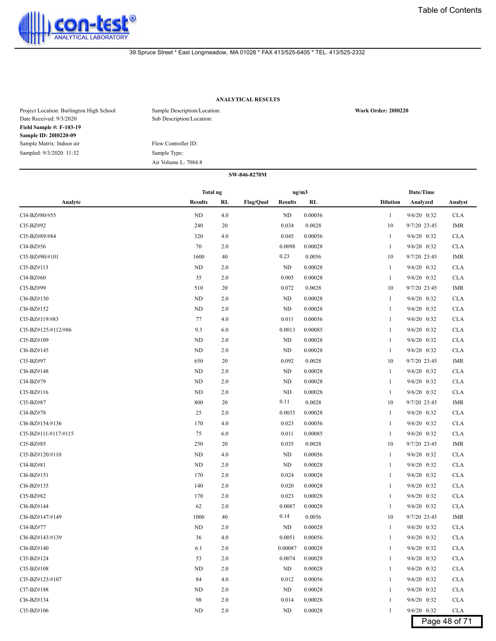

# **ANALYTICAL RESULTS**

| Project Location: Burlington High School<br>Date Received: 9/3/2020 | Sample Description/Location:<br>Sub Description/Location: | <b>Work Order: 2010220</b> |
|---------------------------------------------------------------------|-----------------------------------------------------------|----------------------------|
| <b>Field Sample #: F-103-19</b>                                     |                                                           |                            |
| <b>Sample ID: 2010220-09</b>                                        |                                                           |                            |
| Sample Matrix: Indoor air                                           | Flow Controller ID:                                       |                            |
| Sampled: 9/3/2020 11:32                                             | Sample Type:                                              |                            |
|                                                                     | Air Volume L: 7084.8                                      |                            |

|                      | Total ng       |     |                  | ug/m3          |         |                 | Date/Time       |               |
|----------------------|----------------|-----|------------------|----------------|---------|-----------------|-----------------|---------------|
| Analyte              | <b>Results</b> | RL  | <b>Flag/Qual</b> | <b>Results</b> | RL      | <b>Dilution</b> | Analyzed        | Analyst       |
| Cl4-BZ#80/#55        | ND             | 4.0 |                  | ND             | 0.00056 | 1               | 9/6/20 0:32     | <b>CLA</b>    |
| Cl5-BZ#92            | 240            | 20  |                  | 0.034          | 0.0028  | 10              | 9/7/20 23:45    | <b>IMR</b>    |
| Cl5-BZ#89/#84        | 320            | 4.0 |                  | 0.045          | 0.00056 | 1               | $9/6/20$ $0:32$ | <b>CLA</b>    |
| Cl4-BZ#56            | 70             | 2.0 |                  | 0.0098         | 0.00028 | 1               | 9/6/20 0:32     | <b>CLA</b>    |
| CI5-BZ#90/#101       | 1600           | 40  |                  | 0.23           | 0.0056  | 10              | 9/7/20 23:45    | <b>IMR</b>    |
| Cl5-BZ#113           | <b>ND</b>      | 2.0 |                  | ND             | 0.00028 | 1               | 9/6/20 0:32     | <b>CLA</b>    |
| Cl4-BZ#60            | 35             | 2.0 |                  | 0.005          | 0.00028 | 1               | 9/6/20 0:32     | <b>CLA</b>    |
| Cl5-BZ#99            | 510            | 20  |                  | 0.072          | 0.0028  | 10              | 9/7/20 23:45    | <b>IMR</b>    |
| Cl6-BZ#150           | <b>ND</b>      | 2.0 |                  | <b>ND</b>      | 0.00028 | 1               | 9/6/20 0:32     | <b>CLA</b>    |
| Cl6-BZ#152           | <b>ND</b>      | 2.0 |                  | <b>ND</b>      | 0.00028 | 1               | 9/6/20 0:32     | <b>CLA</b>    |
| Cl5-BZ#119/#83       | 77             | 4.0 |                  | 0.011          | 0.00056 | 1               | 9/6/20 0:32     | <b>CLA</b>    |
| Cl5-BZ#125/#112/#86  | 9.3            | 6.0 |                  | 0.0013         | 0.00085 | 1               | 9/6/20 0:32     | <b>CLA</b>    |
| Cl5-BZ#109           | <b>ND</b>      | 2.0 |                  | <b>ND</b>      | 0.00028 | 1               | 9/6/20 0:32     | <b>CLA</b>    |
| Cl6-BZ#145           | <b>ND</b>      | 2.0 |                  | <b>ND</b>      | 0.00028 | 1               | 9/6/20 0:32     | <b>CLA</b>    |
| Cl5-BZ#97            | 650            | 20  |                  | 0.092          | 0.0028  | 10              | 9/7/20 23:45    | IMR           |
| Cl6-BZ#148           | <b>ND</b>      | 2.0 |                  | <b>ND</b>      | 0.00028 | 1               | 9/6/20 0:32     | <b>CLA</b>    |
| Cl4-BZ#79            | <b>ND</b>      | 2.0 |                  | <b>ND</b>      | 0.00028 | 1               | 9/6/20 0:32     | <b>CLA</b>    |
| Cl5-BZ#116           | ND             | 2.0 |                  | <b>ND</b>      | 0.00028 | 1               | 9/6/20 0:32     | <b>CLA</b>    |
| Cl5-BZ#87            | 800            | 20  |                  | 0.11           | 0.0028  | 10              | 9/7/20 23:45    | <b>IMR</b>    |
| Cl4-BZ#78            | 25             | 2.0 |                  | 0.0035         | 0.00028 | 1               | 9/6/20 0:32     | <b>CLA</b>    |
| Cl6-BZ#154/#136      | 170            | 4.0 |                  | 0.023          | 0.00056 | 1               | 9/6/20 0:32     | <b>CLA</b>    |
| CI5-BZ#111/#117/#115 | 75             | 6.0 |                  | 0.011          | 0.00085 | 1               | 9/6/20 0:32     | <b>CLA</b>    |
| Cl5-BZ#85            | 250            | 20  |                  | 0.035          | 0.0028  | 10              | 9/7/20 23:45    | <b>IMR</b>    |
| Cl5-BZ#120/#110      | ND             | 4.0 |                  | ND             | 0.00056 | 1               | 9/6/20 0:32     | <b>CLA</b>    |
| Cl4-BZ#81            | ND             | 2.0 |                  | <b>ND</b>      | 0.00028 | 1               | 9/6/20 0:32     | <b>CLA</b>    |
| Cl6-BZ#151           | 170            | 2.0 |                  | 0.024          | 0.00028 | 1               | 9/6/20 0:32     | <b>CLA</b>    |
| Cl6-BZ#135           | 140            | 2.0 |                  | 0.020          | 0.00028 | 1               | 9/6/20 0:32     | <b>CLA</b>    |
| Cl5-BZ#82            | 170            | 2.0 |                  | 0.023          | 0.00028 | 1               | 9/6/20 0:32     | <b>CLA</b>    |
| Cl6-BZ#144           | 62             | 2.0 |                  | 0.0087         | 0.00028 | 1               | 9/6/20 0:32     | <b>CLA</b>    |
| Cl6-BZ#147/#149      | 1000           | 40  |                  | 0.14           | 0.0056  | 10              | 9/7/20 23:45    | <b>IMR</b>    |
| Cl4-BZ#77            | <b>ND</b>      | 2.0 |                  | <b>ND</b>      | 0.00028 | 1               | 9/6/20 0:32     | <b>CLA</b>    |
| Cl6-BZ#143/#139      | 36             | 4.0 |                  | 0.0051         | 0.00056 | 1               | 9/6/20 0:32     | <b>CLA</b>    |
| $Cl6-BZ#140$         | 6.1            | 2.0 |                  | 0.00087        | 0.00028 |                 | $9/6/20$ 0:32   | <b>CLA</b>    |
| Cl5-BZ#124           | 53             | 2.0 |                  | 0.0074         | 0.00028 | 1               | 9/6/20 0:32     | <b>CLA</b>    |
| Cl5-BZ#108           | ND             | 2.0 |                  | ND             | 0.00028 | $\mathbf{1}$    | $9/6/20$ 0:32   | <b>CLA</b>    |
| CI5-BZ#123/#107      | 84             | 4.0 |                  | 0.012          | 0.00056 | 1               | 9/6/20 0:32     | <b>CLA</b>    |
| Cl7-BZ#188           | <b>ND</b>      | 2.0 |                  | ND             | 0.00028 | 1               | 9/6/20 0:32     | <b>CLA</b>    |
| Cl6-BZ#134           | 98             | 2.0 |                  | 0.014          | 0.00028 | $\mathbf{1}$    | 9/6/20 0:32     | <b>CLA</b>    |
| Cl5-BZ#106           | ND             | 2.0 |                  | ND             | 0.00028 | 1               | $9/6/20$ 0:32   | <b>CLA</b>    |
|                      |                |     |                  |                |         |                 |                 | Page 48 of 71 |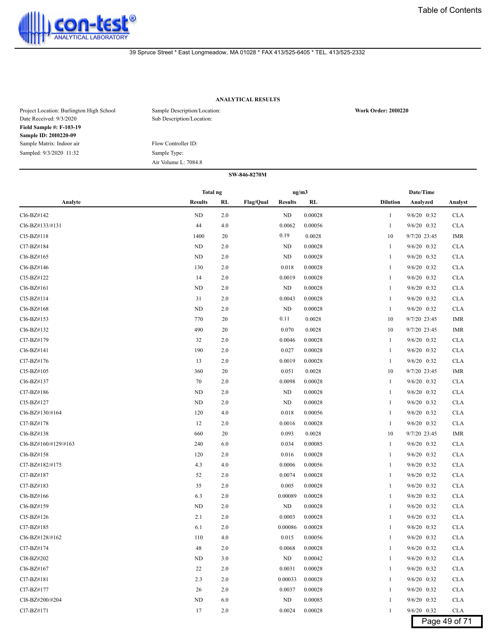

# **ANALYTICAL RESULTS**

| Project Location: Burlington High School<br>Date Received: 9/3/2020 | Sample Description/Location:<br>Sub Description/Location: | <b>Work Order: 2010220</b> |
|---------------------------------------------------------------------|-----------------------------------------------------------|----------------------------|
| <b>Field Sample #: F-103-19</b>                                     |                                                           |                            |
| Sample ID: 2010220-09                                               |                                                           |                            |
| Sample Matrix: Indoor air                                           | Flow Controller ID:                                       |                            |
| Sampled: 9/3/2020 11:32                                             | Sample Type:                                              |                            |
|                                                                     | Air Volume L: 7084.8                                      |                            |

|                      | ug/m3<br>Total ng |     |           | Date/Time      |         |                 |               |               |
|----------------------|-------------------|-----|-----------|----------------|---------|-----------------|---------------|---------------|
| Analyte              | <b>Results</b>    | RL  | Flag/Qual | <b>Results</b> | RL      | <b>Dilution</b> | Analyzed      | Analyst       |
| Cl6-BZ#142           | $\rm ND$          | 2.0 |           | ND             | 0.00028 | 1               | 9/6/20 0:32   | <b>CLA</b>    |
| Cl6-BZ#133/#131      | 44                | 4.0 |           | 0.0062         | 0.00056 | 1               | 9/6/20 0:32   | <b>CLA</b>    |
| $Cl5-BZ#118$         | 1400              | 20  |           | 0.19           | 0.0028  | 10              | 9/7/20 23:45  | <b>IMR</b>    |
| Cl7-BZ#184           | ND                | 2.0 |           | ND             | 0.00028 | 1               | 9/6/20 0:32   | <b>CLA</b>    |
| Cl6-BZ#165           | ND                | 2.0 |           | ND             | 0.00028 | 1               | 9/6/20 0:32   | <b>CLA</b>    |
| Cl6-BZ#146           | 130               | 2.0 |           | 0.018          | 0.00028 | 1               | 9/6/20 0:32   | <b>CLA</b>    |
| Cl5-BZ#122           | 14                | 2.0 |           | 0.0019         | 0.00028 | 1               | 9/6/20 0:32   | <b>CLA</b>    |
| Cl6-BZ#161           | ND                | 2.0 |           | ND             | 0.00028 | 1               | 9/6/20 0:32   | <b>CLA</b>    |
| Cl5-BZ#114           | 31                | 2.0 |           | 0.0043         | 0.00028 | -1              | 9/6/20 0:32   | <b>CLA</b>    |
| Cl6-BZ#168           | ND                | 2.0 |           | <b>ND</b>      | 0.00028 | 1               | 9/6/20 0:32   | <b>CLA</b>    |
| Cl6-BZ#153           | 770               | 20  |           | 0.11           | 0.0028  | 10              | 9/7/20 23:45  | <b>IMR</b>    |
| Cl6-BZ#132           | 490               | 20  |           | 0.070          | 0.0028  | 10              | 9/7/20 23:45  | <b>IMR</b>    |
| Cl7-BZ#179           | 32                | 2.0 |           | 0.0046         | 0.00028 | 1               | 9/6/20 0:32   | <b>CLA</b>    |
| Cl6-BZ#141           | 190               | 2.0 |           | 0.027          | 0.00028 | 1               | 9/6/20 0:32   | <b>CLA</b>    |
| Cl7-BZ#176           | 13                | 2.0 |           | 0.0019         | 0.00028 | 1               | 9/6/20 0:32   | <b>CLA</b>    |
| Cl5-BZ#105           | 360               | 20  |           | 0.051          | 0.0028  | 10              | 9/7/20 23:45  | <b>IMR</b>    |
| Cl6-BZ#137           | 70                | 2.0 |           | 0.0098         | 0.00028 | 1               | 9/6/20 0:32   | <b>CLA</b>    |
| Cl7-BZ#186           | ND                | 2.0 |           | ND             | 0.00028 | 1               | 9/6/20 0:32   | <b>CLA</b>    |
| Cl5-BZ#127           | ND                | 2.0 |           | ND             | 0.00028 | 1               | 9/6/20 0:32   | <b>CLA</b>    |
| Cl6-BZ#130/#164      | 120               | 4.0 |           | 0.018          | 0.00056 | 1               | 9/6/20 0:32   | <b>CLA</b>    |
| Cl7-BZ#178           | 12                | 2.0 |           | 0.0016         | 0.00028 | 1               | 9/6/20 0:32   | <b>CLA</b>    |
| Cl6-BZ#138           | 660               | 20  |           | 0.093          | 0.0028  | 10              | 9/7/20 23:45  | <b>IMR</b>    |
| Cl6-BZ#160/#129/#163 | 240               | 6.0 |           | 0.034          | 0.00085 | 1               | 9/6/20 0:32   | <b>CLA</b>    |
| Cl6-BZ#158           | 120               | 2.0 |           | 0.016          | 0.00028 | 1               | 9/6/20 0:32   | <b>CLA</b>    |
| Cl7-BZ#182/#175      | 4.3               | 4.0 |           | 0.0006         | 0.00056 | 1               | 9/6/20 0:32   | <b>CLA</b>    |
| Cl7-BZ#187           | 52                | 2.0 |           | 0.0074         | 0.00028 | 1               | 9/6/20 0:32   | <b>CLA</b>    |
| Cl7-BZ#183           | 35                | 2.0 |           | 0.005          | 0.00028 | 1               | 9/6/20 0:32   | <b>CLA</b>    |
| Cl6-BZ#166           | 6.3               | 2.0 |           | 0.00089        | 0.00028 | 1               | 9/6/20 0:32   | <b>CLA</b>    |
| Cl6-BZ#159           | ND                | 2.0 |           | ND             | 0.00028 | 1               | $9/6/20$ 0:32 | <b>CLA</b>    |
| Cl5-BZ#126           | 2.1               | 2.0 |           | 0.0003         | 0.00028 | -1              | 9/6/20 0:32   | <b>CLA</b>    |
| Cl7-BZ#185           | 6.1               | 2.0 |           | 0.00086        | 0.00028 | 1               | 9/6/20 0:32   | <b>CLA</b>    |
| Cl6-BZ#128/#162      | 110               | 4.0 |           | 0.015          | 0.00056 | 1               | 9/6/20 0:32   | <b>CLA</b>    |
| Cl7-BZ#174           | 48                | 2.0 |           | 0.0068         | 0.00028 |                 | $9/6/20$ 0:32 | <b>CLA</b>    |
| Cl8-BZ#202           | ND                | 3.0 |           | <b>ND</b>      | 0.00042 | 1               | 9/6/20 0:32   | <b>CLA</b>    |
| Cl6-BZ#167           | 22                | 2.0 |           | 0.0031         | 0.00028 | $\mathbf{1}$    | 9/6/20 0:32   | <b>CLA</b>    |
| Cl7-BZ#181           | 2.3               | 2.0 |           | 0.00033        | 0.00028 |                 | 9/6/20 0:32   | <b>CLA</b>    |
| Cl7-BZ#177           | 26                | 2.0 |           | 0.0037         | 0.00028 | -1              | 9/6/20 0:32   | <b>CLA</b>    |
| Cl8-BZ#200/#204      | ND                | 6.0 |           | ND             | 0.00085 | 1               | 9/6/20 0:32   | <b>CLA</b>    |
| Cl7-BZ#171           | 17                | 2.0 |           | 0.0024         | 0.00028 | 1               | 9/6/20 0:32   | <b>CLA</b>    |
|                      |                   |     |           |                |         |                 |               | Page 49 of 71 |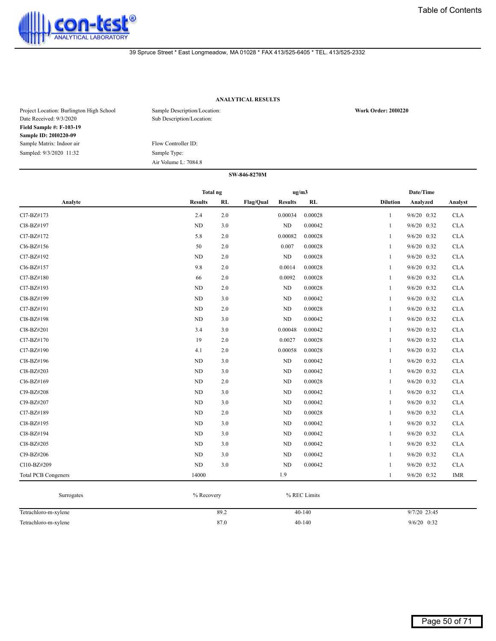

# **ANALYTICAL RESULTS**

| Project Location: Burlington High School<br>Date Received: 9/3/2020 | Sample Description/Location:<br>Sub Description/Location: | <b>Work Order: 2010220</b> |
|---------------------------------------------------------------------|-----------------------------------------------------------|----------------------------|
| <b>Field Sample #: F-103-19</b>                                     |                                                           |                            |
| <b>Sample ID: 2010220-09</b>                                        |                                                           |                            |
| Sample Matrix: Indoor air                                           | Flow Controller ID:                                       |                            |
| Sampled: 9/3/2020 11:32                                             | Sample Type:                                              |                            |
|                                                                     | Air Volume L: 7084.8                                      |                            |

| SW-846-8270M               |                 |     |           |                      |         |                 |               |            |  |  |  |  |
|----------------------------|-----------------|-----|-----------|----------------------|---------|-----------------|---------------|------------|--|--|--|--|
|                            | <b>Total ng</b> |     |           | ug/m3                |         |                 | Date/Time     |            |  |  |  |  |
| Analyte                    | <b>Results</b>  | RL  | Flag/Qual | RL<br><b>Results</b> |         | <b>Dilution</b> | Analyzed      | Analyst    |  |  |  |  |
| Cl7-BZ#173                 | 2.4             | 2.0 |           | 0.00034              | 0.00028 | $\mathbf{1}$    | $9/6/20$ 0:32 | <b>CLA</b> |  |  |  |  |
| Cl8-BZ#197                 | <b>ND</b>       | 3.0 |           | ND                   | 0.00042 | 1               | $9/6/20$ 0:32 | <b>CLA</b> |  |  |  |  |
| Cl7-BZ#172                 | 5.8             | 2.0 |           | 0.00082              | 0.00028 | $\mathbf{1}$    | $9/6/20$ 0:32 | <b>CLA</b> |  |  |  |  |
| Cl6-BZ#156                 | 50              | 2.0 |           | 0.007                | 0.00028 | 1               | 9/6/20 0:32   | <b>CLA</b> |  |  |  |  |
| Cl7-BZ#192                 | <b>ND</b>       | 2.0 |           | $\rm ND$             | 0.00028 | 1               | $9/6/20$ 0:32 | <b>CLA</b> |  |  |  |  |
| Cl6-BZ#157                 | 9.8             | 2.0 |           | 0.0014               | 0.00028 | 1               | $9/6/20$ 0:32 | <b>CLA</b> |  |  |  |  |
| Cl7-BZ#180                 | 66              | 2.0 |           | 0.0092               | 0.00028 | 1               | $9/6/20$ 0:32 | <b>CLA</b> |  |  |  |  |
| Cl7-BZ#193                 | <b>ND</b>       | 2.0 |           | ND                   | 0.00028 | $\mathbf{1}$    | $9/6/20$ 0:32 | <b>CLA</b> |  |  |  |  |
| Cl8-BZ#199                 | <b>ND</b>       | 3.0 |           | $\rm ND$             | 0.00042 | 1               | 9/6/20 0:32   | <b>CLA</b> |  |  |  |  |
| Cl7-BZ#191                 | ND              | 2.0 |           | ND                   | 0.00028 | 1               | $9/6/20$ 0:32 | <b>CLA</b> |  |  |  |  |
| Cl8-BZ#198                 | <b>ND</b>       | 3.0 |           | ND                   | 0.00042 | 1               | $9/6/20$ 0:32 | <b>CLA</b> |  |  |  |  |
| Cl8-BZ#201                 | 3.4             | 3.0 |           | 0.00048              | 0.00042 | 1               | $9/6/20$ 0:32 | <b>CLA</b> |  |  |  |  |
| Cl7-BZ#170                 | 19              | 2.0 |           | 0.0027               | 0.00028 | 1               | 9/6/20 0:32   | <b>CLA</b> |  |  |  |  |
| Cl7-BZ#190                 | 4.1             | 2.0 |           | 0.00058              | 0.00028 | 1               | $9/6/20$ 0:32 | <b>CLA</b> |  |  |  |  |
| Cl8-BZ#196                 | <b>ND</b>       | 3.0 |           | $\rm ND$             | 0.00042 | 1               | 9/6/20 0:32   | <b>CLA</b> |  |  |  |  |
| Cl8-BZ#203                 | <b>ND</b>       | 3.0 |           | ND                   | 0.00042 | 1               | $9/6/20$ 0:32 | <b>CLA</b> |  |  |  |  |
| Cl6-BZ#169                 | <b>ND</b>       | 2.0 |           | ND                   | 0.00028 | $\mathbf{1}$    | $9/6/20$ 0:32 | <b>CLA</b> |  |  |  |  |
| Cl9-BZ#208                 | <b>ND</b>       | 3.0 |           | ND                   | 0.00042 | 1               | 9/6/20 0:32   | <b>CLA</b> |  |  |  |  |
| Cl9-BZ#207                 | <b>ND</b>       | 3.0 |           | ND                   | 0.00042 | $\mathbf{1}$    | $9/6/20$ 0:32 | <b>CLA</b> |  |  |  |  |
| Cl7-BZ#189                 | <b>ND</b>       | 2.0 |           | $\rm ND$             | 0.00028 | 1               | $9/6/20$ 0:32 | <b>CLA</b> |  |  |  |  |
| Cl8-BZ#195                 | <b>ND</b>       | 3.0 |           | ND                   | 0.00042 | 1               | $9/6/20$ 0:32 | <b>CLA</b> |  |  |  |  |
| Cl8-BZ#194                 | <b>ND</b>       | 3.0 |           | ND                   | 0.00042 | 1               | 9/6/20 0:32   | <b>CLA</b> |  |  |  |  |
| Cl8-BZ#205                 | <b>ND</b>       | 3.0 |           | ND                   | 0.00042 | 1               | $9/6/20$ 0:32 | <b>CLA</b> |  |  |  |  |
| Cl9-BZ#206                 | <b>ND</b>       | 3.0 |           | $\rm ND$             | 0.00042 | 1               | 9/6/20 0:32   | <b>CLA</b> |  |  |  |  |
| Cl10-BZ#209                | <b>ND</b>       | 3.0 |           | ND                   | 0.00042 | 1               | $9/6/20$ 0:32 | <b>CLA</b> |  |  |  |  |
| <b>Total PCB Congeners</b> | 14000           |     |           | 1.9                  |         | $\mathbf{1}$    | $9/6/20$ 0:32 | <b>IMR</b> |  |  |  |  |

| Surrogates           | % Recovery | % REC Limits |                |  |  |  |  |
|----------------------|------------|--------------|----------------|--|--|--|--|
| Tetrachloro-m-xylene | 89.2       | $40-140$     | $9/7/20$ 23:45 |  |  |  |  |
| Tetrachloro-m-xylene | 87.0       | $40 - 140$   | $9/6/20$ 0:32  |  |  |  |  |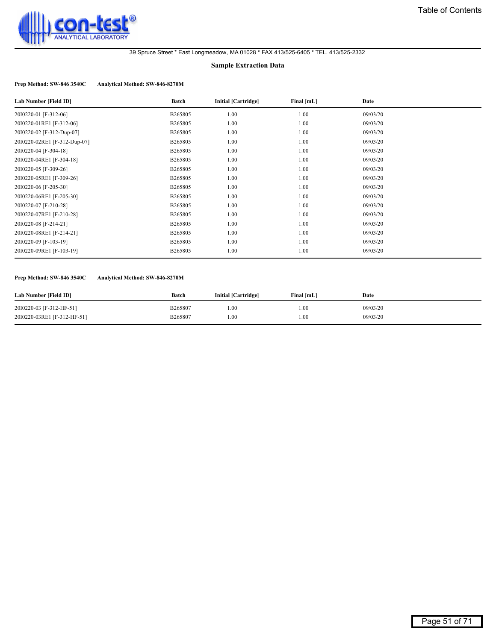<span id="page-50-0"></span>

#### **Sample Extraction Data**

# **Prep Method: SW-846 3540C Analytical Method: SW-846-8270M**

| Lab Number [Field ID]        | Batch   | <b>Initial [Cartridge]</b> | Final [mL] | Date     |
|------------------------------|---------|----------------------------|------------|----------|
| 2010220-01 [F-312-06]        | B265805 | 1.00                       | 1.00       | 09/03/20 |
| 2010220-01RE1 [F-312-06]     | B265805 | 1.00                       | 1.00       | 09/03/20 |
| 2010220-02 [F-312-Dup-07]    | B265805 | 1.00                       | 1.00       | 09/03/20 |
| 2010220-02RE1 [F-312-Dup-07] | B265805 | 1.00                       | 1.00       | 09/03/20 |
| 2010220-04 [F-304-18]        | B265805 | 1.00                       | 1.00       | 09/03/20 |
| 2010220-04RE1 [F-304-18]     | B265805 | 1.00                       | 1.00       | 09/03/20 |
| 2010220-05 [F-309-26]        | B265805 | 1.00                       | 1.00       | 09/03/20 |
| 2010220-05RE1 [F-309-26]     | B265805 | 1.00                       | 1.00       | 09/03/20 |
| 2010220-06 [F-205-30]        | B265805 | 1.00                       | 1.00       | 09/03/20 |
| 2010220-06RE1 [F-205-30]     | B265805 | 1.00                       | 1.00       | 09/03/20 |
| 2010220-07 [F-210-28]        | B265805 | 1.00                       | 1.00       | 09/03/20 |
| 2010220-07RE1 [F-210-28]     | B265805 | 1.00                       | 1.00       | 09/03/20 |
| 2010220-08 [F-214-21]        | B265805 | 1.00                       | 1.00       | 09/03/20 |
| 2010220-08RE1 [F-214-21]     | B265805 | 1.00                       | 1.00       | 09/03/20 |
| 2010220-09 [F-103-19]        | B265805 | 1.00                       | 1.00       | 09/03/20 |
| 2010220-09RE1 [F-103-19]     | B265805 | 1.00                       | 1.00       | 09/03/20 |

#### **Prep Method: SW-846 3540C Analytical Method: SW-846-8270M**

| Lab Number [Field ID]       | Batch   | <b>Initial [Cartridge]</b> | Final [mL] | Date     |
|-----------------------------|---------|----------------------------|------------|----------|
| 2010220-03 [F-312-HF-51]    | B265807 | 0.00                       | .00        | 09/03/20 |
| 2010220-03RE1 [F-312-HF-51] | B265807 | 0.00                       | .00        | 09/03/20 |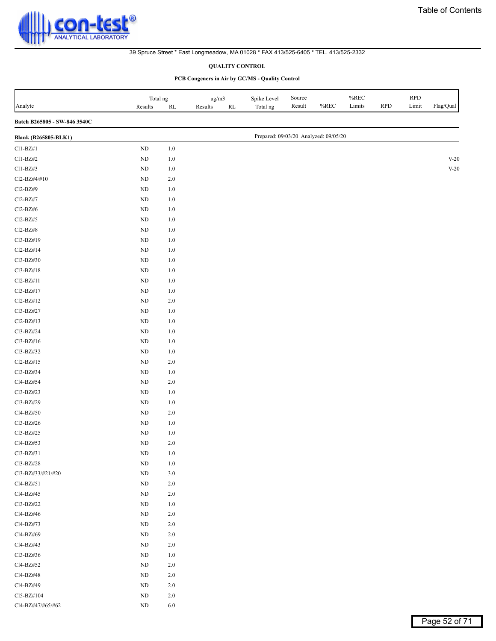<span id="page-51-0"></span>

# **QUALITY CONTROL**

| Analyte                      | Total ng<br>Results | $\mathbf{RL}$ | ug/m3<br>Results<br>$\mathbf{RL}$ | Spike Level<br>Total ng               | $\mbox{Source}$<br>Result | $\%$ REC | $\%$ REC<br>Limits | <b>RPD</b> | <b>RPD</b><br>Limit | Flag/Qual |
|------------------------------|---------------------|---------------|-----------------------------------|---------------------------------------|---------------------------|----------|--------------------|------------|---------------------|-----------|
| Batch B265805 - SW-846 3540C |                     |               |                                   |                                       |                           |          |                    |            |                     |           |
| <b>Blank (B265805-BLK1)</b>  |                     |               |                                   | Prepared: 09/03/20 Analyzed: 09/05/20 |                           |          |                    |            |                     |           |
| $Cl1-BZ#1$                   | $\rm ND$            | $1.0\,$       |                                   |                                       |                           |          |                    |            |                     |           |
| Cl1-BZ#2                     | $\rm ND$            | $1.0\,$       |                                   |                                       |                           |          |                    |            |                     | $V-20$    |
| $Cl1-BZ#3$                   | ND                  | $1.0\,$       |                                   |                                       |                           |          |                    |            |                     | $V-20$    |
| Cl2-BZ#4/#10                 | $\rm ND$            | $2.0\,$       |                                   |                                       |                           |          |                    |            |                     |           |
| Cl2-BZ#9                     | ND                  | $1.0\,$       |                                   |                                       |                           |          |                    |            |                     |           |
| Cl2-BZ#7                     | $\rm ND$            | $1.0\,$       |                                   |                                       |                           |          |                    |            |                     |           |
| $Cl2-BZ\#6$                  | $\rm ND$            | $1.0\,$       |                                   |                                       |                           |          |                    |            |                     |           |
| $Cl2-BZ#5$                   | $\rm ND$            | $1.0\,$       |                                   |                                       |                           |          |                    |            |                     |           |
| $Cl2-BZ#8$                   | $\rm ND$            | $1.0\,$       |                                   |                                       |                           |          |                    |            |                     |           |
| Cl3-BZ#19                    | $\rm ND$            | $1.0\,$       |                                   |                                       |                           |          |                    |            |                     |           |
| Cl2-BZ#14                    | ND                  | $1.0\,$       |                                   |                                       |                           |          |                    |            |                     |           |
| Cl3-BZ#30                    | $\rm ND$            | $1.0\,$       |                                   |                                       |                           |          |                    |            |                     |           |
| Cl3-BZ#18                    | ND                  | $1.0\,$       |                                   |                                       |                           |          |                    |            |                     |           |
| Cl2-BZ#11                    | ND                  | $1.0\,$       |                                   |                                       |                           |          |                    |            |                     |           |
| Cl3-BZ#17                    | $\rm ND$            | $1.0\,$       |                                   |                                       |                           |          |                    |            |                     |           |
| Cl2-BZ#12                    | ND                  | $2.0\,$       |                                   |                                       |                           |          |                    |            |                     |           |
| Cl3-BZ#27                    | ND                  | $1.0\,$       |                                   |                                       |                           |          |                    |            |                     |           |
| Cl2-BZ#13                    | $\rm ND$            | $1.0\,$       |                                   |                                       |                           |          |                    |            |                     |           |
| Cl3-BZ#24                    | $\rm ND$            | $1.0\,$       |                                   |                                       |                           |          |                    |            |                     |           |
| Cl3-BZ#16                    | $\rm ND$            | $1.0\,$       |                                   |                                       |                           |          |                    |            |                     |           |
| Cl3-BZ#32                    | $\rm ND$            | $1.0\,$       |                                   |                                       |                           |          |                    |            |                     |           |
| Cl2-BZ#15                    | $\rm ND$            | $2.0\,$       |                                   |                                       |                           |          |                    |            |                     |           |
| Cl3-BZ#34                    | $\rm ND$            | $1.0\,$       |                                   |                                       |                           |          |                    |            |                     |           |
| Cl4-BZ#54                    | $\rm ND$            | 2.0           |                                   |                                       |                           |          |                    |            |                     |           |
| Cl3-BZ#23                    | ND                  | $1.0\,$       |                                   |                                       |                           |          |                    |            |                     |           |
| Cl3-BZ#29                    | ND                  | $1.0\,$       |                                   |                                       |                           |          |                    |            |                     |           |
| Cl4-BZ#50                    | ND                  | $2.0\,$       |                                   |                                       |                           |          |                    |            |                     |           |
| Cl3-BZ#26                    | $\rm ND$            | $1.0\,$       |                                   |                                       |                           |          |                    |            |                     |           |
| Cl3-BZ#25                    | $\rm ND$            | $1.0\,$       |                                   |                                       |                           |          |                    |            |                     |           |
| Cl4-BZ#53                    | $\rm ND$            | $2.0\,$       |                                   |                                       |                           |          |                    |            |                     |           |
| Cl3-BZ#31                    | $\rm ND$            | $1.0\,$       |                                   |                                       |                           |          |                    |            |                     |           |
| Cl3-BZ#28                    | $\rm ND$            | $1.0\,$       |                                   |                                       |                           |          |                    |            |                     |           |
| Cl3-BZ#33/#21/#20            | ND                  | $3.0$         |                                   |                                       |                           |          |                    |            |                     |           |
| Cl4-BZ#51                    | $\rm ND$            | $2.0\,$       |                                   |                                       |                           |          |                    |            |                     |           |
| Cl4-BZ#45                    | ND                  | $2.0\,$       |                                   |                                       |                           |          |                    |            |                     |           |
| Cl3-BZ#22                    | $\rm ND$            | $1.0\,$       |                                   |                                       |                           |          |                    |            |                     |           |
| Cl4-BZ#46                    | $\rm ND$            | $2.0\,$       |                                   |                                       |                           |          |                    |            |                     |           |
| Cl4-BZ#73                    | $\rm ND$            | $2.0\,$       |                                   |                                       |                           |          |                    |            |                     |           |
| Cl4-BZ#69                    | $\rm ND$            | $2.0\,$       |                                   |                                       |                           |          |                    |            |                     |           |
| Cl4-BZ#43                    | $\rm ND$            | $2.0\,$       |                                   |                                       |                           |          |                    |            |                     |           |
| Cl3-BZ#36                    | $\rm ND$            | $1.0\,$       |                                   |                                       |                           |          |                    |            |                     |           |
| Cl4-BZ#52                    | $\rm ND$            | $2.0\,$       |                                   |                                       |                           |          |                    |            |                     |           |
| Cl4-BZ#48                    | $\rm ND$            | $2.0\,$       |                                   |                                       |                           |          |                    |            |                     |           |
| Cl4-BZ#49                    | $\rm ND$            | $2.0\,$       |                                   |                                       |                           |          |                    |            |                     |           |
| Cl5-BZ#104                   | $\rm ND$            | $2.0\,$       |                                   |                                       |                           |          |                    |            |                     |           |
| Cl4-BZ#47/#65/#62            | $\rm ND$            | $6.0\,$       |                                   |                                       |                           |          |                    |            |                     |           |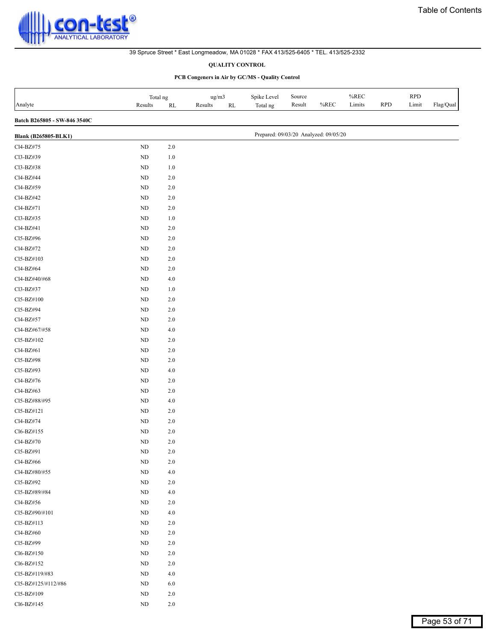#### **QUALITY CONTROL**

| Analyte                      | Total ng<br>Results | $\mathbf{RL}$ | ug/m3<br>Results<br>$\mathbf{RL}$ | Spike Level<br>Total ng               | Source<br>Result | %REC | $\%$ REC<br>Limits | <b>RPD</b> | <b>RPD</b><br>Limit | Flag/Qual |
|------------------------------|---------------------|---------------|-----------------------------------|---------------------------------------|------------------|------|--------------------|------------|---------------------|-----------|
| Batch B265805 - SW-846 3540C |                     |               |                                   |                                       |                  |      |                    |            |                     |           |
| <b>Blank (B265805-BLK1)</b>  |                     |               |                                   | Prepared: 09/03/20 Analyzed: 09/05/20 |                  |      |                    |            |                     |           |
| Cl4-BZ#75                    | $\rm ND$            | 2.0           |                                   |                                       |                  |      |                    |            |                     |           |
| Cl3-BZ#39                    | $\rm ND$            | $1.0\,$       |                                   |                                       |                  |      |                    |            |                     |           |
| Cl3-BZ#38                    | $\rm ND$            | $1.0\,$       |                                   |                                       |                  |      |                    |            |                     |           |
| Cl4-BZ#44                    | $\rm ND$            | $2.0\,$       |                                   |                                       |                  |      |                    |            |                     |           |
| Cl4-BZ#59                    | $\rm ND$            | $2.0\,$       |                                   |                                       |                  |      |                    |            |                     |           |
| Cl4-BZ#42                    | $\rm ND$            | $2.0\,$       |                                   |                                       |                  |      |                    |            |                     |           |
| Cl4-BZ#71                    | $\rm ND$            | $2.0\,$       |                                   |                                       |                  |      |                    |            |                     |           |
| Cl3-BZ#35                    | ND                  | $1.0\,$       |                                   |                                       |                  |      |                    |            |                     |           |
| Cl4-BZ#41                    | $\rm ND$            | $2.0\,$       |                                   |                                       |                  |      |                    |            |                     |           |
| Cl5-BZ#96                    | $\rm ND$            | $2.0\,$       |                                   |                                       |                  |      |                    |            |                     |           |
| Cl4-BZ#72                    | $\rm ND$            | $2.0\,$       |                                   |                                       |                  |      |                    |            |                     |           |
| Cl5-BZ#103                   | $\rm ND$            | $2.0\,$       |                                   |                                       |                  |      |                    |            |                     |           |
| Cl4-BZ#64                    | $\rm ND$            | $2.0\,$       |                                   |                                       |                  |      |                    |            |                     |           |
| Cl4-BZ#40/#68                | $\rm ND$            | $4.0\,$       |                                   |                                       |                  |      |                    |            |                     |           |
| Cl3-BZ#37                    | $\rm ND$            | $1.0\,$       |                                   |                                       |                  |      |                    |            |                     |           |
| Cl5-BZ#100                   | $\rm ND$            | $2.0\,$       |                                   |                                       |                  |      |                    |            |                     |           |
| Cl5-BZ#94                    | $\rm ND$            | $2.0\,$       |                                   |                                       |                  |      |                    |            |                     |           |
| Cl4-BZ#57                    | $\rm ND$            | $2.0\,$       |                                   |                                       |                  |      |                    |            |                     |           |
| Cl4-BZ#67/#58                | $\rm ND$            | $4.0\,$       |                                   |                                       |                  |      |                    |            |                     |           |
| Cl5-BZ#102                   | $\rm ND$            | $2.0\,$       |                                   |                                       |                  |      |                    |            |                     |           |
| Cl4-BZ#61                    | $\rm ND$            | $2.0\,$       |                                   |                                       |                  |      |                    |            |                     |           |
| Cl5-BZ#98                    | $\rm ND$            | $2.0\,$       |                                   |                                       |                  |      |                    |            |                     |           |
| Cl5-BZ#93                    | $\rm ND$            | $4.0\,$       |                                   |                                       |                  |      |                    |            |                     |           |
| Cl4-BZ#76                    | $\rm ND$            | $2.0\,$       |                                   |                                       |                  |      |                    |            |                     |           |
| Cl4-BZ#63                    | ND                  | $2.0\,$       |                                   |                                       |                  |      |                    |            |                     |           |
| Cl5-BZ#88/#95                | $\rm ND$            | $4.0\,$       |                                   |                                       |                  |      |                    |            |                     |           |
| Cl5-BZ#121                   | $\rm ND$            | $2.0\,$       |                                   |                                       |                  |      |                    |            |                     |           |
| Cl4-BZ#74                    | $\rm ND$            | $2.0\,$       |                                   |                                       |                  |      |                    |            |                     |           |
| Cl6-BZ#155                   | $\rm ND$            | 2.0           |                                   |                                       |                  |      |                    |            |                     |           |
| Cl4-BZ#70                    | $\rm ND$            | 2.0           |                                   |                                       |                  |      |                    |            |                     |           |
| Cl5-BZ#91                    | $\rm ND$            | $2.0\,$       |                                   |                                       |                  |      |                    |            |                     |           |
| Cl4-BZ#66                    | $\rm ND$            | $2.0\,$       |                                   |                                       |                  |      |                    |            |                     |           |
| Cl4-BZ#80/#55                | $\rm ND$            | $4.0$         |                                   |                                       |                  |      |                    |            |                     |           |
| Cl5-BZ#92                    | $\rm ND$            | $2.0\,$       |                                   |                                       |                  |      |                    |            |                     |           |
| Cl5-BZ#89/#84                | $\rm ND$            | 4.0           |                                   |                                       |                  |      |                    |            |                     |           |
| Cl4-BZ#56                    | $\rm ND$            | $2.0\,$       |                                   |                                       |                  |      |                    |            |                     |           |
| Cl5-BZ#90/#101               | $\rm ND$            | $4.0$         |                                   |                                       |                  |      |                    |            |                     |           |
| Cl5-BZ#113                   | $\rm ND$            | $2.0\,$       |                                   |                                       |                  |      |                    |            |                     |           |
| Cl4-BZ#60                    | $\rm ND$            | $2.0\,$       |                                   |                                       |                  |      |                    |            |                     |           |
| Cl5-BZ#99                    | $\rm ND$            | $2.0\,$       |                                   |                                       |                  |      |                    |            |                     |           |
| Cl6-BZ#150                   | $\rm ND$            | $2.0\,$       |                                   |                                       |                  |      |                    |            |                     |           |
| Cl6-BZ#152                   | $\rm ND$            | $2.0\,$       |                                   |                                       |                  |      |                    |            |                     |           |
| Cl5-BZ#119/#83               | $\rm ND$            | 4.0           |                                   |                                       |                  |      |                    |            |                     |           |
| Cl5-BZ#125/#112/#86          | $\rm ND$            | $6.0\,$       |                                   |                                       |                  |      |                    |            |                     |           |
| Cl5-BZ#109                   | $\rm ND$            | 2.0           |                                   |                                       |                  |      |                    |            |                     |           |
| Cl6-BZ#145                   | $\rm ND$            | $2.0\,$       |                                   |                                       |                  |      |                    |            |                     |           |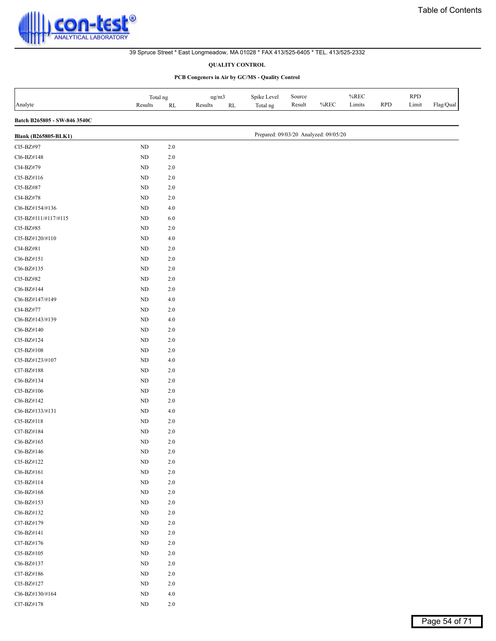#### **QUALITY CONTROL**

| Analyte                      | Total ng<br>Results | $\mathbf{RL}$ | ug/m3<br>Results<br>$\mathbf{RL}$ | Spike Level<br>Total ng               | Source<br>Result | $%$ REC | $\%$ REC<br>Limits | <b>RPD</b> | <b>RPD</b><br>Limit | Flag/Qual |
|------------------------------|---------------------|---------------|-----------------------------------|---------------------------------------|------------------|---------|--------------------|------------|---------------------|-----------|
| Batch B265805 - SW-846 3540C |                     |               |                                   |                                       |                  |         |                    |            |                     |           |
| <b>Blank (B265805-BLK1)</b>  |                     |               |                                   | Prepared: 09/03/20 Analyzed: 09/05/20 |                  |         |                    |            |                     |           |
| Cl5-BZ#97                    | $\rm ND$            | $2.0$         |                                   |                                       |                  |         |                    |            |                     |           |
| Cl6-BZ#148                   | $\rm ND$            | 2.0           |                                   |                                       |                  |         |                    |            |                     |           |
| Cl4-BZ#79                    | $\rm ND$            | $2.0$         |                                   |                                       |                  |         |                    |            |                     |           |
| Cl5-BZ#116                   | $\rm ND$            | $2.0$         |                                   |                                       |                  |         |                    |            |                     |           |
| Cl5-BZ#87                    | $\rm ND$            | 2.0           |                                   |                                       |                  |         |                    |            |                     |           |
| Cl4-BZ#78                    | $\rm ND$            | $2.0\,$       |                                   |                                       |                  |         |                    |            |                     |           |
| Cl6-BZ#154/#136              | $\rm ND$            | 4.0           |                                   |                                       |                  |         |                    |            |                     |           |
| CI5-BZ#111/#117/#115         | ND                  | 6.0           |                                   |                                       |                  |         |                    |            |                     |           |
| Cl5-BZ#85                    | $\rm ND$            | $2.0\,$       |                                   |                                       |                  |         |                    |            |                     |           |
| Cl5-BZ#120/#110              | ND                  | $4.0\,$       |                                   |                                       |                  |         |                    |            |                     |           |
| Cl4-BZ#81                    | $\rm ND$            | $2.0$         |                                   |                                       |                  |         |                    |            |                     |           |
| Cl6-BZ#151                   | ND                  | 2.0           |                                   |                                       |                  |         |                    |            |                     |           |
| Cl6-BZ#135                   | $\rm ND$            | 2.0           |                                   |                                       |                  |         |                    |            |                     |           |
| Cl5-BZ#82                    | ND                  | $2.0$         |                                   |                                       |                  |         |                    |            |                     |           |
| Cl6-BZ#144                   | $\rm ND$            | $2.0$         |                                   |                                       |                  |         |                    |            |                     |           |
| Cl6-BZ#147/#149              | $\rm ND$            | 4.0           |                                   |                                       |                  |         |                    |            |                     |           |
| Cl4-BZ#77                    | $\rm ND$            | 2.0           |                                   |                                       |                  |         |                    |            |                     |           |
| Cl6-BZ#143/#139              | $\rm ND$            | 4.0           |                                   |                                       |                  |         |                    |            |                     |           |
| Cl6-BZ#140                   | ND                  | 2.0           |                                   |                                       |                  |         |                    |            |                     |           |
| Cl5-BZ#124                   | $\rm ND$            | 2.0           |                                   |                                       |                  |         |                    |            |                     |           |
| Cl5-BZ#108                   | $\rm ND$            | $2.0\,$       |                                   |                                       |                  |         |                    |            |                     |           |
| Cl5-BZ#123/#107              | $\rm ND$            | 4.0           |                                   |                                       |                  |         |                    |            |                     |           |
| Cl7-BZ#188                   | $\rm ND$            | 2.0           |                                   |                                       |                  |         |                    |            |                     |           |
| Cl6-BZ#134                   | ND                  | 2.0           |                                   |                                       |                  |         |                    |            |                     |           |
| Cl5-BZ#106                   | $\rm ND$            | $2.0$         |                                   |                                       |                  |         |                    |            |                     |           |
| Cl6-BZ#142                   | $\rm ND$            | $2.0\,$       |                                   |                                       |                  |         |                    |            |                     |           |
| Cl6-BZ#133/#131              | $\rm ND$            | 4.0           |                                   |                                       |                  |         |                    |            |                     |           |
| Cl5-BZ#118                   | $\rm ND$            | 2.0           |                                   |                                       |                  |         |                    |            |                     |           |
| Cl7-BZ#184                   | $\rm ND$            | 2.0           |                                   |                                       |                  |         |                    |            |                     |           |
| Cl6-BZ#165                   | $\rm ND$            | $2.0$         |                                   |                                       |                  |         |                    |            |                     |           |
| Cl6-BZ#146                   | $\rm ND$            | $2.0\,$       |                                   |                                       |                  |         |                    |            |                     |           |
| Cl5-BZ#122                   | $\rm ND$            | $2.0\,$       |                                   |                                       |                  |         |                    |            |                     |           |
| Cl6-BZ#161                   | $\rm ND$            | 2.0           |                                   |                                       |                  |         |                    |            |                     |           |
| Cl5-BZ#114                   | $\rm ND$            | $2.0\,$       |                                   |                                       |                  |         |                    |            |                     |           |
| Cl6-BZ#168                   | $\rm ND$            | $2.0\,$       |                                   |                                       |                  |         |                    |            |                     |           |
| Cl6-BZ#153                   | $\rm ND$            | $2.0\,$       |                                   |                                       |                  |         |                    |            |                     |           |
| Cl6-BZ#132                   | $\rm ND$            | $2.0\,$       |                                   |                                       |                  |         |                    |            |                     |           |
| Cl7-BZ#179                   | $\rm ND$            | $2.0\,$       |                                   |                                       |                  |         |                    |            |                     |           |
| $Cl6-BZ#141$                 | $\rm ND$            | $2.0\,$       |                                   |                                       |                  |         |                    |            |                     |           |
| Cl7-BZ#176                   | $\rm ND$            | $2.0\,$       |                                   |                                       |                  |         |                    |            |                     |           |
| Cl5-BZ#105                   | ND                  | $2.0\,$       |                                   |                                       |                  |         |                    |            |                     |           |
| Cl6-BZ#137                   | $\rm ND$            | $2.0\,$       |                                   |                                       |                  |         |                    |            |                     |           |
| Cl7-BZ#186                   | $\rm ND$            | $2.0\,$       |                                   |                                       |                  |         |                    |            |                     |           |
| Cl5-BZ#127                   | $\rm ND$            | 2.0           |                                   |                                       |                  |         |                    |            |                     |           |
| Cl6-BZ#130/#164              | ND                  | 4.0           |                                   |                                       |                  |         |                    |            |                     |           |
| Cl7-BZ#178                   | $\rm ND$            | $2.0\,$       |                                   |                                       |                  |         |                    |            |                     |           |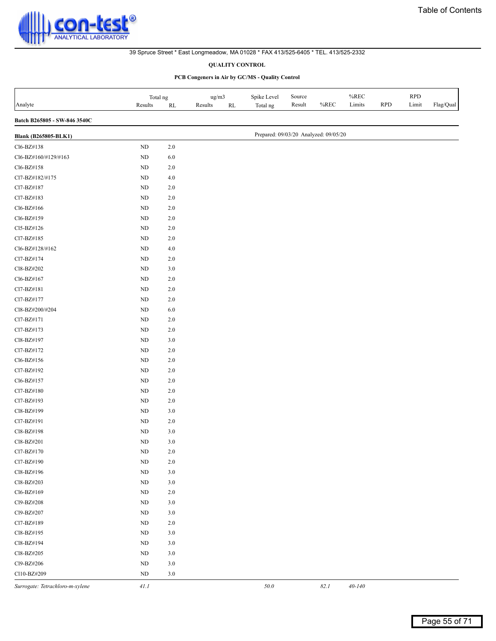#### **QUALITY CONTROL**

| Analyte                         | Total ng<br>Results | $\mathbf{RL}$ | ug/m3<br>Results<br>$\mathbf{RL}$ | Spike Level<br>Total ng               | Source<br>Result | %REC | %REC<br>Limits | <b>RPD</b> | <b>RPD</b><br>Limit | Flag/Qual |
|---------------------------------|---------------------|---------------|-----------------------------------|---------------------------------------|------------------|------|----------------|------------|---------------------|-----------|
| Batch B265805 - SW-846 3540C    |                     |               |                                   |                                       |                  |      |                |            |                     |           |
| <b>Blank (B265805-BLK1)</b>     |                     |               |                                   | Prepared: 09/03/20 Analyzed: 09/05/20 |                  |      |                |            |                     |           |
| Cl6-BZ#138                      | $\rm ND$            | $2.0\,$       |                                   |                                       |                  |      |                |            |                     |           |
| Cl6-BZ#160/#129/#163            | ND                  | $6.0\,$       |                                   |                                       |                  |      |                |            |                     |           |
| Cl6-BZ#158                      | $\rm ND$            | $2.0\,$       |                                   |                                       |                  |      |                |            |                     |           |
| Cl7-BZ#182/#175                 | $\rm ND$            | 4.0           |                                   |                                       |                  |      |                |            |                     |           |
| Cl7-BZ#187                      | $\rm ND$            | $2.0\,$       |                                   |                                       |                  |      |                |            |                     |           |
| Cl7-BZ#183                      | $\rm ND$            | $2.0\,$       |                                   |                                       |                  |      |                |            |                     |           |
| Cl6-BZ#166                      | ND                  | $2.0\,$       |                                   |                                       |                  |      |                |            |                     |           |
| Cl6-BZ#159                      | $\rm ND$            | $2.0\,$       |                                   |                                       |                  |      |                |            |                     |           |
| Cl5-BZ#126                      | ND                  | $2.0\,$       |                                   |                                       |                  |      |                |            |                     |           |
| Cl7-BZ#185                      | ND                  | 2.0           |                                   |                                       |                  |      |                |            |                     |           |
| Cl6-BZ#128/#162                 | ND                  | $4.0\,$       |                                   |                                       |                  |      |                |            |                     |           |
| Cl7-BZ#174                      | ND                  | $2.0\,$       |                                   |                                       |                  |      |                |            |                     |           |
| Cl8-BZ#202                      | $\rm ND$            | 3.0           |                                   |                                       |                  |      |                |            |                     |           |
| Cl6-BZ#167                      | $\rm ND$            | $2.0\,$       |                                   |                                       |                  |      |                |            |                     |           |
| Cl7-BZ#181                      | $\rm ND$            | 2.0           |                                   |                                       |                  |      |                |            |                     |           |
| Cl7-BZ#177                      | $\rm ND$            | $2.0\,$       |                                   |                                       |                  |      |                |            |                     |           |
| Cl8-BZ#200/#204                 | $\rm ND$            | 6.0           |                                   |                                       |                  |      |                |            |                     |           |
| Cl7-BZ#171                      | $\rm ND$            | 2.0           |                                   |                                       |                  |      |                |            |                     |           |
| Cl7-BZ#173                      | $\rm ND$            | $2.0\,$       |                                   |                                       |                  |      |                |            |                     |           |
| Cl8-BZ#197                      | ND                  | 3.0           |                                   |                                       |                  |      |                |            |                     |           |
| Cl7-BZ#172                      | ND                  | 2.0           |                                   |                                       |                  |      |                |            |                     |           |
| Cl6-BZ#156                      | $\rm ND$            | $2.0\,$       |                                   |                                       |                  |      |                |            |                     |           |
| Cl7-BZ#192                      | $\rm ND$            | $2.0\,$       |                                   |                                       |                  |      |                |            |                     |           |
| Cl6-BZ#157                      | ND                  | $2.0\,$       |                                   |                                       |                  |      |                |            |                     |           |
| Cl7-BZ#180                      | $\rm ND$            | $2.0\,$       |                                   |                                       |                  |      |                |            |                     |           |
| Cl7-BZ#193                      | $\rm ND$            | $2.0\,$       |                                   |                                       |                  |      |                |            |                     |           |
| Cl8-BZ#199                      | $\rm ND$            | 3.0           |                                   |                                       |                  |      |                |            |                     |           |
| Cl7-BZ#191                      | $\rm ND$            | $2.0\,$       |                                   |                                       |                  |      |                |            |                     |           |
| Cl8-BZ#198                      | $\rm ND$            | $3.0\,$       |                                   |                                       |                  |      |                |            |                     |           |
| Cl8-BZ#201                      | ND                  | $3.0$         |                                   |                                       |                  |      |                |            |                     |           |
| Cl7-BZ#170                      | $\rm ND$            | $2.0\,$       |                                   |                                       |                  |      |                |            |                     |           |
| Cl7-BZ#190                      | $\rm ND$            | $2.0\,$       |                                   |                                       |                  |      |                |            |                     |           |
| Cl8-BZ#196                      | $\rm ND$            | $3.0\,$       |                                   |                                       |                  |      |                |            |                     |           |
| Cl8-BZ#203                      | $\rm ND$            | $3.0\,$       |                                   |                                       |                  |      |                |            |                     |           |
| Cl6-BZ#169                      | ND                  | 2.0           |                                   |                                       |                  |      |                |            |                     |           |
| Cl9-BZ#208                      | ND                  | 3.0           |                                   |                                       |                  |      |                |            |                     |           |
| Cl9-BZ#207                      | $\rm ND$            | $3.0$         |                                   |                                       |                  |      |                |            |                     |           |
| Cl7-BZ#189                      | $\rm ND$            | $2.0\,$       |                                   |                                       |                  |      |                |            |                     |           |
| Cl8-BZ#195                      | $\rm ND$            | $3.0\,$       |                                   |                                       |                  |      |                |            |                     |           |
| Cl8-BZ#194                      | ND                  | $3.0$         |                                   |                                       |                  |      |                |            |                     |           |
| Cl8-BZ#205                      | $\rm ND$            | $3.0\,$       |                                   |                                       |                  |      |                |            |                     |           |
| Cl9-BZ#206                      | ND                  | $3.0$         |                                   |                                       |                  |      |                |            |                     |           |
| Cl10-BZ#209                     | ND                  | 3.0           |                                   |                                       |                  |      |                |            |                     |           |
| Surrogate: Tetrachloro-m-xylene | 41.1                |               |                                   | 50.0                                  |                  | 82.1 | $40 - 140$     |            |                     |           |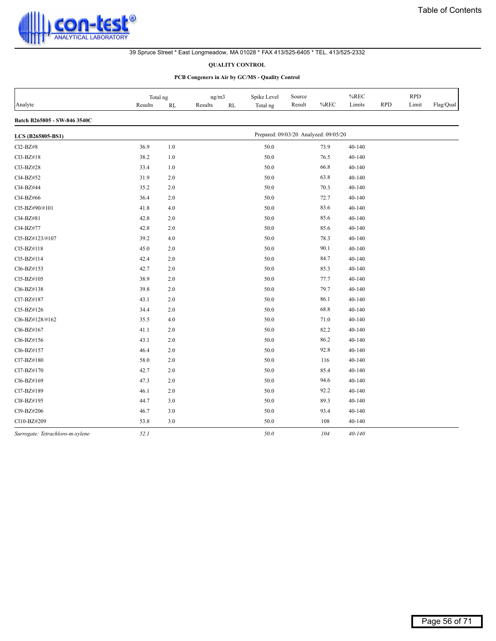

#### **QUALITY CONTROL**

|                                 | Total ng |         | ug/m3         | Spike Level | Source                                |      | %REC       |            | <b>RPD</b> |           |
|---------------------------------|----------|---------|---------------|-------------|---------------------------------------|------|------------|------------|------------|-----------|
| Analyte                         | Results  | RL      | Results<br>RL | Total ng    | Result                                | %REC | Limits     | <b>RPD</b> | Limit      | Flag/Qual |
| Batch B265805 - SW-846 3540C    |          |         |               |             |                                       |      |            |            |            |           |
| LCS (B265805-BS1)               |          |         |               |             | Prepared: 09/03/20 Analyzed: 09/05/20 |      |            |            |            |           |
| Cl2-BZ#8                        | 36.9     | $1.0\,$ |               | 50.0        |                                       | 73.9 | $40 - 140$ |            |            |           |
| Cl3-BZ#18                       | 38.2     | 1.0     |               | 50.0        |                                       | 76.5 | 40-140     |            |            |           |
| Cl3-BZ#28                       | 33.4     | 1.0     |               | 50.0        |                                       | 66.8 | 40-140     |            |            |           |
| Cl4-BZ#52                       | 31.9     | 2.0     |               | 50.0        |                                       | 63.8 | $40 - 140$ |            |            |           |
| Cl4-BZ#44                       | 35.2     | 2.0     |               | 50.0        |                                       | 70.3 | 40-140     |            |            |           |
| Cl4-BZ#66                       | 36.4     | 2.0     |               | 50.0        |                                       | 72.7 | 40-140     |            |            |           |
| Cl5-BZ#90/#101                  | 41.8     | 4.0     |               | 50.0        |                                       | 83.6 | 40-140     |            |            |           |
| Cl4-BZ#81                       | 42.8     | 2.0     |               | 50.0        |                                       | 85.6 | $40 - 140$ |            |            |           |
| Cl4-BZ#77                       | 42.8     | 2.0     |               | 50.0        |                                       | 85.6 | $40 - 140$ |            |            |           |
| Cl5-BZ#123/#107                 | 39.2     | 4.0     |               | 50.0        |                                       | 78.3 | $40 - 140$ |            |            |           |
| Cl5-BZ#118                      | 45.0     | $2.0$   |               | 50.0        |                                       | 90.1 | $40 - 140$ |            |            |           |
| Cl5-BZ#114                      | 42.4     | 2.0     |               | 50.0        |                                       | 84.7 | 40-140     |            |            |           |
| Cl6-BZ#153                      | 42.7     | 2.0     |               | 50.0        |                                       | 85.3 | 40-140     |            |            |           |
| Cl5-BZ#105                      | 38.9     | 2.0     |               | 50.0        |                                       | 77.7 | 40-140     |            |            |           |
| Cl6-BZ#138                      | 39.8     | 2.0     |               | 50.0        |                                       | 79.7 | $40 - 140$ |            |            |           |
| Cl7-BZ#187                      | 43.1     | 2.0     |               | 50.0        |                                       | 86.1 | $40 - 140$ |            |            |           |
| Cl5-BZ#126                      | 34.4     | 2.0     |               | 50.0        |                                       | 68.8 | $40 - 140$ |            |            |           |
| Cl6-BZ#128/#162                 | 35.5     | 4.0     |               | 50.0        |                                       | 71.0 | 40-140     |            |            |           |
| Cl6-BZ#167                      | 41.1     | 2.0     |               | 50.0        |                                       | 82.2 | 40-140     |            |            |           |
| Cl6-BZ#156                      | 43.1     | 2.0     |               | 50.0        |                                       | 86.2 | 40-140     |            |            |           |
| Cl6-BZ#157                      | 46.4     | 2.0     |               | 50.0        |                                       | 92.8 | $40 - 140$ |            |            |           |
| Cl7-BZ#180                      | 58.0     | $2.0$   |               | 50.0        |                                       | 116  | $40 - 140$ |            |            |           |
| Cl7-BZ#170                      | 42.7     | 2.0     |               | 50.0        |                                       | 85.4 | 40-140     |            |            |           |
| Cl6-BZ#169                      | 47.3     | 2.0     |               | 50.0        |                                       | 94.6 | 40-140     |            |            |           |
| Cl7-BZ#189                      | 46.1     | 2.0     |               | 50.0        |                                       | 92.2 | 40-140     |            |            |           |
| Cl8-BZ#195                      | 44.7     | 3.0     |               | 50.0        |                                       | 89.3 | 40-140     |            |            |           |
| Cl9-BZ#206                      | 46.7     | 3.0     |               | 50.0        |                                       | 93.4 | $40 - 140$ |            |            |           |
| Cl10-BZ#209                     | 53.8     | 3.0     |               | 50.0        |                                       | 108  | $40 - 140$ |            |            |           |
| Surrogate: Tetrachloro-m-xylene | 52.1     |         |               | 50.0        |                                       | 104  | $40 - 140$ |            |            |           |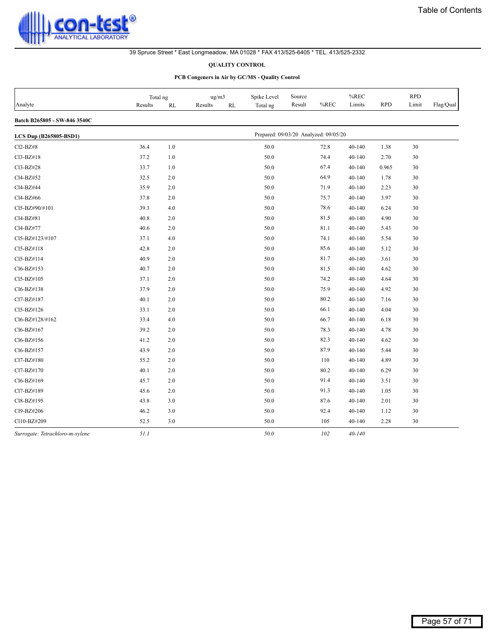

#### **QUALITY CONTROL**

|                                 | Total ng |               | ug/m3                    | Spike Level                           | Source |      | %REC       |            | <b>RPD</b> |           |
|---------------------------------|----------|---------------|--------------------------|---------------------------------------|--------|------|------------|------------|------------|-----------|
| Analyte                         | Results  | $\mathbf{RL}$ | Results<br>$\mathbf{RL}$ | Total ng                              | Result | %REC | Limits     | <b>RPD</b> | Limit      | Flag/Qual |
| Batch B265805 - SW-846 3540C    |          |               |                          |                                       |        |      |            |            |            |           |
| LCS Dup (B265805-BSD1)          |          |               |                          | Prepared: 09/03/20 Analyzed: 09/05/20 |        |      |            |            |            |           |
| Cl2-BZ#8                        | 36.4     | 1.0           |                          | 50.0                                  |        | 72.8 | 40-140     | 1.38       | 30         |           |
| Cl3-BZ#18                       | 37.2     | 1.0           |                          | 50.0                                  |        | 74.4 | 40-140     | 2.70       | 30         |           |
| Cl3-BZ#28                       | 33.7     | 1.0           |                          | 50.0                                  |        | 67.4 | 40-140     | 0.965      | 30         |           |
| Cl4-BZ#52                       | 32.5     | 2.0           |                          | 50.0                                  |        | 64.9 | 40-140     | 1.78       | 30         |           |
| Cl4-BZ#44                       | 35.9     | 2.0           |                          | 50.0                                  |        | 71.9 | 40-140     | 2.23       | 30         |           |
| Cl4-BZ#66                       | 37.8     | 2.0           |                          | 50.0                                  |        | 75.7 | 40-140     | 3.97       | 30         |           |
| Cl5-BZ#90/#101                  | 39.3     | 4.0           |                          | 50.0                                  |        | 78.6 | 40-140     | 6.24       | 30         |           |
| Cl4-BZ#81                       | 40.8     | 2.0           |                          | 50.0                                  |        | 81.5 | 40-140     | 4.90       | 30         |           |
| Cl4-BZ#77                       | 40.6     | 2.0           |                          | 50.0                                  |        | 81.1 | 40-140     | 5.43       | 30         |           |
| Cl5-BZ#123/#107                 | 37.1     | 4.0           |                          | 50.0                                  |        | 74.1 | 40-140     | 5.54       | 30         |           |
| Cl5-BZ#118                      | 42.8     | 2.0           |                          | 50.0                                  |        | 85.6 | 40-140     | 5.12       | 30         |           |
| Cl5-BZ#114                      | 40.9     | 2.0           |                          | 50.0                                  |        | 81.7 | 40-140     | 3.61       | 30         |           |
| Cl6-BZ#153                      | 40.7     | 2.0           |                          | 50.0                                  |        | 81.5 | 40-140     | 4.62       | 30         |           |
| Cl5-BZ#105                      | 37.1     | 2.0           |                          | 50.0                                  |        | 74.2 | 40-140     | 4.64       | 30         |           |
| Cl6-BZ#138                      | 37.9     | 2.0           |                          | 50.0                                  |        | 75.9 | 40-140     | 4.92       | 30         |           |
| Cl7-BZ#187                      | 40.1     | 2.0           |                          | 50.0                                  |        | 80.2 | 40-140     | 7.16       | 30         |           |
| Cl5-BZ#126                      | 33.1     | 2.0           |                          | 50.0                                  |        | 66.1 | 40-140     | 4.04       | 30         |           |
| Cl6-BZ#128/#162                 | 33.4     | 4.0           |                          | 50.0                                  |        | 66.7 | 40-140     | 6.18       | 30         |           |
| Cl6-BZ#167                      | 39.2     | 2.0           |                          | 50.0                                  |        | 78.3 | 40-140     | 4.78       | 30         |           |
| Cl6-BZ#156                      | 41.2     | 2.0           |                          | 50.0                                  |        | 82.3 | 40-140     | 4.62       | 30         |           |
| Cl6-BZ#157                      | 43.9     | 2.0           |                          | 50.0                                  |        | 87.9 | 40-140     | 5.44       | 30         |           |
| Cl7-BZ#180                      | 55.2     | 2.0           |                          | 50.0                                  |        | 110  | 40-140     | 4.89       | 30         |           |
| Cl7-BZ#170                      | 40.1     | 2.0           |                          | 50.0                                  |        | 80.2 | 40-140     | 6.29       | 30         |           |
| Cl6-BZ#169                      | 45.7     | 2.0           |                          | 50.0                                  |        | 91.4 | 40-140     | 3.51       | 30         |           |
| Cl7-BZ#189                      | 45.6     | 2.0           |                          | 50.0                                  |        | 91.3 | 40-140     | 1.05       | 30         |           |
| Cl8-BZ#195                      | 43.8     | 3.0           |                          | 50.0                                  |        | 87.6 | 40-140     | 2.01       | 30         |           |
| Cl9-BZ#206                      | 46.2     | 3.0           |                          | 50.0                                  |        | 92.4 | 40-140     | 1.12       | 30         |           |
| Cl10-BZ#209                     | 52.5     | 3.0           |                          | 50.0                                  |        | 105  | 40-140     | 2.28       | 30         |           |
| Surrogate: Tetrachloro-m-xylene | 51.1     |               |                          | 50.0                                  |        | 102  | $40 - 140$ |            |            |           |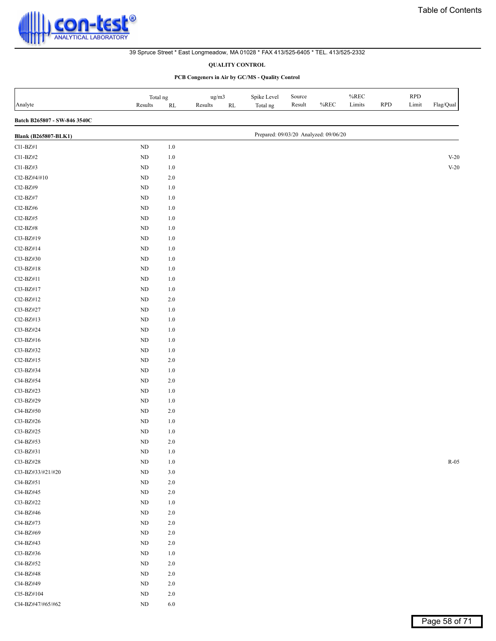#### **QUALITY CONTROL**

<span id="page-57-0"></span>

| Analyte                      | Total ng<br>Results | $\mathbf{RL}$ | $\rm ug/m3$<br>Results<br>$\mathbf{RL}$ | Spike Level<br>Total ng               | Source<br>Result | $\%$ REC | $\%$ REC<br>Limits | <b>RPD</b> | <b>RPD</b><br>Limit | $\rm Flag/Qual$ |
|------------------------------|---------------------|---------------|-----------------------------------------|---------------------------------------|------------------|----------|--------------------|------------|---------------------|-----------------|
| Batch B265807 - SW-846 3540C |                     |               |                                         |                                       |                  |          |                    |            |                     |                 |
| <b>Blank (B265807-BLK1)</b>  |                     |               |                                         | Prepared: 09/03/20 Analyzed: 09/06/20 |                  |          |                    |            |                     |                 |
| $Cl1-BZ#1$                   | $\rm ND$            | $1.0\,$       |                                         |                                       |                  |          |                    |            |                     |                 |
| Cl1-BZ#2                     | $\rm ND$            | $1.0\,$       |                                         |                                       |                  |          |                    |            |                     | $V-20$          |
| $Cl1-BZ#3$                   | $\rm ND$            | $1.0\,$       |                                         |                                       |                  |          |                    |            |                     | $V-20$          |
| Cl2-BZ#4/#10                 | $\rm ND$            | $2.0\,$       |                                         |                                       |                  |          |                    |            |                     |                 |
| Cl2-BZ#9                     | $\rm ND$            | $1.0\,$       |                                         |                                       |                  |          |                    |            |                     |                 |
| Cl2-BZ#7                     | $\rm ND$            | $1.0\,$       |                                         |                                       |                  |          |                    |            |                     |                 |
| $Cl2-BZ\#6$                  | $\rm ND$            | $1.0\,$       |                                         |                                       |                  |          |                    |            |                     |                 |
| $Cl2-BZ#5$                   | $\rm ND$            | $1.0\,$       |                                         |                                       |                  |          |                    |            |                     |                 |
| Cl2-BZ#8                     | $\rm ND$            | $1.0\,$       |                                         |                                       |                  |          |                    |            |                     |                 |
| Cl3-BZ#19                    | $\rm ND$            | $1.0\,$       |                                         |                                       |                  |          |                    |            |                     |                 |
| Cl2-BZ#14                    | $\rm ND$            | $1.0\,$       |                                         |                                       |                  |          |                    |            |                     |                 |
| Cl3-BZ#30                    | $\rm ND$            | $1.0\,$       |                                         |                                       |                  |          |                    |            |                     |                 |
| Cl3-BZ#18                    | $\rm ND$            | $1.0\,$       |                                         |                                       |                  |          |                    |            |                     |                 |
| Cl2-BZ#11                    | $\rm ND$            | $1.0\,$       |                                         |                                       |                  |          |                    |            |                     |                 |
| Cl3-BZ#17                    | $\rm ND$            | $1.0\,$       |                                         |                                       |                  |          |                    |            |                     |                 |
| Cl2-BZ#12                    | $\rm ND$            | $2.0\,$       |                                         |                                       |                  |          |                    |            |                     |                 |
| Cl3-BZ#27                    | $\rm ND$            | $1.0\,$       |                                         |                                       |                  |          |                    |            |                     |                 |
| Cl2-BZ#13                    | $\rm ND$            | $1.0\,$       |                                         |                                       |                  |          |                    |            |                     |                 |
| Cl3-BZ#24                    | $\rm ND$            | $1.0\,$       |                                         |                                       |                  |          |                    |            |                     |                 |
| Cl3-BZ#16                    | $\rm ND$            | $1.0\,$       |                                         |                                       |                  |          |                    |            |                     |                 |
| Cl3-BZ#32                    | $\rm ND$            | $1.0\,$       |                                         |                                       |                  |          |                    |            |                     |                 |
| Cl2-BZ#15                    | $\rm ND$            | $2.0\,$       |                                         |                                       |                  |          |                    |            |                     |                 |
| Cl3-BZ#34                    | $\rm ND$            | $1.0\,$       |                                         |                                       |                  |          |                    |            |                     |                 |
| Cl4-BZ#54                    | $\rm ND$            | 2.0           |                                         |                                       |                  |          |                    |            |                     |                 |
| Cl3-BZ#23                    | $\rm ND$            | $1.0\,$       |                                         |                                       |                  |          |                    |            |                     |                 |
| Cl3-BZ#29                    | $\rm ND$            | $1.0\,$       |                                         |                                       |                  |          |                    |            |                     |                 |
| Cl4-BZ#50                    | $\rm ND$            | $2.0\,$       |                                         |                                       |                  |          |                    |            |                     |                 |
| Cl3-BZ#26                    | $\rm ND$            | $1.0\,$       |                                         |                                       |                  |          |                    |            |                     |                 |
| Cl3-BZ#25                    | $\rm ND$            | $1.0\,$       |                                         |                                       |                  |          |                    |            |                     |                 |
| Cl4-BZ#53                    | $\rm ND$            | $2.0\,$       |                                         |                                       |                  |          |                    |            |                     |                 |
| Cl3-BZ#31                    | ND                  | 1.0           |                                         |                                       |                  |          |                    |            |                     |                 |
| Cl3-BZ#28                    | $\rm ND$            | $1.0\,$       |                                         |                                       |                  |          |                    |            |                     | $R-05$          |
| Cl3-BZ#33/#21/#20            | $\rm ND$            | $3.0$         |                                         |                                       |                  |          |                    |            |                     |                 |
| Cl4-BZ#51                    | $\rm ND$            | $2.0\,$       |                                         |                                       |                  |          |                    |            |                     |                 |
| Cl4-BZ#45                    | $\rm ND$            | $2.0\,$       |                                         |                                       |                  |          |                    |            |                     |                 |
| Cl3-BZ#22                    | $\rm ND$            | $1.0\,$       |                                         |                                       |                  |          |                    |            |                     |                 |
| Cl4-BZ#46                    | $\rm ND$            | $2.0\,$       |                                         |                                       |                  |          |                    |            |                     |                 |
| Cl4-BZ#73                    | $\rm ND$            | $2.0\,$       |                                         |                                       |                  |          |                    |            |                     |                 |
| Cl4-BZ#69                    | $\rm ND$            | $2.0\,$       |                                         |                                       |                  |          |                    |            |                     |                 |
| Cl4-BZ#43                    | $\rm ND$            | $2.0\,$       |                                         |                                       |                  |          |                    |            |                     |                 |
| Cl3-BZ#36                    | $\rm ND$            | $1.0\,$       |                                         |                                       |                  |          |                    |            |                     |                 |
| Cl4-BZ#52                    | $\rm ND$            | $2.0\,$       |                                         |                                       |                  |          |                    |            |                     |                 |
| Cl4-BZ#48                    | $\rm ND$            | $2.0\,$       |                                         |                                       |                  |          |                    |            |                     |                 |
| Cl4-BZ#49                    | $\rm ND$            | $2.0\,$       |                                         |                                       |                  |          |                    |            |                     |                 |
| Cl5-BZ#104                   | $\rm ND$            | $2.0\,$       |                                         |                                       |                  |          |                    |            |                     |                 |
| Cl4-BZ#47/#65/#62            | $\rm ND$            | $6.0\,$       |                                         |                                       |                  |          |                    |            |                     |                 |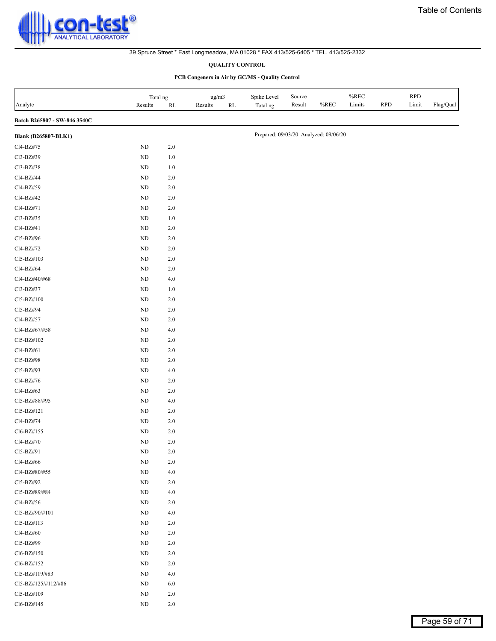#### **QUALITY CONTROL**

| Analyte                      | Total ng<br>Results | $\mathbf{RL}$ | ug/m3<br>Results<br>$\mathbf{RL}$ | Spike Level<br>Total ng               | Source<br>Result | %REC | $\%$ REC<br>Limits | <b>RPD</b> | <b>RPD</b><br>Limit | Flag/Qual |
|------------------------------|---------------------|---------------|-----------------------------------|---------------------------------------|------------------|------|--------------------|------------|---------------------|-----------|
| Batch B265807 - SW-846 3540C |                     |               |                                   |                                       |                  |      |                    |            |                     |           |
| <b>Blank (B265807-BLK1)</b>  |                     |               |                                   | Prepared: 09/03/20 Analyzed: 09/06/20 |                  |      |                    |            |                     |           |
| Cl4-BZ#75                    | $\rm ND$            | 2.0           |                                   |                                       |                  |      |                    |            |                     |           |
| Cl3-BZ#39                    | $\rm ND$            | $1.0\,$       |                                   |                                       |                  |      |                    |            |                     |           |
| Cl3-BZ#38                    | $\rm ND$            | $1.0\,$       |                                   |                                       |                  |      |                    |            |                     |           |
| Cl4-BZ#44                    | $\rm ND$            | $2.0\,$       |                                   |                                       |                  |      |                    |            |                     |           |
| Cl4-BZ#59                    | $\rm ND$            | $2.0\,$       |                                   |                                       |                  |      |                    |            |                     |           |
| Cl4-BZ#42                    | $\rm ND$            | $2.0\,$       |                                   |                                       |                  |      |                    |            |                     |           |
| Cl4-BZ#71                    | $\rm ND$            | $2.0\,$       |                                   |                                       |                  |      |                    |            |                     |           |
| Cl3-BZ#35                    | ND                  | $1.0\,$       |                                   |                                       |                  |      |                    |            |                     |           |
| Cl4-BZ#41                    | $\rm ND$            | $2.0\,$       |                                   |                                       |                  |      |                    |            |                     |           |
| Cl5-BZ#96                    | $\rm ND$            | $2.0\,$       |                                   |                                       |                  |      |                    |            |                     |           |
| Cl4-BZ#72                    | ${\rm ND}$          | $2.0\,$       |                                   |                                       |                  |      |                    |            |                     |           |
| Cl5-BZ#103                   | ${\rm ND}$          | $2.0\,$       |                                   |                                       |                  |      |                    |            |                     |           |
| Cl4-BZ#64                    | $\rm ND$            | $2.0\,$       |                                   |                                       |                  |      |                    |            |                     |           |
| Cl4-BZ#40/#68                | ${\rm ND}$          | $4.0\,$       |                                   |                                       |                  |      |                    |            |                     |           |
| Cl3-BZ#37                    | $\rm ND$            | $1.0\,$       |                                   |                                       |                  |      |                    |            |                     |           |
| Cl5-BZ#100                   | $\rm ND$            | $2.0\,$       |                                   |                                       |                  |      |                    |            |                     |           |
| Cl5-BZ#94                    | $\rm ND$            | $2.0\,$       |                                   |                                       |                  |      |                    |            |                     |           |
| Cl4-BZ#57                    | $\rm ND$            | $2.0\,$       |                                   |                                       |                  |      |                    |            |                     |           |
| Cl4-BZ#67/#58                | $\rm ND$            | $4.0\,$       |                                   |                                       |                  |      |                    |            |                     |           |
| Cl5-BZ#102                   | $\rm ND$            | $2.0\,$       |                                   |                                       |                  |      |                    |            |                     |           |
| Cl4-BZ#61                    | $\rm ND$            | $2.0\,$       |                                   |                                       |                  |      |                    |            |                     |           |
| Cl5-BZ#98                    | $\rm ND$            | $2.0\,$       |                                   |                                       |                  |      |                    |            |                     |           |
| Cl5-BZ#93                    | $\rm ND$            | $4.0\,$       |                                   |                                       |                  |      |                    |            |                     |           |
| Cl4-BZ#76                    | $\rm ND$            | $2.0\,$       |                                   |                                       |                  |      |                    |            |                     |           |
| Cl4-BZ#63                    | ND                  | $2.0\,$       |                                   |                                       |                  |      |                    |            |                     |           |
| Cl5-BZ#88/#95                | $\rm ND$            | $4.0\,$       |                                   |                                       |                  |      |                    |            |                     |           |
| Cl5-BZ#121                   | $\rm ND$            | $2.0\,$       |                                   |                                       |                  |      |                    |            |                     |           |
| Cl4-BZ#74                    | $\rm ND$            | $2.0\,$       |                                   |                                       |                  |      |                    |            |                     |           |
| Cl6-BZ#155                   | ${\rm ND}$          | 2.0           |                                   |                                       |                  |      |                    |            |                     |           |
| Cl4-BZ#70                    | $\rm ND$            | 2.0           |                                   |                                       |                  |      |                    |            |                     |           |
| Cl5-BZ#91                    | $\rm ND$            | $2.0\,$       |                                   |                                       |                  |      |                    |            |                     |           |
| Cl4-BZ#66                    | $\rm ND$            | $2.0\,$       |                                   |                                       |                  |      |                    |            |                     |           |
| Cl4-BZ#80/#55                | $\rm ND$            | $4.0\,$       |                                   |                                       |                  |      |                    |            |                     |           |
| Cl5-BZ#92                    | $\rm ND$            | $2.0\,$       |                                   |                                       |                  |      |                    |            |                     |           |
| Cl5-BZ#89/#84                | $\rm ND$            | 4.0           |                                   |                                       |                  |      |                    |            |                     |           |
| Cl4-BZ#56                    | $\rm ND$            | $2.0\,$       |                                   |                                       |                  |      |                    |            |                     |           |
| Cl5-BZ#90/#101               | $\rm ND$            | $4.0$         |                                   |                                       |                  |      |                    |            |                     |           |
| Cl5-BZ#113                   | $\rm ND$            | $2.0\,$       |                                   |                                       |                  |      |                    |            |                     |           |
| Cl4-BZ#60                    | $\rm ND$            | $2.0\,$       |                                   |                                       |                  |      |                    |            |                     |           |
| Cl5-BZ#99                    | $\rm ND$            | $2.0\,$       |                                   |                                       |                  |      |                    |            |                     |           |
| Cl6-BZ#150                   | $\rm ND$            | $2.0\,$       |                                   |                                       |                  |      |                    |            |                     |           |
| Cl6-BZ#152                   | $\rm ND$            | $2.0\,$       |                                   |                                       |                  |      |                    |            |                     |           |
| Cl5-BZ#119/#83               | $\rm ND$            | 4.0           |                                   |                                       |                  |      |                    |            |                     |           |
| Cl5-BZ#125/#112/#86          | $\rm ND$            | $6.0\,$       |                                   |                                       |                  |      |                    |            |                     |           |
| Cl5-BZ#109                   | $\rm ND$            | 2.0           |                                   |                                       |                  |      |                    |            |                     |           |
| Cl6-BZ#145                   | $\rm ND$            | $2.0\,$       |                                   |                                       |                  |      |                    |            |                     |           |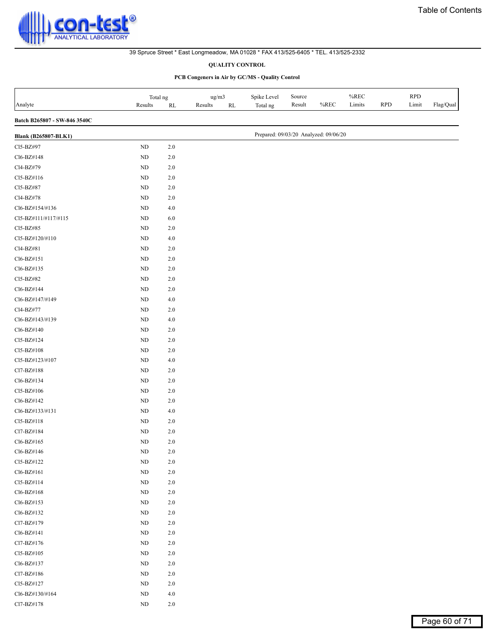#### **QUALITY CONTROL**

| Analyte                      | Total ng<br>Results | $\mathbf{RL}$ | ug/m3<br>Results<br>$\mathbf{RL}$ | Spike Level<br>Total ng               | Source<br>Result | $%$ REC | $\%$ REC<br>Limits | <b>RPD</b> | <b>RPD</b><br>Limit | Flag/Qual |
|------------------------------|---------------------|---------------|-----------------------------------|---------------------------------------|------------------|---------|--------------------|------------|---------------------|-----------|
| Batch B265807 - SW-846 3540C |                     |               |                                   |                                       |                  |         |                    |            |                     |           |
| <b>Blank (B265807-BLK1)</b>  |                     |               |                                   | Prepared: 09/03/20 Analyzed: 09/06/20 |                  |         |                    |            |                     |           |
| Cl5-BZ#97                    | $\rm ND$            | $2.0$         |                                   |                                       |                  |         |                    |            |                     |           |
| Cl6-BZ#148                   | ${\rm ND}$          | 2.0           |                                   |                                       |                  |         |                    |            |                     |           |
| Cl4-BZ#79                    | ${\rm ND}$          | $2.0$         |                                   |                                       |                  |         |                    |            |                     |           |
| Cl5-BZ#116                   | ${\rm ND}$          | $2.0$         |                                   |                                       |                  |         |                    |            |                     |           |
| Cl5-BZ#87                    | $\rm ND$            | 2.0           |                                   |                                       |                  |         |                    |            |                     |           |
| Cl4-BZ#78                    | $\rm ND$            | $2.0\,$       |                                   |                                       |                  |         |                    |            |                     |           |
| Cl6-BZ#154/#136              | $\rm ND$            | 4.0           |                                   |                                       |                  |         |                    |            |                     |           |
| CI5-BZ#111/#117/#115         | ND                  | 6.0           |                                   |                                       |                  |         |                    |            |                     |           |
| Cl5-BZ#85                    | $\rm ND$            | $2.0\,$       |                                   |                                       |                  |         |                    |            |                     |           |
| Cl5-BZ#120/#110              | ND                  | $4.0\,$       |                                   |                                       |                  |         |                    |            |                     |           |
| Cl4-BZ#81                    | $\rm ND$            | $2.0$         |                                   |                                       |                  |         |                    |            |                     |           |
| Cl6-BZ#151                   | ND                  | 2.0           |                                   |                                       |                  |         |                    |            |                     |           |
| Cl6-BZ#135                   | $\rm ND$            | 2.0           |                                   |                                       |                  |         |                    |            |                     |           |
| Cl5-BZ#82                    | ND                  | $2.0$         |                                   |                                       |                  |         |                    |            |                     |           |
| Cl6-BZ#144                   | $\rm ND$            | $2.0$         |                                   |                                       |                  |         |                    |            |                     |           |
| Cl6-BZ#147/#149              | $\rm ND$            | 4.0           |                                   |                                       |                  |         |                    |            |                     |           |
| Cl4-BZ#77                    | $\rm ND$            | 2.0           |                                   |                                       |                  |         |                    |            |                     |           |
| Cl6-BZ#143/#139              | $\rm ND$            | 4.0           |                                   |                                       |                  |         |                    |            |                     |           |
| Cl6-BZ#140                   | ND                  | 2.0           |                                   |                                       |                  |         |                    |            |                     |           |
| Cl5-BZ#124                   | $\rm ND$            | 2.0           |                                   |                                       |                  |         |                    |            |                     |           |
| Cl5-BZ#108                   | $\rm ND$            | $2.0\,$       |                                   |                                       |                  |         |                    |            |                     |           |
| Cl5-BZ#123/#107              | $\rm ND$            | 4.0           |                                   |                                       |                  |         |                    |            |                     |           |
| Cl7-BZ#188                   | $\rm ND$            | 2.0           |                                   |                                       |                  |         |                    |            |                     |           |
| Cl6-BZ#134                   | ND                  | 2.0           |                                   |                                       |                  |         |                    |            |                     |           |
| Cl5-BZ#106                   | $\rm ND$            | $2.0$         |                                   |                                       |                  |         |                    |            |                     |           |
| Cl6-BZ#142                   | $\rm ND$            | $2.0\,$       |                                   |                                       |                  |         |                    |            |                     |           |
| Cl6-BZ#133/#131              | $\rm ND$            | 4.0           |                                   |                                       |                  |         |                    |            |                     |           |
| Cl5-BZ#118                   | $\rm ND$            | 2.0           |                                   |                                       |                  |         |                    |            |                     |           |
| Cl7-BZ#184                   | $\rm ND$            | 2.0           |                                   |                                       |                  |         |                    |            |                     |           |
| Cl6-BZ#165                   | $\rm ND$            | $2.0$         |                                   |                                       |                  |         |                    |            |                     |           |
| Cl6-BZ#146                   | $\rm ND$            | $2.0\,$       |                                   |                                       |                  |         |                    |            |                     |           |
| Cl5-BZ#122                   | $\rm ND$            | $2.0\,$       |                                   |                                       |                  |         |                    |            |                     |           |
| Cl6-BZ#161                   | $\rm ND$            | 2.0           |                                   |                                       |                  |         |                    |            |                     |           |
| Cl5-BZ#114                   | $\rm ND$            | $2.0\,$       |                                   |                                       |                  |         |                    |            |                     |           |
| Cl6-BZ#168                   | $\rm ND$            | $2.0\,$       |                                   |                                       |                  |         |                    |            |                     |           |
| Cl6-BZ#153                   | $\rm ND$            | $2.0\,$       |                                   |                                       |                  |         |                    |            |                     |           |
| Cl6-BZ#132                   | $\rm ND$            | $2.0\,$       |                                   |                                       |                  |         |                    |            |                     |           |
| Cl7-BZ#179                   | $\rm ND$            | $2.0\,$       |                                   |                                       |                  |         |                    |            |                     |           |
| $Cl6-BZ#141$                 | $\rm ND$            | $2.0\,$       |                                   |                                       |                  |         |                    |            |                     |           |
| Cl7-BZ#176                   | $\rm ND$            | $2.0\,$       |                                   |                                       |                  |         |                    |            |                     |           |
| Cl5-BZ#105                   | ND                  | $2.0\,$       |                                   |                                       |                  |         |                    |            |                     |           |
| Cl6-BZ#137                   | $\rm ND$            | $2.0\,$       |                                   |                                       |                  |         |                    |            |                     |           |
| Cl7-BZ#186                   | $\rm ND$            | $2.0\,$       |                                   |                                       |                  |         |                    |            |                     |           |
| Cl5-BZ#127                   | $\rm ND$            | 2.0           |                                   |                                       |                  |         |                    |            |                     |           |
| Cl6-BZ#130/#164              | ND                  | 4.0           |                                   |                                       |                  |         |                    |            |                     |           |
| Cl7-BZ#178                   | $\rm ND$            | $2.0\,$       |                                   |                                       |                  |         |                    |            |                     |           |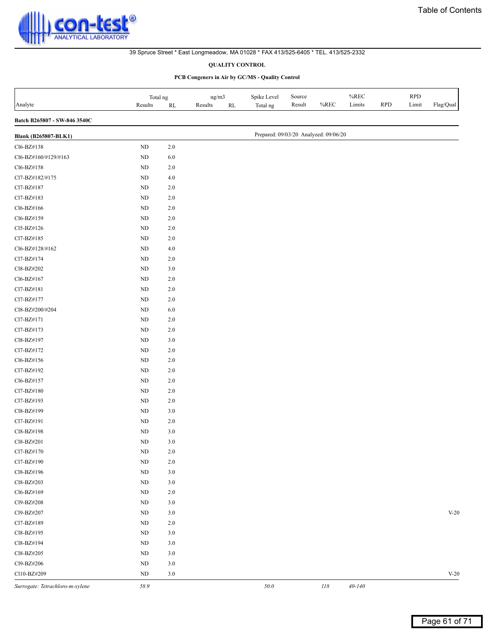#### **QUALITY CONTROL**

| Analyte                         | Total ng<br>Results | RL      | ug/m3<br>Results<br>$\mathbf{RL}$ | Spike Level<br>Total ng               | Source<br>Result | %REC | $\%$ REC<br>Limits | RPD | <b>RPD</b><br>Limit | ${\rm Flag/Qual}$ |
|---------------------------------|---------------------|---------|-----------------------------------|---------------------------------------|------------------|------|--------------------|-----|---------------------|-------------------|
| Batch B265807 - SW-846 3540C    |                     |         |                                   |                                       |                  |      |                    |     |                     |                   |
| <b>Blank (B265807-BLK1)</b>     |                     |         |                                   | Prepared: 09/03/20 Analyzed: 09/06/20 |                  |      |                    |     |                     |                   |
| Cl6-BZ#138                      | $\rm ND$            | $2.0\,$ |                                   |                                       |                  |      |                    |     |                     |                   |
| Cl6-BZ#160/#129/#163            | ND                  | $6.0\,$ |                                   |                                       |                  |      |                    |     |                     |                   |
| Cl6-BZ#158                      | ND                  | $2.0\,$ |                                   |                                       |                  |      |                    |     |                     |                   |
| Cl7-BZ#182/#175                 | ND                  | $4.0\,$ |                                   |                                       |                  |      |                    |     |                     |                   |
| Cl7-BZ#187                      | ND                  | $2.0\,$ |                                   |                                       |                  |      |                    |     |                     |                   |
| Cl7-BZ#183                      | ND                  | $2.0\,$ |                                   |                                       |                  |      |                    |     |                     |                   |
| Cl6-BZ#166                      | ND                  | $2.0\,$ |                                   |                                       |                  |      |                    |     |                     |                   |
| Cl6-BZ#159                      | ND                  | $2.0\,$ |                                   |                                       |                  |      |                    |     |                     |                   |
| Cl5-BZ#126                      | ND                  | $2.0\,$ |                                   |                                       |                  |      |                    |     |                     |                   |
| Cl7-BZ#185                      | ND                  | 2.0     |                                   |                                       |                  |      |                    |     |                     |                   |
| Cl6-BZ#128/#162                 | <b>ND</b>           | $4.0\,$ |                                   |                                       |                  |      |                    |     |                     |                   |
| Cl7-BZ#174                      | ND                  | $2.0\,$ |                                   |                                       |                  |      |                    |     |                     |                   |
| Cl8-BZ#202                      | ND                  | 3.0     |                                   |                                       |                  |      |                    |     |                     |                   |
| Cl6-BZ#167                      | ND                  | $2.0\,$ |                                   |                                       |                  |      |                    |     |                     |                   |
| Cl7-BZ#181                      | $\rm ND$            | $2.0\,$ |                                   |                                       |                  |      |                    |     |                     |                   |
| Cl7-BZ#177                      | ND                  | $2.0\,$ |                                   |                                       |                  |      |                    |     |                     |                   |
| Cl8-BZ#200/#204                 | ND                  | $6.0\,$ |                                   |                                       |                  |      |                    |     |                     |                   |
| Cl7-BZ#171                      | ND                  | $2.0\,$ |                                   |                                       |                  |      |                    |     |                     |                   |
| Cl7-BZ#173                      | ND                  | $2.0\,$ |                                   |                                       |                  |      |                    |     |                     |                   |
| Cl8-BZ#197                      | ND                  | $3.0$   |                                   |                                       |                  |      |                    |     |                     |                   |
| Cl7-BZ#172                      | ND                  | $2.0\,$ |                                   |                                       |                  |      |                    |     |                     |                   |
| Cl6-BZ#156                      | <b>ND</b>           | $2.0\,$ |                                   |                                       |                  |      |                    |     |                     |                   |
| Cl7-BZ#192                      | ND                  | $2.0\,$ |                                   |                                       |                  |      |                    |     |                     |                   |
| Cl6-BZ#157                      | ND                  | $2.0\,$ |                                   |                                       |                  |      |                    |     |                     |                   |
| Cl7-BZ#180                      | ND                  | $2.0\,$ |                                   |                                       |                  |      |                    |     |                     |                   |
| Cl7-BZ#193                      | ND                  | $2.0\,$ |                                   |                                       |                  |      |                    |     |                     |                   |
| Cl8-BZ#199                      | ND                  | $3.0$   |                                   |                                       |                  |      |                    |     |                     |                   |
| Cl7-BZ#191                      | ND                  | $2.0\,$ |                                   |                                       |                  |      |                    |     |                     |                   |
| Cl8-BZ#198                      | ND                  | 3.0     |                                   |                                       |                  |      |                    |     |                     |                   |
| Cl8-BZ#201                      | ND                  | $3.0$   |                                   |                                       |                  |      |                    |     |                     |                   |
| Cl7-BZ#170                      | $\rm ND$            | $2.0\,$ |                                   |                                       |                  |      |                    |     |                     |                   |
| Cl7-BZ#190                      | ND                  | $2.0\,$ |                                   |                                       |                  |      |                    |     |                     |                   |
| Cl8-BZ#196                      | ND                  | $3.0$   |                                   |                                       |                  |      |                    |     |                     |                   |
| Cl8-BZ#203                      | ND                  | $3.0\,$ |                                   |                                       |                  |      |                    |     |                     |                   |
| Cl6-BZ#169                      | $\rm ND$            | $2.0\,$ |                                   |                                       |                  |      |                    |     |                     |                   |
| Cl9-BZ#208                      | ND                  | $3.0$   |                                   |                                       |                  |      |                    |     |                     |                   |
| Cl9-BZ#207                      | $\rm ND$            | $3.0$   |                                   |                                       |                  |      |                    |     |                     | $V-20$            |
| Cl7-BZ#189                      | ND                  | 2.0     |                                   |                                       |                  |      |                    |     |                     |                   |
| Cl8-BZ#195                      | ND                  | $3.0$   |                                   |                                       |                  |      |                    |     |                     |                   |
| Cl8-BZ#194                      | ND                  | $3.0$   |                                   |                                       |                  |      |                    |     |                     |                   |
| Cl8-BZ#205                      | ND                  | $3.0\,$ |                                   |                                       |                  |      |                    |     |                     |                   |
| Cl9-BZ#206                      | ND                  | $3.0$   |                                   |                                       |                  |      |                    |     |                     |                   |
| Cl10-BZ#209                     | <b>ND</b>           | $3.0\,$ |                                   |                                       |                  |      |                    |     |                     | $V-20$            |
|                                 |                     |         |                                   |                                       |                  |      |                    |     |                     |                   |
| Surrogate: Tetrachloro-m-xylene | 58.9                |         |                                   | $50.0\,$                              |                  | II8  | $40\hbox{-} 140$   |     |                     |                   |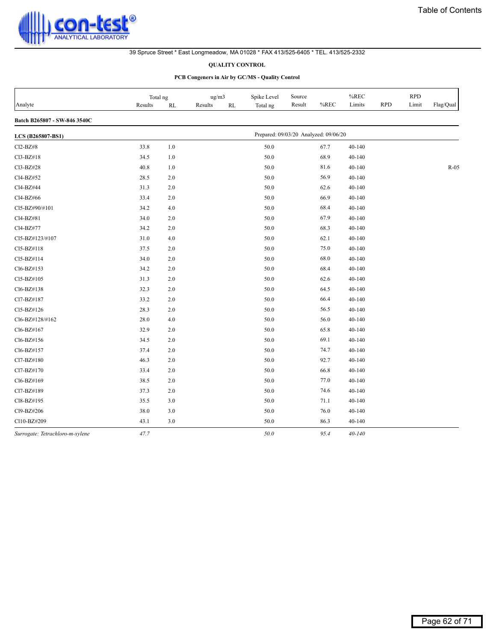

#### **QUALITY CONTROL**

|                                 | Total ng |         | ug/m3   |    | Spike Level                           | Source |      | $%$ REC    |            | <b>RPD</b> |           |
|---------------------------------|----------|---------|---------|----|---------------------------------------|--------|------|------------|------------|------------|-----------|
| Analyte                         | Results  | RL      | Results | RL | Total ng                              | Result | %REC | Limits     | <b>RPD</b> | Limit      | Flag/Qual |
| Batch B265807 - SW-846 3540C    |          |         |         |    |                                       |        |      |            |            |            |           |
| LCS (B265807-BS1)               |          |         |         |    | Prepared: 09/03/20 Analyzed: 09/06/20 |        |      |            |            |            |           |
| Cl2-BZ#8                        | 33.8     | $1.0\,$ |         |    | 50.0                                  |        | 67.7 | 40-140     |            |            |           |
| Cl3-BZ#18                       | 34.5     | $1.0\,$ |         |    | 50.0                                  |        | 68.9 | 40-140     |            |            |           |
| Cl3-BZ#28                       | 40.8     | $1.0$   |         |    | 50.0                                  |        | 81.6 | 40-140     |            |            | $R-05$    |
| Cl4-BZ#52                       | 28.5     | 2.0     |         |    | 50.0                                  |        | 56.9 | 40-140     |            |            |           |
| Cl4-BZ#44                       | 31.3     | 2.0     |         |    | 50.0                                  |        | 62.6 | 40-140     |            |            |           |
| Cl4-BZ#66                       | 33.4     | 2.0     |         |    | 50.0                                  |        | 66.9 | 40-140     |            |            |           |
| Cl5-BZ#90/#101                  | 34.2     | 4.0     |         |    | 50.0                                  |        | 68.4 | 40-140     |            |            |           |
| Cl4-BZ#81                       | 34.0     | 2.0     |         |    | 50.0                                  |        | 67.9 | 40-140     |            |            |           |
| Cl4-BZ#77                       | 34.2     | 2.0     |         |    | 50.0                                  |        | 68.3 | 40-140     |            |            |           |
| Cl5-BZ#123/#107                 | 31.0     | 4.0     |         |    | 50.0                                  |        | 62.1 | 40-140     |            |            |           |
| Cl5-BZ#118                      | 37.5     | 2.0     |         |    | 50.0                                  |        | 75.0 | 40-140     |            |            |           |
| Cl5-BZ#114                      | 34.0     | 2.0     |         |    | 50.0                                  |        | 68.0 | $40 - 140$ |            |            |           |
| Cl6-BZ#153                      | 34.2     | 2.0     |         |    | 50.0                                  |        | 68.4 | 40-140     |            |            |           |
| Cl5-BZ#105                      | 31.3     | 2.0     |         |    | 50.0                                  |        | 62.6 | 40-140     |            |            |           |
| Cl6-BZ#138                      | 32.3     | 2.0     |         |    | 50.0                                  |        | 64.5 | 40-140     |            |            |           |
| Cl7-BZ#187                      | 33.2     | $2.0\,$ |         |    | 50.0                                  |        | 66.4 | 40-140     |            |            |           |
| Cl5-BZ#126                      | 28.3     | 2.0     |         |    | 50.0                                  |        | 56.5 | 40-140     |            |            |           |
| Cl6-BZ#128/#162                 | 28.0     | 4.0     |         |    | 50.0                                  |        | 56.0 | 40-140     |            |            |           |
| Cl6-BZ#167                      | 32.9     | 2.0     |         |    | 50.0                                  |        | 65.8 | 40-140     |            |            |           |
| Cl6-BZ#156                      | 34.5     | 2.0     |         |    | 50.0                                  |        | 69.1 | 40-140     |            |            |           |
| Cl6-BZ#157                      | 37.4     | 2.0     |         |    | 50.0                                  |        | 74.7 | 40-140     |            |            |           |
| Cl7-BZ#180                      | 46.3     | 2.0     |         |    | 50.0                                  |        | 92.7 | 40-140     |            |            |           |
| Cl7-BZ#170                      | 33.4     | $2.0\,$ |         |    | 50.0                                  |        | 66.8 | 40-140     |            |            |           |
| Cl6-BZ#169                      | 38.5     | $2.0\,$ |         |    | 50.0                                  |        | 77.0 | 40-140     |            |            |           |
| Cl7-BZ#189                      | 37.3     | 2.0     |         |    | 50.0                                  |        | 74.6 | $40 - 140$ |            |            |           |
| Cl8-BZ#195                      | 35.5     | 3.0     |         |    | 50.0                                  |        | 71.1 | 40-140     |            |            |           |
| Cl9-BZ#206                      | 38.0     | 3.0     |         |    | 50.0                                  |        | 76.0 | 40-140     |            |            |           |
| Cl10-BZ#209                     | 43.1     | 3.0     |         |    | 50.0                                  |        | 86.3 | 40-140     |            |            |           |
| Surrogate: Tetrachloro-m-xylene | 47.7     |         |         |    | 50.0                                  |        | 95.4 | $40 - 140$ |            |            |           |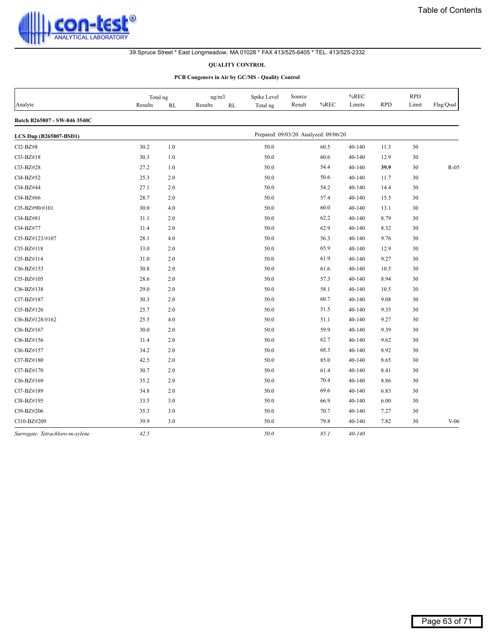

#### **QUALITY CONTROL**

|                                 | Total ng |         | ug/m3         | Spike Level | Source                                |      | %REC       |            | <b>RPD</b> |                         |
|---------------------------------|----------|---------|---------------|-------------|---------------------------------------|------|------------|------------|------------|-------------------------|
| Analyte                         | Results  | RL      | Results<br>RL | Total ng    | Result                                | %REC | Limits     | <b>RPD</b> | Limit      | ${\rm Flag}/{\rm Qual}$ |
| Batch B265807 - SW-846 3540C    |          |         |               |             |                                       |      |            |            |            |                         |
| <b>LCS Dup (B265807-BSD1)</b>   |          |         |               |             | Prepared: 09/03/20 Analyzed: 09/06/20 |      |            |            |            |                         |
| Cl2-BZ#8                        | 30.2     | $1.0\,$ |               | 50.0        |                                       | 60.5 | 40-140     | 11.3       | 30         |                         |
| Cl3-BZ#18                       | 30.3     | 1.0     |               | 50.0        |                                       | 60.6 | 40-140     | 12.9       | 30         |                         |
| Cl3-BZ#28                       | 27.2     | 1.0     |               | 50.0        |                                       | 54.4 | $40 - 140$ | 39.9       | 30         | $R-05$                  |
| Cl4-BZ#52                       | 25.3     | 2.0     |               | 50.0        |                                       | 50.6 | 40-140     | 11.7       | 30         |                         |
| Cl4-BZ#44                       | 27.1     | 2.0     |               | 50.0        |                                       | 54.2 | 40-140     | 14.4       | 30         |                         |
| Cl4-BZ#66                       | 28.7     | 2.0     |               | 50.0        |                                       | 57.4 | $40 - 140$ | 15.3       | 30         |                         |
| Cl5-BZ#90/#101                  | 30.0     | 4.0     |               | 50.0        |                                       | 60.0 | $40 - 140$ | 13.1       | 30         |                         |
| Cl4-BZ#81                       | 31.1     | 2.0     |               | 50.0        |                                       | 62.2 | 40-140     | 8.79       | 30         |                         |
| Cl4-BZ#77                       | 31.4     | 2.0     |               | 50.0        |                                       | 62.9 | 40-140     | 8.32       | 30         |                         |
| Cl5-BZ#123/#107                 | 28.1     | 4.0     |               | 50.0        |                                       | 56.3 | 40-140     | 9.76       | 30         |                         |
| Cl5-BZ#118                      | 33.0     | 2.0     |               | 50.0        |                                       | 65.9 | 40-140     | 12.9       | 30         |                         |
| Cl5-BZ#114                      | 31.0     | 2.0     |               | 50.0        |                                       | 61.9 | 40-140     | 9.27       | 30         |                         |
| Cl6-BZ#153                      | 30.8     | 2.0     |               | 50.0        |                                       | 61.6 | 40-140     | 10.5       | 30         |                         |
| Cl5-BZ#105                      | 28.6     | 2.0     |               | 50.0        |                                       | 57.3 | $40 - 140$ | 8.94       | 30         |                         |
| Cl6-BZ#138                      | 29.0     | 2.0     |               | 50.0        |                                       | 58.1 | 40-140     | 10.5       | 30         |                         |
| Cl7-BZ#187                      | 30.3     | 2.0     |               | 50.0        |                                       | 60.7 | 40-140     | 9.08       | 30         |                         |
| Cl5-BZ#126                      | 25.7     | 2.0     |               | 50.0        |                                       | 51.5 | $40 - 140$ | 9.35       | 30         |                         |
| Cl6-BZ#128/#162                 | 25.5     | 4.0     |               | 50.0        |                                       | 51.1 | $40 - 140$ | 9.27       | 30         |                         |
| Cl6-BZ#167                      | 30.0     | 2.0     |               | 50.0        |                                       | 59.9 | 40-140     | 9.39       | 30         |                         |
| Cl6-BZ#156                      | 31.4     | 2.0     |               | 50.0        |                                       | 62.7 | 40-140     | 9.62       | 30         |                         |
| Cl6-BZ#157                      | 34.2     | 2.0     |               | 50.0        |                                       | 68.3 | 40-140     | 8.92       | 30         |                         |
| Cl7-BZ#180                      | 42.5     | 2.0     |               | 50.0        |                                       | 85.0 | 40-140     | 8.65       | 30         |                         |
| Cl7-BZ#170                      | 30.7     | 2.0     |               | 50.0        |                                       | 61.4 | 40-140     | 8.41       | 30         |                         |
| Cl6-BZ#169                      | 35.2     | 2.0     |               | 50.0        |                                       | 70.4 | 40-140     | 8.86       | 30         |                         |
| Cl7-BZ#189                      | 34.8     | 2.0     |               | 50.0        |                                       | 69.6 | $40 - 140$ | 6.83       | 30         |                         |
| Cl8-BZ#195                      | 33.5     | 3.0     |               | 50.0        |                                       | 66.9 | $40 - 140$ | 6.00       | 30         |                         |
| Cl9-BZ#206                      | 35.3     | 3.0     |               | 50.0        |                                       | 70.7 | 40-140     | 7.27       | 30         |                         |
| C110-BZ#209                     | 39.9     | 3.0     |               | 50.0        |                                       | 79.8 | 40-140     | 7.82       | 30         | $V-06$                  |
| Surrogate: Tetrachloro-m-xylene | 42.5     |         |               | 50.0        |                                       | 85.1 | $40 - 140$ |            |            |                         |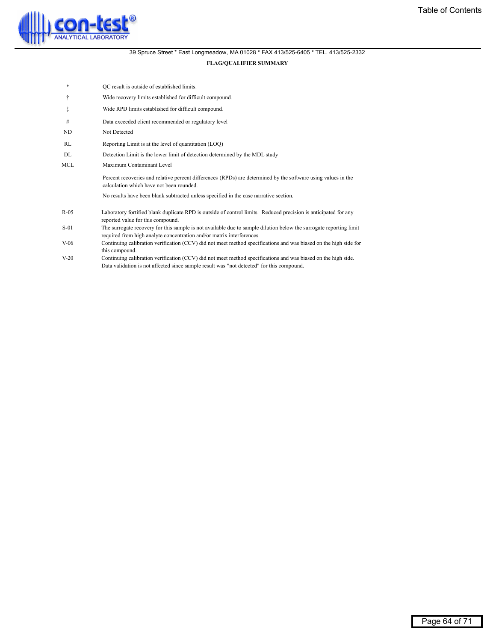<span id="page-63-0"></span>

# **FLAG/QUALIFIER SUMMARY**

- QC result is outside of established limits.
- Ü Wide recovery limits established for difficult compound.
- á Wide RPD limits established for difficult compound.
- # Data exceeded client recommended or regulatory level
- ND Not Detected
- RL Reporting Limit is at the level of quantitation (LOQ)
- DL Detection Limit is the lower limit of detection determined by the MDL study
- MCL Maximum Contaminant Level

Percent recoveries and relative percent differences (RPDs) are determined by the software using values in the calculation which have not been rounded.

No results have been blank subtracted unless specified in the case narrative section.

- Laboratory fortified blank duplicate RPD is outside of control limits. Reduced precision is anticipated for any reported value for this compound. R-05
- The surrogate recovery for this sample is not available due to sample dilution below the surrogate reporting limit required from high analyte concentration and/or matrix interferences. S-01
- Continuing calibration verification (CCV) did not meet method specifications and was biased on the high side for this compound. V-06
- Continuing calibration verification (CCV) did not meet method specifications and was biased on the high side. Data validation is not affected since sample result was "not detected" for this compound. V-20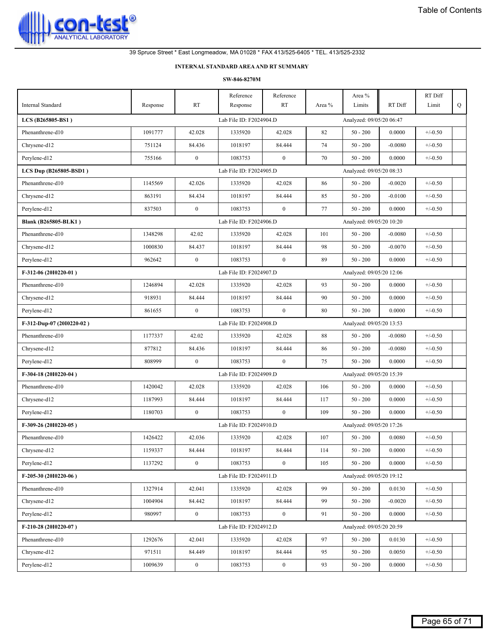<span id="page-64-0"></span>

# **INTERNAL STANDARD AREAAND RT SUMMARY**

| Internal Standard           | Response | RT           | Reference<br>Response   | Reference<br>RT | Area % | Area %<br>Limits         | RT Diff   | RT Diff<br>Limit | Q |
|-----------------------------|----------|--------------|-------------------------|-----------------|--------|--------------------------|-----------|------------------|---|
| LCS (B265805-BS1)           |          |              | Lab File ID: F2024904.D |                 |        | Analyzed: 09/05/20 06:47 |           |                  |   |
| Phenanthrene-d10            | 1091777  | 42.028       | 1335920                 | 42.028          | 82     | $50 - 200$               | 0.0000    | $+/-0.50$        |   |
| Chrysene-d12                | 751124   | 84.436       | 1018197                 | 84.444          | 74     | $50 - 200$               | $-0.0080$ | $+/-0.50$        |   |
| Perylene-d12                | 755166   | $\bf{0}$     | 1083753                 | $\bf{0}$        | 70     | $50 - 200$               | 0.0000    | $+/-0.50$        |   |
| LCS Dup (B265805-BSD1)      |          |              | Lab File ID: F2024905.D |                 |        | Analyzed: 09/05/20 08:33 |           |                  |   |
| Phenanthrene-d10            | 1145569  | 42.026       | 1335920                 | 42.028          | 86     | $50 - 200$               | $-0.0020$ | $+/-0.50$        |   |
| Chrysene-d12                | 863191   | 84.434       | 1018197                 | 84.444          | 85     | $50 - 200$               | $-0.0100$ | $+/-0.50$        |   |
| Perylene-d12                | 837503   | $\mathbf{0}$ | 1083753                 | $\mathbf{0}$    | 77     | $50 - 200$               | 0.0000    | $+/-0.50$        |   |
|                             |          |              |                         |                 |        | Analyzed: 09/05/20 10:20 |           |                  |   |
| <b>Blank (B265805-BLK1)</b> | 1348298  | 42.02        | Lab File ID: F2024906.D | 42.028          | 101    | $50 - 200$               |           | $+/-0.50$        |   |
| Phenanthrene-d10            |          |              | 1335920                 |                 |        |                          | $-0.0080$ |                  |   |
| Chrysene-d12                | 1000830  | 84.437       | 1018197                 | 84.444          | 98     | $50 - 200$               | $-0.0070$ | $+/-0.50$        |   |
| Pervlene-d12                | 962642   | $\bf{0}$     | 1083753                 | $\bf{0}$        | 89     | $50 - 200$               | 0.0000    | $+/-0.50$        |   |
| F-312-06 (2010220-01)       |          |              | Lab File ID: F2024907.D |                 |        | Analyzed: 09/05/20 12:06 |           |                  |   |
| Phenanthrene-d10            | 1246894  | 42.028       | 1335920                 | 42.028          | 93     | $50 - 200$               | 0.0000    | $+/-0.50$        |   |
| Chrysene-d12                | 918931   | 84.444       | 1018197                 | 84.444          | 90     | $50 - 200$               | 0.0000    | $+/-0.50$        |   |
| Perylene-d12                | 861655   | $\bf{0}$     | 1083753                 | $\bf{0}$        | 80     | $50 - 200$               | 0.0000    | $+/-0.50$        |   |
| F-312-Dup-07 (2010220-02)   |          |              | Lab File ID: F2024908.D |                 |        | Analyzed: 09/05/20 13:53 |           |                  |   |
| Phenanthrene-d10            | 1177337  | 42.02        | 1335920                 | 42.028          | 88     | $50 - 200$               | $-0.0080$ | $+/-0.50$        |   |
| Chrysene-d12                | 877812   | 84.436       | 1018197                 | 84.444          | 86     | $50 - 200$               | $-0.0080$ | $+/-0.50$        |   |
| Perylene-d12                | 808999   | $\bf{0}$     | 1083753                 | $\bf{0}$        | 75     | $50 - 200$               | 0.0000    | $+/-0.50$        |   |
| F-304-18 (2010220-04)       |          |              | Lab File ID: F2024909.D |                 |        | Analyzed: 09/05/20 15:39 |           |                  |   |
| Phenanthrene-d10            | 1420042  | 42.028       | 1335920                 | 42.028          | 106    | $50 - 200$               | 0.0000    | $+/-0.50$        |   |
| Chrysene-d12                | 1187993  | 84.444       | 1018197                 | 84.444          | 117    | $50 - 200$               | 0.0000    | $+/-0.50$        |   |
| Perylene-d12                | 1180703  | $\bf{0}$     | 1083753                 | $\bf{0}$        | 109    | $50 - 200$               | 0.0000    | $+/-0.50$        |   |
| F-309-26 (2010220-05)       |          |              | Lab File ID: F2024910.D |                 |        | Analyzed: 09/05/20 17:26 |           |                  |   |
| Phenanthrene-d10            | 1426422  | 42.036       | 1335920                 | 42.028          | 107    | $50 - 200$               | 0.0080    | $+/-0.50$        |   |
| Chrysene-d12                | 1159337  | 84.444       | 1018197                 | 84.444          | 114    | $50$ - $200\,$           | 0.0000    | $+/-0.50$        |   |
| Perylene-d12                | 1137292  | $\mathbf{0}$ | 1083753                 | $\overline{0}$  | 105    | $50 - 200$               | 0.0000    | $+/-0.50$        |   |
| F-205-30 (2010220-06)       |          |              | Lab File ID: F2024911.D |                 |        | Analyzed: 09/05/20 19:12 |           |                  |   |
| Phenanthrene-d10            | 1327914  | 42.041       | 1335920                 | 42.028          | 99     | $50 - 200$               | 0.0130    | $+/-0.50$        |   |
| Chrysene-d12                | 1004904  | 84.442       | 1018197                 | 84.444          | 99     | $50 - 200$               | $-0.0020$ | $+/-0.50$        |   |
| Perylene-d12                | 980997   | $\mathbf{0}$ | 1083753                 | $\bf{0}$        | 91     | $50 - 200$               | 0.0000    | $+/-0.50$        |   |
| F-210-28 (2010220-07)       |          |              | Lab File ID: F2024912.D |                 |        | Analyzed: 09/05/20 20:59 |           |                  |   |
| Phenanthrene-d10            | 1292676  | 42.041       | 1335920                 | 42.028          | 97     | $50 - 200$               | 0.0130    | $+/-0.50$        |   |
| Chrysene-d12                | 971511   | 84.449       | 1018197                 | 84.444          | 95     | $50 - 200$               | 0.0050    | $+/-0.50$        |   |
| Perylene-d12                | 1009639  | $\mathbf{0}$ | 1083753                 | $\bf{0}$        | 93     | $50 - 200$               | 0.0000    | $+/-0.50$        |   |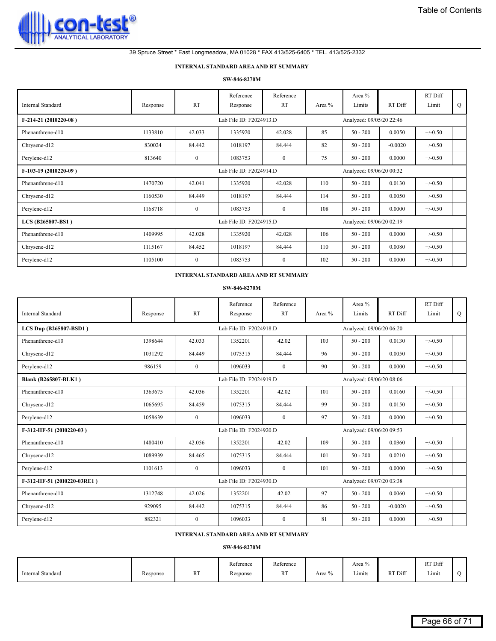

#### **INTERNAL STANDARD AREAAND RT SUMMARY**

#### **SW-846-8270M**

| Internal Standard     | Response | <b>RT</b>    | Reference<br>Response   | Reference<br><b>RT</b> | Area % | Area %<br>Limits         | RT Diff   | RT Diff<br>Limit | Q |
|-----------------------|----------|--------------|-------------------------|------------------------|--------|--------------------------|-----------|------------------|---|
| F-214-21 (2010220-08) |          |              | Lab File ID: F2024913.D |                        |        | Analyzed: 09/05/20 22:46 |           |                  |   |
| Phenanthrene-d10      | 1133810  | 42.033       | 1335920                 | 42.028                 | 85     | $50 - 200$               | 0.0050    | $+/-0.50$        |   |
| Chrysene-d12          | 830024   | 84.442       | 1018197                 | 84.444                 | 82     | $50 - 200$               | $-0.0020$ | $+/-0.50$        |   |
| Perylene-d12          | 813640   | $\mathbf{0}$ | 1083753                 | $\mathbf{0}$           | 75     | $50 - 200$               | 0.0000    | $+/-0.50$        |   |
| F-103-19 (2010220-09) |          |              | Lab File ID: F2024914.D |                        |        | Analyzed: 09/06/20 00:32 |           |                  |   |
| Phenanthrene-d10      | 1470720  | 42.041       | 1335920                 | 42.028                 | 110    | $50 - 200$               | 0.0130    | $+/-0.50$        |   |
| Chrysene-d12          | 1160530  | 84.449       | 1018197                 | 84.444                 | 114    | $50 - 200$               | 0.0050    | $+/-0.50$        |   |
| Perylene-d12          | 1168718  | $\mathbf{0}$ | 1083753                 | $\mathbf{0}$           | 108    | $50 - 200$               | 0.0000    | $+/-0.50$        |   |
| LCS (B265807-BS1)     |          |              | Lab File ID: F2024915.D |                        |        | Analyzed: 09/06/20 02:19 |           |                  |   |
| Phenanthrene-d10      | 1409995  | 42.028       | 1335920                 | 42.028                 | 106    | $50 - 200$               | 0.0000    | $+/-0.50$        |   |
| Chrysene-d12          | 1115167  | 84.452       | 1018197                 | 84.444                 | 110    | $50 - 200$               | 0.0080    | $+/-0.50$        |   |
| Perylene-d12          | 1105100  | $\theta$     | 1083753                 | $\mathbf{0}$           | 102    | $50 - 200$               | 0.0000    | $+/-0.50$        |   |

#### **INTERNAL STANDARD AREAAND RT SUMMARY**

#### **SW-846-8270M**

| Internal Standard           | Response | <b>RT</b>      | Reference<br>Response   | Reference<br><b>RT</b> | Area % | Area %<br>Limits         | RT Diff   | RT Diff<br>Limit | Q |
|-----------------------------|----------|----------------|-------------------------|------------------------|--------|--------------------------|-----------|------------------|---|
| LCS Dup (B265807-BSD1)      |          |                | Lab File ID: F2024918.D |                        |        | Analyzed: 09/06/20 06:20 |           |                  |   |
| Phenanthrene-d10            | 1398644  | 42.033         | 1352201                 | 42.02                  | 103    | $50 - 200$               | 0.0130    | $+/-0.50$        |   |
| Chrysene-d12                | 1031292  | 84.449         | 1075315                 | 84.444                 | 96     | $50 - 200$               | 0.0050    | $+/-0.50$        |   |
| Perylene-d12                | 986159   | $\overline{0}$ | 1096033                 | $\mathbf{0}$           | 90     | $50 - 200$               | 0.0000    | $+/-0.50$        |   |
| <b>Blank (B265807-BLK1)</b> |          |                | Lab File ID: F2024919.D |                        |        | Analyzed: 09/06/20 08:06 |           |                  |   |
| Phenanthrene-d10            | 1363675  | 42.036         | 1352201                 | 42.02                  | 101    | $50 - 200$               | 0.0160    | $+/-0.50$        |   |
| Chrysene-d12                | 1065695  | 84.459         | 1075315                 | 84.444                 | 99     | $50 - 200$               | 0.0150    | $+/-0.50$        |   |
| Perylene-d12                | 1058639  | $\mathbf{0}$   | 1096033                 | $\mathbf{0}$           | 97     | $50 - 200$               | 0.0000    | $+/-0.50$        |   |
| F-312-HF-51 (2010220-03)    |          |                | Lab File ID: F2024920.D |                        |        | Analyzed: 09/06/20 09:53 |           |                  |   |
| Phenanthrene-d10            | 1480410  | 42.056         | 1352201                 | 42.02                  | 109    | $50 - 200$               | 0.0360    | $+/-0.50$        |   |
| Chrysene-d12                | 1089939  | 84.465         | 1075315                 | 84.444                 | 101    | $50 - 200$               | 0.0210    | $+/-0.50$        |   |
| Perylene-d12                | 1101613  | $\theta$       | 1096033                 | $\mathbf{0}$           | 101    | $50 - 200$               | 0.0000    | $+/-0.50$        |   |
| F-312-HF-51 (2010220-03RE1) |          |                | Lab File ID: F2024930.D |                        |        | Analyzed: 09/07/20 03:38 |           |                  |   |
| Phenanthrene-d10            | 1312748  | 42.026         | 1352201                 | 42.02                  | 97     | $50 - 200$               | 0.0060    | $+/-0.50$        |   |
| Chrysene-d12                | 929095   | 84.442         | 1075315                 | 84.444                 | 86     | $50 - 200$               | $-0.0020$ | $+/-0.50$        |   |
| Perylene-d12                | 882321   | $\overline{0}$ | 1096033                 | $\mathbf{0}$           | 81     | $50 - 200$               | 0.0000    | $+/-0.50$        |   |

# **INTERNAL STANDARD AREAAND RT SUMMARY**

|                   |          |                  | $\sim$ $\sim$<br>Reference<br>.  | Reference |        | 0/2<br>Area       |         | RT Diff         |  |
|-------------------|----------|------------------|----------------------------------|-----------|--------|-------------------|---------|-----------------|--|
| Internal Standard | Response | <b>DT</b><br>171 | Response<br>$\sim$ $\sim$ $\sim$ | <b>RT</b> | Area % | $    -$<br>Limits | RT Diff | $   -$<br>Limit |  |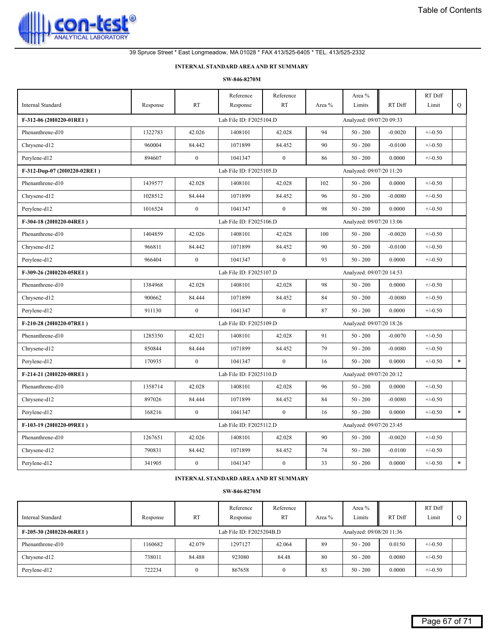

# **INTERNAL STANDARD AREAAND RT SUMMARY**

#### **SW-846-8270M**

| <b>Internal Standard</b>     | Response | <b>RT</b>        | Reference<br>Response   | Reference<br><b>RT</b> | Area % | Area $\%$<br>Limits      | RT Diff   | RT Diff<br>Limit | Q      |
|------------------------------|----------|------------------|-------------------------|------------------------|--------|--------------------------|-----------|------------------|--------|
| F-312-06 (2010220-01RE1)     |          |                  | Lab File ID: F2025104.D |                        |        | Analyzed: 09/07/20 09:33 |           |                  |        |
|                              |          |                  |                         |                        |        |                          |           |                  |        |
| Phenanthrene-d10             | 1322783  | 42.026           | 1408101                 | 42.028                 | 94     | $50 - 200$               | $-0.0020$ | $+/-0.50$        |        |
| Chrysene-d12                 | 960004   | 84.442           | 1071899                 | 84.452                 | 90     | $50 - 200$               | $-0.0100$ | $+/-0.50$        |        |
| Perylene-d12                 | 894607   | $\boldsymbol{0}$ | 1041347                 | $\mathbf{0}$           | 86     | $50 - 200$               | 0.0000    | $+/-0.50$        |        |
| F-312-Dup-07 (2010220-02RE1) |          |                  | Lab File ID: F2025105.D |                        |        | Analyzed: 09/07/20 11:20 |           |                  |        |
| Phenanthrene-d10             | 1439577  | 42.028           | 1408101                 | 42.028                 | 102    | $50 - 200$               | 0.0000    | $+/-0.50$        |        |
| Chrysene-d12                 | 1028512  | 84.444           | 1071899                 | 84.452                 | 96     | $50 - 200$               | $-0.0080$ | $+/-0.50$        |        |
| Perylene-d12                 | 1016524  | $\boldsymbol{0}$ | 1041347                 | $\mathbf{0}$           | 98     | $50 - 200$               | 0.0000    | $+/-0.50$        |        |
| F-304-18 (2010220-04RE1)     |          |                  | Lab File ID: F2025106.D |                        |        | Analyzed: 09/07/20 13:06 |           |                  |        |
| Phenanthrene-d10             | 1404859  | 42.026           | 1408101                 | 42.028                 | 100    | $50 - 200$               | $-0.0020$ | $+/-0.50$        |        |
| Chrysene-d12                 | 966811   | 84.442           | 1071899                 | 84.452                 | 90     | $50 - 200$               | $-0.0100$ | $+/-0.50$        |        |
| Perylene-d12                 | 966404   | $\boldsymbol{0}$ | 1041347                 | $\mathbf{0}$           | 93     | $50 - 200$               | 0.0000    | $+/-0.50$        |        |
| F-309-26 (2010220-05RE1)     |          |                  | Lab File ID: F2025107.D |                        |        | Analyzed: 09/07/20 14:53 |           |                  |        |
| Phenanthrene-d10             | 1384968  | 42.028           | 1408101                 | 42.028                 | 98     | $50 - 200$               | 0.0000    | $+/-0.50$        |        |
| Chrysene-d12                 | 900662   | 84.444           | 1071899                 | 84.452                 | 84     | $50 - 200$               | $-0.0080$ | $+/-0.50$        |        |
| Perylene-d12                 | 911130   | $\boldsymbol{0}$ | 1041347                 | $\mathbf{0}$           | 87     | $50 - 200$               | 0.0000    | $+/-0.50$        |        |
| F-210-28 (2010220-07RE1)     |          |                  | Lab File ID: F2025109.D |                        |        | Analyzed: 09/07/20 18:26 |           |                  |        |
| Phenanthrene-d10             | 1285350  | 42.021           | 1408101                 | 42.028                 | 91     | $50 - 200$               | $-0.0070$ | $+/-0.50$        |        |
| Chrysene-d12                 | 850844   | 84.444           | 1071899                 | 84.452                 | 79     | $50 - 200$               | $-0.0080$ | $+/-0.50$        |        |
| Perylene-d12                 | 170935   | $\boldsymbol{0}$ | 1041347                 | $\mathbf{0}$           | 16     | $50 - 200$               | 0.0000    | $+/-0.50$        | $\ast$ |
| F-214-21 (2010220-08RE1)     |          |                  | Lab File ID: F2025110.D |                        |        | Analyzed: 09/07/20 20:12 |           |                  |        |
| Phenanthrene-d10             | 1358714  | 42.028           | 1408101                 | 42.028                 | 96     | $50 - 200$               | 0.0000    | $+/-0.50$        |        |
| Chrysene-d12                 | 897026   | 84.444           | 1071899                 | 84.452                 | 84     | $50 - 200$               | $-0.0080$ | $+/-0.50$        |        |
| Perylene-d12                 | 168216   | $\mathbf{0}$     | 1041347                 | $\mathbf{0}$           | 16     | $50 - 200$               | 0.0000    | $+/-0.50$        | $\ast$ |
| F-103-19 (2010220-09RE1)     |          |                  | Lab File ID: F2025112.D |                        |        | Analyzed: 09/07/20 23:45 |           |                  |        |
| Phenanthrene-d10             | 1267651  | 42.026           | 1408101                 | 42.028                 | 90     | $50 - 200$               | $-0.0020$ | $+/-0.50$        |        |
| Chrysene-d12                 | 790831   | 84.442           | 1071899                 | 84.452                 | 74     | $50 - 200$               | $-0.0100$ | $+/-0.50$        |        |
| Perylene-d12                 | 341905   | $\mathbf{0}$     | 1041347                 | $\boldsymbol{0}$       | 33     | $50 - 200$               | 0.0000    | $+/-0.50$        | $\ast$ |

**INTERNAL STANDARD AREAAND RT SUMMARY**

| Internal Standard        | Response | <b>RT</b> | Reference<br>Response    | Reference<br><b>RT</b> | Area % | Area %<br>Limits         | RT Diff | RT Diff<br>Limit |  |
|--------------------------|----------|-----------|--------------------------|------------------------|--------|--------------------------|---------|------------------|--|
| F-205-30 (2010220-06RE1) |          |           | Lab File ID: F2025204B.D |                        |        | Analyzed: 09/08/20 11:36 |         |                  |  |
| Phenanthrene-d10         | 1160682  | 42.079    | 1297127                  | 42.064                 | 89     | $50 - 200$               | 0.0150  | $+/-0.50$        |  |
| Chrysene-d12             | 738011   | 84.488    | 923080                   | 84.48                  | 80     | $50 - 200$               | 0.0080  | $+/-0.50$        |  |
| Perylene-d12             | 722234   |           | 867658                   | $\mathbf{0}$           | 83     | $50 - 200$               | 0.0000  | $+/-0.50$        |  |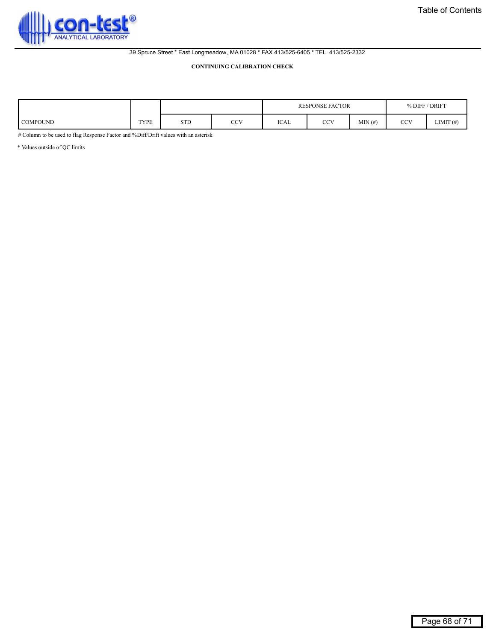<span id="page-67-0"></span>

#### **CONTINUING CALIBRATION CHECK**

|                 |             |            |               |             | <b>RESPONSE FACTOR</b> | ' DRIFT<br>% DIFF |     |              |  |
|-----------------|-------------|------------|---------------|-------------|------------------------|-------------------|-----|--------------|--|
| <b>COMPOUND</b> | <b>TYPE</b> | <b>STD</b> | $\sim$<br>UU. | <b>ICAL</b> | CCV                    | MIN(f)            | CCV | LIMIT $(f#)$ |  |

# Column to be used to flag Response Factor and %Diff/Drift values with an asterisk

\* Values outside of QC limits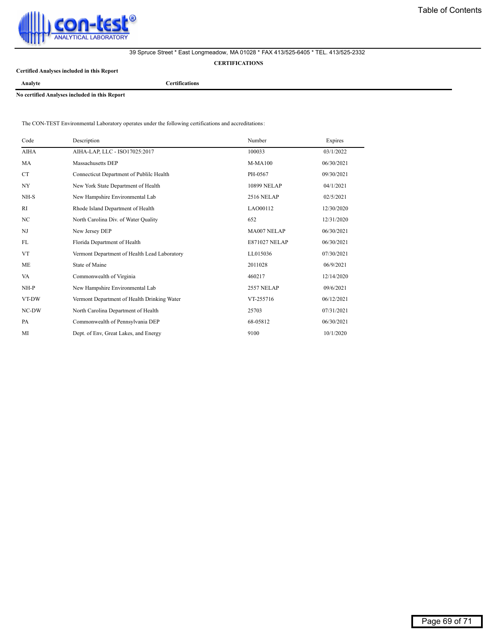<span id="page-68-0"></span>

**CERTIFICATIONS**

**Certified Analyses included in this Report**

**Analyte Certifications**

**No certified Analyses included in this Report**

The CON-TEST Environmental Laboratory operates under the following certifications and accreditations:

| Code           | Description                                  | Number               | Expires    |
|----------------|----------------------------------------------|----------------------|------------|
| AIHA           | AIHA-LAP, LLC - ISO17025:2017                | 100033               | 03/1/2022  |
| MA             | Massachusetts DEP                            | <b>M-MA100</b>       | 06/30/2021 |
| CT.            | Connecticut Department of Publilc Health     | PH-0567              | 09/30/2021 |
| NY <sub></sub> | New York State Department of Health          | 10899 NELAP          | 04/1/2021  |
| NH-S           | New Hampshire Environmental Lab              | <b>2516 NELAP</b>    | 02/5/2021  |
| RI             | Rhode Island Department of Health            | LAO00112             | 12/30/2020 |
| NC             | North Carolina Div. of Water Quality         | 652                  | 12/31/2020 |
| $_{\rm NJ}$    | New Jersey DEP                               | MA007 NELAP          | 06/30/2021 |
| FL             | Florida Department of Health                 | <b>E871027 NELAP</b> | 06/30/2021 |
| <b>VT</b>      | Vermont Department of Health Lead Laboratory | LL015036             | 07/30/2021 |
| <b>ME</b>      | <b>State of Maine</b>                        | 2011028              | 06/9/2021  |
| VA             | Commonwealth of Virginia                     | 460217               | 12/14/2020 |
| $NH-P$         | New Hampshire Environmental Lab              | <b>2557 NELAP</b>    | 09/6/2021  |
| VT-DW          | Vermont Department of Health Drinking Water  | VT-255716            | 06/12/2021 |
| NC-DW          | North Carolina Department of Health          | 25703                | 07/31/2021 |
| PA             | Commonwealth of Pennsylvania DEP             | 68-05812             | 06/30/2021 |
| MI             | Dept. of Env. Great Lakes, and Energy        | 9100                 | 10/1/2020  |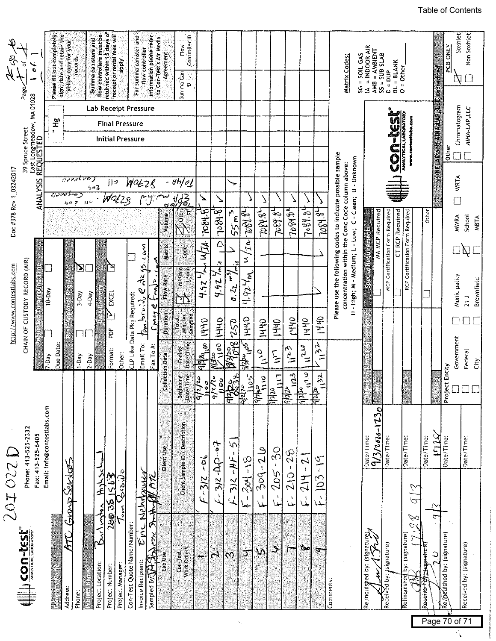<span id="page-69-0"></span>

| $\mathcal{Z}$              | đ<br>$\frac{1}{\sigma}$<br>Page                                   |                   | Please fill out completely,              | sign, date and retain the<br>yellow copy for your | records                                              | Summa canisters and                            | flow controllers must be | returned within 15 days of<br>receipt or rental fees will                        | <b>Tidde</b>     | For summa canister and      | flow controller                                                                   | information please refer<br>to Con-Test's Air Media | Agreement                     | Controller <sup>1</sup> D<br>Flow<br>Summa Can<br>$\overline{a}$ |                                     |                                                                             |                                                   |                                      |                                |                                 |                                                             |                                                    |                                                                         | SC = SOIL GAS<br>Matrix Codes:                                                                                                                                          | = INDOOR AIR<br>≤             | $\angle AMB = \angle AMBIENT$<br>SS = SUB SLAB | $BL = BLANK$<br>$D = DUP$              | $O = Other$                  |                                        |                       |                                | Soxhlet<br><b>PCB ONLY</b>                     | Non Soxhlet                       |
|----------------------------|-------------------------------------------------------------------|-------------------|------------------------------------------|---------------------------------------------------|------------------------------------------------------|------------------------------------------------|--------------------------|----------------------------------------------------------------------------------|------------------|-----------------------------|-----------------------------------------------------------------------------------|-----------------------------------------------------|-------------------------------|------------------------------------------------------------------|-------------------------------------|-----------------------------------------------------------------------------|---------------------------------------------------|--------------------------------------|--------------------------------|---------------------------------|-------------------------------------------------------------|----------------------------------------------------|-------------------------------------------------------------------------|-------------------------------------------------------------------------------------------------------------------------------------------------------------------------|-------------------------------|------------------------------------------------|----------------------------------------|------------------------------|----------------------------------------|-----------------------|--------------------------------|------------------------------------------------|-----------------------------------|
| Doc #378 Rev 1_03242017    | 39 Spruce Street<br>East Longmeadow, MA 01028<br><b>REQUESTED</b> | <b>ANALYSIS</b>   | $\mathbf{\tilde{r}}$<br>$\ddot{\bullet}$ | <u>য়মলাক্র</u>                                   | 602                                                  | OPUZEVO<br>$\mathbb{H}^{\downarrow\downarrow}$ | らっと                      | Lab Receipt Pressure<br><b>Final Pressure</b><br><b>Initial Pressure</b><br>   9 |                  | 1142 Z S                    |                                                                                   |                                                     |                               | $t$ <sup>+</sup> $d$<br>u 483.<br><u>6 a.J.</u>                  | $\overline{\phantom{a}}$            |                                                                             | ÷,                                                |                                      |                                |                                 |                                                             |                                                    |                                                                         |                                                                                                                                                                         |                               |                                                | <b>MUSE</b><br>OD                      | ANALYTICAL LABORATORY        | <b>Ethnik</b> .com                     |                       | <b>NEWCARE AIRWARY CANGERS</b> | Chromatogram<br>Other<br><b>WRTA</b><br>$\Box$ | AIHA-LAP,LLC                      |
|                            |                                                                   |                   |                                          |                                                   | $\mathbf{E}% _{T}=\mathbf{E}_{T}\cdot\mathbf{E}_{T}$ |                                                |                          | $\mathbb{Z}$                                                                     |                  |                             | $m_{0,3}$<br>$\frac{N}{C}$                                                        | Ã<br>्<br>र                                         | Volume<br>Matrix<br>Flow Rate | es<br>E<br>Ë<br>Ğ<br>ma i tem<br>Ē                               | 7084.87<br>MIA<br>$L_{\mu}$<br>4.92 | 7.84.8<br>$\triangle$<br>F,<br>$\frac{1}{\mathcal{L}_{\text{eff}}}$<br>4.42 | ŕ٩<br>55m<br>τ<br>$\tilde{\zeta}$                 | $-290 - 64$<br>۱T۸.<br>S<br>4.924m   | TORY &                         | 7084.84                         | 208434                                                      | 7.84.84                                            | 28487                                                                   | Please use the following codes to indicate possible sample<br>H - High; M - Medium; L - Low; C - Clean; U - Unknown<br>concentration within the Conc Code column above: | <b>Standard Beatlement</b>    | <b>MA MCP Required</b>                         | <b>MCP Certification Form Required</b> | <b>CT RCP Required</b>       | <b>RCP Certification Form Required</b> | Other                 |                                | <b>MWRA</b><br>Municipality                    | School<br><b>MBTA</b><br>Ŋ        |
| http://www.contestlabs.com | CHAIN OF CUSTODY RECORD (AIR)                                     |                   | 10-Day<br>7-Day                          | <b>The Communication</b><br>建筑器<br>Due Date       | 3-Day<br>$1$ Day                                     | 4-Dav<br>$2-Day$                               |                          | EXCEL<br>Y<br>ă<br>Format:                                                       | Other:           | CLP Like Data Pkg Required  | $\underline{\mathfrak{h}}_{\mathbf{m}}$ bruit $\mathfrak{h}_{v} \in$<br>Email To: | ٧<br>$\int$ pricy<br>Fax To $#$                     | <b>Duration</b>               | هلي<br>Sampled<br>Minures<br>Total<br>Date/Time<br>Ending        | 1440<br><b>PEPA</b>                 | JHHD<br>con.                                                                | 0, 2,<br>052<br>$\frac{1}{2}$ $\frac{1}{2}$<br>a. | 1440<br>$\sum_{i=1}^{n}$<br>ida<br>T | $\frac{1}{2}$<br>$\frac{1}{2}$ | $rac{9}{2}$<br>$\sum_{i=1}^{n}$ | <b>Ohh!</b><br>$\frac{1}{2}$                                | <b>OHAI</b><br>$\sum_{i=1}^{n}$                    | <b>SHA</b><br>$\frac{1}{25}$                                            |                                                                                                                                                                         |                               |                                                |                                        |                              |                                        |                       |                                | ┘<br>Government                                | Brownfield<br>21J<br>Federal<br>Ĝ |
|                            | Phone: 413-525-2332                                               |                   | Email: info@contestlabs.com              |                                                   |                                                      |                                                |                          |                                                                                  |                  |                             |                                                                                   |                                                     | Collection Data               | Beginning<br>Date/Time                                           | 110<br>्न्द्र्व,                    | $\frac{2\sqrt{2}}{6}$<br>100<br>$\sum_{i=1}^{\infty}$                       | ्<br>१९४<br><u> हिन्दू</u><br>$\sigma'$           | $\frac{\sqrt{2}}{2}$<br>$\hat{a}$    | $\frac{1}{2}$<br>Ą<br>博        | 듸<br>$\frac{1}{\ln 2}$          | $\frac{1}{2}$<br>$\Delta$<br>$\frac{d\omega}{2}$<br>SS<br>S | $\frac{1}{2}$<br>$\frac{ \mathbf{z} }{ z }$        | $\mathbf{u}$<br>$\frac{1}{\sqrt{2}}$                                    |                                                                                                                                                                         | Date/Time:                    | $9/3/1000 - 120$                               | Date/Time:                             | Date/Time:                   |                                        | Date/Time:            | ×<br>mey                       | Project Entity<br>Date/Time:                   | Date/Time:                        |
| 201022                     |                                                                   | Fax: 413-525-6405 |                                          | Grap Service<br>Ę                                 |                                                      |                                                | High School<br>Buchants  | 260361563                                                                        | ひこく              |                             | Newbaner<br>ں<br>آبا                                                              | $\bigoplus$<br>$\tilde{\mathcal{C}}$                | Cilent Use                    | Client Sample ID / Description                                   | ئ<br>ڊ<br>$-3/2$<br>یما             | $512 - 000 - 515$                                                           | $-312 - HF$                                       | $304 - 18$<br>حلما                   | $309 - 200$<br>ا<br>ملما       | $205 - 30$<br>$\pmb{\cdot}$     | $\pmb{\cdot}$<br>$\frac{1}{20}$<br>Ą                        | $\overline{\mathcal{L}}$<br><b>Hy</b><br>ا<br>لمبا | $\tilde{\hat{\lambda}}$<br>$\overline{\hat{C}}$<br>$\overrightarrow{L}$ |                                                                                                                                                                         |                               |                                                |                                        |                              | $\overline{5}$<br>Z                    |                       |                                |                                                |                                   |
|                            | WEST CONTROVERS                                                   |                   |                                          | Address:                                          | Phone:                                               |                                                | Project Location:        | Project Number:                                                                  | Project Manager: | Con-Test Quote Name/Number: | Invoice Recipient:                                                                | Sampled By $\sqrt{1/3}$                             | Lab Use                       | Work Order#<br>Con-Test                                          |                                     | $\mathfrak{c}^4$                                                            | $\omega$                                          | 丁                                    | ١Ŋ                             | $\rightarrow$                   | J.                                                          | صة                                                 | $\mathcal{L}_{\mathcal{L}}$                                             | Comments                                                                                                                                                                | Kelinquistied by: (signature) |                                                | (signature)<br>Received by:            | Relinquished by: (signature) |                                        | pignature<br>Receiver | $\frac{0}{2}$                  | Relipedished by: (signature)                   | Received by: (signature)          |

 $\langle \hat{X}_\alpha \rangle$ 

# [Table of Contents](#page-1-0)

Page 70 of 71

 $\mathcal{L}$